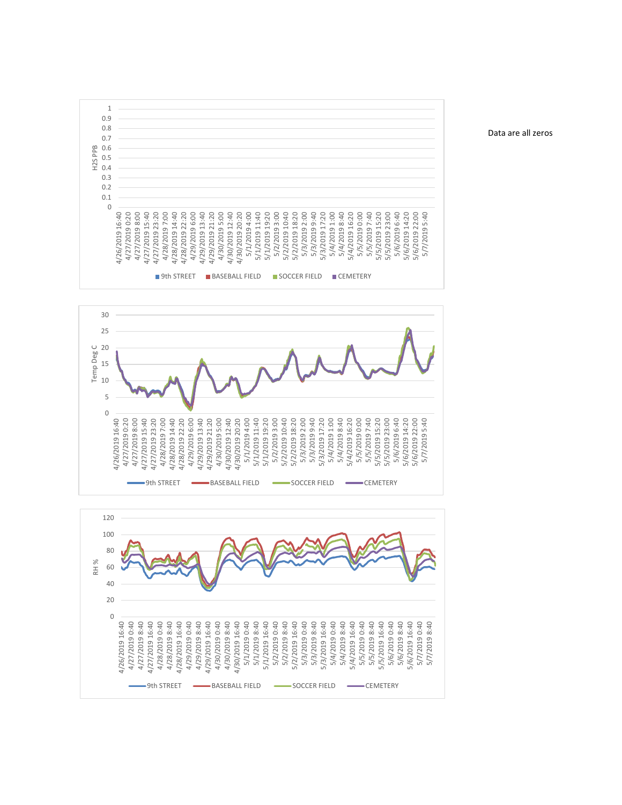





Data are all zeros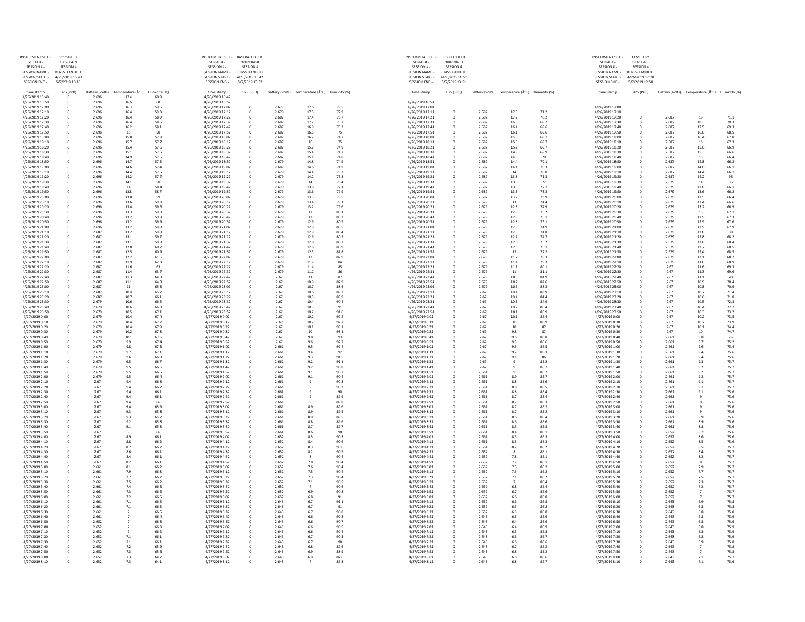| <b>NSTERMENT SITE</b><br>SERIAL # -          | 9th STREET<br>180200469           |                          |                  |              | <b>INSTERMENT SITE -</b><br>SERIAL # -        | <b>BASEBALL FIELD</b><br>180200468 |                |                                                               |              | <b>INSTERMENT SITE -</b><br>SERIAL #-         | <b>SOCCER FIELD</b><br>180200453    |                 |                                               |              | <b>INSTERMENT SITE</b><br>SERIAL # -       | <b>CEMETERY</b><br>180200465      |                 |                               |              |
|----------------------------------------------|-----------------------------------|--------------------------|------------------|--------------|-----------------------------------------------|------------------------------------|----------------|---------------------------------------------------------------|--------------|-----------------------------------------------|-------------------------------------|-----------------|-----------------------------------------------|--------------|--------------------------------------------|-----------------------------------|-----------------|-------------------------------|--------------|
| SESSION # -<br><b>SESSION NAME -</b>         | SESSION 4<br>RENSS. LANDFILL      |                          |                  |              | SESSION #-<br><b>SESSION NAME -</b>           | SESSION 4<br>RENSS. LANDFILL       |                |                                                               |              | SESSION #-<br><b>SESSION NAME</b>             | <b>SESSION 4</b><br>RENSS. LANDFILL |                 |                                               |              | SESSION #-<br><b>SESSION NAME -</b>        | SESSION 4<br>RENSS. LANDFILL      |                 |                               |              |
| <b>SESSION START</b><br><b>SESSION END -</b> | 4/26/2019 16:20<br>5/7/2019 13:10 |                          |                  |              | <b>SESSION START -</b><br><b>SESSION END-</b> | 4/26/2019 16:42<br>5/7/2019 13:32  |                |                                                               |              | <b>SESSION START -</b><br><b>SESSION END-</b> | 4/26/2019 16:51<br>5/7/2019 13:51   |                 |                                               |              | <b>SESSION START</b><br><b>SESSION END</b> | 4/26/2019 17:00<br>5/7/2019 12:50 |                 |                               |              |
|                                              | H2S (PPB)                         |                          | Temperature (°C) | Humidity (%) |                                               | H2S (PPB)                          |                | Battery (Volts) Temperature $(\hat{A}^{\circ}C)$ Humidity (%) |              |                                               | H2S (PPB)                           | Battery (Volts) | Temperature $(\hat{A}^{\circ}C)$ Humidity (%) |              |                                            | H2S (PPB)                         | Battery (Volts) | Temperature (°C) Humidity (%) |              |
| time stamp<br>4/26/2019 16:40                |                                   | Battery (Volts)<br>2.696 | 17.4             | 60.9         | time stamp<br>4/26/2019 16:42                 |                                    |                |                                                               |              | time stamp                                    |                                     |                 |                                               |              | time stamp                                 |                                   |                 |                               |              |
| 4/26/2019 16:50<br>4/26/2019 17:00           |                                   | 2.696<br>2.696           | 16.6<br>16.3     | 60<br>59.6   | 4/26/2019 16:52<br>4/26/2019 17:02            |                                    | 2.679          | 17.6                                                          | 79.5         | 4/26/2019 16:51<br>4/26/2019 17:01            |                                     |                 |                                               |              | 4/26/2019 17:00                            |                                   |                 |                               |              |
| 4/26/2019 17:10                              |                                   | 2.696                    | 16.4<br>16.4     | 59.3<br>58.9 | 4/26/2019 17:12<br>4/26/2019 17:22            |                                    | 2.679          | 17.5<br>17.4                                                  | 77.9<br>76.7 | 4/26/2019 17:11<br>4/26/2019 17:21            |                                     | 2.687<br>2.687  | 17.5<br>17.2                                  | 71.2<br>70.2 | 4/26/2019 17:10                            |                                   | 2.687           | 19                            |              |
| 4/26/2019 17:20<br>4/26/2019 17:30           |                                   | 2.696<br>2.696           | 16.4             | 58.5         | 4/26/2019 17:32                               |                                    | 2.687<br>2.687 | 17.2                                                          | 75.7         | 4/26/2019 17:31                               |                                     | 2.687           | 16.8                                          | 69.7         | 4/26/2019 17:20<br>4/26/2019 17:30         |                                   | 2.687           | 18.3                          | 71.1<br>70.3 |
| 4/26/2019 17:40<br>4/26/2019 17:50           |                                   | 2.696<br>2.696           | 16.2<br>16       | 58.1<br>58   | 4/26/2019 17:42<br>4/26/2019 17:52            |                                    | 2.687<br>2.687 | 16.9<br>16.5                                                  | 75.3<br>75   | 4/26/2019 17:41<br>4/26/2019 17:51            |                                     | 2.687<br>2.687  | 16.4<br>16.1                                  | 69.6<br>69.6 | 4/26/2019 17:40<br>4/26/2019 17:50         |                                   | 2.687<br>2.687  | 17.5<br>16.8                  | 69.3<br>68.5 |
| 4/26/2019 18:00                              |                                   | 2.696                    | 15.8             | 57.9         | 4/26/2019 18:02                               |                                    | 2.687          | 16.2                                                          | 74.7         | 4/26/2019 18:01                               |                                     | 2.687           | 15.8                                          | 69.7         | 4/26/2019 18:00                            |                                   | 2.687           | 16.4                          | 67.8         |
| 4/26/2019 18:10<br>4/26/2019 18:20           |                                   | 2.696<br>2.696           | 15.7<br>15.4     | 57.7<br>57.6 | 4/26/2019 18:12<br>4/26/2019 18:22            |                                    | 2.687<br>2.687 | 16<br>15.7                                                    | 75<br>74.9   | 4/26/2019 18:11<br>4/26/2019 18:21            |                                     | 2.687<br>2.687  | 15.5<br>15.2                                  | 69.7<br>69.7 | 4/26/2019 18:10<br>4/26/2019 18:20         |                                   | 2.687<br>2.687  | 16<br>15.6                    | 67.3<br>66.9 |
| 4/26/2019 18:30                              |                                   | 2.696                    | 15.1             | 57.5         | 4/26/2019 18:32                               |                                    | 2.687          | 15.4                                                          | 74.7         | 4/26/2019 18:31                               |                                     | 2.687           | 14.9                                          | 69.9         | 4/26/2019 18:30                            |                                   | 2.687           | 15.3                          | 66.6         |
| 4/26/2019 18:40<br>4/26/2019 18:50           |                                   | 2.696<br>2.696           | 14.9<br>14.7     | 57.5<br>57.5 | 4/26/2019 18:42<br>4/26/2019 18:52            |                                    | 2.687<br>2.679 | 15.1<br>14.8                                                  | 74.8<br>74.9 | 4/26/2019 18:41<br>4/26/2019 18:51            |                                     | 2.687<br>2.687  | 14.6<br>14.4                                  | 70<br>70.1   | 4/26/2019 18:40<br>4/26/2019 18:50         |                                   | 2.687<br>2.687  | 15<br>14.8                    | 66.4<br>66.2 |
| 4/26/2019 19:00                              |                                   | 2.696                    | 14.6             | 57.4         | 4/26/2019 19:02                               |                                    | 2.687          | 14.6                                                          | 74.9         | 4/26/2019 19:01                               |                                     | 2.687           | 14.1                                          | 70.3         | 4/26/2019 19:00                            |                                   | 2.687           | 14.6                          | 66.1         |
| 4/26/2019 19:10<br>4/26/2019 19:20           |                                   | 2.696<br>2.696           | 14.4<br>14.2     | 57.5<br>57.7 | 4/26/2019 19:12<br>4/26/2019 19:22            |                                    | 2.679<br>2.679 | 14.4<br>14.2                                                  | 75.3<br>75.8 | 4/26/2019 19:11<br>4/26/2019 19:21            |                                     | 2.687<br>2.687  | 14<br>13.8                                    | 70.8<br>71.3 | 4/26/2019 19:10<br>4/26/2019 19:20         |                                   | 2.687<br>2.687  | 14.4<br>14.2                  | 66.1<br>66   |
| 4/26/2019 19:30<br>4/26/2019 19:40           |                                   | 2.696<br>2.696           | 14.1<br>14       | 58<br>58.4   | 4/26/2019 19:32<br>4/26/2019 19:42            |                                    | 2.679<br>2.679 | 14<br>13.8                                                    | 76.4<br>77.1 | 4/26/2019 19:31<br>4/26/2019 19:41            |                                     | 2.687<br>2.687  | 13.6<br>13.5                                  | 72<br>72.7   | 4/26/2019 19:30<br>4/26/2019 19:40         |                                   | 2.679<br>2.679  | 14<br>13.8                    | 66<br>66.1   |
| 4/26/2019 19:50                              |                                   | 2.696                    | 13.8             | 58.7         | 4/26/2019 19:52                               |                                    | 2.679          | 13.6                                                          | 77.9         | 4/26/2019 19:51                               |                                     | 2.687           | 13.3                                          | 73.3         | 4/26/2019 19:50                            |                                   | 2.679           | 13.6                          | 66.2         |
| 4/26/2019 20:00<br>4/26/2019 20:10           |                                   | 2.696<br>2.696           | 13.8<br>13.6     | 59<br>59.3   | 4/26/2019 20:02<br>4/26/2019 20:12            |                                    | 2.679<br>2.679 | 13.5<br>13.4                                                  | 78.5<br>79.1 | 4/26/2019 20:01<br>4/26/2019 20:11            |                                     | 2.687<br>2.679  | 13.2<br>13                                    | 73.9<br>74.4 | 4/26/2019 20:00<br>4/26/2019 20:10         |                                   | 2.679<br>2.679  | 13.5<br>13.4                  | 66.4<br>66.6 |
| 4/26/2019 20:20                              |                                   | 2.696                    | 13.4             | 59.6         | 4/26/2019 20:22                               |                                    | 2.679          | 13.2                                                          | 79.6         | 4/26/2019 20:21                               |                                     | 2.679           | 12.8                                          | 74.9         | 4/26/2019 20:20                            |                                   | 2.679           | 13.2                          | 66.9         |
| 4/26/2019 20:30<br>4/26/2019 20:40           |                                   | 2.696<br>2.696           | 13.3<br>13.2     | 59.8<br>59.9 | 4/26/2019 20:32<br>4/26/2019 20:42            |                                    | 2.679<br>2.679 | 13<br>13                                                      | 80.1<br>80.3 | 4/26/2019 20:31<br>4/26/2019 20:41            |                                     | 2.679<br>2.679  | 12.8<br>12.8                                  | 75.2<br>75.1 | 4/26/2019 20:30<br>4/26/2019 20:40         |                                   | 2.679<br>2.679  | 13<br>12.9                    | 67.1<br>67.3 |
| 4/26/2019 20:50                              |                                   | 2.696                    | 13.2             | 59.9         | 4/26/2019 20:52                               |                                    | 2.679          | 12.9                                                          | 80.5         | 4/26/2019 20:51                               |                                     | 2.679           | 12.8                                          | 75.1         | 4/26/2019 20:50                            |                                   | 2.679           | 12.9                          | 67.6         |
| 4/26/2019 21:00<br>4/26/2019 21:10           |                                   | 2.696<br>2.687           | 13.2<br>13.2     | 59.8<br>59.8 | 4/26/2019 21:02<br>4/26/2019 21:12            |                                    | 2.679<br>2.679 | 12.9<br>12.9                                                  | 80.5<br>80.4 | 4/26/2019 21:01<br>4/26/2019 21:11            |                                     | 2.679<br>2.679  | 12.8<br>12.8                                  | 74.9<br>74.8 | 4/26/2019 21:00<br>4/26/2019 21:10         |                                   | 2.679<br>2.679  | 12.9<br>12.8                  | 67.9         |
| 4/26/2019 21:20<br>4/26/2019 21:30           |                                   | 2.687<br>2.687           | 13.1<br>13.1     | 59.7<br>59.8 | 4/26/2019 21:22<br>4/26/2019 21:32            |                                    | 2.679<br>2.679 | 12.9<br>12.8                                                  | 80.2<br>80.3 | 4/26/2019 21:21<br>4/26/2019 21:31            |                                     | 2.679<br>2.679  | 12.7<br>12.6                                  | 74.7<br>75.2 | 4/26/2019 21:20<br>4/26/2019 21:30         |                                   | 2.679<br>2.679  | 12.8<br>12.8                  | 68.2<br>68.4 |
| 4/26/2019 21:40                              |                                   | 2.687                    | 12.8             | 60.2         | 4/26/2019 21:42                               |                                    | 2.679          | 12.6                                                          | 80.9         | 4/26/2019 21:41                               |                                     | 2.679           | 12.3                                          | 76.1         | 4/26/2019 21:40                            |                                   | 2.679           | 12.7                          | 68.5         |
| 4/26/2019 21:50<br>4/26/2019 22:00           |                                   | 2.687<br>2.687           | 12.5<br>12.2     | 60.9<br>61.6 | 4/26/2019 21:52<br>4/26/2019 22:02            |                                    | 2.679<br>2.679 | 12.3<br>12                                                    | 81.8<br>82.9 | 4/26/2019 21:51<br>4/26/2019 22:01            |                                     | 2.679<br>2.679  | 12<br>11.7                                    | 77.2<br>78.3 | 4/26/2019 21:50<br>4/26/2019 22:00         |                                   | 2.679<br>2.679  | 12.4<br>12.1                  | 68.5<br>68.7 |
| 4/26/2019 22:10                              |                                   | 2.687                    | 11.9             | 62.3         | 4/26/2019 22:12                               |                                    | 2.679          | 11.7                                                          |              | 4/26/2019 22:11                               |                                     | 2.679           | 11.4                                          | 79.3         | 4/26/2019 22:10                            |                                   | 2.679           | 11.8                          | 68.9         |
| 4/26/2019 22:20<br>4/26/2019 22:30           |                                   | 2.687<br>2.687           | 11.6<br>11.4     | 63<br>63.7   | 4/26/2019 22:22<br>4/26/2019 22:32            |                                    | 2.679<br>2.679 | 11.4<br>11.2                                                  |              | 4/26/2019 22:21<br>4/26/2019 22:31            |                                     | 2.679<br>2.679  | 11.1<br>11                                    | 80.1<br>81.1 | 4/26/2019 22:20<br>4/26/2019 22:30         |                                   | 2.67<br>2.67    | 11.6<br>11.3                  | 69.3<br>69.6 |
| 4/26/2019 22:40                              |                                   | 2.687                    | 11.3             | 64.3         | 4/26/2019 22:42                               |                                    | 2.67           | 11                                                            |              | 4/26/2019 22:41                               |                                     | 2.679           | 10.8                                          | 81.9         | 4/26/2019 22:40                            |                                   | 2.67            | 11.1                          | 70           |
| 4/26/2019 22:50<br>4/26/2019 23:00           |                                   | 2.687<br>2.687           | 11.1<br>11       | 64.8<br>65.3 | 4/26/2019 22:52<br>4/26/2019 23:02            |                                    | 2.67<br>2.67   | 10.9<br>10.7                                                  | 87.9<br>88.6 | 4/26/2019 22:51<br>4/26/2019 23:01            |                                     | 2.679<br>2.679  | 10.7<br>10.5                                  | 82.6<br>83.3 | 4/26/2019 22:50<br>4/26/2019 23:00         |                                   | 2.67<br>2.67    | 10.9<br>10.8                  | 70.4<br>70.9 |
| 4/26/2019 23:10<br>4/26/2019 23:20           |                                   | 2.687<br>2.687           | 10.8<br>10.7     | 65.7<br>66.1 | 4/26/2019 23:12<br>4/26/2019 23:22            |                                    | 2.67<br>2.67   | 10.6<br>10.5                                                  | 89.3<br>89.9 | 4/26/2019 23:11<br>4/26/2019 23:21            |                                     | 2.67<br>2.67    | 10.4<br>10.4                                  | 83.9<br>84.4 | 4/26/2019 23:10<br>4/26/2019 23:20         |                                   | 2.67<br>2.67    | 10.7<br>10.6                  | 71.4<br>71.8 |
| 4/26/2019 23:30                              |                                   | 2.679                    | 10.6             | 66.5         | 4/26/2019 23:32                               |                                    | 2.67           | 10.4                                                          | 90.4         | 4/26/2019 23:31                               |                                     | 2.67            | 10.3                                          | 84.9         | 4/26/2019 23:30                            |                                   | 2.67            | 10.5                          | 72.3         |
| 4/26/2019 23:40<br>4/26/2019 23:50           |                                   | 2.679<br>2.679           | 10.6<br>10.5     | 66.8<br>67.1 | 4/26/2019 23:42<br>4/26/2019 23:52            |                                    | 2.67<br>2.67   | 10.3<br>10.2                                                  | 91.6         | 4/26/2019 23:41<br>4/26/2019 23:51            |                                     | 2.67<br>2.67    | 10.2<br>10.1                                  | 85.4<br>85.9 | 4/26/2019 23:40<br>4/26/2019 23:50         |                                   | 2.67<br>2.67    | 10.4<br>10.3                  | 72.7<br>73.2 |
| 4/27/2019 0:00                               |                                   | 2.679                    | 10.4             | 67.4         | 4/27/2019 0:02                                |                                    | 2.67           | 10.2                                                          | 92.2         | 4/27/2019 0:01                                |                                     | 2.67            | 10.1                                          | 86.4         | 4/27/2019 0:00                             |                                   | 2.67            | 10.2                          | 73.5         |
| 4/27/2019 0:10<br>4/27/2019 0:20             |                                   | 2.679<br>2.679           | 10.4<br>10.4     | 67.7<br>67.9 | 4/27/2019 0:12<br>4/27/2019 0:22              |                                    | 2.67<br>2.67   | 10.2<br>10.1                                                  | 92.7<br>93.1 | 4/27/2019 0:11<br>4/27/2019 0:21              |                                     | 2.67<br>2.67    |                                               | 86.9         | 4/27/2019 0:10<br>4/27/2019 0:20           |                                   | 2.67<br>2.67    | 10.2<br>10.1                  | 73.9<br>74.4 |
| 4/27/2019 0:30                               |                                   | 2.679                    | 10.2             | 67.8         | 4/27/2019 0:32                                |                                    | 2.67           | 10                                                            | 93.1         | 4/27/2019 0:31                                |                                     | 2.67            | 9.8                                           | 87           | 4/27/2019 0:30                             |                                   | 2.67            | 10                            | 74.7         |
| 4/27/2019 0:40<br>4/27/2019 0:50             |                                   | 2.679<br>2.679           | $10.1\,$<br>9.9  | 67.6<br>67.4 | 4/27/2019 0:42<br>4/27/2019 0:52              |                                    | 2.67<br>2.67   | 9.8<br>9.6                                                    | 93<br>92.7   | 4/27/2019 0:41<br>4/27/2019 0:51              |                                     | 2.67<br>2.67    | 9.6<br>9.5                                    | 86.8<br>86.6 | 4/27/2019 0:40<br>4/27/2019 0:50           |                                   | 2.661<br>2.661  | 9.8<br>9.7                    | 75<br>75.2   |
| 4/27/2019 1:00<br>4/27/2019 1:10             |                                   | 2.679<br>2.679           | 9.8<br>9.7       | 67.3<br>67.1 | 4/27/2019 1:02<br>4/27/2019 1:12              |                                    | 2.661<br>2.661 | 9.5<br>9.4                                                    | 92.4<br>92   | 4/27/2019 1:01<br>4/27/2019 1:11              |                                     | 2.67<br>2.67    | 9.3<br>9.2                                    | 86.5<br>86.3 | 4/27/2019 1:00<br>4/27/2019 1:10           |                                   | 2.661<br>2.661  | 9.6<br>9.4                    | 75.4<br>75.6 |
| 4/27/2019 1:20                               |                                   | 2.679                    | 9.6              | 66.8         | 4/27/2019 1:22                                |                                    | 2.661          | 9.3                                                           | 91.5         | 4/27/2019 1:21                                |                                     | 2.67            |                                               |              | 4/27/2019 1:20                             |                                   | 2.661           | 9.4                           | 75.6         |
| 4/27/2019 1:30<br>4/27/2019 1:40             |                                   | 2.679<br>2.679           | 9.5<br>9.5       | 66.7<br>66.6 | 4/27/2019 1:32<br>4/27/2019 1:42              |                                    | 2.661<br>2.661 | 9.2<br>9.2                                                    | 91.1<br>90.8 | 4/27/2019 1:31<br>4/27/2019 1:41              |                                     | 2.67<br>2.67    |                                               | 85.8<br>85.7 | 4/27/2019 1:30<br>4/27/2019 1:40           |                                   | 2.661<br>2.661  | 9.3<br>9.2                    | 75.7<br>75.7 |
| 4/27/2019 1:50                               |                                   | 2.679                    | 9.5              | 66.5         | 4/27/2019 1:52                                |                                    | 2.661          | 9.1                                                           | 90.7         | 4/27/2019 1:51                                |                                     | 2.661           |                                               | 85.7         | 4/27/2019 1:50                             |                                   | 2.661           | 9.2                           | 75.7         |
| 4/27/2019 2:00<br>4/27/2019 2:10             |                                   | 2.679<br>2.67            | 9.5<br>9.4       | 66.4<br>66.3 | 4/27/2019 2:02<br>4/27/2019 2:12              |                                    | 2.661<br>2.661 | 9.1                                                           | 90.4<br>90.3 | 4/27/2019 2:01<br>4/27/2019 2:11              |                                     | 2.661<br>2.661  | 8.9                                           | 85.7<br>85.6 | 4/27/2019 2:00<br>4/27/2019 2:10           |                                   | 2.661<br>2.661  | 9.2<br>9.1                    | 75.7<br>75.7 |
| 4/27/2019 2:20<br>4/27/2019 2:30             |                                   | 2.67<br>2.67             | 9.4<br>9.4       | 66.2<br>66.1 | 4/27/2019 2:22<br>4/27/2019 2:32              |                                    | 2.661<br>2.661 |                                                               | 90.2         | 4/27/2019 2:21<br>4/27/2019 2:31              |                                     | 2.661<br>2.661  | 8.8<br>8.8                                    | 85.5<br>85.4 | 4/27/2019 2:20<br>4/27/2019 2:30           |                                   | 2.661<br>2.661  | 9.1<br>9.1                    | 75.7<br>75.6 |
| 4/27/2019 2:40                               |                                   | 2.67                     | 9.4              | 66.1         | 4/27/2019 2:42                                |                                    | 2.661          |                                                               | 89.9         | 4/27/2019 2:41                                |                                     | 2.661           |                                               | 85.4         | 4/27/2019 2:40                             |                                   | 2.661           |                               | 75.6         |
| 4/27/2019 2:50<br>4/27/2019 3:00             |                                   | 2.67<br>2.67             | 9.4<br>9.4       | 66<br>65.9   | 4/27/2019 2:52<br>4/27/2019 3:02              |                                    | 2.661<br>2.661 | 8.9                                                           | 89.8<br>89.6 | 4/27/2019 2:51<br>4/27/2019 3:01              |                                     | 2.661<br>2.661  | 8.7                                           | 85.3<br>85.2 | 4/27/2019 2:50<br>4/27/2019 3:00           |                                   | 2.661<br>2.661  |                               | 75.6<br>75.6 |
| 4/27/2019 3:10                               |                                   | 2.67                     | -9.3             | 65.8         | 4/27/2019 3:12                                |                                    | 2.661          | 8.9                                                           | 89.5         | 4/27/2019 3:11                                |                                     | 2.661           |                                               | 85.2         | 4/27/2019 3:10                             |                                   | 2.661           |                               | 75.6         |
| 4/27/2019 3:20<br>4/27/2019 3:30             |                                   | 2.67<br>2.67             | 9.3<br>9.2       | 65.7<br>65.8 | 4/27/2019 3:22<br>4/27/2019 3:32              |                                    | 2.661<br>2.661 | 8.9<br>8.8                                                    | 89.5<br>89.6 | 4/27/2019 3:21<br>4/27/2019 3:31              |                                     | 2.661<br>2.661  | 8.6                                           | 85.4<br>85.6 | 4/27/2019 3:20<br>4/27/2019 3:30           |                                   | 2.661<br>2.661  | 8.9<br>8.9                    | 75.6<br>75.6 |
| 4/27/2019 3:40<br>4/27/2019 3:50             |                                   | 2.67<br>2.67             |                  | 65.8         | 4/27/2019 3:42<br>4/27/2019 3:52              |                                    | 2.661<br>2.661 | 8.7                                                           | 89.7<br>90   | 4/27/2019 3:41<br>4/27/2019 3:51              |                                     | 2.661<br>2.661  |                                               | 85.8<br>86.1 | 4/27/2019 3:40<br>4/27/2019 3:50           |                                   | 2.661<br>2.652  | 8.8<br>8.7                    | 75.6<br>75.6 |
| 4/27/2019 4:00                               |                                   | 2.67                     | -8.9             | 66.1         | 4/27/2019 4:02                                |                                    | 2.652          | 8.5                                                           | 90.3         | 4/27/2019 4:01                                |                                     | 2.661           | 8.3                                           | 86.3         | 4/27/2019 4:00                             |                                   | 2.652           | 8.6                           | 75.6         |
| 4/27/2019 4:10<br>4/27/2019 4:20             |                                   | 2.67<br>2.67             | 8.8              | 66.2<br>66.2 | 4/27/2019 4:12<br>4/27/2019 4:22              |                                    | 2.652<br>2.652 | 8.4<br>8.3                                                    | 90.6<br>90.6 | 4/27/2019 4:11<br>4/27/2019 4:21              |                                     | 2.661<br>2.661  | 8.3                                           | 86.3<br>86.2 | 4/27/2019 4:10<br>4/27/2019 4:20           |                                   | 2.652<br>2.652  | 8.5<br>8.5                    | 75.6<br>75.7 |
| 4/27/2019 4:30                               |                                   | 2.67                     | 8.6              | 66.1         | 4/27/2019 4:32                                |                                    | 2.652          | 8.2                                                           | 90.5         | 4/27/2019 4:31                                |                                     | 2.652           |                                               | 86.1         | 4/27/2019 4:30                             |                                   | 2.652           | 8.4                           | 75.7         |
| 4/27/2019 4:40<br>4/27/2019 4:50             |                                   | 2.67<br>2.67             | 8.2              | 66.1<br>66.1 | 4/27/2019 4:42<br>4/27/2019 4:52              |                                    | 2.652<br>2.652 | 7.8                                                           | 90.4<br>90.4 | 4/27/2019 4:41<br>4/27/2019 4:51              |                                     | 2.652<br>2.652  | 7.7                                           | 86.1<br>86.1 | 4/27/2019 4:40<br>4/27/2019 4:50           |                                   | 2.652<br>2.652  |                               | 75.7<br>75.7 |
| 4/27/2019 5:00<br>4/27/2019 5:10             |                                   | 2.661<br>2.661           | 8.1<br>7.9       | 66.2<br>66.3 | 4/27/2019 5:02<br>4/27/2019 5:12              |                                    | 2.652<br>2.652 | 7.6<br>7.5                                                    | 90.4<br>90.4 | 4/27/2019 5:01<br>4/27/2019 5:11              |                                     | 2.652<br>2.652  | 7.5<br>7.3                                    | 86.2<br>86.2 | 4/27/2019 5:00<br>4/27/2019 5:10           |                                   | 2.652<br>2.652  | 7.9<br>7.7                    | 75.7<br>75.7 |
| 4/27/2019 5:20                               |                                   | 2.661                    | 7.7              | 66.2         | 4/27/2019 5:22                                |                                    | 2.652          | 7.3                                                           | 90.4         | 4/27/2019 5:21                                |                                     | 2.652           |                                               | 86.2         | 4/27/2019 5:20                             |                                   | 2.652           | 7.5                           | 75.7         |
| 4/27/2019 5:30<br>4/27/2019 5:40             |                                   | 2.661<br>2.661           | 7.5<br>7.4       | 66.2<br>66.3 | 4/27/2019 5:32<br>4/27/2019 5:42              |                                    | 2.652<br>2.652 | 7.1                                                           | 90.5<br>90.6 | 4/27/2019 5:31<br>4/27/2019 5:41              |                                     | 2.652<br>2.652  | 6.8                                           | 86.4<br>86.4 | 4/27/2019 5:30<br>4/27/2019 5:40           |                                   | 2.652<br>2.652  | 7.3<br>7.2                    | 75.7<br>75.7 |
| 4/27/2019 5:50                               |                                   | 2.661                    | 7.3              | 66.5         | 4/27/2019 5:52                                |                                    | 2.652          | 6.9                                                           | 90.8         | 4/27/2019 5:51                                |                                     | 2.652           | 6.7                                           | 86.6         | 4/27/2019 5:50                             |                                   | 2.652           |                               | 75.7         |
| 4/27/2019 6:00<br>4/27/2019 6:10             |                                   | 2.661<br>2.661           | 7.2<br>7.1       | 66.5<br>66.5 | 4/27/2019 6:02<br>4/27/2019 6:12              |                                    | 2.652<br>2.643 | 6.8<br>6.7                                                    | 91.1         | 4/27/2019 6:01<br>4/27/2019 6:11              |                                     | 2.652<br>2.652  | 6.6<br>6.6                                    | 86.8<br>86.8 | 4/27/2019 6:00<br>4/27/2019 6:10           |                                   | 2.652<br>2.643  | 6.9                           | 75.7<br>75.8 |
| 4/27/2019 6:20                               |                                   | 2.661                    |                  | 66.5         | 4/27/2019 6:22                                |                                    | 2.643          |                                                               |              | 4/27/2019 6:21                                |                                     | 2.652           | 6.5                                           | 86.8         | 4/27/2019 6:20                             |                                   | 2.643           | 6.8                           | 75.8         |
| 4/27/2019 6:30<br>4/27/2019 6:40             |                                   | 2.661<br>2.661           |                  | 66.5<br>66.4 | 4/27/2019 6:32<br>4/27/2019 6:42              |                                    | 2.643<br>2.643 | 6.7                                                           | 90.8<br>90.8 | 4/27/2019 6:31<br>4/27/2019 6:41              |                                     | 2.652<br>2.643  | 6.5<br>6.5                                    | 86.8<br>86.9 | 4/27/2019 6:30<br>4/27/2019 6:40           |                                   | 2.643<br>2.643  | 6.8                           | 75.8<br>75.9 |
| 4/27/2019 6:50<br>4/27/2019 7:00             |                                   | 2.652<br>2.652           |                  | 66.3<br>66.3 | 4/27/2019 6:52<br>4/27/2019 7:02              |                                    | 2.643<br>2.643 |                                                               | 90.7<br>90.5 | 4/27/2019 6:51<br>4/27/2019 7:01              |                                     | 2.643<br>2.643  | 6.4<br>6.4                                    | 86.9<br>86.9 | 4/27/2019 6:50<br>4/27/2019 7:00           |                                   | 2.643<br>2.643  | 6.8<br>6.8                    | 75.9<br>75.9 |
| 4/27/2019 7:10                               |                                   | 2.652                    |                  | 66.2         | 4/27/2019 7:12                                |                                    | 2.643          | 6.6                                                           | 90.4         | 4/27/2019 7:11                                |                                     | 2.643           | 6.5                                           | 86.8         | 4/27/2019 7:10                             |                                   | 2.643           | 6.8                           | 75.9         |
| 4/27/2019 7:20<br>4/27/2019 7:30             |                                   | 2.652<br>2.652           | 7.1<br>7.1       | 66.1<br>66.1 | 4/27/2019 7:22<br>4/27/2019 7:32              |                                    | 2.643<br>2.643 | 6.7<br>6.7                                                    | 90.3<br>90   | 4/27/2019 7:21<br>4/27/2019 7:31              |                                     | 2.643<br>2.643  | 6.6<br>6.6                                    | 86.7<br>86.6 | 4/27/2019 7:20<br>4/27/2019 7:30           |                                   | 2.643<br>2.643  | 6.8<br>6.9                    | 75.9<br>75.8 |
| 4/27/2019 7:40                               |                                   | 2.652                    | 7.2              | 65.9         | 4/27/2019 7:42                                |                                    | 2.643          |                                                               | 89.6         | 4/27/2019 7:41                                |                                     | 2.643           |                                               | 86.2         | 4/27/2019 7:40                             |                                   | 2.643           |                               | 75.8         |
| 4/27/2019 7:50<br>4/27/2019 8:00             |                                   | 2.652<br>2.652           | 7.3<br>7.3       | 65.6<br>64.7 | 4/27/2019 7:52<br>4/27/2019 8:02              |                                    | 2.643<br>2.643 | 6.9<br>6.9                                                    | 88.9<br>87.6 | 4/27/2019 7:51<br>4/27/2019 8:01              |                                     | 2.643<br>2.643  | 6.8<br>6.8                                    | 85.2<br>83.6 | 4/27/2019 7:50<br>4/27/2019 8:00           |                                   | 2.643<br>2.643  | 7.1                           | 75.8<br>75.7 |
| 4/27/2019 8:10                               |                                   | 2.652                    | 7.3              | 64.1         | 4/27/2019 8:12                                |                                    | 2.643          |                                                               | 86.3         | 4/27/2019 8:11                                |                                     | 2.643           | 6.8                                           | 82.7         | 4/27/2019 8:10                             |                                   | 2.643           | 7.1                           | 75.6         |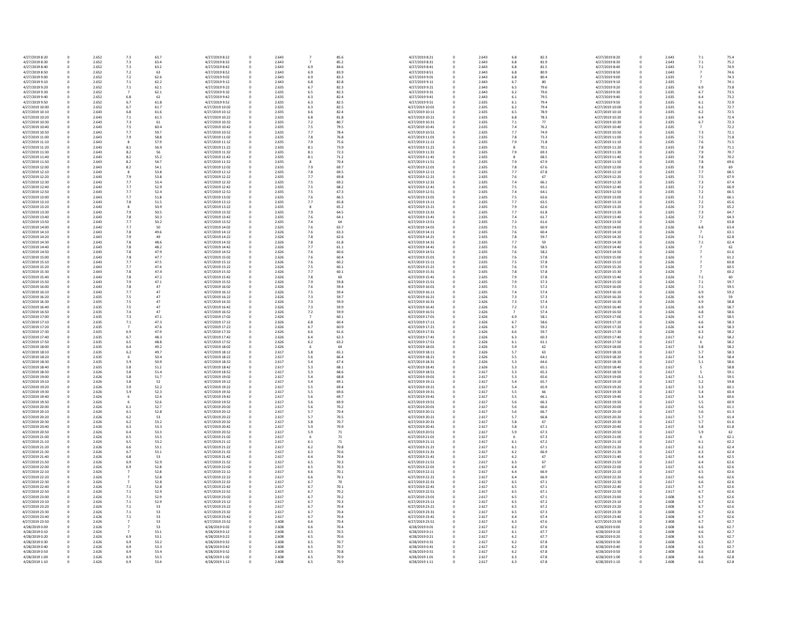| 4/27/2019 8:20  | 0           | 2.652 | 7.3            | 63.7 | 4/27/2019 8:22  | 0           | 2.643 | 7                |
|-----------------|-------------|-------|----------------|------|-----------------|-------------|-------|------------------|
| 4/27/2019 8:30  | 0           | 2.652 | 7.3            | 63.4 | 4/27/2019 8:32  | 0           | 2.643 | 7                |
| 4/27/2019 8:40  | 0           | 2.652 | 7.3            | 63.2 | 4/27/2019 8:42  | 0           | 2.643 | 6.9              |
| 4/27/2019 8:50  | 0           | 2.652 | 7.2            | 63   | 4/27/2019 8:52  | 0           | 2.643 | 6.9              |
| 4/27/2019 9:00  | 0           | 2.652 | 7.2            | 62.6 | 4/27/2019 9:02  | 0           | 2.643 | 6.9              |
|                 |             |       |                |      |                 |             |       |                  |
| 4/27/2019 9:10  | 0           | 2.652 | 7.1            | 62.2 | 4/27/2019 9:12  | 0           | 2.643 | $6.\delta$       |
| 4/27/2019 9:20  | 0           | 2.652 | 7.1            | 62.1 | 4/27/2019 9:22  | 0           | 2.635 | 6.7              |
| 4/27/2019 9:30  | 0           | 2.652 | $\overline{7}$ | 62.1 | 4/27/2019 9:32  | 0           | 2.635 | 6.5              |
| 4/27/2019 9:40  | 0           | 2.652 | 6.8            | 62   | 4/27/2019 9:42  | 0           | 2.635 | 6.3              |
| 4/27/2019 9:50  | 0           | 2.652 | 6.7            | 61.8 | 4/27/2019 9:52  | 0           | 2.635 | 6.3              |
| 4/27/2019 10:00 | 0           | 2.652 | 6.7            | 61.7 | 4/27/2019 10:02 | 0           | 2.635 | 6.3              |
| 4/27/2019 10:10 | 0           | 2.643 | 6.8            | 61.6 | 4/27/2019 10:12 | 0           | 2.635 | 6.6              |
| 4/27/2019 10:20 | 0           | 2.643 | 7.1            | 61.5 | 4/27/2019 10:22 | 0           | 2.635 | 6.8              |
| 4/27/2019 10:30 | 0           | 2.643 | 7.3            | 61   | 4/27/2019 10:32 | 0           | 2.635 | 7.2              |
| 4/27/2019 10:40 | 0           | 2.643 | 7.5            | 60.4 | 4/27/2019 10:42 | 0           | 2.635 | 7.5              |
|                 |             |       | 7.7            |      |                 |             |       |                  |
| 4/27/2019 10:50 | 0           | 2.643 |                | 59.7 | 4/27/2019 10:52 | 0           | 2.635 | 7.7              |
| 4/27/2019 11:00 | 0           | 2.643 | 7.9            | 58.8 | 4/27/2019 11:02 | 0           | 2.635 | $7.\xi$          |
| 4/27/2019 11:10 | 0           | 2.643 | 8              | 57.9 | 4/27/2019 11:12 | 0           | 2.635 | 7.9              |
| 4/27/2019 11:20 | 0           | 2.643 | 8.1            | 56.9 | 4/27/2019 11:22 | 0           | 2.635 | 8.2              |
| 4/27/2019 11:30 | 0           | 2.643 | 8.2            | 56   | 4/27/2019 11:32 | 0           | 2.635 | 8.2              |
| 4/27/2019 11:40 | 0           | 2.643 | 8.2            | 55.2 | 4/27/2019 11:42 | 0           | 2.635 | 8.2              |
| 4/27/2019 11:50 | 0           | 2.643 | 8.2            | 54.7 | 4/27/2019 11:52 | 0           | 2.635 | 8                |
| 4/27/2019 12:00 | 0           | 2.643 | 8.2            | 54.1 | 4/27/2019 12:02 | 0           | 2.635 | 7.9              |
| 4/27/2019 12:10 | 0           | 2.643 | 8              | 53.8 | 4/27/2019 12:12 | 0           | 2.635 | $7.\xi$          |
| 4/27/2019 12:20 | 0           | 2.643 | 7.9            | 53.8 | 4/27/2019 12:22 | 0           | 2.635 | 7.7              |
| 4/27/2019 12:30 | 0           | 2.643 | 7.7            | 53.4 | 4/27/2019 12:32 | 0           | 2.635 | 7.5              |
| 4/27/2019 12:40 | 0           | 2.643 | 7.7            | 52.9 | 4/27/2019 12:42 | 0           | 2.635 |                  |
|                 |             |       |                |      |                 |             |       | 7.5              |
| 4/27/2019 12:50 | $\mathbf 0$ | 2.643 | 7.7            | 52.4 | 4/27/2019 12:52 | 0           | 2.635 | 7.5              |
| 4/27/2019 13:00 | 0           | 2.643 | 7.7            | 51.8 | 4/27/2019 13:02 | 0           | 2.635 | 7.6              |
| 4/27/2019 13:10 | 0           | 2.643 | 7.8            | 51.5 | 4/27/2019 13:12 | 0           | 2.635 | 7.7              |
| 4/27/2019 13:20 | 0           | 2.643 | 8              | 50.9 | 4/27/2019 13:22 | 0           | 2.635 | 8                |
| 4/27/2019 13:30 | 0           | 2.643 | 7.9            | 50.5 | 4/27/2019 13:32 | 0           | 2.635 | 7.9              |
| 4/27/2019 13:40 | 0           | 2.643 | 7.8            | 50.3 | 4/27/2019 13:42 | 0           | 2.635 | 7.6              |
| 4/27/2019 13:50 | 0           | 2.643 | 7.7            | 50.2 | 4/27/2019 13:52 | 0           | 2.635 | 7.4              |
| 4/27/2019 14:00 | 0           | 2.643 | 7.7            | 50   | 4/27/2019 14:02 | 0           | 2.635 | 7.6              |
| 4/27/2019 14:10 | 0           | 2.643 | 7.8            | 49.6 | 4/27/2019 14:12 | 0           | 2.626 | 7.6              |
| 4/27/2019 14:20 | 0           | 2.643 | 7.9            | 49   | 4/27/2019 14:22 | 0           | 2.626 | 7.8              |
| 4/27/2019 14:30 | 0           | 2.643 | 7.8            | 48.6 | 4/27/2019 14:32 | 0           | 2.626 | $7.\xi$          |
| 4/27/2019 14:40 |             | 2.643 | 7.8            |      | 4/27/2019 14:42 |             | 2.626 |                  |
|                 | 0           |       |                | 48.2 |                 | 0           |       | 7.7              |
| 4/27/2019 14:50 | 0           | 2.643 | 7.8            | 47.9 | 4/27/2019 14:52 | 0           | 2.626 | 7.6              |
| 4/27/2019 15:00 | 0           | 2.643 | 7.8            | 47.7 | 4/27/2019 15:02 | 0           | 2.626 | 7.6              |
| 4/27/2019 15:10 | 0           | 2.643 | 7.7            | 47.5 | 4/27/2019 15:12 | 0           | 2.626 | 7.6              |
| 4/27/2019 15:20 | 0           | 2.643 | 7.7            | 47.4 | 4/27/2019 15:22 | 0           | 2.626 | 7.5              |
| 4/27/2019 15:30 | 0           | 2.643 | 7.8            | 47.4 | 4/27/2019 15:32 | 0           | 2.626 | 7.7              |
| 4/27/2019 15:40 | 0           | 2.643 | 7.8            | 47.2 | 4/27/2019 15:42 | 0           | 2.626 | $7.\xi$          |
| 4/27/2019 15:50 | 0           | 2.643 | 7.9            | 47.1 | 4/27/2019 15:52 | 0           | 2.626 | 7.9              |
| 4/27/2019 16:00 | 0           | 2.643 | 7.8            | 47   | 4/27/2019 16:02 | 0           | 2.626 | 7.6              |
| 4/27/2019 16:10 | 0           | 2.643 | 7.7            | 47   | 4/27/2019 16:12 | 0           | 2.626 | 7.5              |
| 4/27/2019 16:20 | 0           | 2.635 | 7.5            | 47   | 4/27/2019 16:22 | 0           | 2.626 | 7.3              |
| 4/27/2019 16:30 | 0           | 2.635 | 7.5            | 47   | 4/27/2019 16:32 | 0           | 2.626 | 7.3              |
|                 |             | 2.635 |                |      |                 |             |       |                  |
| 4/27/2019 16:40 | 0           |       | 7.5            | 47   | 4/27/2019 16:42 | 0           | 2.626 | 7.3              |
| 4/27/2019 16:50 | 0           | 2.635 | 7.4            | 47   | 4/27/2019 16:52 | 0           | 2.626 | 7.2              |
| 4/27/2019 17:00 | 0           | 2.635 | 7.3            | 47.1 | 4/27/2019 17:02 | 0           | 2.626 | 7                |
| 4/27/2019 17:10 | 0           | 2.635 | 7.1            | 47.3 | 4/27/2019 17:12 | 0           | 2.626 | 6.8              |
| 4/27/2019 17:20 | $\mathbf 0$ | 2.635 | $\overline{7}$ | 47.6 | 4/27/2019 17:22 | 0           | 2.626 | 6.7              |
| 4/27/2019 17:30 | 0           | 2.635 | 6.9            | 47.9 | 4/27/2019 17:32 | 0           | 2.626 | 6.6              |
| 4/27/2019 17:40 | 0           | 2.635 | 6.7            | 48.3 | 4/27/2019 17:42 | 0           | 2.626 | 6.4              |
| 4/27/2019 17:50 | 0           | 2.635 | 6.5            | 48.8 | 4/27/2019 17:52 | 0           | 2.626 | 6.2              |
| 4/27/2019 18:00 | 0           | 2.635 | 6.4            | 49.2 | 4/27/2019 18:02 | 0           | 2.626 | 6                |
| 4/27/2019 18:10 | 0           | 2.635 | 6.2            | 49.7 | 4/27/2019 18:12 | 0           | 2.617 | 5.8              |
| 4/27/2019 18:20 | 0           | 2.635 | 6              | 50.4 | 4/27/2019 18:22 | 0           | 2.617 | 5.6              |
|                 |             |       |                |      |                 |             |       |                  |
| 4/27/2019 18:30 | 0           | 2.635 | 5.9            | 50.9 | 4/27/2019 18:32 | 0           | 2.617 | 5.4              |
| 4/27/2019 18:40 | 0           | 2.635 | 5.8            | 51.2 | 4/27/2019 18:42 | 0           | 2.617 | 5.3              |
| 4/27/2019 18:50 | 0           | 2.626 | 5.8            | 51.4 | 4/27/2019 18:52 | 0           | 2.617 | $5.\overline{3}$ |
| 4/27/2019 19:00 | 0           | 2.626 | 5.8            | 51.7 | 4/27/2019 19:02 | 0           | 2.617 | 5.4              |
| 4/27/2019 19:10 | 0           | 2.626 | 5.8            | 52   | 4/27/2019 19:12 | 0           | 2.617 | 5.4              |
| 4/27/2019 19:20 | 0           | 2.626 | 5.9            | 52.2 | 4/27/2019 19:22 | 0           | 2.617 | 5.5              |
| 4/27/2019 19:30 | 0           | 2.626 | 5.9            | 52.3 | 4/27/2019 19:32 | 0           | 2.617 | 5.5              |
| 4/27/2019 19:40 | 0           | 2.626 | 6              | 52.4 | 4/27/2019 19:42 | 0           | 2.617 | 5.6              |
| 4/27/2019 19:50 | 0           | 2.626 | 6              | 52.6 | 4/27/2019 19:52 | 0           | 2.617 | 5.6              |
| 4/27/2019 20:00 | 0           | 2.626 | 6.1            | 52.7 | 4/27/2019 20:02 | 0           | 2.617 | 5.6              |
| 4/27/2019 20:10 | 0           | 2.626 | 6.1            | 52.8 | 4/27/2019 20:12 | 0           | 2.617 | 5.7              |
| 4/27/2019 20:20 | 0           | 2.626 | 6.2            | 53   | 4/27/2019 20:22 | 0           | 2.617 | 5.7              |
| 4/27/2019 20:30 | 0           | 2.626 | $6.2$          | 53.2 | 4/27/2019 20:32 | 0           | 2.617 | 5.8              |
| 4/27/2019 20:40 | 0           | 2.626 | 6.3            | 53.3 | 4/27/2019 20:42 | 0           | 2.617 | 5.9              |
| 4/27/2019 20:50 | 0           | 2.626 | 6.4            | 53.3 | 4/27/2019 20:52 | 0           | 2.617 | 5.9              |
| 4/27/2019 21:00 |             | 2.626 | 6.5            | 53.3 |                 | 0           | 2.617 |                  |
|                 | 0           |       |                |      | 4/27/2019 21:02 |             |       | 6                |
| 4/27/2019 21:10 | 0           | 2.626 | 6.5            | 53.2 | 4/27/2019 21:12 | 0           | 2.617 | 6.2              |
| 4/27/2019 21:20 | 0           | 2.626 | 6.6            | 53.1 | 4/27/2019 21:22 | 0           | 2.617 | 6.2              |
| 4/27/2019 21:30 | 0           | 2.626 | 6.7            | 53.1 | 4/27/2019 21:32 | 0           | 2.617 | 6.3              |
| 4/27/2019 21:40 | 0           | 2.626 | 6.8            | 53   | 4/27/2019 21:42 | 0           | 2.617 | 6.4              |
| 4/27/2019 21:50 | 0           | 2.626 | 6.9            | 52.9 | 4/27/2019 21:52 | 0           | 2.617 | 6.5              |
| 4/27/2019 22:00 | 0           | 2.626 | 6.9            | 52.8 | 4/27/2019 22:02 | 0           | 2.617 | 6.5              |
| 4/27/2019 22:10 | 0           | 2.626 | 7              | 52.8 | 4/27/2019 22:12 | 0           | 2.617 | 6.6              |
| 4/27/2019 22:20 | 0           | 2.626 | 7              | 52.8 | 4/27/2019 22:22 | 0           | 2.617 | 6.6              |
| 4/27/2019 22:30 | 0           | 2.626 | $\overline{7}$ | 52.8 | 4/27/2019 22:32 | 0           | 2.617 | 6.7              |
| 4/27/2019 22:40 | 0           | 2.626 | 7.1            | 52.8 | 4/27/2019 22:42 | 0           | 2.617 | 6.7              |
| 4/27/2019 22:50 | 0           | 2.626 | 7.1            | 52.9 | 4/27/2019 22:52 | 0           | 2.617 | 6.7              |
|                 |             |       |                |      |                 |             |       |                  |
| 4/27/2019 23:00 | 0           | 2.626 | 7.1            | 52.9 | 4/27/2019 23:02 | 0           | 2.617 | 6.7              |
| 4/27/2019 23:10 | 0           | 2.626 | 7.1            | 52.9 | 4/27/2019 23:12 | 0           | 2.617 | 6.7              |
| 4/27/2019 23:20 | 0           | 2.626 | 7.1            | 53   | 4/27/2019 23:22 | 0           | 2.617 | 6.7              |
| 4/27/2019 23:30 | 0           | 2.626 | 7.1            | 53   | 4/27/2019 23:32 | 0           | 2.617 | 6.7              |
| 4/27/2019 23:40 | 0           | 2.626 | 7.1            | 53   | 4/27/2019 23:42 | 0           | 2.617 | 6.7              |
| 4/27/2019 23:50 | 0           | 2.626 | 7              | 53   | 4/27/2019 23:52 | 0           | 2.608 | 6.6              |
| 4/28/2019 0:00  | 0           | 2.626 | 7              | 53   | 4/28/2019 0:02  | 0           | 2.608 | 6.6              |
| 4/28/2019 0:10  | 0           | 2.626 | $\overline{7}$ | 53.1 | 4/28/2019 0:12  | 0           | 2.608 | 6.5              |
| 4/28/2019 0:20  | 0           | 2.626 | 6.9            | 53.1 | 4/28/2019 0:22  | 0           | 2.608 | 6.5              |
| 4/28/2019 0:30  | $\pmb{0}$   | 2.626 | 6.9            | 53.2 | 4/28/2019 0:32  | $\mathbf 0$ | 2.608 | 6.5              |
| 4/28/2019 0:40  | $\pmb{0}$   | 2.626 | 6.9            | 53.3 | 4/28/2019 0:42  | 0           | 2.608 | 6.5              |
| 4/28/2019 0:50  | 0           | 2.626 | 6.9            | 53.4 | 4/28/2019 0:52  | 0           | 2.608 | 6.5              |
|                 |             |       |                |      |                 |             |       |                  |
| 4/28/2019 1:00  | 0           | 2.626 | 6.9            | 53.5 | 4/28/2019 1:02  | 0           | 2.608 | 6.5              |
| 4/28/2019 1:10  | $\mathbf 0$ | 2.626 | 6.9            | 53.4 | 4/28/2019 1:12  | 0           | 2.608 | 6.5              |

| 2.643 | 7              | 85.6   | 4/27/2019 8:21  | $\pmb{0}$   |
|-------|----------------|--------|-----------------|-------------|
| 2.643 | 7              | 85.2   | 4/27/2019 8:31  | 0           |
|       |                |        |                 |             |
| 2.643 | 6.9            | 84.6   | 4/27/2019 8:41  | 0           |
| 2.643 | 6.9            | 83.9   | 4/27/2019 8:51  | $\mathbf 0$ |
| 2.643 | 6.9            | 83.3   | 4/27/2019 9:01  | 0           |
|       |                |        |                 |             |
| 2.643 | 6.8            | 82.8   | 4/27/2019 9:11  | 0           |
| 2.635 | 6.7            | 82.3   | 4/27/2019 9:21  | $\mathbf 0$ |
| 2.635 | 6.5            | 82.3   | 4/27/2019 9:31  | 0           |
|       |                |        |                 |             |
| 2.635 | 6.3            | 82.4   | 4/27/2019 9:41  | 0           |
| 2.635 | 6.3            | 82.5   | 4/27/2019 9:51  | $\mathbf 0$ |
|       |                |        |                 |             |
| 2.635 | 6.3            | 82.5   | 4/27/2019 10:01 | 0           |
| 2.635 | 6.6            | 82.4   | 4/27/2019 10:11 | 0           |
| 2.635 | 6.8            | 81.8   | 4/27/2019 10:21 | $\mathbf 0$ |
|       |                |        |                 |             |
| 2.635 | 7.2            | 80.7   | 4/27/2019 10:31 | 0           |
| 2.635 | 7.5            | 79.5   | 4/27/2019 10:41 | 0           |
| 2.635 | 7.7            | 78.4   | 4/27/2019 10:51 | $\mathbf 0$ |
|       |                |        |                 |             |
| 2.635 | 7.8            | 76.8   | 4/27/2019 11:01 | $\mathbf 0$ |
| 2.635 | 7.9            | 75.6   | 4/27/2019 11:11 | 0           |
|       |                |        |                 |             |
| 2.635 | 8.1            | 73.9   | 4/27/2019 11:21 | $\mathbf 0$ |
| 2.635 | 8.1            | 72.3   | 4/27/2019 11:31 | $\mathbf 0$ |
| 2.635 | 8.1            | 71.2   | 4/27/2019 11:41 | 0           |
|       |                |        |                 |             |
| 2.635 | 8              | 70.4   | 4/27/2019 11:51 | $\mathbf 0$ |
| 2.635 | 7.9            | 69.7   | 4/27/2019 12:01 | 0           |
| 2.635 | 7.8            | 69.5   | 4/27/2019 12:11 | 0           |
|       |                |        |                 |             |
| 2.635 | 7.7            | 69.8   | 4/27/2019 12:21 | $\mathbf 0$ |
| 2.635 | 7.5            | 69.2   | 4/27/2019 12:31 | 0           |
| 2.635 | 7.5            | 68.2   | 4/27/2019 12:41 | 0           |
|       |                |        |                 |             |
| 2.635 | 7.5            | 67.3   | 4/27/2019 12:51 | $\mathbf 0$ |
| 2.635 | 7.6            | 66.5   | 4/27/2019 13:01 | 0           |
| 2.635 | 7.7            | 65.8   | 4/27/2019 13:11 | 0           |
|       |                |        |                 |             |
| 2.635 | 8              | 65.2   | 4/27/2019 13:21 | 0           |
| 2.635 | 7.9            | 64.5   | 4/27/2019 13:31 | 0           |
|       |                |        |                 |             |
| 2.635 | 7.6            | 64.1   | 4/27/2019 13:41 | 0           |
| 2.635 | 7.4            | 64     | 4/27/2019 13:51 | 0           |
| 2.635 | 7.6            | 63.7   | 4/27/2019 14:01 | 0           |
|       |                |        |                 |             |
| 2.626 | 7.6            | 63.3   | 4/27/2019 14:11 | 0           |
| 2.626 | 7.8            | 62.6   | 4/27/2019 14:21 | 0           |
| 2.626 |                | 61.8   |                 |             |
|       | 7.8            |        | 4/27/2019 14:31 | 0           |
| 2.626 | 7.7            | 61.1   | 4/27/2019 14:41 | $\mathbf 0$ |
| 2.626 | 7.6            | 60.6   | 4/27/2019 14:51 | 0           |
|       |                |        |                 |             |
| 2.626 | 7.6            | 60.4   | 4/27/2019 15:01 | 0           |
| 2.626 | 7.6            | 60.2   | 4/27/2019 15:11 | $\mathbf 0$ |
| 2.626 | 7.5            | 60.1   | 4/27/2019 15:21 | 0           |
|       |                |        |                 |             |
| 2.626 | 7.7            | 60.1   | 4/27/2019 15:31 | 0           |
| 2.626 | 7.8            | 60     | 4/27/2019 15:41 | $\pmb{0}$   |
| 2.626 | 7.9            | 59.8   | 4/27/2019 15:51 | 0           |
|       |                |        |                 |             |
| 2.626 | 7.6            | 59.4   | 4/27/2019 16:01 | 0           |
| 2.626 | 7.5            | 59.4   | 4/27/2019 16:11 | $\mathbf 0$ |
|       |                |        |                 |             |
| 2.626 | 7.3            | 59.7   | 4/27/2019 16:21 | 0           |
| 2.626 | 7.3            | 59.9   | 4/27/2019 16:31 | 0           |
| 2.626 | 7.3            | 59.9   | 4/27/2019 16:41 | $\pmb{0}$   |
|       |                |        |                 |             |
| 2.626 | 7.2            | 59.9   | 4/27/2019 16:51 | 0           |
| 2.626 | $\overline{7}$ | 60.1   | 4/27/2019 17:01 | 0           |
| 2.626 | 6.8            | 60.4   | 4/27/2019 17:11 | 0           |
|       |                |        |                 |             |
| 2.626 | 6.7            | 60.9   | 4/27/2019 17:21 | 0           |
| 2.626 | 6.6            | 61.6   | 4/27/2019 17:31 | 0           |
|       |                |        |                 |             |
| 2.626 | 6.4            | 62.3   | 4/27/2019 17:41 | 0           |
| 2.626 | 6.2            | 63.2   | 4/27/2019 17:51 | 0           |
| 2.626 | 6              | 64     | 4/27/2019 18:01 | 0           |
|       |                |        |                 |             |
| 2.617 | 5.8            | 65.1   | 4/27/2019 18:11 | 0           |
| 2.617 | 5.6            | 66.4   | 4/27/2019 18:21 | 0           |
|       |                |        |                 |             |
| 2.617 | 5.4            | 67.4   | 4/27/2019 18:31 | 0           |
| 2.617 | 5.3            | 68.1   | 4/27/2019 18:41 | 0           |
| 2.617 | 5.3            | 68.6   | 4/27/2019 18:51 | 0           |
|       |                |        |                 |             |
| 2.617 | 5.4            | 68.8   | 4/27/2019 19:01 | 0           |
| 2.617 | 5.4            | 69.1   | 4/27/2019 19:11 | 0           |
| 2.617 | $5.5\,$        | 69.4   | 4/27/2019 19:21 | 0           |
|       |                |        |                 |             |
| 2.617 | $5.5\,$        | 69.6   | 4/27/2019 19:31 | 0           |
| 2.617 | 5.6            | 69.7   | 4/27/2019 19:41 | 0           |
| 2.617 | 5.6            | 69.9   | 4/27/2019 19:51 | 0           |
|       |                |        |                 |             |
| 2.617 | 5.6            | 70.2   | 4/27/2019 20:01 | $\pmb{0}$   |
| 2.617 | 5.7            | 70.4   | 4/27/2019 20:11 | 0           |
| 2.617 | 5.7            | 70.5   | 4/27/2019 20:21 | 0           |
|       |                |        |                 |             |
| 2.617 | $5.8\,$        | 70.7   | 4/27/2019 20:31 | 0           |
| 2.617 | 5.9            | 70.9   | 4/27/2019 20:41 | 0           |
|       |                |        |                 |             |
| 2.617 | 5.9            | 71     | 4/27/2019 20:51 | 0           |
| 2.617 | 6              | $71\,$ | 4/27/2019 21:01 | $\pmb{0}$   |
| 2.617 | 6.1            | 71     | 4/27/2019 21:11 | 0           |
|       |                |        |                 |             |
| 2.617 | $6.2$          | 70.8   | 4/27/2019 21:21 | 0           |
| 2.617 | 6.3            | 70.6   | 4/27/2019 21:31 | $\mathbf 0$ |
| 2.617 | 6.4            | 70.4   | 4/27/2019 21:41 | 0           |
|       |                |        |                 |             |
| 2.617 | 6.5            | 70.3   | 4/27/2019 21:51 | 0           |
| 2.617 | 6.5            | 70.3   | 4/27/2019 22:01 | $\pmb{0}$   |
| 2.617 | 6.6            | 70.1   | 4/27/2019 22:11 | 0           |
|       |                |        |                 |             |
| 2.617 | 6.6            | $70.1$ | 4/27/2019 22:21 | 0           |
| 2.617 | 6.7            | 70     | 4/27/2019 22:31 | $\mathbf 0$ |
|       |                |        |                 |             |
| 2.617 | 6.7            | 70.1   | 4/27/2019 22:41 | 0           |
| 2.617 | 6.7            | 70.2   | 4/27/2019 22:51 | 0           |
| 2.617 | 6.7            | 70.2   | 4/27/2019 23:01 | 0           |
|       |                |        |                 |             |
| 2.617 | 6.7            | 70.3   | 4/27/2019 23:11 | 0           |
| 2.617 | 6.7            | 70.4   | 4/27/2019 23:21 | 0           |
|       |                |        |                 |             |
| 2.617 | 6.7            | 70.4   | 4/27/2019 23:31 | 0           |
| 2.617 | 6.7            | 70.4   | 4/27/2019 23:41 | 0           |
| 2.608 | 6.6            | 70.4   | 4/27/2019 23:51 | 0           |
|       |                |        |                 |             |
| 2.608 | 6.6            | 70.4   | 4/28/2019 0:01  | 0           |
| 2.608 | 6.5            | 70.5   | 4/28/2019 0:11  | 0           |
| 2.608 | 6.5            | 70.6   | 4/28/2019 0:21  | 0           |
|       |                |        |                 |             |
| 2.608 | 6.5            | 70.7   | 4/28/2019 0:31  | 0           |
| 2.608 | 6.5            | 70.7   | 4/28/2019 0:41  | 0           |
| 2.608 | 6.5            | 70.8   | 4/28/2019 0:51  | 0           |
|       |                |        |                 |             |
| 2.608 | 6.5            | 70.9   | 4/28/2019 1:01  | $\pmb{0}$   |
| 2.608 | 6.5            | 70.9   | 4/28/2019 1:11  | 0           |
|       |                |        |                 |             |

| 0      | 2.643 | 7.1            | 75.4 |
|--------|-------|----------------|------|
|        |       |                |      |
| 0      | 2.643 | 7.1            | 75.2 |
| 0      | 2.643 | 7.1            | 74.9 |
| 0      | 2.643 | 7              | 74.6 |
|        |       |                |      |
| 0      | 2.635 | 7              | 74.3 |
| 0      | 2.635 | 7              | 74.1 |
| 0      | 2.635 | 6.9            | 73.8 |
| 0      | 2.635 | 6.7            | 73.5 |
|        |       |                |      |
| 0      | 2.635 | 6.4            | 73.2 |
| 0      | 2.635 | 6.1            | 72.9 |
|        |       |                |      |
| 0      | 2.635 | 6.1            | 72.7 |
| 0      | 2.635 | 6.2            | 72.5 |
| 0      | 2.635 | 6.4            | 72.4 |
|        |       |                |      |
| 0      | 2.635 | 6.7            | 72.3 |
| 0      | 2.635 | $\overline{7}$ | 72.2 |
| 0      | 2.635 | 7.3            | 72.1 |
|        |       |                |      |
| 0      | 2.635 | 7.5            | 71.8 |
| 0      | 2.635 | 7.6            | 71.5 |
|        |       |                |      |
| 0      | 2.635 | 7.8            | 71.1 |
| 0      | 2.635 | 7.9            | 70.7 |
| 0      | 2.635 | 7.8            | 70.2 |
|        |       |                |      |
| 0      | 2.635 | 7.8            | 69.6 |
| 0      | 2.635 | 7.8            | 69   |
| 0      | 2.635 | 7.7            | 68.5 |
|        |       |                |      |
| 0      | 2.635 | 7.5            | 67.9 |
| 0      | 2.635 | 7.3            | 67.4 |
|        |       |                |      |
| 0      | 2.635 | 7.2            | 66.9 |
| 0      | 2.635 | 7.2            | 66.5 |
| 0      | 2.635 | 7.2            | 66.1 |
|        |       |                |      |
| 0      | 2.635 | 7.2            | 65.6 |
| 0      | 2.626 | 7.3            | 65.2 |
| 0      | 2.635 | 7.3            | 64.7 |
|        |       |                |      |
| 0      | 2.626 | 7.2            | 64.3 |
| 0      | 2.626 | 7              | 63.8 |
| 0      | 2.626 | 6.8            | 63.4 |
|        |       |                |      |
| 0      | 2.626 | $\overline{7}$ | 63.1 |
| 0      | 2.626 | 7.1            | 62.8 |
|        |       |                |      |
| 0      | 2.626 | 7.1            | 62.4 |
| 0      | 2.626 | 7              | 62   |
| 0      | 2.626 | 7              | 61.6 |
|        |       |                |      |
| 0      | 2.626 | 7              | 61.2 |
| 0      | 2.626 | $\overline{7}$ | 60.8 |
| 0      | 2.626 | 7              | 60.5 |
|        |       |                |      |
| 0      | 2.626 | 7              | 60.2 |
| 0      | 2.626 | 7.1            | 60   |
|        | 2.626 | 7.1            | 59.7 |
| 0      |       |                |      |
| 0      | 2.626 | 7.1            | 59.5 |
| 0      | 2.626 | 6.9            | 59.2 |
|        |       |                |      |
| 0      | 2.626 | 6.9            | 59   |
| 0      | 2.626 | 6.9            | 58.8 |
| 0      | 2.626 | 6.9            | 58.7 |
|        |       |                |      |
| 0      | 2.626 | 6.8            | 58.6 |
| 0      | 2.626 | 6.7            | 58.5 |
|        |       |                |      |
| 0      | 2.626 | 6.6            | 58.3 |
| 0      | 2.626 | 6.4            | 58.3 |
| 0      | 2.626 | 6.3            | 58.2 |
|        |       |                |      |
| 0      | 2.617 | 6.2            | 58.2 |
| 0      | 2.617 | 6              | 58.2 |
| 0      | 2.617 | 5.8            | 58.2 |
|        |       |                |      |
| 0      | 2.617 | 5.7            | 58.3 |
| 0      | 2.617 | 5.4            | 58.4 |
|        |       |                |      |
| 0      | 2.617 | 5.1            | 58.6 |
| 0      | 2.617 | 5              | 58.8 |
| 0      | 2.617 | 5              | 59.1 |
|        |       |                |      |
| 0      | 2.617 | 5.1            | 59.5 |
| 0      | 2.617 | 5.2            | 59.8 |
| 0      | 2.617 | 5.3            | 60.1 |
|        |       |                |      |
| 0      | 2.617 | 5.4            | 60.4 |
| 0      | 2.617 | 5.4            | 60.6 |
|        |       |                | 60.9 |
| 0      | 2.617 | 5.5            |      |
| 0      | 2.617 | 5.6            | 61.1 |
| 0      | 2.617 | 5.6            | 61.3 |
|        |       |                |      |
| 0      | 2.617 | 5.7            | 61.4 |
| 0      | 2.617 | 5.7            | 61.6 |
| 0      | 2.617 | 5.8            | 61.8 |
|        |       |                |      |
| 0      | 2.617 | 5.9            | 62   |
| 0      | 2.617 | 6              | 62.1 |
| 0      | 2.617 | 6.1            | 62.2 |
|        |       |                |      |
| 0      | 2.617 | 6.2            | 62.4 |
| 0      | 2.617 | 6.3            | 62.4 |
|        |       |                |      |
| 0      | 2.617 | 6.4            | 62.5 |
| 0      | 2.617 | 6.4            | 62.6 |
| 0      | 2.617 | 6.5            | 62.6 |
|        |       |                |      |
| 0      | 2.617 | 6.5            | 62.6 |
| 0      | 2.617 | 6.6            | 62.6 |
| 0      | 2.617 | 6.6            | 62.6 |
|        |       |                |      |
| 0      | 2.617 | 6.7            | 62.6 |
| 0      | 2.617 | 6.7            | 62.6 |
|        |       |                |      |
| 0      | 2.608 | 6.7            | 62.6 |
| 0      | 2.608 | 6.7            | 62.6 |
|        | 2.608 | 6.7            |      |
| 0      |       |                | 62.6 |
| 0      | 2.608 | 6.7            | 62.6 |
| 0      | 2.608 | 6.7            | 62.6 |
|        |       |                |      |
| 0      | 2.608 | 6.7            | 62.7 |
| 0      | 2.608 | 6.6            | 62.7 |
| 0      | 2.608 | 6.6            | 62.7 |
|        |       |                |      |
| 0      | 2.608 | 6.5            | 62.7 |
| 0      | 2.608 | 6.5            | 62.7 |
| 0      | 2.608 | 6.5            | 62.7 |
|        |       |                |      |
|        |       |                |      |
|        | 2.608 | 6.6            | 62.8 |
| 0<br>0 | 2.608 | 6.6            | 62.8 |
| 0      | 2.608 | 6.6            | 62.8 |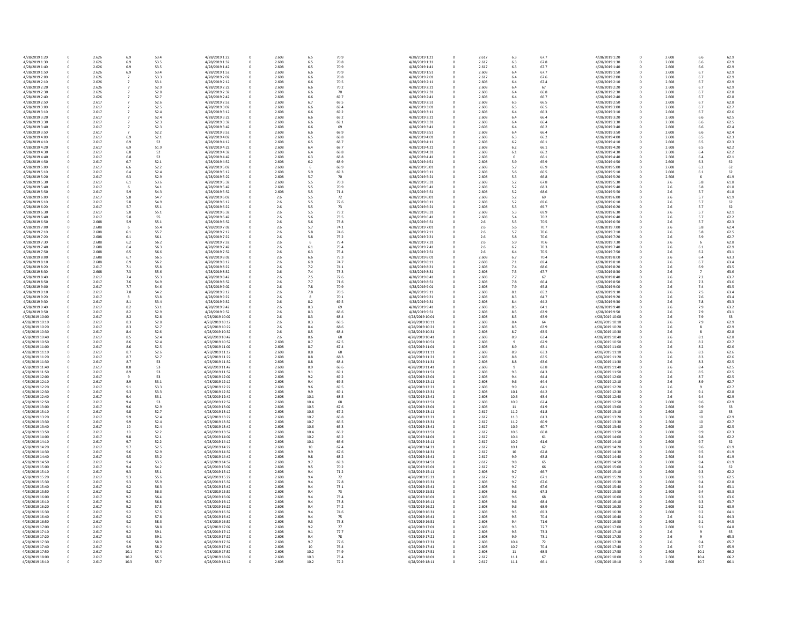| 4/28/2019 1:20  | 0           | 2.626 | 6.9  | 53.4 | 4/28/2019 1:22  | 0           | 2.608 | 6.5   | 70.9 | 4/28/2019 1:21  |
|-----------------|-------------|-------|------|------|-----------------|-------------|-------|-------|------|-----------------|
| 4/28/2019 1:30  | 0           | 2.626 | 6.9  | 53.5 | 4/28/2019 1:32  | 0           | 2.608 | 6.5   | 70.8 | 4/28/2019 1:31  |
| 4/28/2019 1:40  | 0           | 2.626 | 6.9  | 53.5 | 4/28/2019 1:42  |             | 2.608 | 6.5   | 70.9 | 4/28/2019 1:41  |
| 4/28/2019 1:50  | 0           | 2.626 | 6.9  | 53.4 | 4/28/2019 1:52  |             | 2.608 | 6.6   | 70.9 | 4/28/2019 1:51  |
| 4/28/2019 2:00  | 0           | 2.626 |      | 53.3 | 4/28/2019 2:02  |             | 2.608 | 6.6   | 70.8 | 4/28/2019 2:01  |
| 4/28/2019 2:10  | 0           | 2.626 |      | 53.1 | 4/28/2019 2:12  |             | 2.608 | 6.6   | 70.5 | 4/28/2019 2:11  |
| 4/28/2019 2:20  | 0           | 2.626 |      | 52.9 | 4/28/2019 2:22  |             | 2.608 | 6.6   | 70.2 | 4/28/2019 2:21  |
| 4/28/2019 2:30  | 0           | 2.626 |      | 52.8 | 4/28/2019 2:32  |             | 2.608 | 6.6   | 70   | 4/28/2019 2:31  |
| 4/28/2019 2:40  | 0           | 2.626 |      | 52.7 | 4/28/2019 2:42  |             | 2.608 | 6.6   | 69.7 | 4/28/2019 2:41  |
| 4/28/2019 2:50  | 0           | 2.617 |      | 52.6 | 4/28/2019 2:52  |             | 2.608 | 6.7   | 69.5 | 4/28/2019 2:51  |
| 4/28/2019 3:00  |             | 2.617 |      | 52.5 | 4/28/2019 3:02  |             | 2.608 | 6.6   | 69.4 | 4/28/2019 3:01  |
|                 | 0           |       |      |      |                 |             |       |       |      |                 |
| 4/28/2019 3:10  | 0           | 2.617 |      | 52.4 | 4/28/2019 3:12  |             | 2.608 | 6.6   | 69.2 | 4/28/2019 3:11  |
| 4/28/2019 3:20  | 0           | 2.617 |      | 52.4 | 4/28/2019 3:22  |             | 2.608 | 6.6   | 69.2 | 4/28/2019 3:21  |
| 4/28/2019 3:30  | 0           | 2.617 |      | 52.3 | 4/28/2019 3:32  |             | 2.608 | 6.6   | 69.1 | 4/28/2019 3:31  |
| 4/28/2019 3:40  | 0           | 2.617 |      | 52.3 | 4/28/2019 3:42  |             | 2.608 | 6.6   | 69   | 4/28/2019 3:41  |
| 4/28/2019 3:50  | 0           | 2.617 |      | 52.2 | 4/28/2019 3:52  |             | 2.608 | 6.6   | 68.9 | 4/28/2019 3:51  |
| 4/28/2019 4:00  | 0           | 2.617 | 6.9  | 52.1 | 4/28/2019 4:02  |             | 2.608 | 6.5   | 68.8 | 4/28/2019 4:01  |
| 4/28/2019 4:10  | 0           | 2.617 | 6.9  | 52   | 4/28/2019 4:12  |             | 2.608 | 6.5   | 68.7 | 4/28/2019 4:11  |
| 4/28/2019 4:20  | 0           | 2.617 | 6.9  | 51.9 | 4/28/2019 4:22  |             | 2.608 | 6.4   | 68.7 | 4/28/2019 4:21  |
| 4/28/2019 4:30  | 0           | 2.617 | 6.8  | 52   | 4/28/2019 4:32  |             | 2.608 | 6.4   | 68.8 | 4/28/2019 4:31  |
| 4/28/2019 4:40  | 0           | 2.617 | 6.8  | 52   | 4/28/2019 4:42  |             | 2.608 | 6.3   | 68.8 | 4/28/2019 4:41  |
| 4/28/2019 4:50  | 0           | 2.617 | 6.7  | 52.1 | 4/28/2019 4:52  |             | 2.608 | $6.2$ | 68.9 | 4/28/2019 4:51  |
| 4/28/2019 5:00  | 0           | 2.617 | 6.6  | 52.2 | 4/28/2019 5:02  |             | 2.608 | 6     | 68.9 | 4/28/2019 5:01  |
| 4/28/2019 5:10  | 0           | 2.617 | 6.4  | 52.4 | 4/28/2019 5:12  |             | 2.608 | 5.9   | 69.3 | 4/28/2019 5:11  |
| 4/28/2019 5:20  | 0           | 2.617 | 6.3  | 52.9 | 4/28/2019 5:22  |             | 2.608 | 5.7   | 70   | 4/28/2019 5:21  |
| 4/28/2019 5:30  | 0           | 2.617 | 6.1  | 53.6 | 4/28/2019 5:32  |             | 2.608 | 5.5   | 70.3 | 4/28/2019 5:31  |
| 4/28/2019 5:40  | 0           | 2.617 |      | 54.1 | 4/28/2019 5:42  | 0           | 2.608 | 5.5   | 70.9 | 4/28/2019 5:41  |
|                 |             |       | 6    |      |                 |             |       |       |      |                 |
| 4/28/2019 5:50  | 0           | 2.617 | 5.9  | 54.3 | 4/28/2019 5:52  |             | 2.608 | 5.5   | 71.4 | 4/28/2019 5:51  |
| 4/28/2019 6:00  | 0           | 2.617 | 5.8  | 54.7 | 4/28/2019 6:02  |             | 2.6   | 5.5   | 72   | 4/28/2019 6:01  |
| 4/28/2019 6:10  | 0           | 2.617 | 5.8  | 54.9 | 4/28/2019 6:12  |             | 2.6   | 5.5   | 72.6 | 4/28/2019 6:11  |
| 4/28/2019 6:20  | 0           | 2.617 | 5.7  | 55.1 | 4/28/2019 6:22  |             | 2.6   | 5.5   | 73   | 4/28/2019 6:21  |
| 4/28/2019 6:30  | 0           | 2.617 | 5.8  | 55.1 | 4/28/2019 6:32  | 0           | 2.6   | 5.5   | 73.2 | 4/28/2019 6:31  |
| 4/28/2019 6:40  | 0           | 2.617 | 5.8  | 55   | 4/28/2019 6:42  |             | 2.6   | 5.6   | 73.5 | 4/28/2019 6:41  |
| 4/28/2019 6:50  | 0           | 2.608 | 5.9  | 55.1 | 4/28/2019 6:52  |             | 2.6   | 5.6   | 73.8 | 4/28/2019 6:51  |
| 4/28/2019 7:00  | 0           | 2.608 |      | 55.4 | 4/28/2019 7:02  |             | 2.6   | 5.7   | 74.1 | 4/28/2019 7:01  |
| 4/28/2019 7:10  | 0           | 2.608 | 6.1  | 55.7 | 4/28/2019 7:12  |             | 2.6   | 5.8   | 74.6 | 4/28/2019 7:11  |
| 4/28/2019 7:20  |             | 2.608 | 6.1  | 56.1 | 4/28/2019 7:22  |             | 2.6   | 5.8   | 75.2 | 4/28/2019 7:21  |
| 4/28/2019 7:30  | 0           | 2.608 | 6.2  | 56.2 | 4/28/2019 7:32  |             | 2.6   | 6     | 75.4 | 4/28/2019 7:31  |
| 4/28/2019 7:40  | 0           | 2.608 | 6.4  | 56.3 | 4/28/2019 7:42  |             | 2.6   | 6.1   | 75.4 | 4/28/2019 7:41  |
| 4/28/2019 7:50  |             | 2.608 | 6.5  | 56.6 | 4/28/2019 7:52  |             | 2.6   | 6.3   | 75.4 | 4/28/2019 7:51  |
| 4/28/2019 8:00  |             | 2.608 | 6.7  | 56.5 | 4/28/2019 8:02  |             | 2.6   | 6.6   | 75.3 | 4/28/2019 8:01  |
|                 | 0           |       |      |      |                 |             |       |       |      |                 |
| 4/28/2019 8:10  |             | 2.608 | 6.9  | 56.2 | 4/28/2019 8:12  |             | 2.6   | 6.9   | 74.7 | 4/28/2019 8:11  |
| 4/28/2019 8:20  |             | 2.617 | 7.1  | 55.8 | 4/28/2019 8:22  |             | 2.6   | 7.2   | 74.1 | 4/28/2019 8:21  |
| 4/28/2019 8:30  | 0           | 2.608 | 7.3  | 55.6 | 4/28/2019 8:32  |             | 2.6   | 7.4   | 73.3 | 4/28/2019 8:31  |
| 4/28/2019 8:40  | 0           | 2.617 | 7.4  | 55.3 | 4/28/2019 8:42  |             | 2.6   | 7.5   | 72.6 | 4/28/2019 8:41  |
| 4/28/2019 8:50  |             | 2.617 | 7.6  | 54.9 | 4/28/2019 8:52  |             | 2.6   | 7.7   | 71.6 | 4/28/2019 8:51  |
| 4/28/2019 9:00  | 0           | 2.617 | 7.7  | 54.6 | 4/28/2019 9:02  |             | 2.6   | 7.8   | 70.9 | 4/28/2019 9:01  |
| 4/28/2019 9:10  |             | 2.617 | 7.8  | 54.2 | 4/28/2019 9:12  |             | 2.6   | 7.8   | 70.5 | 4/28/2019 9:11  |
| 4/28/2019 9:20  | 0           | 2.617 |      | 53.8 | 4/28/2019 9:22  |             | 2.6   | 8     | 70.1 | 4/28/2019 9:21  |
| 4/28/2019 9:30  | 0           | 2.617 | 8.1  | 53.4 | 4/28/2019 9:32  |             | 2.6   | 8.2   | 69.5 | 4/28/2019 9:31  |
| 4/28/2019 9:40  | 0           | 2.617 | 8.2  | 53.1 | 4/28/2019 9:42  |             | 2.6   | 8.3   | 69   | 4/28/2019 9:41  |
| 4/28/2019 9:50  |             | 2.617 | 8.2  | 52.9 | 4/28/2019 9:52  |             | 2.6   | 8.3   | 68.6 | 4/28/2019 9:51  |
| 4/28/2019 10:00 | 0           | 2.617 | 8.2  | 52.8 | 4/28/2019 10:02 |             | 2.6   | 8.3   | 68.4 | 4/28/2019 10:01 |
| 4/28/2019 10:10 |             | 2.617 | 8.3  | 52.8 | 4/28/2019 10:12 |             | 2.6   | 8.3   | 68.5 | 4/28/2019 10:11 |
| 4/28/2019 10:20 | 0           | 2.617 | 8.3  | 52.7 | 4/28/2019 10:22 |             | 2.6   | 8.4   | 68.6 | 4/28/2019 10:21 |
| 4/28/2019 10:30 |             | 2.617 |      |      | 4/28/2019 10:32 |             |       |       |      |                 |
|                 | 0           |       | 8.4  | 52.6 |                 |             | 2.6   | 8.5   | 68.4 | 4/28/2019 10:31 |
| 4/28/2019 10:40 | 0           | 2.617 | 8.5  | 52.4 | 4/28/2019 10:42 |             | 2.6   | 8.6   | 68   | 4/28/2019 10:41 |
| 4/28/2019 10:50 |             | 2.617 | 8.6  | 52.4 | 4/28/2019 10:52 |             | 2.608 | 8.7   | 67.5 | 4/28/2019 10:51 |
| 4/28/2019 11:00 |             | 2.617 | 8.6  | 52.5 | 4/28/2019 11:02 |             | 2.608 | 8.7   | 67.4 | 4/28/2019 11:01 |
| 4/28/2019 11:10 |             | 2.617 | 8.7  | 52.6 | 4/28/2019 11:12 |             | 2.608 | 8.8   | 68   | 4/28/2019 11:11 |
| 4/28/2019 11:20 |             | 2.617 | 8.7  | 52.7 | 4/28/2019 11:22 |             | 2.608 | 8.8   | 68.3 | 4/28/2019 11:21 |
| 4/28/2019 11:30 |             | 2.617 | 8.7  | 53   | 4/28/2019 11:32 |             | 2.608 | 8.8   | 68.4 | 4/28/2019 11:31 |
| 4/28/2019 11:40 |             | 2.617 | 8.8  | 53   | 4/28/2019 11:42 |             | 2.608 | 8.9   | 68.6 | 4/28/2019 11:41 |
| 4/28/2019 11:50 | $\mathbf 0$ | 2.617 | 8.9  | 53   | 4/28/2019 11:52 | 0           | 2.608 | 9.1   | 69.1 | 4/28/2019 11:51 |
| 4/28/2019 12:00 | 0           | 2.617 | 9    | 53   | 4/28/2019 12:02 | 0           | 2.608 | 9.2   | 69.2 | 4/28/2019 12:01 |
| 4/28/2019 12:10 | 0           | 2.617 | 8.9  | 53.1 | 4/28/2019 12:12 |             | 2.608 | 9.4   | 69.5 | 4/28/2019 12:11 |
| 4/28/2019 12:20 | 0           | 2.617 | 9.1  | 53.3 | 4/28/2019 12:22 |             | 2.608 | 9.6   | 69.5 | 4/28/2019 12:21 |
| 4/28/2019 12:30 |             | 2.617 | 9.3  | 53.3 | 4/28/2019 12:32 |             | 2.608 | 9.9   | 69.1 | 4/28/2019 12:31 |
| 4/28/2019 12:40 |             | 2.617 | 9.4  | 53.1 | 4/28/2019 12:42 |             | 2.608 | 10.1  | 68.5 | 4/28/2019 12:41 |
| 4/28/2019 12:50 | 0           | 2.617 | 9.4  | 53   | 4/28/2019 12:52 |             | 2.608 | 10.4  | 68   | 4/28/2019 12:51 |
| 4/28/2019 13:00 | 0           | 2.617 | 9.6  | 52.9 | 4/28/2019 13:02 |             | 2.608 | 10.5  | 67.6 | 4/28/2019 13:01 |
| 4/28/2019 13:10 | 0           | 2.617 | 9.8  | 52.7 | 4/28/2019 13:12 |             | 2.608 | 10.6  | 67.2 | 4/28/2019 13:11 |
| 4/28/2019 13:20 | 0           | 2.617 | 9.9  | 52.4 | 4/28/2019 13:22 |             | 2.608 | 10.7  | 66.8 | 4/28/2019 13:21 |
| 4/28/2019 13:30 |             | 2.617 | 9.9  | 52.4 | 4/28/2019 13:32 |             | 2.608 | 10.7  | 66.5 | 4/28/2019 13:31 |
| 4/28/2019 13:40 |             | 2.617 | 10   | 52.4 | 4/28/2019 13:42 |             | 2.608 | 10.6  | 66.3 | 4/28/2019 13:41 |
| 4/28/2019 13:50 | 0           | 2.617 | 10   | 52.2 | 4/28/2019 13:52 |             | 2.608 | 10.4  | 66.2 | 4/28/2019 13:51 |
| 4/28/2019 14:00 | 0           | 2.617 | 9.8  | 52.1 | 4/28/2019 14:02 |             | 2.608 | 10.2  | 66.2 | 4/28/2019 14:01 |
|                 |             |       |      |      |                 |             |       |       |      |                 |
| 4/28/2019 14:10 |             | 2.617 | 9.7  | 52.2 | 4/28/2019 14:12 |             | 2.608 | 10.1  | 66.6 | 4/28/2019 14:11 |
| 4/28/2019 14:20 | 0           | 2.617 | 9.7  | 52.5 | 4/28/2019 14:22 |             | 2.608 | 10    | 67.4 | 4/28/2019 14:21 |
| 4/28/2019 14:30 |             | 2.617 | 9.6  | 52.9 | 4/28/2019 14:32 |             | 2.608 | 9.9   | 67.6 | 4/28/2019 14:31 |
| 4/28/2019 14:40 | 0           | 2.617 | 9.5  | 53.2 | 4/28/2019 14:42 |             | 2.608 | 9.8   | 68.2 | 4/28/2019 14:41 |
| 4/28/2019 14:50 | 0           | 2.617 | 9.4  | 53.5 | 4/28/2019 14:52 |             | 2.608 | 9.7   | 69.3 | 4/28/2019 14:51 |
| 4/28/2019 15:00 | 0           | 2.617 | 9.4  | 54.2 | 4/28/2019 15:02 |             | 2.608 | 9.5   | 70.2 | 4/28/2019 15:01 |
| 4/28/2019 15:10 | 0           | 2.617 | 9.3  | 55.1 | 4/28/2019 15:12 |             | 2.608 | 9.4   | 71.2 | 4/28/2019 15:11 |
| 4/28/2019 15:20 | 0           | 2.617 | 9.3  | 55.6 | 4/28/2019 15:22 |             | 2.608 | 9.4   | 72   | 4/28/2019 15:21 |
| 4/28/2019 15:30 |             | 2.617 | 9.3  | 55.9 | 4/28/2019 15:32 |             | 2.608 | 9.4   | 72.8 | 4/28/2019 15:31 |
| 4/28/2019 15:40 | 0           | 2.617 | 9.2  | 56.3 | 4/28/2019 15:42 |             | 2.608 | 9.4   | 73.1 | 4/28/2019 15:41 |
| 4/28/2019 15:50 | 0           | 2.617 | 9.2  | 56.3 | 4/28/2019 15:52 |             | 2.608 | 9.4   | 73   | 4/28/2019 15:51 |
| 4/28/2019 16:00 | 0           | 2.617 | 9.2  | 56.4 | 4/28/2019 16:02 |             | 2.608 | 9.4   | 73.4 | 4/28/2019 16:01 |
| 4/28/2019 16:10 | 0           | 2.617 | 9.2  | 56.8 | 4/28/2019 16:12 |             | 2.608 | 9.4   | 73.8 | 4/28/2019 16:11 |
| 4/28/2019 16:20 | 0           | 2.617 | 9.2  | 57.3 | 4/28/2019 16:22 |             | 2.608 | 9.4   | 74.2 | 4/28/2019 16:21 |
| 4/28/2019 16:30 |             | 2.617 | 9.2  | 57.5 | 4/28/2019 16:32 |             | 2.608 | 9.4   | 74.6 | 4/28/2019 16:31 |
|                 |             |       | 9.2  |      |                 |             |       |       |      |                 |
| 4/28/2019 16:40 | 0           | 2.617 |      | 57.8 | 4/28/2019 16:42 |             | 2.608 | 9.4   | 75   | 4/28/2019 16:41 |
| 4/28/2019 16:50 | 0           | 2.617 | 9.2  | 58.3 | 4/28/2019 16:52 |             | 2.608 | 9.3   | 75.8 | 4/28/2019 16:51 |
| 4/28/2019 17:00 | 0           | 2.617 | 9.1  | 58.8 | 4/28/2019 17:02 | 0           | 2.608 | 9.2   | 77   | 4/28/2019 17:01 |
| 4/28/2019 17:10 | $\mathbf 0$ | 2.617 | 9.2  | 59.1 | 4/28/2019 17:12 | $\mathbf 0$ | 2.608 | 9.1   | 77.7 | 4/28/2019 17:11 |
| 4/28/2019 17:20 | 0           | 2.617 | 9.3  | 59.1 | 4/28/2019 17:22 | 0           | 2.608 | 9.4   | 78   | 4/28/2019 17:21 |
| 4/28/2019 17:30 | 0           | 2.617 | 9.6  | 58.9 | 4/28/2019 17:32 |             | 2.608 | 9.7   | 77.6 | 4/28/2019 17:31 |
| 4/28/2019 17:40 | 0           | 2.617 | 9.9  | 58.2 | 4/28/2019 17:42 |             | 2.608 | 10    | 76.4 | 4/28/2019 17:41 |
| 4/28/2019 17:50 | 0           | 2.617 | 10.1 | 57.4 | 4/28/2019 17:52 |             | 2.608 | 10.2  | 74.9 | 4/28/2019 17:51 |
| 4/28/2019 18:00 | 0           | 2.617 | 10.2 | 56.5 | 4/28/2019 18:02 |             | 2.608 | 10.3  | 73.4 | 4/28/2019 18:01 |
| 4/28/2019 18:10 | 0           | 2.617 | 10.3 | 55.7 | 4/28/2019 18:12 | 0           | 2.608 | 10.2  | 72.2 | 4/28/2019 18:11 |

| .5             | 70.9 | 4/28/2019 1:21  | 0         | 2.617 | 6.3   | 67.7 | 4/28/2019 1:20                     |
|----------------|------|-----------------|-----------|-------|-------|------|------------------------------------|
| 5.5            | 70.8 | 4/28/2019 1:31  | 0         | 2.617 | 6.3   | 67.8 | 4/28/2019 1:30                     |
| 5.5            | 70.9 | 4/28/2019 1:41  | 0         | 2.617 | 6.3   | 67.7 | 4/28/2019 1:40                     |
|                | 70.9 | 4/28/2019 1:51  | 0         | 2.608 | 6.4   | 67.7 | 4/28/2019 1:50                     |
| i.6            |      |                 |           |       |       |      |                                    |
| .6             | 70.8 | 4/28/2019 2:01  | 0         | 2.617 | 6.4   | 67.6 | 4/28/2019 2:00                     |
| .6             | 70.5 | 4/28/2019 2:11  | 0         | 2.608 | $6.4$ | 67.4 | 4/28/2019 2:10                     |
| i.6            | 70.2 | 4/28/2019 2:21  | 0         | 2.608 | 6.4   | 67   | 4/28/2019 2:20                     |
| .6             | 70   | 4/28/2019 2:31  | 0         | 2.608 | 6.4   | 66.8 | 4/28/2019 2:30                     |
| .6             | 69.7 | 4/28/2019 2:41  | 0         | 2.608 | 6.4   | 66.7 | 4/28/2019 2:40                     |
| .7             | 69.5 | 4/28/2019 2:51  | 0         | 2.608 | 6.5   | 66.5 | 4/28/2019 2:50                     |
| .6             | 69.4 | 4/28/2019 3:01  | 0         | 2.608 | 6.5   | 66.5 | 4/28/2019 3:00                     |
| .6             | 69.2 | 4/28/2019 3:11  | 0         | 2.608 | 6.4   | 66.3 | 4/28/2019 3:10                     |
| .6             | 69.2 | 4/28/2019 3:21  | 0         | 2.608 | 6.4   | 66.4 | 4/28/2019 3:20                     |
| .6             | 69.1 | 4/28/2019 3:31  | 0         | 2.608 | 6.4   | 66.4 | 4/28/2019 3:30                     |
| .6             | 69   | 4/28/2019 3:41  | 0         | 2.608 | 6.4   | 66.2 | 4/28/2019 3:40                     |
| .6             | 68.9 | 4/28/2019 3:51  | 0         | 2.608 | 6.4   | 66.4 | 4/28/2019 3:50                     |
| 5.5            | 68.8 | 4/28/2019 4:01  | 0         | 2.608 | 6.3   | 66.2 | 4/28/2019 4:00                     |
| 5.5            | 68.7 | 4/28/2019 4:11  | 0         | 2.608 | $6.2$ | 66.1 | 4/28/2019 4:10                     |
| i.4            | 68.7 | 4/28/2019 4:21  | 0         | 2.608 | $6.2$ | 66.1 | 4/28/2019 4:20                     |
| i.4            | 68.8 | 4/28/2019 4:31  | 0         | 2.608 | 6.1   | 66.2 | 4/28/2019 4:30                     |
| .3             | 68.8 | 4/28/2019 4:41  | 0         | 2.608 | 6     | 66.1 | 4/28/2019 4:40                     |
| .2             | 68.9 | 4/28/2019 4:51  | 0         | 2.608 | 5.9   | 65.9 | 4/28/2019 4:50                     |
| 6              | 68.9 | 4/28/2019 5:01  | 0         | 2.608 | 5.7   | 65.9 | 4/28/2019 5:00                     |
| و.             | 69.3 | 4/28/2019 5:11  | 0         | 2.608 | 5.6   | 66.5 | 4/28/2019 5:10                     |
| .7             | 70   | 4/28/2019 5:21  | 0         | 2.608 | 5.3   | 66.8 | 4/28/2019 5:20                     |
|                | 70.3 | 4/28/2019 5:31  |           | 2.608 | 5.2   | 67.8 | 4/28/2019 5:30                     |
| .5             |      |                 | 0         |       |       |      |                                    |
| $.5\,$         | 70.9 | 4/28/2019 5:41  | 0         | 2.608 | 5.2   | 68.3 | 4/28/2019 5:40                     |
| $.5\,$         | 71.4 | 4/28/2019 5:51  | 0         | 2.608 | 5.2   | 68.6 | 4/28/2019 5:50                     |
| $.5\,$         | 72   | 4/28/2019 6:01  | 0         | 2.608 | 5.2   | 69   | 4/28/2019 6:00                     |
| $.5\,$         | 72.6 | 4/28/2019 6:11  | 0         | 2.608 | 5.2   | 69.6 | 4/28/2019 6:10                     |
| $.5\,$         | 73   | 4/28/2019 6:21  | 0         | 2.608 | 5.3   | 69.7 | 4/28/2019 6:20                     |
| $.5\,$         | 73.2 | 4/28/2019 6:31  | 0         | 2.608 | 5.3   | 69.9 | 4/28/2019 6:30                     |
| .6             | 73.5 | 4/28/2019 6:41  | 0         | 2.608 | 5.4   | 70.2 | 4/28/2019 6:40                     |
| 6.             | 73.8 | 4/28/2019 6:51  | 0         | 2.6   | 5.5   | 70.5 | 4/28/2019 6:50                     |
| .7             | 74.1 | 4/28/2019 7:01  | $\pmb{0}$ | 2.6   | 5.6   | 70.7 | 4/28/2019 7:00                     |
| .8             | 74.6 | 4/28/2019 7:11  | 0         | 2.6   | 5.7   | 70.6 | 4/28/2019 7:10                     |
| .8             | 75.2 | 4/28/2019 7:21  | 0         | 2.6   | 5.8   | 70.6 | 4/28/2019 7:20                     |
| 6              | 75.4 | 4/28/2019 7:31  | $\pmb{0}$ | 2.6   | 5.9   | 70.6 | 4/28/2019 7:30                     |
| ,1             | 75.4 | 4/28/2019 7:41  | 0         | 2.6   | 6.2   | 70.3 | 4/28/2019 7:40                     |
| .3             | 75.4 | 4/28/2019 7:51  | 0         | 2.6   | 6.4   | 70.5 | 4/28/2019 7:50                     |
| i.6            | 75.3 | 4/28/2019 8:01  | $\pmb{0}$ | 2.608 | 6.7   | 70.4 | 4/28/2019 8:00                     |
| i.9            | 74.7 | 4/28/2019 8:11  | 0         | 2.608 | 7.1   | 69.4 | 4/28/2019 8:10                     |
| $^{\prime}$ .2 | 74.1 | 4/28/2019 8:21  | 0         | 2.608 | 7.4   | 68.6 | 4/28/2019 8:20                     |
| $^{\prime}.4$  | 73.3 | 4/28/2019 8:31  | $\pmb{0}$ | 2.608 | 7.5   | 67.7 | 4/28/2019 8:30                     |
| .5             | 72.6 | 4/28/2019 8:41  | 0         | 2.608 | 7.7   | 67   | 4/28/2019 8:40                     |
| .7             | 71.6 | 4/28/2019 8:51  | 0         | 2.608 | 7.8   | 66.4 | 4/28/2019 8:50                     |
| $^{\prime}.8$  | 70.9 | 4/28/2019 9:01  | $\pmb{0}$ | 2.608 | 7.9   | 65.8 | 4/28/2019 9:00                     |
| $^{\prime}.8$  | 70.5 | 4/28/2019 9:11  | 0         | 2.608 | 8.1   | 65.2 | 4/28/2019 9:10                     |
| 8              | 70.1 | 4/28/2019 9:21  | 0         | 2.608 | 8.3   | 64.7 | 4/28/2019 9:20                     |
|                |      |                 |           |       |       |      |                                    |
| .2             | 69.5 | 4/28/2019 9:31  | 0         | 2.608 | 8.4   | 64.2 | 4/28/2019 9:30                     |
| 3.3            | 69   | 4/28/2019 9:41  | 0         | 2.608 | 8.5   | 64.1 | 4/28/2019 9:40                     |
| 3.3            | 68.6 | 4/28/2019 9:51  | 0         | 2.608 | 8.5   | 63.9 | 4/28/2019 9:50                     |
| 3.3            | 68.4 | 4/28/2019 10:01 | 0         | 2.608 | 8.5   | 63.9 | 4/28/2019 10:00                    |
| 3.3            | 68.5 | 4/28/2019 10:11 | 0         | 2.608 | 8.4   | 64   | 4/28/2019 10:10                    |
| 4.ג            | 68.6 | 4/28/2019 10:21 | 0         | 2.608 | 8.5   | 63.9 | 4/28/2019 10:20                    |
| .5             | 68.4 | 4/28/2019 10:31 | 0         | 2.608 | 8.7   | 63.5 | 4/28/2019 10:30                    |
| .6             | 68   | 4/28/2019 10:41 | 0         | 2.608 | 8.9   | 63.4 | 4/28/2019 10:40                    |
| .7             | 67.5 | 4/28/2019 10:51 | 0         | 2.608 | 9     | 62.9 | 4/28/2019 10:50                    |
| .7             | 67.4 | 4/28/2019 11:01 | 0         | 2.608 | 8.9   | 63.1 | 4/28/2019 11:00                    |
| 8.3            | 68   | 4/28/2019 11:11 | 0         | 2.608 | 8.9   | 63.3 | 4/28/2019 11:10                    |
| .8             | 68.3 | 4/28/2019 11:21 | 0         | 2.608 | 8.8   | 63.5 | 4/28/2019 11:20                    |
| .8             | 68.4 | 4/28/2019 11:31 | 0         | 2.608 | 8.8   | 63.6 | 4/28/2019 11:30                    |
| و.;            | 68.6 | 4/28/2019 11:41 | 0         | 2.608 | 9     | 63.8 | 4/28/2019 11:40                    |
| $.1\,$         | 69.1 | 4/28/2019 11:51 | 0         | 2.608 | 9.3   | 64.3 | 4/28/2019 11:50                    |
| $2 \cdot$      | 69.2 | 4/28/2019 12:01 | 0         | 2.608 | 9.4   | 64.4 | 4/28/2019 12:00                    |
| .4             | 69.5 | 4/28/2019 12:11 | 0         | 2.608 | 9.6   | 64.4 | 4/28/2019 12:10                    |
| 0.6            | 69.5 | 4/28/2019 12:21 | 0         | 2.608 | 9.9   | 64.1 | 4/28/2019 12:20                    |
| و.             | 69.1 | 4/28/2019 12:31 | 0         | 2.608 | 10.1  | 64.2 | 4/28/2019 12:30                    |
| 0.1            | 68.5 | 4/28/2019 12:41 | 0         | 2.608 | 10.6  | 63.4 | 4/28/2019 12:40                    |
| 0.4            | 68   | 4/28/2019 12:51 | 0         | 2.608 | 10.9  | 62.4 | 4/28/2019 12:50                    |
| 0.5            | 67.6 | 4/28/2019 13:01 | 0         | 2.608 | 11    | 61.9 | 4/28/2019 13:00                    |
| 0.6            | 67.2 | 4/28/2019 13:11 | 0         | 2.617 | 11.2  | 61.8 | 4/28/2019 13:10                    |
| 0.7            | 66.8 | 4/28/2019 13:21 | 0         | 2.617 | 11.3  | 61.3 | 4/28/2019 13:20                    |
| 0.7            | 66.5 | 4/28/2019 13:31 | 0         | 2.617 | 11.2  | 60.9 | 4/28/2019 13:30                    |
| 0.6            | 66.3 | 4/28/2019 13:41 | 0         | 2.617 | 10.9  | 60.7 | 4/28/2019 13:40                    |
| 0.4            | 66.2 | 4/28/2019 13:51 | $\pmb{0}$ | 2.617 | 10.6  | 60.8 | 4/28/2019 13:50                    |
| 0.2            | 66.2 | 4/28/2019 14:01 | 0         | 2.617 | 10.4  | 61   | 4/28/2019 14:00                    |
| 0.1            | 66.6 | 4/28/2019 14:11 | 0         | 2.617 | 10.2  | 61.6 | 4/28/2019 14:10                    |
| LO.            | 67.4 | 4/28/2019 14:21 | 0         | 2.617 | 10.1  | 62   | 4/28/2019 14:20                    |
| و.             | 67.6 | 4/28/2019 14:31 | 0         | 2.617 | 10    | 62.8 | 4/28/2019 14:30                    |
| 8.۱            | 68.2 | 4/28/2019 14:41 | 0         | 2.617 | 9.9   | 63.8 | 4/28/2019 14:40                    |
| .7             | 69.3 | 4/28/2019 14:51 | 0         | 2.617 | 9.8   | 65   | 4/28/2019 14:50                    |
| $.5\,$         | 70.2 | 4/28/2019 15:01 | 0         | 2.617 | 9.7   | 66   | 4/28/2019 15:00                    |
| .4             | 71.2 | 4/28/2019 15:11 | 0         | 2.608 | 9.7   | 66.7 | 4/28/2019 15:10                    |
|                | 72   | 4/28/2019 15:21 | 0         | 2.617 | 9.7   | 67.1 | 4/28/2019 15:20                    |
| .4             |      |                 |           |       |       |      |                                    |
| .4             | 72.8 | 4/28/2019 15:31 | 0         | 2.608 | 9.7   | 67.6 | 4/28/2019 15:30                    |
| .4             | 73.1 | 4/28/2019 15:41 | 0         | 2.608 | 9.6   | 67.6 | 4/28/2019 15:40                    |
| .4             | 73   | 4/28/2019 15:51 | 0         | 2.608 | 9.6   | 67.3 | 4/28/2019 15:50                    |
| .4             | 73.4 | 4/28/2019 16:01 | 0         | 2.608 | 9.6   | 68   | 4/28/2019 16:00                    |
| .4             | 73.8 | 4/28/2019 16:11 | 0         | 2.608 | 9.6   | 68.4 | 4/28/2019 16:10                    |
| .4             | 74.2 | 4/28/2019 16:21 | 0         | 2.608 | 9.6   | 68.9 | 4/28/2019 16:20                    |
| .4             | 74.6 | 4/28/2019 16:31 | 0         | 2.608 | 9.5   | 69.3 | 4/28/2019 16:30                    |
| .4             | 75   | 4/28/2019 16:41 | 0         | 2.608 | 9.5   | 70.4 | 4/28/2019 16:40                    |
| .3             | 75.8 | 4/28/2019 16:51 | 0         | 2.608 | 9.4   | 71.6 | 4/28/2019 16:50                    |
| .2             | 77   | 4/28/2019 17:01 | 0         | 2.608 | 9.3   | 72.7 | 4/28/2019 17:00                    |
| 1.1            | 77.7 | 4/28/2019 17:11 | 0         | 2.608 | 9.5   | 73.3 | 4/28/2019 17:10                    |
| .4             | 78   | 4/28/2019 17:21 | 0         | 2.608 | 9.9   | 73.1 | 4/28/2019 17:20                    |
| .7             | 77.6 | 4/28/2019 17:31 | 0         | 2.608 | 10.4  | 72   | 4/28/2019 17:30                    |
|                |      |                 |           |       |       |      |                                    |
| LO.            | 76.4 | 4/28/2019 17:41 | 0         | 2.608 | 10.7  | 70.4 | 4/28/2019 17:40                    |
| 0.2            | 74.9 | 4/28/2019 17:51 | 0         | 2.608 | 11    | 68.5 | 4/28/2019 17:50                    |
| 0.3            | 73.4 | 4/28/2019 18:01 | 0         | 2.617 | 11.1  | 67   | 4/28/2019 18:00<br>4/28/2019 18:10 |

| 0      | 2.608          | 6.6            | 62.9         |
|--------|----------------|----------------|--------------|
| 0      | 2.608          | 6.6            | 62.9         |
| 0      | 2.608          | 6.6            | 62.9         |
| 0      | 2.608          | 6.7            | 62.9         |
| 0      | 2.608          | 6.7            | 62.9         |
| 0      | 2.608          | 6.7            | 62.9         |
| 0      | 2.608          | 6.7            | 62.9         |
| 0      | 2.608          | 6.7            | 62.8         |
| 0      | 2.608          | 6.7            | 62.8         |
| 0      | 2.608          | 6.7            | 62.8         |
| 0      | 2.608          | 6.7            | 62.7         |
| 0      | 2.608          | 6.7            | 62.6         |
| 0      | 2.608          | 6.6            | 62.5         |
| 0      | 2.608          | 6.6            | 62.5         |
| 0      | 2.608          | 6.6            | 62.4         |
| 0      | 2.608          | 6.6            | 62.4         |
| 0      | 2.608          | 6.5            | 62.3         |
| 0      | 2.608          | 6.5            | 62.3         |
| 0      | 2.608          | 6.5            | 62.2         |
| 0      | 2.608          | 6.4            | 62.2         |
| 0      | 2.608          | 6.4            | 62.1         |
| 0      | 2.608          | 6.3            | 62           |
| 0      | 2.608          | 6.2            | 62           |
| 0      | 2.608          | 6.1            | 62           |
| 0      | 2.608          | 6              | 61.9         |
| 0      | 2.6            | 5.8            | 61.8         |
| 0      | 2.6            | 5.8<br>5.7     | 61.8         |
| 0<br>0 | 2.6<br>2.6     | 5.7            | 61.8<br>61.9 |
| 0      | 2.6            | 5.7            | 62           |
| 0      | 2.6            | 5.7            | 62           |
| 0      | 2.6            | 5.7            | 62.1         |
| 0      | 2.6            | 5.7            | 62.2         |
| 0      | 2.6            | 5.7            | 62.3         |
| 0      | 2.6            | 5.8            | 62.4         |
| 0      | 2.6            | 5.8            | 62.5         |
| 0      | 2.6            | 5.9            | 62.7         |
| 0      | 2.6            | 6              | 62.8         |
| 0      | 2.6            | 6.1            | 62.9         |
| 0      | 2.6            | 6.2            | 63.1         |
| 0      | 2.6            | 6.4            | 63.3         |
| 0      | 2.6            | 6.7            | 63.4         |
| 0      | 2.6            | 6.9            | 63.5         |
| 0      | 2.6            | $\overline{7}$ | 63.6         |
| 0      | 2.6            | 7.2            | 63.7         |
| 0      | 2.6            | 7.3            | 63.6         |
| 0      | 2.6            | 7.4            | 63.5         |
| 0      | 2.6            | 7.5            | 63.4         |
| 0      | 2.6            | 7.6            | 63.4         |
| 0      | 2.6            | 7.8            | 63.3         |
| 0      | 2.6            | 7.9            | 63.2         |
| 0      | 2.6            | 7.9            | 63.1         |
| 0      | 2.6            | 7.9            | 63           |
| 0      | 2.6            | 7.9            | 62.9         |
| 0      | 2.6            | 8              | 62.9         |
| 0      | 2.6            | 8              | 62.8         |
| 0      | 2.6            | 8.1            | 62.8         |
| 0      | 2.6            | 8.2            | 62.7         |
| 0      | 2.6            | 8.2            | 62.6         |
| 0      | 2.6            | 8.3            | 62.6         |
| 0      | 2.6            | 8.3            | 62.6         |
| 0      | 2.6            | 8.3            | 62.5         |
| 0      | 2.6            | 8.4            | 62.5         |
| 0      | 2.6            | 8.5            | 62.5         |
| 0      | 2.6            | 8.7            | 62.5         |
| 0      | 2.6            | 8.9            | 62.7         |
| 0      | 2.6            | 9              | 62.7         |
| 0      | 2.6            | 9.1            | 62.8         |
| 0      | 2.6            | 9.4            | 62.9         |
| 0<br>0 | 2.608<br>2.608 | 9.6<br>9.9     | 62.9<br>63   |
| 0      | 2.608          | 10             | 63           |
| 0      | 2.608          | 10             | 62.9         |
| 0      | 2.608          | 10             | 62.7         |
| 0      | 2.608          | 10             | 62.5         |
| 0      | 2.608          | 9.9            | 62.3         |
| 0      | 2.608          | 9.8            | 62.2         |
| 0      | 2.608          | 9.7            | 62           |
| 0      | 2.608          | 9.6            | 61.9         |
| 0      | 2.608          | 9.5            | 61.9         |
| 0      | 2.608          | 9.4            | 61.9         |
| 0      | 2.608          | 9.4            | 61.9         |
| 0      | 2.608          | 9.4            | 62           |
| 0      | 2.608          | 9.3            | 62.2         |
| 0      | 2.608          | 9.3            | 62.5         |
| 0      | 2.608          | 9.4            | 62.8         |
| 0      | 2.608          | 9.4            | 63.1         |
| 0      | 2.608          | 9.4            | 63.3         |
| 0      | 2.608          | 9.3            | 63.6         |
| 0      | 2.608          | 9.3            | 63.7         |
| 0      | 2.608          | 9.2            | 63.9         |
| 0      | 2.608          | 9.2            | 64.1         |
| 0      | 2.6            | 9.1            | 64.3         |
| 0      | 2.608          | 9.1            | 64.5         |
| 0      | 2.608          | 9.1            | 64.8         |
| 0      | 2.6            | 9              | 65           |
| 0      | 2.6            | 9              | 65.3         |
| 0      | 2.6            | 9.4            | 65.7         |
| 0      | 2.6            | 9.7            | 65.9         |
| 0      | 2.608          | 10.1           | 66.2         |
| 0      | 2.608          | 10.4           | 66.2         |
| 0      | 2.608          | 10.7           | 66.1         |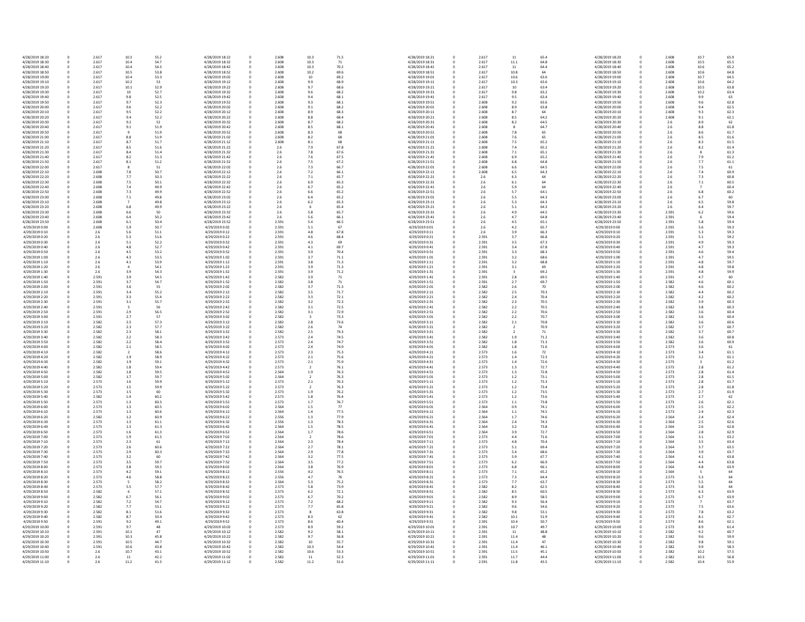| 4/28/2019 18:20 | 0 | 2.617 | 10.3 | 55.2 | 4/28/2019 18:22 | 0            | 2.608 | 10.3           | 71.5 | 4/28/2019 18:21 |
|-----------------|---|-------|------|------|-----------------|--------------|-------|----------------|------|-----------------|
| 4/28/2019 18:30 | 0 | 2.617 | 10.4 | 54.7 | 4/28/2019 18:32 | 0            | 2.608 | 10.3           | 71   | 4/28/2019 18:31 |
| 4/28/2019 18:40 | 0 | 2.617 | 10.4 | 54.3 | 4/28/2019 18:42 |              | 2.608 | 10.3           | 70.2 | 4/28/2019 18:41 |
| 4/28/2019 18:50 | 0 | 2.617 | 10.5 | 53.8 | 4/28/2019 18:52 | <sup>0</sup> | 2.608 | 10.2           | 69.6 | 4/28/2019 18:51 |
|                 |   |       |      |      |                 |              |       |                |      |                 |
| 4/28/2019 19:00 | 0 | 2.617 | 10.4 | 53.3 | 4/28/2019 19:02 |              | 2.608 | 10             | 69.2 | 4/28/2019 19:01 |
| 4/28/2019 19:10 | 0 | 2.617 | 10.2 | 53   | 4/28/2019 19:12 |              | 2.608 | 9.9            | 68.9 | 4/28/2019 19:11 |
| 4/28/2019 19:20 | 0 | 2.617 | 10.1 | 52.9 | 4/28/2019 19:22 |              | 2.608 | 9.7            | 68.6 | 4/28/2019 19:21 |
| 4/28/2019 19:30 | 0 | 2.617 | 10   | 52.7 | 4/28/2019 19:32 |              | 2.608 | 9.6            | 68.2 | 4/28/2019 19:31 |
| 4/28/2019 19:40 | 0 | 2.617 | 9.8  | 52.5 | 4/28/2019 19:42 |              | 2.608 | 9.4            | 68.1 | 4/28/2019 19:41 |
|                 |   |       |      |      |                 |              |       |                |      |                 |
| 4/28/2019 19:50 | 0 | 2.617 | 9.7  | 52.3 | 4/28/2019 19:52 | <sup>0</sup> | 2.608 | 9.3            | 68.1 | 4/28/2019 19:51 |
| 4/28/2019 20:00 | 0 | 2.617 | 9.6  | 52.2 | 4/28/2019 20:02 |              | 2.608 | 9.1            | 68.2 | 4/28/2019 20:01 |
| 4/28/2019 20:10 | 0 | 2.617 | 9.5  | 52.2 | 4/28/2019 20:12 |              | 2.608 | 8.9            | 68.3 | 4/28/2019 20:11 |
| 4/28/2019 20:20 | 0 | 2.617 | 9.4  | 52.2 | 4/28/2019 20:22 |              | 2.608 | 8.8            | 68.4 | 4/28/2019 20:21 |
| 4/28/2019 20:30 |   | 2.617 | 9.2  | 52   | 4/28/2019 20:32 |              | 2.608 | 8.7            | 68.2 | 4/28/2019 20:31 |
|                 | 0 |       |      |      |                 |              |       |                |      |                 |
| 4/28/2019 20:40 | 0 | 2.617 | 9.1  | 51.9 | 4/28/2019 20:42 |              | 2.608 | 8.5            | 68.1 | 4/28/2019 20:41 |
| 4/28/2019 20:50 | 0 | 2.617 | 9    | 51.9 | 4/28/2019 20:52 |              | 2.608 | 8.3            | 68   | 4/28/2019 20:51 |
| 4/28/2019 21:00 | 0 | 2.617 | 8.8  | 51.9 | 4/28/2019 21:02 |              | 2.608 | 8.2            | 68   | 4/28/2019 21:01 |
| 4/28/2019 21:10 | 0 | 2.617 | 8.7  | 51.7 | 4/28/2019 21:12 |              | 2.608 | 8.1            | 68   | 4/28/2019 21:11 |
| 4/28/2019 21:20 |   |       |      |      |                 |              |       |                |      |                 |
|                 | 0 | 2.617 | 8.5  | 51.6 | 4/28/2019 21:22 |              | 2.6   | 7.9            | 67.8 | 4/28/2019 21:21 |
| 4/28/2019 21:30 | 0 | 2.617 | 8.4  | 51.4 | 4/28/2019 21:32 |              | 2.6   | 7.8            | 67.6 | 4/28/2019 21:31 |
| 4/28/2019 21:40 | 0 | 2.617 | 8.2  | 51.3 | 4/28/2019 21:42 |              | 2.6   | 7.6            | 67.5 | 4/28/2019 21:41 |
| 4/28/2019 21:50 | 0 | 2.617 | 8.1  | 51.2 | 4/28/2019 21:52 |              | 2.6   | 7.5            | 67.2 | 4/28/2019 21:51 |
| 4/28/2019 22:00 | 0 | 2.617 |      | 51   | 4/28/2019 22:02 |              | 2.6   | 7.3            | 66.7 | 4/28/2019 22:01 |
| 4/28/2019 22:10 | 0 | 2.608 | 7.8  | 50.7 | 4/28/2019 22:12 |              | 2.6   | 7.2            | 66.1 | 4/28/2019 22:11 |
|                 |   |       |      |      |                 |              |       |                |      |                 |
| 4/28/2019 22:20 | 0 | 2.608 | 7.7  | 50.3 | 4/28/2019 22:22 |              | 2.6   | 7.1            | 65.7 | 4/28/2019 22:21 |
| 4/28/2019 22:30 | 0 | 2.608 | 7.5  | 50.1 | 4/28/2019 22:32 |              | 2.6   | 6.9            | 65.3 | 4/28/2019 22:31 |
| 4/28/2019 22:40 | 0 | 2.608 | 7.4  | 49.9 | 4/28/2019 22:42 |              | 2.6   | 6.7            | 65.2 | 4/28/2019 22:41 |
| 4/28/2019 22:50 | 0 | 2.608 | 7.3  | 49.9 | 4/28/2019 22:52 |              | 2.6   | 6.6            | 65.2 | 4/28/2019 22:51 |
| 4/28/2019 23:00 | 0 | 2.608 | 7.1  | 49.8 | 4/28/2019 23:02 |              | 2.6   | 6.4            | 65.2 | 4/28/2019 23:01 |
|                 |   |       |      |      |                 |              |       |                |      |                 |
| 4/28/2019 23:10 | 0 | 2.608 |      | 49.8 | 4/28/2019 23:12 |              | 2.6   | 6.2            | 65.3 | 4/28/2019 23:11 |
| 4/28/2019 23:20 | 0 | 2.608 | 6.8  | 49.9 | 4/28/2019 23:22 |              | 2.6   |                | 65.4 | 4/28/2019 23:21 |
| 4/28/2019 23:30 | 0 | 2.608 | 6.6  | 50   | 4/28/2019 23:32 | 0            | 2.6   | 5.8            | 65.7 | 4/28/2019 23:31 |
| 4/28/2019 23:40 | 0 | 2.608 | 6.4  | 50.2 | 4/28/2019 23:42 | 0            | 2.6   | 5.6            | 66.1 | 4/28/2019 23:41 |
| 4/28/2019 23:50 | 0 | 2.608 | 6.1  | 50.4 | 4/28/2019 23:52 |              | 2.591 | 5.4            | 66.5 | 4/28/2019 23:51 |
| 4/29/2019 0:00  | 0 | 2.608 | 5.9  | 50.7 | 4/29/2019 0:02  |              | 2.591 | 5.1            | 67   | 4/29/2019 0:01  |
|                 |   |       |      |      |                 |              |       |                |      |                 |
| 4/29/2019 0:10  | 0 | 2.6   | 5.6  | 51.1 | 4/29/2019 0:12  |              | 2.591 | 4.8            | 67.8 | 4/29/2019 0:11  |
| 4/29/2019 0:20  | 0 | 2.6   | 5.3  | 51.6 | 4/29/2019 0:22  |              | 2.591 | 4.6            | 68.4 | 4/29/2019 0:21  |
| 4/29/2019 0:30  | 0 | 2.6   | 5.1  | 52.2 | 4/29/2019 0:32  |              | 2.591 | 4.3            | 69   | 4/29/2019 0:31  |
| 4/29/2019 0:40  | 0 | 2.6   | 4.8  | 52.7 | 4/29/2019 0:42  | 0            | 2.591 | 4.1            | 69.7 | 4/29/2019 0:41  |
|                 |   |       |      |      |                 |              |       |                |      |                 |
| 4/29/2019 0:50  | 0 | 2.6   | 4.5  | 53.2 | 4/29/2019 0:52  |              | 2.591 | 3.9            | 70.4 | 4/29/2019 0:51  |
| 4/29/2019 1:00  | 0 | 2.6   | 4.3  | 53.5 | 4/29/2019 1:02  |              | 2.591 | 3.7            | 71.1 | 4/29/2019 1:01  |
| 4/29/2019 1:10  | 0 | 2.6   | 4.1  | 53.9 | 4/29/2019 1:12  | 0            | 2.591 | 3.8            | 71.3 | 4/29/2019 1:11  |
| 4/29/2019 1:20  | 0 | 2.6   |      | 54.1 | 4/29/2019 1:22  |              | 2.591 | 3.9            | 71.3 | 4/29/2019 1:21  |
| 4/29/2019 1:30  | 0 | 2.6   | 3.9  | 54.3 | 4/29/2019 1:32  |              | 2.591 | 3.9            | 71.2 | 4/29/2019 1:31  |
|                 |   | 2.591 |      |      |                 | <sup>0</sup> | 2.582 | 3.9            |      |                 |
| 4/29/2019 1:40  | 0 |       | 3.9  | 54.5 | 4/29/2019 1:42  |              |       |                | 71   | 4/29/2019 1:41  |
| 4/29/2019 1:50  | 0 | 2.591 | 3.7  | 54.7 | 4/29/2019 1:52  |              | 2.582 | 3.8            | 71   | 4/29/2019 1:51  |
| 4/29/2019 2:00  | 0 | 2.591 | 3.6  | 55   | 4/29/2019 2:02  |              | 2.582 | 3.7            | 71.3 | 4/29/2019 2:01  |
| 4/29/2019 2:10  | 0 | 2.591 | 3.4  | 55.2 | 4/29/2019 2:12  |              | 2.582 | 3.5            | 71.7 | 4/29/2019 2:11  |
| 4/29/2019 2:20  | 0 | 2.591 | 3.3  | 55.4 | 4/29/2019 2:22  |              | 2.582 | 3.3            | 72.1 | 4/29/2019 2:21  |
| 4/29/2019 2:30  | 0 | 2.591 | 3.1  | 55.7 | 4/29/2019 2:32  |              | 2.582 | 3.2            | 72.3 | 4/29/2019 2:31  |
|                 |   |       |      |      |                 |              |       |                |      |                 |
| 4/29/2019 2:40  | 0 | 2.591 |      | 56   | 4/29/2019 2:42  |              | 2.582 | 3.1            | 72.5 | 4/29/2019 2:41  |
| 4/29/2019 2:50  | 0 | 2.591 | 2.9  | 56.5 | 4/29/2019 2:52  |              | 2.582 | 3.1            | 72.9 | 4/29/2019 2:51  |
| 4/29/2019 3:00  | 0 | 2.591 | 2.7  | 57   | 4/29/2019 3:02  |              | 2.582 | 3              | 73.3 | 4/29/2019 3:01  |
| 4/29/2019 3:10  | 0 | 2.582 | 2.5  | 57.3 | 4/29/2019 3:12  |              | 2.582 | 2.8            | 73.6 | 4/29/2019 3:11  |
| 4/29/2019 3:20  | 0 | 2.582 | 2.3  | 57.7 | 4/29/2019 3:22  |              | 2.582 | 2.6            | 74   | 4/29/2019 3:21  |
|                 |   |       |      |      |                 |              |       |                |      |                 |
| 4/29/2019 3:30  | 0 | 2.582 | 2.3  | 58.1 | 4/29/2019 3:32  |              | 2.582 | 2.5            | 74.3 | 4/29/2019 3:31  |
| 4/29/2019 3:40  | 0 | 2.582 | 2.2  | 58.3 | 4/29/2019 3:42  |              | 2.573 | 2.4            | 74.5 | 4/29/2019 3:41  |
| 4/29/2019 3:50  | 0 | 2.582 | 2.2  | 58.4 | 4/29/2019 3:52  |              | 2.573 | 2.4            | 74.7 | 4/29/2019 3:51  |
| 4/29/2019 4:00  | 0 | 2.582 | 2.1  | 58.5 | 4/29/2019 4:02  |              | 2.573 | 2.4            | 74.9 | 4/29/2019 4:01  |
| 4/29/2019 4:10  | 0 | 2.582 |      | 58.6 | 4/29/2019 4:12  |              | 2.573 | 2.3            | 75.3 | 4/29/2019 4:11  |
| 4/29/2019 4:20  | 0 | 2.582 | 1.9  | 58.9 | 4/29/2019 4:22  |              | 2.573 | 2.1            | 75.6 | 4/29/2019 4:21  |
|                 |   |       |      |      |                 |              |       |                |      |                 |
| 4/29/2019 4:30  | 0 | 2.582 | 1.9  | 59.1 | 4/29/2019 4:32  |              | 2.573 | 2.1            | 75.9 | 4/29/2019 4:31  |
| 4/29/2019 4:40  | 0 | 2.582 | 1.8  | 59.4 | 4/29/2019 4:42  |              | 2.573 | 2              | 76.1 | 4/29/2019 4:41  |
| 4/29/2019 4:50  |   | 2.582 | 1.8  | 59.5 | 4/29/2019 4:52  |              | 2.564 | 1.9            | 76.3 | 4/29/2019 4:51  |
| 4/29/2019 5:00  | 0 | 2.582 | 1.7  | 59.7 | 4/29/2019 5:02  | 0            | 2.564 | $\overline{2}$ | 76.3 | 4/29/2019 5:01  |
| 4/29/2019 5:10  | 0 | 2.573 | 1.6  | 59.9 | 4/29/2019 5:12  |              | 2.573 | 2.1            | 76.3 | 4/29/2019 5:11  |
| 4/29/2019 5:20  | 0 | 2.573 | 1.5  | 59.9 | 4/29/2019 5:22  |              | 2.573 | $\overline{2}$ | 76.3 | 4/29/2019 5:21  |
|                 |   |       |      |      |                 |              |       |                |      |                 |
| 4/29/2019 5:30  | 0 | 2.573 | 1.5  | 60   | 4/29/2019 5:32  |              | 2.573 | 1.9            | 76.2 | 4/29/2019 5:31  |
| 4/29/2019 5:40  | 0 | 2.582 | 1.4  | 60.2 | 4/29/2019 5:42  |              | 2.573 | 1.8            | 76.4 | 4/29/2019 5:41  |
| 4/29/2019 5:50  | 0 | 2.573 | 1.3  | 60.3 | 4/29/2019 5:52  |              | 2.573 | 1.7            | 76.7 | 4/29/2019 5:51  |
| 4/29/2019 6:00  | 0 | 2.573 | 1.3  | 60.5 | 4/29/2019 6:02  |              | 2.564 | 1.5            | 77   | 4/29/2019 6:01  |
| 4/29/2019 6:10  | 0 | 2.573 | 1.3  | 60.6 | 4/29/2019 6:12  |              | 2.564 | 1.4            | 77.5 | 4/29/2019 6:11  |
| 4/29/2019 6:20  | 0 | 2.582 | 1.2  | 60.9 | 4/29/2019 6:22  |              | 2.556 | 1.3            | 77.9 | 4/29/2019 6:21  |
|                 |   | 2.573 |      |      |                 | <sup>0</sup> |       |                |      |                 |
| 4/29/2019 6:30  | 0 |       | 1.3  | 61.1 | 4/29/2019 6:32  |              | 2.556 | 1.3            | 78.3 | 4/29/2019 6:31  |
| 4/29/2019 6:40  | 0 | 2.573 | 1.3  | 61.3 | 4/29/2019 6:42  |              | 2.564 | 1.5            | 78.5 | 4/29/2019 6:41  |
| 4/29/2019 6:50  | 0 | 2.573 | 1.6  | 61.3 | 4/29/2019 6:52  |              | 2.564 | 1.7            | 78.6 | 4/29/2019 6:51  |
| 4/29/2019 7:00  | 0 | 2.573 | 1.9  | 61.3 | 4/29/2019 7:02  | <sup>0</sup> | 2.564 | $\overline{2}$ | 78.6 | 4/29/2019 7:01  |
| 4/29/2019 7:10  | 0 | 2.573 | 2.3  | 61   | 4/29/2019 7:12  |              | 2.564 | 2.3            | 78.4 | 4/29/2019 7:11  |
|                 |   |       |      |      |                 |              |       |                |      |                 |
| 4/29/2019 7:20  | 0 | 2.573 | 2.6  | 60.6 | 4/29/2019 7:22  |              | 2.564 | 2.7            | 78.1 | 4/29/2019 7:21  |
| 4/29/2019 7:30  | 0 | 2.573 | 2.9  | 60.3 | 4/29/2019 7:32  |              | 2.564 | 2.9            | 77.8 | 4/29/2019 7:31  |
| 4/29/2019 7:40  | 0 | 2.573 | 3.2  | 60   | 4/29/2019 7:42  |              | 2.564 | 3.2            | 77.5 | 4/29/2019 7:41  |
| 4/29/2019 7:50  | 0 | 2.573 | 3.5  | 59.7 | 4/29/2019 7:52  |              | 2.564 | 3.5            | 77.2 | 4/29/2019 7:51  |
| 4/29/2019 8:00  | 0 | 2.573 | 3.8  | 59.3 | 4/29/2019 8:02  |              | 2.564 | 3.8            | 76.9 | 4/29/2019 8:01  |
| 4/29/2019 8:10  | 0 | 2.573 | 4.2  | 59.1 | 4/29/2019 8:12  |              | 2.556 | 4.2            | 76.5 | 4/29/2019 8:11  |
|                 |   |       |      |      |                 |              |       |                |      |                 |
| 4/29/2019 8:20  | 0 | 2.573 | 4.6  | 58.8 | 4/29/2019 8:22  |              | 2.556 | 4.7            | 76   | 4/29/2019 8:21  |
| 4/29/2019 8:30  | 0 | 2.573 |      | 58.2 | 4/29/2019 8:32  |              | 2.564 | 5.3            | 75.2 | 4/29/2019 8:31  |
| 4/29/2019 8:40  | 0 | 2.573 | 5.5  | 57.7 | 4/29/2019 8:42  |              | 2.573 | 5.8            | 73.9 | 4/29/2019 8:41  |
| 4/29/2019 8:50  | 0 | 2.582 |      | 57.1 | 4/29/2019 8:52  |              | 2.573 | 6.2            | 72.1 | 4/29/2019 8:51  |
| 4/29/2019 9:00  | 0 | 2.582 | 6.7  | 56.1 | 4/29/2019 9:02  |              | 2.573 | 6.7            | 70.2 | 4/29/2019 9:01  |
|                 |   |       |      |      |                 |              |       |                |      |                 |
| 4/29/2019 9:10  | 0 | 2.582 | 7.2  | 54.7 | 4/29/2019 9:12  |              | 2.573 | 7.2            | 68.2 | 4/29/2019 9:11  |
| 4/29/2019 9:20  | 0 | 2.582 | 7.7  | 53.1 | 4/29/2019 9:22  |              | 2.573 | 7.7            | 65.8 | 4/29/2019 9:21  |
| 4/29/2019 9:30  | 0 | 2.582 | 8.1  | 51.6 | 4/29/2019 9:32  |              | 2.573 | 8              | 63.8 | 4/29/2019 9:31  |
| 4/29/2019 9:40  | 0 | 2.582 | 8.7  | 50.4 | 4/29/2019 9:42  |              | 2.573 | 8.3            | 62   | 4/29/2019 9:41  |
| 4/29/2019 9:50  | 0 | 2.591 | 9.2  | 49.1 | 4/29/2019 9:52  |              | 2.573 | 8.6            | 60.4 | 4/29/2019 9:51  |
|                 |   | 2.591 | 9.7  |      | 4/29/2019 10:02 |              | 2.573 |                | 59.2 |                 |
| 4/29/2019 10:00 |   |       |      | 48   |                 |              |       | 8.9            |      | 4/29/2019 10:01 |
| 4/29/2019 10:10 | 0 | 2.591 | 10.1 | 47   | 4/29/2019 10:12 | 0            | 2.582 | 9.2            | 58.1 | 4/29/2019 10:11 |
| 4/29/2019 10:20 | 0 | 2.591 | 10.3 | 45.8 | 4/29/2019 10:22 | 0            | 2.582 | 9.7            | 56.8 | 4/29/2019 10:21 |
| 4/29/2019 10:30 | 0 | 2.591 | 10.5 | 44.7 | 4/29/2019 10:32 |              | 2.582 | 10             | 55.7 | 4/29/2019 10:31 |
| 4/29/2019 10:40 | 0 | 2.591 | 10.6 | 43.8 | 4/29/2019 10:42 |              | 2.582 | 10.3           | 54.4 | 4/29/2019 10:41 |
| 4/29/2019 10:50 | 0 | 2.6   | 10.7 | 43.1 | 4/29/2019 10:52 |              | 2.582 | 10.6           | 53.3 | 4/29/2019 10:51 |
|                 |   |       |      |      |                 |              |       |                |      |                 |
| 4/29/2019 11:00 | 0 | 2.6   | 11   | 42.2 | 4/29/2019 11:02 |              | 2.582 | 11             | 52.3 | 4/29/2019 11:01 |
| 4/29/2019 11:10 | 0 | 2.6   | 11.2 | 41.3 | 4/29/2019 11:12 | 0            | 2.582 | 11.2           | 51.6 | 4/29/2019 11:11 |

| 0.3           | 71.5 | 4/28/2019 18:21 | 0           | 2.617 | 11             | 65.4 | 4/28/2019 18:20 |
|---------------|------|-----------------|-------------|-------|----------------|------|-----------------|
| 0.3           | 71   | 4/28/2019 18:31 | $\pmb{0}$   | 2.617 | 11.1           | 64.8 | 4/28/2019 18:30 |
| 0.3           | 70.2 | 4/28/2019 18:41 | 0           | 2.617 | 11             | 64.4 | 4/28/2019 18:40 |
| 0.2           | 69.6 | 4/28/2019 18:51 | $\mathbf 0$ | 2.617 | 10.8           | 64   | 4/28/2019 18:50 |
|               | 69.2 | 4/28/2019 19:01 | 0           | 2.617 | 10.6           | 63.6 | 4/28/2019 19:00 |
| LO.           |      |                 |             |       |                |      |                 |
| و.            | 68.9 | 4/28/2019 19:11 | 0           | 2.617 | 10.3           | 63.6 | 4/28/2019 19:10 |
| .7            | 68.6 | 4/28/2019 19:21 | 0           | 2.617 | 10             | 63.4 | 4/28/2019 19:20 |
| 0.6           | 68.2 | 4/28/2019 19:31 | $\pmb{0}$   | 2.617 | 9.8            | 63.2 | 4/28/2019 19:30 |
| .4            | 68.1 | 4/28/2019 19:41 | 0           | 2.617 | 9.5            | 63.4 | 4/28/2019 19:40 |
| .3            | 68.1 | 4/28/2019 19:51 | 0           | 2.608 | 9.2            | 63.6 | 4/28/2019 19:50 |
| $.1\,$        | 68.2 | 4/28/2019 20:01 | 0           | 2.608 | 8.9            | 63.8 | 4/28/2019 20:00 |
| 9.            | 68.3 | 4/28/2019 20:11 | $\mathbf 0$ | 2.608 | 8.7            | 64   | 4/28/2019 20:10 |
| .8            | 68.4 | 4/28/2019 20:21 | $\mathbf 0$ | 2.608 | 8.5            | 64.2 | 4/28/2019 20:20 |
| .7            | 68.2 | 4/28/2019 20:31 | $\mathbf 0$ | 2.608 | 8.2            | 64.5 | 4/28/2019 20:30 |
|               | 68.1 | 4/28/2019 20:41 |             | 2.608 |                | 64.7 | 4/28/2019 20:40 |
| .5            |      |                 | 0           |       | 8              |      |                 |
| .3            | 68   | 4/28/2019 20:51 | 0           | 2.608 | 7.8            | 65   | 4/28/2019 20:50 |
| .2            | 68   | 4/28/2019 21:01 | 0           | 2.608 | 7.6            | 65   | 4/28/2019 21:00 |
| , 1           | 68   | 4/28/2019 21:11 | 0           | 2.608 | 7.5            | 65.2 | 4/28/2019 21:10 |
| و.'           | 67.8 | 4/28/2019 21:21 | 0           | 2.608 | 7.4            | 65.2 | 4/28/2019 21:20 |
| $^{\prime}.8$ | 67.6 | 4/28/2019 21:31 | 0           | 2.608 | 7.1            | 65.1 | 4/28/2019 21:30 |
| 6.'           | 67.5 | 4/28/2019 21:41 | 0           | 2.608 | 6.9            | 65.2 | 4/28/2019 21:40 |
| $^{\prime}.5$ | 67.2 | 4/28/2019 21:51 | 0           | 2.608 | 6.8            | 64.8 | 4/28/2019 21:50 |
| $^{\prime}.3$ | 66.7 | 4/28/2019 22:01 | 0           | 2.608 | 6.6            | 64.5 | 4/28/2019 22:00 |
| $^{\prime}.2$ | 66.1 | 4/28/2019 22:11 | 0           | 2.608 | 6.5            | 64.3 | 4/28/2019 22:10 |
|               |      |                 |             |       |                |      |                 |
| $^{\prime}.1$ | 65.7 | 4/28/2019 22:21 | 0           | $2.6$ | 6.3            | 64   | 4/28/2019 22:20 |
| i.9           | 65.3 | 4/28/2019 22:31 | 0           | 2.6   | $6.1\,$        | 64   | 4/28/2019 22:30 |
| ,7            | 65.2 | 4/28/2019 22:41 | 0           | 2.6   | 5.9            | 64   | 4/28/2019 22:40 |
| i.6           | 65.2 | 4/28/2019 22:51 | $\pmb{0}$   | 2.6   | 5.7            | 64.1 | 4/28/2019 22:50 |
| .4            | 65.2 | 4/28/2019 23:01 | 0           | 2.6   | 5.5            | 64.3 | 4/28/2019 23:00 |
| .2            | 65.3 | 4/28/2019 23:11 | 0           | 2.6   | 5.3            | 64.3 | 4/28/2019 23:10 |
| 6             | 65.4 | 4/28/2019 23:21 | 0           | 2.6   | 5.1            | 64.3 | 4/28/2019 23:20 |
| .8            | 65.7 | 4/28/2019 23:31 | $\Omega$    | 2.6   | 4.9            | 64.5 | 4/28/2019 23:30 |
|               |      |                 |             |       |                |      |                 |
| .6            | 66.1 | 4/28/2019 23:41 | 0           | 2.6   | 4.7            | 64.8 | 4/28/2019 23:40 |
| .4            | 66.5 | 4/28/2019 23:51 | $\pmb{0}$   | $2.6$ | 4.5            | 65.1 | 4/28/2019 23:50 |
| .1            | 67   | 4/29/2019 0:01  | 0           | 2.6   | 4.2            | 65.7 | 4/29/2019 0:00  |
| .8            | 67.8 | 4/29/2019 0:11  | $\mathbf 0$ | 2.6   | 3.9            | 66.3 | 4/29/2019 0:10  |
| .6            | 68.4 | 4/29/2019 0:21  | $\pmb{0}$   | 2.591 | 3.7            | 66.8 | 4/29/2019 0:20  |
| .3            | 69   | 4/29/2019 0:31  | 0           | 2.591 | 3.5            | 67.3 | 4/29/2019 0:30  |
| .1            | 69.7 | 4/29/2019 0:41  | 0           | 2.591 | 3.4            | 67.8 | 4/29/2019 0:40  |
| و.,           | 70.4 | 4/29/2019 0:51  | 0           | 2.591 | 3.3            | 68.3 | 4/29/2019 0:50  |
| .7            | 71.1 | 4/29/2019 1:01  | 0           | 2.591 | 3.2            | 68.6 | 4/29/2019 1:00  |
|               | 71.3 | 4/29/2019 1:11  |             |       |                |      |                 |
| $\cdot$ 8     |      |                 | 0           | 2.591 | 3.2            | 68.8 | 4/29/2019 1:10  |
| 9.            | 71.3 | 4/29/2019 1:21  | $\pmb{0}$   | 2.591 | 3.1            | 69   | 4/29/2019 1:20  |
| و.            | 71.2 | 4/29/2019 1:31  | 0           | 2.591 | 3              | 69.2 | 4/29/2019 1:30  |
| و.            | 71   | 4/29/2019 1:41  | 0           | 2.591 | 2.8            | 69.5 | 4/29/2019 1:40  |
| .8            | 71   | 4/29/2019 1:51  | 0           | 2.591 | 2.7            | 69.7 | 4/29/2019 1:50  |
| .7            | 71.3 | 4/29/2019 2:01  | 0           | 2.582 | 2.6            | 70   | 4/29/2019 2:00  |
| .5            | 71.7 | 4/29/2019 2:11  | $\mathbf 0$ | 2.582 | 2.5            | 70.3 | 4/29/2019 2:10  |
| .3            | 72.1 | 4/29/2019 2:21  | 0           | 2.582 | 2.4            | 70.4 | 4/29/2019 2:20  |
| .2            | 72.3 | 4/29/2019 2:31  | 0           | 2.582 | 2.3            | 70.5 | 4/29/2019 2:30  |
|               | 72.5 | 4/29/2019 2:41  |             | 2.582 | 2.2            | 70.5 | 4/29/2019 2:40  |
| .1            |      |                 | 0           |       |                |      |                 |
| .1            | 72.9 | 4/29/2019 2:51  | 0           | 2.582 | 2.2            | 70.6 | 4/29/2019 2:50  |
| 3             | 73.3 | 4/29/2019 3:01  | 0           | 2.582 | 2.2            | 70.7 | 4/29/2019 3:00  |
| 8.            | 73.6 | 4/29/2019 3:11  | $\mathbf 0$ | 2.582 | $2.1\,$        | 70.8 | 4/29/2019 3:10  |
| .6            | 74   | 4/29/2019 3:21  | $\mathbf 0$ | 2.582 | $\overline{2}$ | 70.9 | 4/29/2019 3:20  |
| .5            | 74.3 | 4/29/2019 3:31  | 0           | 2.582 | $\overline{2}$ | 71   | 4/29/2019 3:30  |
| 4.            | 74.5 | 4/29/2019 3:41  | 0           | 2.582 | $1.9\,$        | 71.2 | 4/29/2019 3:40  |
| .4            | 74.7 | 4/29/2019 3:51  | 0           | 2.582 | $1.8\,$        | 71.3 | 4/29/2019 3:50  |
| 4.            | 74.9 | 4/29/2019 4:01  | 0           | 2.582 | $1.8\,$        | 71.6 | 4/29/2019 4:00  |
|               |      |                 |             |       |                |      |                 |
| $\cdot$ .3    | 75.3 | 4/29/2019 4:11  | 0           | 2.573 | 1.6            | 72   | 4/29/2019 4:10  |
| $\cdot$ 1     | 75.6 | 4/29/2019 4:21  | $\mathbf 0$ | 2.573 | $1.4\,$        | 72.3 | 4/29/2019 4:20  |
| $\cdot$ 1     | 75.9 | 4/29/2019 4:31  | 0           | 2.573 | 1.4            | 72.6 | 4/29/2019 4:30  |
| 2             | 76.1 | 4/29/2019 4:41  | 0           | 2.573 | 1.3            | 72.7 | 4/29/2019 4:40  |
| .9            | 76.3 | 4/29/2019 4:51  | $\Omega$    | 2.573 | 1.3            | 72.8 | 4/29/2019 4:50  |
| 2             | 76.3 | 4/29/2019 5:01  | 0           | 2.573 | $1.2\,$        | 73.1 | 4/29/2019 5:00  |
| $\cdot$ 1     | 76.3 | 4/29/2019 5:11  | 0           | 2.573 | $1.2\,$        | 73.3 | 4/29/2019 5:10  |
| 2             | 76.3 | 4/29/2019 5:21  | 0           | 2.573 | $1.2\,$        | 73.4 | 4/29/2019 5:20  |
| .9            | 76.2 | 4/29/2019 5:31  | 0           | 2.573 | $1.2\,$        | 73.5 | 4/29/2019 5:30  |
|               | 76.4 | 4/29/2019 5:41  | $\pmb{0}$   | 2.573 | $1.2\,$        | 73.6 | 4/29/2019 5:40  |
| .8            |      |                 |             |       |                |      |                 |
| .7            | 76.7 | 4/29/2019 5:51  | 0           | 2.573 | $1.1\,$        | 73.8 | 4/29/2019 5:50  |
| .5            | 77   | 4/29/2019 6:01  | 0           | 2.564 | 0.9            | 74.1 | 4/29/2019 6:00  |
| $\cdot$       | 77.5 | 4/29/2019 6:11  | 0           | 2.564 | $1.1\,$        | 74.5 | 4/29/2019 6:10  |
| $\cdot$ .3    | 77.9 | 4/29/2019 6:21  | 0           | 2.564 | $1.7\,$        | 74.6 | 4/29/2019 6:20  |
| .3            | 78.3 | 4/29/2019 6:31  | 0           | 2.564 | 2.4            | 74.3 | 4/29/2019 6:30  |
| . 5           | 78.5 | 4/29/2019 6:41  | 0           | 2.564 | 3.2            | 73.8 | 4/29/2019 6:40  |
| .7            | 78.6 | 4/29/2019 6:51  | 0           | 2.564 | 3.9            | 72.7 | 4/29/2019 6:50  |
| 2             | 78.6 | 4/29/2019 7:01  | 0           | 2.573 | 4.4            | 71.6 | 4/29/2019 7:00  |
| $\cdot$ .3    | 78.4 | 4/29/2019 7:11  | 0           | 2.573 | $4.8\,$        | 70.4 | 4/29/2019 7:10  |
|               |      |                 |             |       |                |      |                 |
| .7            | 78.1 | 4/29/2019 7:21  | 0           | 2.573 | 5.1            | 69.4 | 4/29/2019 7:20  |
| و.            | 77.8 | 4/29/2019 7:31  | 0           | 2.573 | 5.4            | 68.6 | 4/29/2019 7:30  |
| .2            | 77.5 | 4/29/2019 7:41  | 0           | 2.573 | 5.9            | 67.7 | 4/29/2019 7:40  |
| $.5\,$        | 77.2 | 4/29/2019 7:51  | 0           | 2.573 | $6.2\,$        | 66.9 | 4/29/2019 7:50  |
| .8            | 76.9 | 4/29/2019 8:01  | 0           | 2.573 | 6.8            | 66.1 | 4/29/2019 8:00  |
| $\cdot$ .2    | 76.5 | 4/29/2019 8:11  | 0           | 2.573 | $7.1\,$        | 65.2 | 4/29/2019 8:10  |
| .7            | 76   | 4/29/2019 8:21  | 0           | 2.573 | 7.3            | 64.4 | 4/29/2019 8:20  |
| .3            | 75.2 | 4/29/2019 8:31  | 0           | 2.573 | 7.7            | 63.7 | 4/29/2019 8:30  |
| 8.6           | 73.9 | 4/29/2019 8:41  | 0           | 2.582 | 8.2            | 62.5 | 4/29/2019 8:40  |
| .2            | 72.1 | 4/29/2019 8:51  | 0           | 2.582 | 8.5            | 60.5 | 4/29/2019 8:50  |
|               |      |                 |             |       |                |      |                 |
| .7            | 70.2 | 4/29/2019 9:01  | 0           | 2.582 | 8.9            | 58.5 | 4/29/2019 9:00  |
| 2             | 68.2 | 4/29/2019 9:11  | 0           | 2.582 | 9.3            | 56.4 | 4/29/2019 9:10  |
| .7            | 65.8 | 4/29/2019 9:21  | 0           | 2.582 | 9.6            | 54.6 | 4/29/2019 9:20  |
| 8             | 63.8 | 4/29/2019 9:31  | 0           | 2.582 | 9.8            | 53.1 | 4/29/2019 9:30  |
| .3            | 62   | 4/29/2019 9:41  | 0           | 2.582 | $10.1\,$       | 51.9 | 4/29/2019 9:40  |
| .6            | 60.4 | 4/29/2019 9:51  | 0           | 2.591 | 10.4           | 50.7 | 4/29/2019 9:50  |
| .9            | 59.2 | 4/29/2019 10:01 | 0           | 2.591 | 10.7           | 49.7 | 4/29/2019 10:00 |
| 2.2           | 58.1 | 4/29/2019 10:11 | 0           | 2.591 | 11             | 48.8 | 4/29/2019 10:10 |
| .7            | 56.8 | 4/29/2019 10:21 | $\pmb{0}$   | 2.591 | 11.4           | 48   | 4/29/2019 10:20 |
| LO            | 55.7 | 4/29/2019 10:31 | $\pmb{0}$   | 2.591 | 11.4           | 47   | 4/29/2019 10:30 |
|               |      |                 |             |       |                |      |                 |
| 0.3           | 54.4 | 4/29/2019 10:41 | $\pmb{0}$   | 2.591 | 11.4           | 46.1 | 4/29/2019 10:40 |
| 0.6           | 53.3 | 4/29/2019 10:51 | 0           | 2.591 | 11.5           | 45.1 | 4/29/2019 10:50 |
| L1            | 52.3 | 4/29/2019 11:01 | $\pmb{0}$   | 2.591 | 11.7           | 44.4 | 4/29/2019 11:00 |
| 1.2           | 51.6 | 4/29/2019 11:11 | 0           | 2.591 | 11.8           | 43.5 | 4/29/2019 11:10 |

| 0 | 2.608 | 10.7           | 65.9 |
|---|-------|----------------|------|
| 0 | 2.608 | 10.5           | 65.5 |
| 0 | 2.608 | 10.6           | 65.2 |
| 0 | 2.608 | 10.6           | 64.8 |
|   |       |                |      |
| 0 | 2.608 | 10.7           | 64.5 |
| 0 | 2.608 | 10.6           | 64.2 |
| 0 | 2.608 | 10.5           | 63.8 |
| 0 | 2.608 | 10.2           | 63.4 |
|   |       |                |      |
| 0 | 2.608 | 9.9            | 63   |
| 0 | 2.608 | 9.6            | 62.8 |
|   |       |                |      |
| 0 | 2.608 | 9.4            | 62.5 |
| 0 | 2.608 | 9.3            | 62.3 |
| 0 | 2.608 | 9.1            | 62.1 |
|   |       |                |      |
| 0 | 2.6   | 8.9            | 62   |
| 0 | 2.6   | 8.8            | 61.8 |
| 0 | 2.6   | 8.6            | 61.7 |
|   |       |                |      |
| 0 | 2.6   | 8.5            | 61.6 |
| 0 | 2.6   | 8.3            | 61.5 |
| 0 | 2.6   | 8.2            | 61.4 |
|   |       |                |      |
| 0 | 2.6   | 8              | 61.3 |
| 0 | 2.6   | 7.9            | 61.2 |
| 0 | 2.6   | 7.7            | 61.1 |
|   |       |                |      |
| 0 | 2.6   | 7.5            | 61   |
| 0 | 2.6   | 7.4            | 60.9 |
| 0 | 2.6   | 7.3            | 60.8 |
|   |       |                |      |
| 0 | 2.6   | 7.1            | 60.5 |
| 0 | 2.6   | $\overline{7}$ | 60.4 |
| 0 | 2.6   | 6.8            | 60.2 |
|   |       |                |      |
| 0 | 2.6   | 6.7            | 60   |
| 0 | 2.6   | 6.5            | 59.8 |
| 0 | 2.6   | 6.4            | 59.7 |
|   |       |                |      |
| 0 | 2.591 | 6.2            | 59.6 |
| 0 | 2.591 | 6              | 59.4 |
| 0 | 2.591 | 5.8            | 59.4 |
|   |       |                |      |
| 0 | 2.591 | 5.6            | 59.3 |
| 0 | 2.591 | 5.3            | 59.3 |
|   | 2.591 |                |      |
| 0 |       | 5.1            | 59.2 |
| 0 | 2.591 | 4.9            | 59.3 |
| 0 | 2.591 | 4.7            | 59.3 |
| 0 | 2.591 | 4.6            | 59.4 |
|   |       |                |      |
| 0 | 2.591 | 4.7            | 59.5 |
| 0 | 2.591 | 4.8            | 59.7 |
| 0 | 2.591 | 4.8            | 59.8 |
|   |       |                |      |
| 0 | 2.591 | 4.8            | 59.9 |
| 0 | 2.591 | 4.7            | 60   |
|   |       | 4.6            | 60.1 |
| 0 | 2.582 |                |      |
| 0 | 2.582 | 4.6            | 60.2 |
| 0 | 2.582 | 4.4            | 60.2 |
|   |       |                |      |
| 0 | 2.582 | 4.2            | 60.2 |
| 0 | 2.582 | 3.9            | 60.3 |
| 0 | 2.582 | 3.8            | 60.3 |
|   |       |                |      |
| 0 | 2.582 | 3.6            | 60.4 |
| 0 | 2.582 | 3.6            | 60.4 |
| 0 | 2.582 | 3.6            | 60.6 |
|   |       |                |      |
| 0 | 2.582 | 3.7            | 60.7 |
| 0 | 2.582 | 3.7            | 60.7 |
| 0 | 2.582 | 3.6            | 60.8 |
|   |       |                |      |
| 0 | 2.582 | 3.6            | 60.9 |
| 0 | 2.573 | 3.6            | 61   |
| 0 | 2.573 | 3.4            | 61.1 |
|   |       |                |      |
| 0 | 2.573 | 3.2            | 61.1 |
| 0 | 2.573 | 3              | 61.2 |
| 0 | 2.573 | 2.8            | 61.2 |
|   |       |                |      |
| 0 | 2.573 | 2.8            | 61.4 |
| 0 | 2.573 | 2.8            | 61.5 |
| 0 | 2.573 | 2.8            | 61.7 |
|   |       |                |      |
| 0 | 2.573 | 2.8            | 61.8 |
| 0 | 2.573 | 2.7            | 61.9 |
| 0 | 2.573 | 2.7            | 62   |
|   |       |                |      |
| 0 | 2.573 | 2.6            | 62.1 |
| 0 | 2.573 | 2.5            | 62.2 |
| 0 | 2.573 | 2.4            | 62.3 |
|   |       |                |      |
| 0 | 2.564 | 2.4            | 62.4 |
| 0 | 2.564 | 2.5            | 62.6 |
| 0 | 2.564 | 2.6            | 62.8 |
| 0 | 2.564 | 2.8            | 62.9 |
|   |       |                |      |
| 0 | 2.564 | 3.1            | 63.2 |
| 0 | 2.564 | 3.5            | 63.4 |
| 0 | 2.564 | 3.7            | 63.5 |
|   |       |                |      |
| 0 | 2.564 | 3.9            | 63.7 |
| 0 | 2.564 | 4.1            | 63.8 |
| 0 | 2.564 | 4.4            | 63.8 |
|   |       |                |      |
| 0 | 2.564 | 4.8            | 63.9 |
| 0 | 2.564 | 5              | 64   |
| 0 | 2.573 | 5.3            | 64   |
|   |       |                |      |
| 0 | 2.573 | 5.5            | 64   |
| 0 | 2.573 | 5.8            | 64   |
| 0 | 2.573 | 6.3            | 63.9 |
|   |       |                |      |
| 0 | 2.573 | 6.7            | 63.9 |
| 0 | 2.573 | $\overline{7}$ | 63.7 |
| 0 | 2.573 | 7.5            | 63.6 |
|   |       |                |      |
| 0 | 2.573 | 7.8            | 63.2 |
| 0 | 2.573 | 8.1            | 62.7 |
| 0 | 2.573 | 8.6            | 62.1 |
|   |       |                |      |
| 0 | 2.573 | 8.9            | 61.4 |
| 0 | 2.582 | 9.2            | 60.7 |
| 0 | 2.582 | 9.6            | 59.9 |
| 0 | 2.582 | 9.8            | 59.1 |
|   |       |                |      |
| 0 | 2.582 | 9.9            | 58.3 |
| 0 | 2.582 | 10.2           | 57.5 |
| 0 | 2.582 | 10.3           | 56.8 |
|   |       |                |      |
| 0 | 2.582 | 10.4           | 55.9 |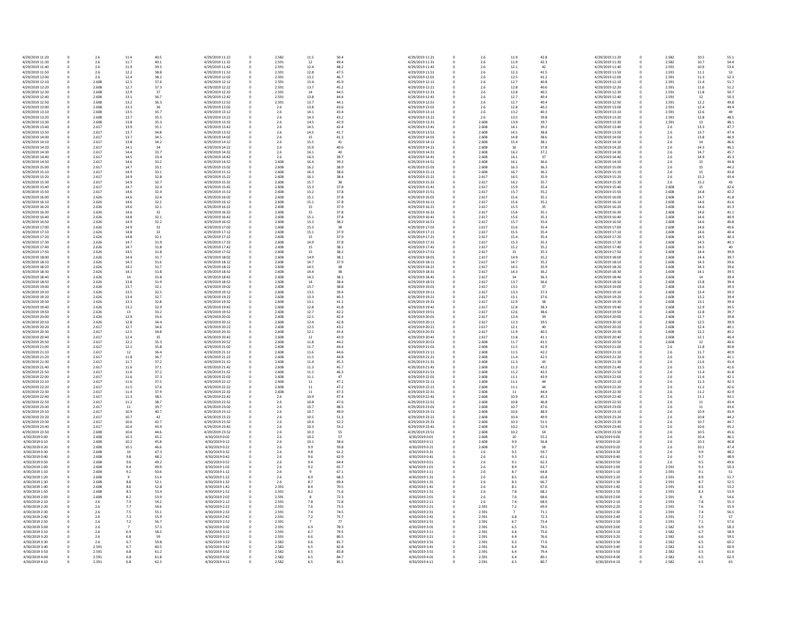| 4/29/2019 11:20 | 0            | 2.6   | 11.4 | 40.5 | 4/29/2019 11:22 |              | 2.582 | 11.5 | 50.4         | 4/29/2019 11:21 |
|-----------------|--------------|-------|------|------|-----------------|--------------|-------|------|--------------|-----------------|
| 4/29/2019 11:30 | 0            | 2.6   | 11.7 | 40.1 | 4/29/2019 11:32 | 0<br>0       | 2.591 | 12   | 49.4         | 4/29/2019 11:31 |
|                 |              |       |      |      |                 |              |       |      |              |                 |
| 4/29/2019 11:40 | 0            | 2.6   | 11.9 | 39.3 | 4/29/2019 11:42 | 0            | 2.591 | 12.4 | 48.2         | 4/29/2019 11:41 |
| 4/29/2019 11:50 | 0            | 2.6   | 12.2 | 38.8 | 4/29/2019 11:52 | 0            | 2.591 | 12.8 | 47.5         | 4/29/2019 11:51 |
| 4/29/2019 12:00 | 0            | 2.6   | 12.4 | 38.2 | 4/29/2019 12:02 |              | 2.591 | 13.2 | 46.7         | 4/29/2019 12:01 |
| 4/29/2019 12:10 | 0            | 2.608 | 12.5 | 37.6 | 4/29/2019 12:12 |              | 2.591 | 13.4 | 45.9         | 4/29/2019 12:11 |
| 4/29/2019 12:20 | 0            | 2.608 | 12.7 | 37.3 | 4/29/2019 12:22 |              | 2.591 | 13.7 | 45.2         | 4/29/2019 12:21 |
| 4/29/2019 12:30 | 0            | 2.608 | 12.9 | 37   | 4/29/2019 12:32 |              | 2.591 | 14   | 44.5         | 4/29/2019 12:31 |
| 4/29/2019 12:40 | 0            | 2.608 | 13.1 | 36.7 | 4/29/2019 12:42 |              | 2.591 | 13.8 | 44.4         | 4/29/2019 12:41 |
| 4/29/2019 12:50 | 0            | 2.608 | 13.2 | 36.3 | 4/29/2019 12:52 | 0            | 2.591 | 13.7 | 44.1         | 4/29/2019 12:51 |
| 4/29/2019 13:00 | 0            | 2.608 | 13.3 | 36   | 4/29/2019 13:02 |              | 2.6   | 13.8 | 43.6         | 4/29/2019 13:01 |
| 4/29/2019 13:10 | 0            | 2.608 | 13.5 | 35.7 | 4/29/2019 13:12 |              | 2.6   | 14.1 | 43.4         | 4/29/2019 13:11 |
| 4/29/2019 13:20 | 0            | 2.608 | 13.7 | 35.5 | 4/29/2019 13:22 |              | 2.6   | 14.3 | 43.2         | 4/29/2019 13:21 |
| 4/29/2019 13:30 | 0            | 2.608 | 13.8 | 35.3 | 4/29/2019 13:32 |              | 2.6   | 14.5 | 42.9         | 4/29/2019 13:31 |
| 4/29/2019 13:40 | 0            | 2.617 | 13.9 | 35.1 | 4/29/2019 13:42 |              | 2.6   | 14.5 | 42.4         | 4/29/2019 13:41 |
| 4/29/2019 13:50 | 0            | 2.617 | 13.7 | 34.8 | 4/29/2019 13:52 | <sup>0</sup> | 2.6   | 14.5 | 41.7         | 4/29/2019 13:51 |
| 4/29/2019 14:00 | 0            | 2.617 | 13.7 | 34.5 | 4/29/2019 14:02 |              | 2.6   | 15   | 41.3         | 4/29/2019 14:01 |
| 4/29/2019 14:10 | 0            | 2.617 | 13.8 | 34.2 | 4/29/2019 14:12 |              | 2.6   | 15.5 | 41           | 4/29/2019 14:11 |
| 4/29/2019 14:20 | 0            | 2.617 | 14.1 | 34   | 4/29/2019 14:22 |              | 2.6   | 15.9 | 40.6         | 4/29/2019 14:21 |
| 4/29/2019 14:30 | 0            | 2.617 | 14.4 | 33.7 | 4/29/2019 14:32 |              | 2.6   | 16.1 | 40           | 4/29/2019 14:31 |
| 4/29/2019 14:40 | 0            | 2.617 | 14.5 | 33.4 | 4/29/2019 14:42 |              | 2.6   | 16.3 | 39.7         | 4/29/2019 14:41 |
| 4/29/2019 14:50 | 0            | 2.617 | 14.6 | 33.2 | 4/29/2019 14:52 | 0            | 2.608 | 16.4 | 39.3         | 4/29/2019 14:51 |
| 4/29/2019 15:00 | 0            | 2.617 | 14.7 | 33.1 | 4/29/2019 15:02 |              | 2.608 | 16.2 | 38.9         | 4/29/2019 15:01 |
| 4/29/2019 15:10 | 0            | 2.617 | 14.9 | 33.1 | 4/29/2019 15:12 |              | 2.608 | 16.3 | 38.6         | 4/29/2019 15:11 |
| 4/29/2019 15:20 | 0            | 2.617 | 14.9 | 32.8 | 4/29/2019 15:22 |              | 2.608 | 16.1 | 38.4         | 4/29/2019 15:21 |
| 4/29/2019 15:30 | 0            | 2.617 | 14.9 | 32.7 | 4/29/2019 15:32 |              | 2.608 | 15.7 | 38           | 4/29/2019 15:31 |
| 4/29/2019 15:40 | 0            | 2.617 | 14.7 | 32.4 | 4/29/2019 15:42 |              | 2.608 | 15.3 | 37.8         | 4/29/2019 15:41 |
| 4/29/2019 15:50 | 0            | 2.617 | 14.6 | 32.4 | 4/29/2019 15:52 |              | 2.608 | 15.2 | 37.8         | 4/29/2019 15:51 |
| 4/29/2019 16:00 | 0            | 2.626 | 14.6 | 32.4 | 4/29/2019 16:02 | 0            | 2.608 | 15.1 | 37.8         | 4/29/2019 16:01 |
|                 |              | 2.626 |      |      | 4/29/2019 16:12 |              | 2.608 |      |              |                 |
| 4/29/2019 16:10 | 0            | 2.626 | 14.6 | 32.2 |                 |              | 2.608 | 15.1 | 37.8<br>37.9 | 4/29/2019 16:11 |
| 4/29/2019 16:20 | 0            |       | 14.6 | 32.1 | 4/29/2019 16:22 | 0            |       | 15   |              | 4/29/2019 16:21 |
| 4/29/2019 16:30 | 0            | 2.626 | 14.6 | 32   | 4/29/2019 16:32 | 0            | 2.608 | 15   | 37.8         | 4/29/2019 16:31 |
| 4/29/2019 16:40 | 0            | 2.626 | 14.8 | 32.1 | 4/29/2019 16:42 | 0            | 2.608 | 15.1 | 37.8         | 4/29/2019 16:41 |
| 4/29/2019 16:50 | 0            | 2.626 | 14.9 | 32.2 | 4/29/2019 16:52 |              | 2.608 | 15.3 | 38.2         | 4/29/2019 16:51 |
| 4/29/2019 17:00 | 0            | 2.626 | 14.9 | 32   | 4/29/2019 17:02 |              | 2.608 | 15.3 | 38           | 4/29/2019 17:01 |
| 4/29/2019 17:10 | 0            | 2.626 | 14.8 | 32   | 4/29/2019 17:12 |              | 2.608 | 15.1 | 37.9         | 4/29/2019 17:11 |
| 4/29/2019 17:20 | 0            | 2.626 | 14.8 | 32.1 | 4/29/2019 17:22 |              | 2.608 | 15   | 37.9         | 4/29/2019 17:21 |
| 4/29/2019 17:30 | 0            | 2.626 | 14.7 | 31.9 | 4/29/2019 17:32 |              | 2.608 | 14.9 | 37.8         | 4/29/2019 17:31 |
| 4/29/2019 17:40 | 0            | 2.626 | 14.7 | 31.8 | 4/29/2019 17:42 |              | 2.608 | 15   | 38.1         | 4/29/2019 17:41 |
| 4/29/2019 17:50 | 0            | 2.626 | 14.5 | 31.8 | 4/29/2019 17:52 |              | 2.608 | 15   | 38.2         | 4/29/2019 17:51 |
| 4/29/2019 18:00 | 0            | 2.626 | 14.4 | 31.7 | 4/29/2019 18:02 |              | 2.608 | 14.9 | 38.1         | 4/29/2019 18:01 |
| 4/29/2019 18:10 | 0            | 2.626 | 14.3 | 31.6 | 4/29/2019 18:12 | 0            | 2.608 | 14.7 | 37.9         | 4/29/2019 18:11 |
| 4/29/2019 18:20 | 0            | 2.626 | 14.2 | 31.7 | 4/29/2019 18:22 |              | 2.608 | 14.5 | 38           | 4/29/2019 18:21 |
| 4/29/2019 18:30 | 0            | 2.626 | 14.1 | 31.8 | 4/29/2019 18:32 |              | 2.608 | 14.4 | 38           | 4/29/2019 18:31 |
| 4/29/2019 18:40 | 0            | 2.626 | 14   | 31.8 | 4/29/2019 18:42 |              | 2.608 | 14.2 | 38.1         | 4/29/2019 18:41 |
| 4/29/2019 18:50 | 0            | 2.626 | 13.8 | 31.9 | 4/29/2019 18:52 |              | 2.608 | 14   | 38.4         | 4/29/2019 18:51 |
| 4/29/2019 19:00 | 0            | 2.626 | 13.7 | 32.1 | 4/29/2019 19:02 |              | 2.608 | 13.7 | 38.8         | 4/29/2019 19:01 |
| 4/29/2019 19:10 | 0            | 2.626 | 13.5 | 32.5 | 4/29/2019 19:12 |              | 2.608 | 13.5 | 39.4         | 4/29/2019 19:11 |
| 4/29/2019 19:20 | 0            | 2.626 | 13.4 | 32.7 | 4/29/2019 19:22 |              | 2.608 | 13.3 | 40.3         | 4/29/2019 19:21 |
| 4/29/2019 19:30 | 0            | 2.626 | 13.3 | 32.8 | 4/29/2019 19:32 |              | 2.608 | 13.1 | 41.1         | 4/29/2019 19:31 |
| 4/29/2019 19:40 | 0            | 2.626 | 13.2 | 32.9 | 4/29/2019 19:42 | <sup>0</sup> | 2.608 | 12.8 | 41.8         | 4/29/2019 19:41 |
| 4/29/2019 19:50 | 0            | 2.626 | 13   | 33.2 | 4/29/2019 19:52 |              | 2.608 | 12.7 | 42.2         | 4/29/2019 19:51 |
| 4/29/2019 20:00 | 0            | 2.626 | 12.9 | 33.6 | 4/29/2019 20:02 |              | 2.608 | 12.5 | 42.4         | 4/29/2019 20:01 |
| 4/29/2019 20:10 | 0            | 2.626 | 12.8 | 34.4 | 4/29/2019 20:12 |              | 2.608 | 12.4 | 42.8         | 4/29/2019 20:11 |
| 4/29/2019 20:20 | 0            | 2.617 | 12.7 | 34.6 | 4/29/2019 20:22 |              | 2.608 | 12.3 | 43.2         | 4/29/2019 20:21 |
| 4/29/2019 20:30 | 0            | 2.617 | 12.5 | 34.8 | 4/29/2019 20:32 |              | 2.608 | 12.1 | 43.4         | 4/29/2019 20:31 |
| 4/29/2019 20:40 |              | 2.617 | 12.4 |      | 4/29/2019 20:42 |              | 2.608 |      | 43.9         | 4/29/2019 20:41 |
|                 | 0            |       |      | 35   |                 |              |       | 12   |              |                 |
| 4/29/2019 20:50 | 0            | 2.617 | 12.2 | 35.3 | 4/29/2019 20:52 |              | 2.608 | 11.8 | 44.2         | 4/29/2019 20:51 |
| 4/29/2019 21:00 | 0            | 2.617 | 12.1 | 35.8 | 4/29/2019 21:02 |              | 2.608 | 11.7 | 44.4         | 4/29/2019 21:01 |
| 4/29/2019 21:10 | 0            | 2.617 | 12   | 36.4 | 4/29/2019 21:12 |              | 2.608 | 11.6 | 44.6         | 4/29/2019 21:11 |
| 4/29/2019 21:20 | 0            | 2.617 | 11.8 | 36.7 | 4/29/2019 21:22 |              | 2.608 | 11.5 | 44.8         | 4/29/2019 21:21 |
| 4/29/2019 21:30 | 0            | 2.617 | 11.7 | 37.2 | 4/29/2019 21:32 |              | 2.608 | 11.4 | 45.3         | 4/29/2019 21:31 |
| 4/29/2019 21:40 | 0            | 2.617 | 11.6 | 37.1 | 4/29/2019 21:42 | 0            | 2.608 | 11.3 | 45.7         | 4/29/2019 21:41 |
| 4/29/2019 21:50 | <sup>n</sup> | 2.617 | 11.6 | 37.2 | 4/29/2019 21:52 | 0            | 2.608 | 11.2 | 46.3         | 4/29/2019 21:51 |
| 4/29/2019 22:00 | 0            | 2.617 | 11.6 | 37.3 | 4/29/2019 22:02 | 0            | 2.608 | 11.1 | 47           | 4/29/2019 22:01 |
| 4/29/2019 22:10 | 0            | 2.617 | 11.6 | 37.5 | 4/29/2019 22:12 |              | 2.608 | 11   | 47.1         | 4/29/2019 22:11 |
| 4/29/2019 22:20 | 0            | 2.617 | 11.5 | 37.6 | 4/29/2019 22:22 |              | 2.608 | 11   | 47.2         | 4/29/2019 22:21 |
| 4/29/2019 22:30 | 0            | 2.617 | 11.4 | 37.9 | 4/29/2019 22:32 |              | 2.608 | 11   | 47.3         | 4/29/2019 22:31 |
| 4/29/2019 22:40 | 0            | 2.617 | 11.3 | 38.5 | 4/29/2019 22:42 |              | 2.6   | 10.9 | 47.4         | 4/29/2019 22:41 |
| 4/29/2019 22:50 | 0            | 2.617 | 11.2 | 38.7 | 4/29/2019 22:52 |              | 2.6   | 10.8 | 47.6         | 4/29/2019 22:51 |
| 4/29/2019 23:00 | 0            | 2.617 | 11   | 39.7 | 4/29/2019 23:02 |              | 2.6   | 10.7 | 48.5         | 4/29/2019 23:01 |
| 4/29/2019 23:10 | 0            | 2.617 | 10.9 | 40.7 | 4/29/2019 23:12 |              | 2.6   | 10.7 | 49.9         | 4/29/2019 23:11 |
| 4/29/2019 23:20 | 0            | 2.617 | 10.7 | 42   | 4/29/2019 23:22 |              | 2.6   | 10.5 | 51.3         | 4/29/2019 23:21 |
| 4/29/2019 23:30 | 0            | 2.617 | 10.6 | 42.7 | 4/29/2019 23:32 |              | 2.6   | 10.4 | 52.2         | 4/29/2019 23:31 |
| 4/29/2019 23:40 | 0            | 2.617 | 10.4 | 43.9 | 4/29/2019 23:42 |              | 2.6   | 10.3 | 53.2         | 4/29/2019 23:41 |
| 4/29/2019 23:50 | 0            | 2.608 | 10.4 | 44.6 | 4/29/2019 23:52 |              | 2.6   | 10.3 | 55           | 4/29/2019 23:51 |
| 4/30/2019 0:00  | 0            | 2.608 | 10.3 | 45.2 | 4/30/2019 0:02  |              | 2.6   | 10.2 | 57           | 4/30/2019 0:01  |
| 4/30/2019 0:10  | 0            | 2.608 | 10.2 | 45.8 | 4/30/2019 0:12  |              | 2.6   | 10.1 | 58.6         | 4/30/2019 0:11  |
| 4/30/2019 0:20  | 0            | 2.608 | 10.1 | 46.6 | 4/30/2019 0:22  |              | 2.6   | 9.9  | 59.8         | 4/30/2019 0:21  |
| 4/30/2019 0:30  | 0            | 2.608 | 10   | 47.3 | 4/30/2019 0:32  |              | 2.6   | 9.8  | 61.2         | 4/30/2019 0:31  |
| 4/30/2019 0:40  | 0            | 2.608 | 9.8  | 48.2 | 4/30/2019 0:42  |              | 2.6   | 9.6  | 62.9         | 4/30/2019 0:41  |
| 4/30/2019 0:50  | 0            | 2.608 | 9.6  | 49.2 | 4/30/2019 0:52  |              | 2.6   | 9.4  | 64.4         | 4/30/2019 0:51  |
| 4/30/2019 1:00  | 0            | 2.608 | 9.4  | 49.9 | 4/30/2019 1:02  |              | 2.6   | 9.2  | 65.7         | 4/30/2019 1:01  |
| 4/30/2019 1:10  | 0            | 2.608 | 9.2  | 50.6 | 4/30/2019 1:12  |              | 2.6   |      | 67.1         | 4/30/2019 1:11  |
| 4/30/2019 1:20  | 0            | 2.608 |      | 51.4 | 4/30/2019 1:22  |              | 2.6   | 8.9  | 68.3         | 4/30/2019 1:21  |
| 4/30/2019 1:30  | 0            | 2.608 | 8.8  | 52.1 | 4/30/2019 1:32  |              | 2.6   | 8.7  | 69.4         | 4/30/2019 1:31  |
| 4/30/2019 1:40  | 0            | 2.608 | 8.6  | 52.8 | 4/30/2019 1:42  |              | 2.591 | 8.4  | 70.5         | 4/30/2019 1:41  |
| 4/30/2019 1:50  | 0            | 2.608 | 8.3  | 53.4 | 4/30/2019 1:52  |              | 2.591 | 8.2  | 71.6         | 4/30/2019 1:51  |
| 4/30/2019 2:00  | 0            | 2.608 | 8.2  | 53.9 | 4/30/2019 2:02  |              | 2.591 | -8   | 72.3         | 4/30/2019 2:01  |
| 4/30/2019 2:10  | 0            | 2.6   | 7.9  | 54.2 | 4/30/2019 2:12  |              | 2.591 | 7.8  | 72.8         | 4/30/2019 2:11  |
| 4/30/2019 2:20  | 0            | 2.6   | 7.7  | 54.6 | 4/30/2019 2:22  |              | 2.591 | 7.6  | 73.5         | 4/30/2019 2:21  |
| 4/30/2019 2:30  | 0            | 2.6   | 7.5  | 55.1 | 4/30/2019 2:32  |              | 2.591 | 7.4  | 74.5         | 4/30/2019 2:31  |
| 4/30/2019 2:40  | 0            | 2.6   | 7.3  | 55.9 | 4/30/2019 2:42  |              | 2.591 | 7.2  | 75.7         | 4/30/2019 2:41  |
| 4/30/2019 2:50  | 0            | 2.6   | 7.2  | 56.7 | 4/30/2019 2:52  |              | 2.591 | 7    | 77           | 4/30/2019 2:51  |
| 4/30/2019 3:00  | 0            | 2.6   |      | 57.5 | 4/30/2019 3:02  | 0            | 2.591 | 6.9  | 78.3         | 4/30/2019 3:01  |
| 4/30/2019 3:10  | 0            | 2.6   | 6.9  | 58.3 | 4/30/2019 3:12  | 0            | 2.591 | 6.7  | 79.5         | 4/30/2019 3:11  |
| 4/30/2019 3:20  | 0            | 2.6   | 6.8  | 59   | 4/30/2019 3:22  | 0            | 2.591 | 6.6  | 80.5         | 4/30/2019 3:21  |
| 4/30/2019 3:30  | 0            | 2.6   | 6.7  | 59.8 | 4/30/2019 3:32  | 0            | 2.582 | 6.6  | 81.7         | 4/30/2019 3:31  |
| 4/30/2019 3:40  | 0            | 2.591 | 6.7  | 60.5 | 4/30/2019 3:42  | 0            | 2.582 | 6.5  | 82.8         | 4/30/2019 3:41  |
| 4/30/2019 3:50  | 0            | 2.591 | 6.8  | 61.2 | 4/30/2019 3:52  |              | 2.582 | 6.5  | 83.8         | 4/30/2019 3:51  |
| 4/30/2019 4:00  | 0            | 2.591 | 6.8  | 61.8 | 4/30/2019 4:02  | 0            | 2.582 | 6.5  | 84.7         | 4/30/2019 4:01  |
| 4/30/2019 4:10  | 0            | 2.591 | 6.8  | 62.3 | 4/30/2019 4:12  | 0            | 2.582 | 6.5  | 85.5         | 4/30/2019 4:11  |

| $1.5\,$       | 50.4 | 4/29/2019 11:21 | 0 | 2.6   | 11.9           | 42.8 | 4/29/2019 11:20 |
|---------------|------|-----------------|---|-------|----------------|------|-----------------|
|               | 49.4 | 4/29/2019 11:31 | 0 | 2.6   | 11.9           | 42.3 | 4/29/2019 11:30 |
| 2.4           | 48.2 | 4/29/2019 11:41 | 0 | 2.6   | 12.1           | 42   | 4/29/2019 11:40 |
|               |      |                 |   |       |                |      |                 |
| 2.8           | 47.5 | 4/29/2019 11:51 | 0 | 2.6   | 12.3           | 41.5 | 4/29/2019 11:50 |
| 3.2           | 46.7 | 4/29/2019 12:01 | 0 | 2.6   | 12.5           | 41.2 | 4/29/2019 12:00 |
| 3.4           | 45.9 | 4/29/2019 12:11 | 0 | 2.6   | 12.7           | 40.8 | 4/29/2019 12:10 |
| 3.7           | 45.2 | 4/29/2019 12:21 | 0 | 2.6   | 12.8           | 40.6 | 4/29/2019 12:20 |
| l4            | 44.5 | 4/29/2019 12:31 | 0 | 2.6   | 12.8           | 40.5 | 4/29/2019 12:30 |
| 3.8           | 44.4 | 4/29/2019 12:41 | 0 | 2.6   | 12.7           | 40.4 | 4/29/2019 12:40 |
| 3.7           | 44.1 | 4/29/2019 12:51 | 0 | 2.6   | 12.7           | 40.4 | 4/29/2019 12:50 |
| 3.8           | 43.6 | 4/29/2019 13:01 | 0 | 2.6   | 12.8           | 40.2 | 4/29/2019 13:00 |
| 4.1           | 43.4 | 4/29/2019 13:11 | 0 | 2.6   | 13.2           | 40.3 | 4/29/2019 13:10 |
| 4.3           | 43.2 | 4/29/2019 13:21 | 0 | 2.6   | 13.5           | 39.8 | 4/29/2019 13:20 |
|               |      |                 |   |       |                |      |                 |
| 4.5           | 42.9 | 4/29/2019 13:31 | 0 | 2.608 | 13.9           | 39.7 | 4/29/2019 13:30 |
| 4.5           | 42.4 | 4/29/2019 13:41 | 0 | 2.608 | 14.1           | 39.2 | 4/29/2019 13:40 |
| 4.5           | 41.7 | 4/29/2019 13:51 | 0 | 2.608 | 14.5           | 38.8 | 4/29/2019 13:50 |
| L5            | 41.3 | 4/29/2019 14:01 | 0 | 2.608 | 14.8           | 38.6 | 4/29/2019 14:00 |
| 5.5           | 41   | 4/29/2019 14:11 | 0 | 2.608 | 15.4           | 38.1 | 4/29/2019 14:10 |
| 5.9           | 40.6 | 4/29/2019 14:21 | 0 | 2.608 | 16             | 37.8 | 4/29/2019 14:20 |
| 6.1           | 40   | 4/29/2019 14:31 | 0 | 2.608 | 16.2           | 37.2 | 4/29/2019 14:30 |
| 6.3           | 39.7 | 4/29/2019 14:41 | 0 | 2.608 | 16.1           | 37   | 4/29/2019 14:40 |
| 6.4           | 39.3 | 4/29/2019 14:51 | 0 | 2.608 | 16.1           | 36.6 | 4/29/2019 14:50 |
| 5.2           | 38.9 | 4/29/2019 15:01 | 0 | 2.608 | 16.3           | 36.3 | 4/29/2019 15:00 |
| 6.3           | 38.6 | 4/29/2019 15:11 | 0 | 2.608 | 16.7           | 36.2 | 4/29/2019 15:10 |
| 6.1           | 38.4 | 4/29/2019 15:21 | 0 | 2.617 | 16.5           | 35.9 | 4/29/2019 15:20 |
|               |      |                 |   |       |                |      |                 |
| 5.7           | 38   | 4/29/2019 15:31 | 0 | 2.617 | 16.2           | 35.7 | 4/29/2019 15:30 |
| 5.3           | 37.8 | 4/29/2019 15:41 | 0 | 2.617 | 15.9           | 35.4 | 4/29/2019 15:40 |
| 5.2           | 37.8 | 4/29/2019 15:51 | 0 | 2.617 | 15.7           | 35.2 | 4/29/2019 15:50 |
| 5.1           | 37.8 | 4/29/2019 16:01 | 0 | 2.617 | 15.6           | 35.1 | 4/29/2019 16:00 |
| 5.1           | 37.8 | 4/29/2019 16:11 | 0 | 2.617 | 15.6           | 35.2 | 4/29/2019 16:10 |
| L5            | 37.9 | 4/29/2019 16:21 | 0 | 2.617 | 15.5           | 35   | 4/29/2019 16:20 |
|               | 37.8 | 4/29/2019 16:31 | 0 | 2.617 | 15.6           | 35.1 | 4/29/2019 16:30 |
| 5.1           | 37.8 | 4/29/2019 16:41 | 0 | 2.617 | 15.6           | 35.3 | 4/29/2019 16:40 |
|               |      | 4/29/2019 16:51 |   | 2.617 | 15.7           | 35.4 | 4/29/2019 16:50 |
| 5.3           | 38.2 |                 | 0 |       |                |      |                 |
| 5.3           | 38   | 4/29/2019 17:01 | 0 | 2.617 | 15.6           | 35.4 | 4/29/2019 17:00 |
| 5.1           | 37.9 | 4/29/2019 17:11 | 0 | 2.617 | 15.5           | 35.4 | 4/29/2019 17:10 |
| L5            | 37.9 | 4/29/2019 17:21 | 0 | 2.617 | 15.4           | 35.4 | 4/29/2019 17:20 |
| 4.9           | 37.8 | 4/29/2019 17:31 | 0 | 2.617 | 15.3           | 35.3 | 4/29/2019 17:30 |
| L5            | 38.1 | 4/29/2019 17:41 | 0 | 2.617 | 15.2           | 35.2 | 4/29/2019 17:40 |
| L5            | 38.2 | 4/29/2019 17:51 | 0 | 2.617 | 15             | 35.3 | 4/29/2019 17:50 |
| 4.9           | 38.1 | 4/29/2019 18:01 | 0 | 2.617 | 14.9           | 35.2 | 4/29/2019 18:00 |
| 4.7           | 37.9 | 4/29/2019 18:11 | 0 | 2.617 | 14.7           | 35.2 | 4/29/2019 18:10 |
| 4.5           | 38   | 4/29/2019 18:21 | 0 | 2.617 | 14.5           | 35.9 | 4/29/2019 18:20 |
|               | 38   | 4/29/2019 18:31 | 0 | 2.617 | 14.3           | 36.2 | 4/29/2019 18:30 |
| 4.4           |      |                 |   |       |                |      |                 |
| 4.2           | 38.1 | 4/29/2019 18:41 | 0 | 2.617 | 14             | 36.3 | 4/29/2019 18:40 |
| L4            | 38.4 | 4/29/2019 18:51 | 0 | 2.617 | 13.7           | 36.6 | 4/29/2019 18:50 |
| 3.7           | 38.8 | 4/29/2019 19:01 | 0 | 2.617 | 13.5           | 37   | 4/29/2019 19:00 |
| 3.5           | 39.4 | 4/29/2019 19:11 | 0 | 2.617 | 13.3           | 37.3 | 4/29/2019 19:10 |
| 3.3           | 40.3 | 4/29/2019 19:21 | 0 | 2.617 | 13.1           | 37.6 | 4/29/2019 19:20 |
| 3.1           | 41.1 | 4/29/2019 19:31 | 0 | 2.617 | 12.9           | 38   | 4/29/2019 19:30 |
| 2.8           | 41.8 | 4/29/2019 19:41 | 0 | 2.617 | 12.8           | 38.3 | 4/29/2019 19:40 |
| 2.7           | 42.2 | 4/29/2019 19:51 | 0 | 2.617 | 12.6           | 38.6 | 4/29/2019 19:50 |
| 2.5           | 42.4 | 4/29/2019 20:01 | 0 | 2.617 | 12.4           | 39   | 4/29/2019 20:00 |
| 2.4           | 42.8 | 4/29/2019 20:11 | 0 | 2.617 | 12.3           | 39.5 | 4/29/2019 20:10 |
|               | 43.2 | 4/29/2019 20:21 | 0 | 2.617 | 12.1           | 40   | 4/29/2019 20:20 |
| 2.3           |      |                 |   |       |                |      |                 |
| 2.1           | 43.4 | 4/29/2019 20:31 | 0 | 2.617 | 11.9           | 40.5 | 4/29/2019 20:30 |
| L2            | 43.9 | 4/29/2019 20:41 | 0 | 2.617 | 11.8           | 41.1 | 4/29/2019 20:40 |
| $1.8\,$       | 44.2 | 4/29/2019 20:51 | 0 | 2.608 | 11.7           | 41.5 | 4/29/2019 20:50 |
| 1.7           | 44.4 | 4/29/2019 21:01 | 0 | 2.608 | $11.5\,$       | 41.9 | 4/29/2019 21:00 |
| $1.6\,$       | 44.6 | 4/29/2019 21:11 | 0 | 2.608 | 11.5           | 42.2 | 4/29/2019 21:10 |
| 1.5           | 44.8 | 4/29/2019 21:21 | 0 | 2.608 | 11.4           | 42.5 | 4/29/2019 21:20 |
| 1.4           | 45.3 | 4/29/2019 21:31 | 0 | 2.608 | 11.3           | 43   | 4/29/2019 21:30 |
| 1.3           | 45.7 | 4/29/2019 21:41 | 0 | 2.608 | 11.3           | 43.2 | 4/29/2019 21:40 |
| 1.2           | 46.3 | 4/29/2019 21:51 | 0 | 2.608 | 11.2           | 43.5 | 4/29/2019 21:50 |
|               |      |                 |   |       |                |      |                 |
| 1.1           | 47   | 4/29/2019 22:01 | 0 | 2.608 | 11.1           | 43.9 | 4/29/2019 22:00 |
| L1            | 47.1 | 4/29/2019 22:11 | 0 | 2.608 | 11.1           | 44   | 4/29/2019 22:10 |
| L1            | 47.2 | 4/29/2019 22:21 | 0 | 2.608 | 11.1           | 44   | 4/29/2019 22:20 |
| L1            | 47.3 | 4/29/2019 22:31 | 0 | 2.608 | 11             | 44.4 | 4/29/2019 22:30 |
| 0.9           | 47.4 | 4/29/2019 22:41 | 0 | 2.608 | 10.9           | 45.3 | 4/29/2019 22:40 |
| 0.8           | 47.6 | 4/29/2019 22:51 | 0 | 2.608 | 10.8           | 46.8 | 4/29/2019 22:50 |
| 0.7           | 48.5 | 4/29/2019 23:01 | 0 | 2.608 | 10.7           | 47.6 | 4/29/2019 23:00 |
| 0.7           | 49.9 | 4/29/2019 23:11 | 0 | 2.608 | 10.6           | 48.9 | 4/29/2019 23:10 |
| 0.5           | 51.3 | 4/29/2019 23:21 | 0 | 2.608 | 10.4           | 49.9 | 4/29/2019 23:20 |
| 0.4           | 52.2 | 4/29/2019 23:31 | 0 | 2.608 | 10.3           | 51.5 | 4/29/2019 23:30 |
| 0.3           | 53.2 | 4/29/2019 23:41 | 0 | 2.608 | 10.2           | 52.9 | 4/29/2019 23:40 |
| 0.3           | 55   | 4/29/2019 23:51 | 0 | 2.608 | 10.2           | 54   | 4/29/2019 23:50 |
| 0.2           | 57   | 4/30/2019 0:01  |   |       |                | 55.2 | 4/30/2019 0:00  |
|               |      |                 | 0 | 2.608 | 10             |      |                 |
| 0.1           | 58.6 | 4/30/2019 0:11  | 0 | 2.608 | 9.9            | 56.8 | 4/30/2019 0:10  |
| و.            | 59.8 | 4/30/2019 0:21  | 0 | 2.608 | 9.7            | 58   | 4/30/2019 0:20  |
| $.8\,$        | 61.2 | 4/30/2019 0:31  | 0 | 2.6   | 9.5            | 59.7 | 4/30/2019 0:30  |
| .6            | 62.9 | 4/30/2019 0:41  | 0 | 2.6   | 9.3            | 61.1 | 4/30/2019 0:40  |
| .4            | 64.4 | 4/30/2019 0:51  | 0 | 2.6   | 9.1            | 62.3 | 4/30/2019 0:50  |
| $2 \cdot 2$   | 65.7 | 4/30/2019 1:01  | 0 | 2.6   | 8.9            | 63.7 | 4/30/2019 1:00  |
| 9             | 67.1 | 4/30/2019 1:11  | 0 | 2.6   | 8.7            | 64.8 | 4/30/2019 1:10  |
| و.;           | 68.3 | 4/30/2019 1:21  | 0 | 2.6   | 8.5            | 65.8 | 4/30/2019 1:20  |
| .7            | 69.4 | 4/30/2019 1:31  | 0 | 2.6   | 8.3            | 66.7 | 4/30/2019 1:30  |
| .4            | 70.5 | 4/30/2019 1:41  | 0 | 2.6   | 8.1            | 67.6 | 4/30/2019 1:40  |
| .2            | 71.6 | 4/30/2019 1:51  | 0 | 2.6   | 7.8            | 68.2 | 4/30/2019 1:50  |
|               |      |                 |   |       |                |      |                 |
| 8             | 72.3 | 4/30/2019 2:01  | 0 | 2.6   | 7.6            | 68.6 | 4/30/2019 2:00  |
| .8            | 72.8 | 4/30/2019 2:11  | 0 | 2.6   | 7.4            | 68.9 | 4/30/2019 2:10  |
| .6            | 73.5 | 4/30/2019 2:21  | 0 | 2.591 | $7.2$          | 69.9 | 4/30/2019 2:20  |
| $^{\prime}.4$ | 74.5 | 4/30/2019 2:31  | 0 | 2.591 | $\overline{7}$ | 71.1 | 4/30/2019 2:30  |
| $^{\prime}.2$ | 75.7 | 4/30/2019 2:41  | 0 | 2.591 | 6.8            | 72.3 | 4/30/2019 2:40  |
| 7             | 77   | 4/30/2019 2:51  | 0 | 2.591 | 6.7            | 73.4 | 4/30/2019 2:50  |
| i.9           | 78.3 | 4/30/2019 3:01  | 0 | 2.591 | 6.5            | 74.5 | 4/30/2019 3:00  |
|               | 79.5 | 4/30/2019 3:11  | 0 | 2.591 | 6.4            | 75.6 | 4/30/2019 3:10  |
| .6            | 80.5 | 4/30/2019 3:21  | 0 | 2.591 | 6.4            | 76.6 | 4/30/2019 3:20  |
|               |      |                 |   |       |                |      |                 |
| .6            | 81.7 | 4/30/2019 3:31  | 0 | 2.591 | $6.3$          | 77.6 | 4/30/2019 3:30  |
| 5.5           | 82.8 | 4/30/2019 3:41  | 0 | 2.591 | $6.4$          | 78.6 | 4/30/2019 3:40  |
| 5.5           | 83.8 | 4/30/2019 3:51  | 0 | 2.591 | $6.4$          | 79.4 | 4/30/2019 3:50  |
| 5.5           | 84.7 | 4/30/2019 4:01  | 0 | 2.591 | 6.4            | 80.1 | 4/30/2019 4:00  |
| $.5\,$        | 85.5 | 4/30/2019 4:11  | 0 | 2.591 | $6.5\,$        | 80.7 | 4/30/2019 4:10  |

| 0 | 2.582 | 10.5 | 55.1 |
|---|-------|------|------|
| 0 | 2.582 | 10.7 | 54.4 |
|   |       |      |      |
| 0 | 2.591 | 10.9 | 53.6 |
| 0 | 2.591 | 11.1 | 53   |
| 0 | 2.591 | 11.3 | 52.3 |
| 0 | 2.591 | 11.4 | 51.7 |
| 0 | 2.591 | 11.6 | 51.2 |
| 0 | 2.591 | 11.8 | 50.7 |
| 0 | 2.591 | 12   | 50.3 |
| 0 | 2.591 | 12.2 | 49.8 |
| 0 | 2.591 | 12.4 | 49.4 |
| 0 | 2.591 | 12.6 | 49   |
| 0 | 2.591 | 12.8 | 48.5 |
|   | 2.591 |      |      |
| 0 |       | 13   | 48.1 |
| 0 | 2.6   | 13.3 | 47.7 |
| 0 | 2.6   | 13.7 | 47.4 |
| 0 | 2.6   | 13.8 | 46.9 |
| 0 | 2.6   | 14   | 46.6 |
| 0 | 2.6   | 14.3 | 46.1 |
| 0 | 2.6   | 14.7 | 45.7 |
| 0 | 2.6   | 14.9 | 45.3 |
| 0 | 2.6   | 15   | 44.8 |
| 0 | 2.6   | 15   | 44.2 |
|   |       |      |      |
| 0 | 2.6   | 15   | 43.8 |
| 0 | 2.6   | 15.2 | 43.4 |
| 0 | 2.6   | 15.2 | 43   |
| 0 | 2.608 | 15   | 42.6 |
| 0 | 2.608 | 14.8 | 42.2 |
| 0 | 2.608 | 14.7 | 41.8 |
| 0 | 2.608 | 14.6 | 41.6 |
| 0 | 2.608 | 14.6 | 41.3 |
| 0 | 2.608 | 14.6 | 41.1 |
|   | 2.608 |      | 40.9 |
| 0 |       | 14.6 |      |
| 0 | 2.608 | 14.6 | 40.8 |
| 0 | 2.608 | 14.6 | 40.6 |
| 0 | 2.608 | 14.6 | 40.4 |
| 0 | 2.608 | 14.5 | 40.3 |
| 0 | 2.608 | 14.5 | 40.1 |
| 0 | 2.608 | 14.5 | 40   |
| 0 | 2.608 | 14.4 | 39.9 |
| 0 | 2.608 | 14.4 | 39.7 |
| 0 | 2.608 | 14.3 | 39.6 |
|   |       |      |      |
| 0 | 2.608 | 14.3 | 39.6 |
| 0 | 2.608 | 14.1 | 39.5 |
| 0 | 2.608 | 14   | 39.4 |
| 0 | 2.608 | 13.8 | 39.4 |
| 0 | 2.608 | 13.6 | 39.3 |
| 0 | 2.608 | 13.4 | 39.3 |
| 0 | 2.608 | 13.2 | 39.4 |
| 0 | 2.608 | 13.1 | 39.4 |
| 0 | 2.608 | 12.9 | 39.5 |
| 0 | 2.608 | 12.8 | 39.7 |
|   |       |      |      |
| 0 | 2.608 | 12.7 | 39.8 |
| 0 | 2.608 | 12.5 | 39.9 |
| 0 | 2.608 | 12.4 | 40.1 |
| 0 | 2.608 | 12.2 | 40.2 |
| 0 | 2.608 | 12.1 | 40.4 |
| 0 | 2.608 | 12   | 40.6 |
| 0 | 2.6   | 11.8 | 40.8 |
| 0 | 2.6   | 11.7 | 40.9 |
| 0 | 2.6   | 11.6 | 41.1 |
|   |       |      |      |
| 0 | 2.6   | 11.6 | 41.4 |
| 0 | 2.6   | 11.5 | 41.6 |
| 0 | 2.6   | 11.4 | 41.8 |
| 0 | 2.6   | 11.4 | 42.1 |
| 0 | 2.6   | 11.3 | 42.3 |
| 0 | 2.6   | 11.2 | 42.6 |
| 0 | 2.6   | 11.2 | 42.9 |
| 0 | 2.6   | 11.1 | 43.1 |
| 0 | 2.6   | 11   | 43.4 |
| 0 | 2.6   | 11   | 43.6 |
| 0 | 2.6   | 10.9 | 43.9 |
|   |       | 10.8 |      |
| 0 | 2.6   |      | 44.2 |
| 0 | 2.6   | 10.7 | 44.7 |
| 0 | 2.6   | 10.6 | 45.2 |
| 0 | 2.6   | 10.5 | 45.6 |
| 0 | 2.6   | 10.4 | 46.1 |
| 0 | 2.6   | 10.3 | 46.8 |
| 0 | 2.6   | 10.1 | 47.4 |
| 0 | 2.6   | 9.9  | 48.2 |
| 0 | 2.6   | 9.7  | 48.9 |
| 0 | 2.6   | 9.5  | 49.6 |
|   |       | 9.3  | 50.3 |
| 0 | 2.591 |      |      |
| 0 | 2.591 | 9.1  | 51   |
| 0 | 2.591 | 8.9  | 51.7 |
| 0 | 2.591 | 8.7  | 52.5 |
| 0 | 2.591 | 8.5  | 53.2 |
| 0 | 2.591 | 8.3  | 53.9 |
| 0 | 2.591 | 8    | 54.6 |
| 0 | 2.591 | 7.8  | 55.3 |
| 0 | 2.591 | 7.6  | 55.9 |
| 0 | 2.591 | 7.4  | 56.5 |
| 0 | 2.591 | 7.2  | 57   |
|   |       |      |      |
| 0 | 2.591 | 7.1  | 57.6 |
| 0 | 2.582 | 6.9  | 58.3 |
| 0 | 2.582 | 6.7  | 58.9 |
| 0 | 2.582 | 6.6  | 59.5 |
| 0 | 2.582 | 6.5  | 60.2 |
| 0 | 2.582 | 6.5  | 60.9 |
| 0 | 2.582 | 6.5  | 61.6 |
| 0 | 2.582 | 6.5  | 62.3 |
| 0 | 2.582 | 6.5  | 63   |
|   |       |      |      |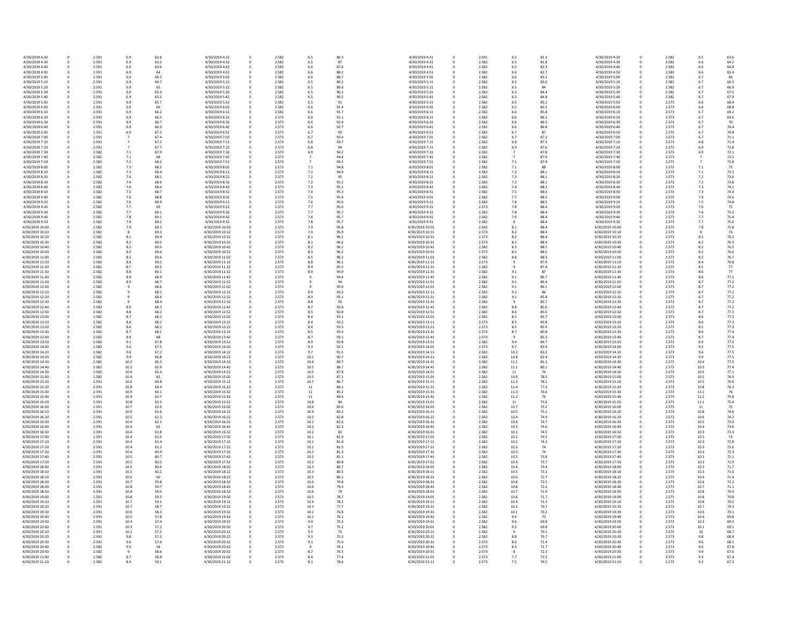| 4/30/2019 4:20  | 0 | 2.591 | 6.9  | 62.8 | 4/30/2019 4:22  | 0        | 2.582 | 6.5  | 86.3 | 4/30/2019 4:21  |
|-----------------|---|-------|------|------|-----------------|----------|-------|------|------|-----------------|
| 4/30/2019 4:30  | 0 | 2.591 | 6.9  | 63.2 | 4/30/2019 4:32  | $\Omega$ | 2.582 | 6.5  | 87   | 4/30/2019 4:31  |
| 4/30/2019 4:40  |   | 2.591 | 6.9  | 63.6 | 4/30/2019 4:42  |          | 2.582 | 6.6  | 87.6 | 4/30/2019 4:41  |
|                 |   | 2.591 |      |      | 4/30/2019 4:52  |          | 2.582 |      | 88.2 | 4/30/2019 4:51  |
| 4/30/2019 4:50  | 0 |       | 6.9  | 64   |                 |          |       | 6.6  |      |                 |
| 4/30/2019 5:00  |   | 2.591 | 6.9  | 64.3 | 4/30/2019 5:02  |          | 2.582 | 6.6  | 88.7 | 4/30/2019 5:01  |
| 4/30/2019 5:10  |   | 2.591 | 6.9  | 64.7 | 4/30/2019 5:12  |          | 2.582 | 6.5  | 89.2 | 4/30/2019 5:11  |
| 4/30/2019 5:20  |   | 2.591 | 6.9  | 65   | 4/30/2019 5:22  |          | 2.582 | 6.5  | 89.6 | 4/30/2019 5:21  |
| 4/30/2019 5:30  |   | 2.591 | 6.9  | 65.3 | 4/30/2019 5:32  |          | 2.582 | 6.5  | 90.1 | 4/30/2019 5:31  |
|                 |   |       |      |      |                 |          |       |      |      |                 |
| 4/30/2019 5:40  |   | 2.591 | 6.9  | 65.5 | 4/30/2019 5:42  |          | 2.582 | 6.5  | 90.5 | 4/30/2019 5:41  |
| 4/30/2019 5:50  | 0 | 2.591 | 6.9  | 65.7 | 4/30/2019 5:52  |          | 2.582 | 6.5  | 91   | 4/30/2019 5:51  |
| 4/30/2019 6:00  |   | 2.591 | 6.9  | 66   | 4/30/2019 6:02  |          | 2.582 | 6.6  | 91.4 | 4/30/2019 6:01  |
| 4/30/2019 6:10  |   | 2.591 | 6.9  | 66.2 | 4/30/2019 6:12  |          | 2.582 | 6.6  | 91.7 | 4/30/2019 6:11  |
|                 |   |       |      |      |                 |          |       |      |      |                 |
| 4/30/2019 6:20  |   | 2.591 | 6.9  | 66.5 | 4/30/2019 6:22  |          | 2.573 | 6.6  | 92.1 | 4/30/2019 6:21  |
| 4/30/2019 6:30  |   | 2.591 | 6.9  | 66.7 | 4/30/2019 6:32  |          | 2.573 | 6.6  | 92.4 | 4/30/2019 6:31  |
| 4/30/2019 6:40  |   | 2.591 | 6.9  | 66.9 | 4/30/2019 6:42  |          | 2.573 | 6.6  | 92.7 | 4/30/2019 6:41  |
| 4/30/2019 6:50  |   | 2.591 | 6.9  | 67.2 | 4/30/2019 6:52  |          | 2.573 | 6.7  | 93   | 4/30/2019 6:51  |
| 4/30/2019 7:00  |   | 2.591 |      | 67.4 | 4/30/2019 7:02  |          | 2.573 | 6.7  | 93.4 | 4/30/2019 7:01  |
|                 |   |       |      |      |                 |          |       |      |      |                 |
| 4/30/2019 7:10  |   | 2.591 |      | 67.5 | 4/30/2019 7:12  |          | 2.573 | 6.8  | 93.7 | 4/30/2019 7:11  |
| 4/30/2019 7:20  |   | 2.591 |      | 67.7 | 4/30/2019 7:22  |          | 2.573 | 6.8  | 94   | 4/30/2019 7:21  |
| 4/30/2019 7:30  |   | 2.582 | 7.1  | 67.9 | 4/30/2019 7:32  |          | 2.573 | 6.9  | 94.2 | 4/30/2019 7:31  |
| 4/30/2019 7:40  |   | 2.582 | 7.1  | 68   | 4/30/2019 7:42  |          | 2.573 |      | 94.4 | 4/30/2019 7:41  |
| 4/30/2019 7:50  |   | 2.582 | 7.2  | 68.2 | 4/30/2019 7:52  |          | 2.573 |      | 94.5 | 4/30/2019 7:51  |
|                 |   |       |      |      |                 |          |       |      |      |                 |
| 4/30/2019 8:00  | 0 | 2.582 | 7.3  | 68.3 | 4/30/2019 8:02  |          | 2.573 | 7.1  | 94.8 | 4/30/2019 8:01  |
| 4/30/2019 8:10  |   | 2.582 | 7.3  | 68.4 | 4/30/2019 8:12  |          | 2.573 | 7.1  | 94.9 | 4/30/2019 8:11  |
| 4/30/2019 8:20  |   | 2.582 | 7.4  | 68.5 | 4/30/2019 8:22  |          | 2.573 | 7.2  | 95   | 4/30/2019 8:21  |
| 4/30/2019 8:30  |   | 2.582 | 7.4  | 68.6 | 4/30/2019 8:32  |          | 2.573 | 7.2  | 95.2 | 4/30/2019 8:31  |
|                 |   |       |      |      |                 |          |       |      |      |                 |
| 4/30/2019 8:40  |   | 2.582 | 7.4  | 68.6 | 4/30/2019 8:42  |          | 2.573 | 7.3  | 95.2 | 4/30/2019 8:41  |
| 4/30/2019 8:50  |   | 2.582 | 7.5  | 68.7 | 4/30/2019 8:52  |          | 2.573 | 7.4  | 95.3 | 4/30/2019 8:51  |
| 4/30/2019 9:00  | 0 | 2.582 | 7.6  | 68.8 | 4/30/2019 9:02  |          | 2.573 | 7.5  | 95.4 | 4/30/2019 9:01  |
| 4/30/2019 9:10  |   | 2.582 | 7.6  | 68.9 | 4/30/2019 9:12  |          | 2.573 | 7.6  | 95.6 | 4/30/2019 9:11  |
| 4/30/2019 9:20  |   | 2.582 | 7.7  | 69   | 4/30/2019 9:22  | 0        | 2.573 | 7.7  | 95.6 | 4/30/2019 9:21  |
|                 |   |       |      |      |                 |          |       |      |      |                 |
| 4/30/2019 9:30  | 0 | 2.582 | 7.7  | 69.1 | 4/30/2019 9:32  | 0        | 2.573 | 7.7  | 95.7 | 4/30/2019 9:31  |
| 4/30/2019 9:40  |   | 2.582 | 7.8  | 69.1 | 4/30/2019 9:42  | 0        | 2.573 | 7.8  | 95.7 | 4/30/2019 9:41  |
| 4/30/2019 9:50  |   | 2.582 | 7.9  | 69.2 | 4/30/2019 9:52  |          | 2.573 | 7.8  | 95.7 | 4/30/2019 9:51  |
| 4/30/2019 10:00 |   | 2.582 | 7.9  | 69.3 | 4/30/2019 10:02 |          | 2.573 | 7.9  | 95.8 | 4/30/2019 10:01 |
|                 |   |       |      |      |                 |          |       |      |      |                 |
| 4/30/2019 10:10 | 0 | 2.582 |      | 69.3 | 4/30/2019 10:12 |          | 2.573 | 7.9  | 95.9 | 4/30/2019 10:11 |
| 4/30/2019 10:20 |   | 2.582 | 8.1  | 69.4 | 4/30/2019 10:22 |          | 2.573 | 8.1  | 96.1 | 4/30/2019 10:21 |
| 4/30/2019 10:30 |   | 2.582 | 8.2  | 69.5 | 4/30/2019 10:32 |          | 2.573 | 8.1  | 96.2 | 4/30/2019 10:31 |
| 4/30/2019 10:40 | 0 | 2.582 | 8.2  | 69.5 | 4/30/2019 10:42 |          | 2.573 | 8.2  | 96.2 | 4/30/2019 10:41 |
|                 |   |       |      |      |                 |          |       |      |      |                 |
| 4/30/2019 10:50 |   | 2.582 | 8.3  | 69.6 | 4/30/2019 10:52 |          | 2.573 | 8.3  | 96.2 | 4/30/2019 10:51 |
| 4/30/2019 11:00 |   | 2.582 | 8.5  | 69.6 | 4/30/2019 11:02 |          | 2.573 | 8.5  | 96.2 | 4/30/2019 11:01 |
| 4/30/2019 11:10 | 0 | 2.582 | 8.6  | 69.5 | 4/30/2019 11:12 |          | 2.573 | 8.8  | 96.1 | 4/30/2019 11:11 |
| 4/30/2019 11:20 |   | 2.582 | 8.7  | 69.3 | 4/30/2019 11:22 |          | 2.573 | 8.9  | 95.5 | 4/30/2019 11:21 |
|                 |   |       |      |      |                 |          |       |      |      |                 |
| 4/30/2019 11:30 |   | 2.582 | 8.8  | 69.1 | 4/30/2019 11:32 |          | 2.573 | 8.9  | 94.9 | 4/30/2019 11:31 |
| 4/30/2019 11:40 | 0 | 2.582 | 8.9  | 68.9 | 4/30/2019 11:42 |          | 2.573 |      | 94.4 | 4/30/2019 11:41 |
| 4/30/2019 11:50 |   | 2.582 | 8.9  | 68.7 | 4/30/2019 11:52 |          | 2.573 |      | 94   | 4/30/2019 11:51 |
| 4/30/2019 12:00 |   | 2.582 |      | 68.6 | 4/30/2019 12:02 |          | 2.573 |      | 93.6 | 4/30/2019 12:01 |
| 4/30/2019 12:10 |   | 2.582 |      | 68.5 | 4/30/2019 12:12 |          | 2.573 | 8.9  | 93.3 | 4/30/2019 12:11 |
|                 |   |       |      |      |                 |          |       |      |      |                 |
| 4/30/2019 12:20 |   | 2.582 |      | 68.4 | 4/30/2019 12:22 |          | 2.573 | 8.9  | 93.1 | 4/30/2019 12:21 |
| 4/30/2019 12:30 |   | 2.582 |      | 68.4 | 4/30/2019 12:32 |          | 2.573 | 8.8  | 93   | 4/30/2019 12:31 |
| 4/30/2019 12:40 |   | 2.582 | 8.9  | 68.3 | 4/30/2019 12:42 |          | 2.573 | 8.7  | 92.8 | 4/30/2019 12:41 |
| 4/30/2019 12:50 |   | 2.582 | 8.8  | 68.2 | 4/30/2019 12:52 |          | 2.573 | 8.5  | 92.8 | 4/30/2019 12:51 |
|                 |   |       |      |      |                 |          |       |      |      |                 |
| 4/30/2019 13:00 |   | 2.582 | 8.7  | 68.2 | 4/30/2019 13:02 |          | 2.573 | 8.4  | 93.1 | 4/30/2019 13:01 |
| 4/30/2019 13:10 |   | 2.582 | 8.6  | 68.2 | 4/30/2019 13:12 |          | 2.573 | 8.4  | 93.2 | 4/30/2019 13:11 |
| 4/30/2019 13:20 | 0 | 2.582 | 8.6  | 68.2 | 4/30/2019 13:22 |          | 2.573 | 8.4  | 93.3 | 4/30/2019 13:21 |
| 4/30/2019 13:30 |   | 2.582 | 8.7  | 68.1 | 4/30/2019 13:32 |          | 2.573 | 8.5  | 93.3 | 4/30/2019 13:31 |
|                 |   |       |      |      |                 |          |       |      |      |                 |
| 4/30/2019 13:40 |   | 2.582 | 8.9  | 68   | 4/30/2019 13:42 |          | 2.573 | 8.7  | 93.1 | 4/30/2019 13:41 |
| 4/30/2019 13:50 |   | 2.582 | 9.1  | 67.8 | 4/30/2019 13:52 |          | 2.573 | 8.9  | 92.8 | 4/30/2019 13:51 |
| 4/30/2019 14:00 |   | 2.582 | 9.4  | 67.5 | 4/30/2019 14:02 |          | 2.573 | 9.3  | 92.1 | 4/30/2019 14:01 |
| 4/30/2019 14:10 |   | 2.582 | 9.6  | 67.2 | 4/30/2019 14:12 |          | 2.573 | 9.7  | 91.5 | 4/30/2019 14:11 |
| 4/30/2019 14:20 | 0 | 2.582 | 9.9  | 66.8 | 4/30/2019 14:22 |          | 2.573 | 10.1 | 90.7 | 4/30/2019 14:21 |
|                 |   |       |      |      |                 |          |       |      |      |                 |
| 4/30/2019 14:30 |   | 2.582 | 10.2 | 66.3 | 4/30/2019 14:32 |          | 2.573 | 10.4 | 89.7 | 4/30/2019 14:31 |
| 4/30/2019 14:40 | 0 | 2.582 | 10.3 | 65.9 | 4/30/2019 14:42 |          | 2.573 | 10.5 | 88.7 | 4/30/2019 14:41 |
| 4/30/2019 14:50 | 0 | 2.582 | 10.4 | 65.4 | 4/30/2019 14:52 | 0        | 2.573 | 10.5 | 87.8 | 4/30/2019 14:51 |
| 4/30/2019 15:00 | 0 | 2.582 | 10.4 | 65   | 4/30/2019 15:02 | 0        | 2.573 | 10.5 | 87.1 | 4/30/2019 15:01 |
|                 |   |       |      |      |                 |          |       |      |      |                 |
| 4/30/2019 15:10 |   | 2.591 | 10.6 | 64.8 | 4/30/2019 15:12 |          | 2.573 | 10.7 | 86.7 | 4/30/2019 15:11 |
| 4/30/2019 15:20 | 0 | 2.591 | 10.8 | 64.4 | 4/30/2019 15:22 |          | 2.573 | 11   | 86.1 | 4/30/2019 15:21 |
| 4/30/2019 15:30 |   | 2.591 | 10.9 | 64.1 | 4/30/2019 15:32 |          | 2.573 | 11   | 85.2 | 4/30/2019 15:31 |
| 4/30/2019 15:40 |   | 2.591 | 10.9 | 63.7 | 4/30/2019 15:42 |          | 2.573 | 11   | 84.6 | 4/30/2019 15:41 |
| 4/30/2019 15:50 | 0 | 2.591 | 10.8 | 63.3 | 4/30/2019 15:52 |          | 2.573 | 10.8 | 84   | 4/30/2019 15:51 |
|                 |   |       |      |      |                 |          |       |      |      |                 |
| 4/30/2019 16:00 | 0 | 2.591 | 10.7 | 62.9 | 4/30/2019 16:02 |          | 2.573 | 10.6 | 83.6 | 4/30/2019 16:01 |
| 4/30/2019 16:10 | 0 | 2.591 | 10.6 | 62.6 | 4/30/2019 16:12 |          | 2.573 | 10.4 | 83.2 | 4/30/2019 16:11 |
| 4/30/2019 16:20 |   | 2.591 | 10.5 | 62.3 | 4/30/2019 16:22 |          | 2.573 | 10.3 | 82.8 | 4/30/2019 16:21 |
| 4/30/2019 16:30 | 0 | 2.591 | 10.4 | 62.1 | 4/30/2019 16:32 |          | 2.573 | 10.2 | 82.6 | 4/30/2019 16:31 |
|                 |   |       |      |      |                 |          |       |      |      |                 |
| 4/30/2019 16:40 |   | 2.591 | 10.4 | 62   | 4/30/2019 16:42 |          | 2.573 | 10.2 | 82.3 | 4/30/2019 16:41 |
| 4/30/2019 16:50 | 0 | 2.591 | 10.4 | 61.8 | 4/30/2019 16:52 |          | 2.573 | 10.2 | 82   | 4/30/2019 16:51 |
| 4/30/2019 17:00 | 0 | 2.591 | 10.4 | 61.6 | 4/30/2019 17:02 |          | 2.573 | 10.1 | 81.9 | 4/30/2019 17:01 |
| 4/30/2019 17:10 |   | 2.591 | 10.4 | 61.4 | 4/30/2019 17:12 |          | 2.573 | 10.1 | 81.8 | 4/30/2019 17:11 |
| 4/30/2019 17:20 |   | 2.591 | 10.4 | 61.2 | 4/30/2019 17:22 |          | 2.573 | 10.2 | 81.5 | 4/30/2019 17:21 |
|                 |   |       |      |      |                 |          |       |      |      |                 |
| 4/30/2019 17:30 | 0 | 2.591 | 10.4 | 60.9 | 4/30/2019 17:32 |          | 2.573 | 10.2 | 81.3 | 4/30/2019 17:31 |
| 4/30/2019 17:40 |   | 2.591 | 10.5 | 60.7 | 4/30/2019 17:42 |          | 2.573 | 10.2 | 81.1 | 4/30/2019 17:41 |
| 4/30/2019 17:50 | 0 | 2.591 | 10.5 | 60.5 | 4/30/2019 17:52 |          | 2.573 | 10.2 | 80.8 | 4/30/2019 17:51 |
| 4/30/2019 18:00 | 0 | 2.591 | 10.5 | 60.4 | 4/30/2019 18:02 |          | 2.573 | 10.3 | 80.7 | 4/30/2019 18:01 |
|                 |   |       |      |      |                 |          |       |      |      |                 |
| 4/30/2019 18:10 |   | 2.591 | 10.5 | 60.2 | 4/30/2019 18:12 |          | 2.573 | 10.3 | 80.5 | 4/30/2019 18:11 |
| 4/30/2019 18:20 |   | 2.591 | 10.6 | 60   | 4/30/2019 18:22 |          | 2.573 | 10.5 | 80.1 | 4/30/2019 18:21 |
| 4/30/2019 18:30 |   | 2.591 | 10.7 | 59.8 | 4/30/2019 18:32 |          | 2.573 | 10.6 | 79.8 | 4/30/2019 18:31 |
| 4/30/2019 18:40 | 0 | 2.591 | 10.8 | 59.7 | 4/30/2019 18:42 |          | 2.573 | 10.6 | 79.3 | 4/30/2019 18:41 |
|                 |   |       |      |      |                 |          |       |      |      |                 |
| 4/30/2019 18:50 | 0 | 2.591 | 10.8 | 59.5 | 4/30/2019 18:52 |          | 2.573 | 10.6 | 79   | 4/30/2019 18:51 |
| 4/30/2019 19:00 | 0 | 2.591 | 10.8 | 59.3 | 4/30/2019 19:02 |          | 2.573 | 10.5 | 78.7 | 4/30/2019 19:01 |
| 4/30/2019 19:10 | 0 | 2.591 | 10.7 | 59.1 | 4/30/2019 19:12 |          | 2.573 | 10.4 | 78.2 | 4/30/2019 19:11 |
|                 |   |       | 10.7 |      |                 |          | 2.573 |      | 77.7 | 4/30/2019 19:21 |
| 4/30/2019 19:20 | 0 | 2.591 |      | 58.7 | 4/30/2019 19:22 |          |       | 10.3 |      |                 |
| 4/30/2019 19:30 | 0 | 2.591 | 10.6 | 58.3 | 4/30/2019 19:32 |          | 2.573 | 10.2 | 76.8 | 4/30/2019 19:31 |
| 4/30/2019 19:40 | 0 | 2.591 | 10.5 | 57.8 | 4/30/2019 19:42 |          | 2.573 | 10.1 | 76.1 | 4/30/2019 19:41 |
| 4/30/2019 19:50 |   | 2.591 | 10.4 | 57.4 | 4/30/2019 19:52 |          | 2.573 | 9.9  | 75.5 | 4/30/2019 19:51 |
| 4/30/2019 20:00 | 0 | 2.591 | 10.3 | 57.2 | 4/30/2019 20:02 | 0        | 2.573 | 9.7  | 75.2 | 4/30/2019 20:01 |
|                 |   |       |      |      |                 |          |       |      |      |                 |
| 4/30/2019 20:10 | 0 | 2.591 | 10.1 | 57.2 | 4/30/2019 20:12 | 0        | 2.573 | 9.5  | 75   | 4/30/2019 20:11 |
| 4/30/2019 20:20 | 0 | 2.591 | 9.8  | 57.3 | 4/30/2019 20:22 | 0        | 2.573 | 9.3  | 75.3 | 4/30/2019 20:21 |
| 4/30/2019 20:30 |   | 2.591 | 9.6  | 57.6 | 4/30/2019 20:32 |          | 2.573 | 9.1  | 75.6 | 4/30/2019 20:31 |
| 4/30/2019 20:40 |   | 2.582 | 9.3  | 58   | 4/30/2019 20:42 |          | 2.573 | 9    | 76.1 | 4/30/2019 20:41 |
|                 |   |       |      |      |                 |          |       |      |      |                 |
| 4/30/2019 20:50 |   | 2.582 |      | 58.6 | 4/30/2019 20:52 |          | 2.573 | 8.7  | 76.5 | 4/30/2019 20:51 |
| 4/30/2019 21:00 |   | 2.582 | 8.7  | 58.8 | 4/30/2019 21:02 |          | 2.573 | 8.4  | 77.4 | 4/30/2019 21:01 |
| 4/30/2019 21:10 | 0 | 2.582 | 8.4  | 59.1 | 4/30/2019 21:12 | 0        | 2.573 | 8.1  | 78.6 | 4/30/2019 21:11 |

| .5             | 86.3         | 4/30/2019 4:21                     | 0      | 2.591          | 6.5            | 81.3         | 4/30/2019 4:20                     |
|----------------|--------------|------------------------------------|--------|----------------|----------------|--------------|------------------------------------|
| $.5\,$         | 87           | 4/30/2019 4:31                     | 0      | 2.582          | 6.5            | 81.8         | 4/30/2019 4:30                     |
| .6             | 87.6         | 4/30/2019 4:41                     | 0      | 2.582          | 6.5            | 82.3         | 4/30/2019 4:40                     |
| .6             | 88.2         | 4/30/2019 4:51                     | 0      | 2.582          | 6.6            | 82.7         | 4/30/2019 4:50                     |
| i.6            | 88.7         | 4/30/2019 5:01                     | 0      | 2.582          | 6.6            | 83.2         | 4/30/2019 5:00                     |
| 5.5            | 89.2         | 4/30/2019 5:11                     | 0      | 2.582          | 6.5            | 83.6         | 4/30/2019 5:10                     |
| 5.5            | 89.6         | 4/30/2019 5:21                     | 0      | 2.582          | 6.5            | 84           | 4/30/2019 5:20                     |
| 5.5            | 90.1         | 4/30/2019 5:31                     | 0      | 2.582          | 6.5            | 84.4         | 4/30/2019 5:30                     |
| $.5\,$         | 90.5         | 4/30/2019 5:41                     | 0      | 2.582          | 6.5            | 84.8         | 4/30/2019 5:40                     |
| $.5\,$         | 91           | 4/30/2019 5:51                     | 0      | 2.582          | 6.5            | 85.1         | 4/30/2019 5:50                     |
|                | 91.4         | 4/30/2019 6:01                     |        | 2.582          | 6.5            |              | 4/30/2019 6:00                     |
| i.6            |              |                                    | 0      |                |                | 85.5         |                                    |
| i.6            | 91.7         | 4/30/2019 6:11                     | 0      | 2.582          | 6.6            | 85.8         | 4/30/2019 6:10                     |
| i.6            | 92.1         | 4/30/2019 6:21                     | 0      | 2.582          | 6.6            | 86.2         | 4/30/2019 6:20                     |
| .6             | 92.4         | 4/30/2019 6:31                     | 0      | 2.582          | 6.6            | 86.5         | 4/30/2019 6:30                     |
| i.6            | 92.7         | 4/30/2019 6:41                     | 0      | 2.582          | 6.6            | 86.8         | 4/30/2019 6:40                     |
| i.7            | 93           | 4/30/2019 6:51                     | 0      | 2.582          | 6.7            | 87           | 4/30/2019 6:50                     |
| .7             | 93.4         | 4/30/2019 7:01                     | 0      | 2.582          | 6.7            | 87.2         | 4/30/2019 7:00                     |
| .8             | 93.7         | 4/30/2019 7:11                     | 0      | 2.582          | 6.8            | 87.5         | 4/30/2019 7:10                     |
| .8             | 94           | 4/30/2019 7:21                     | 0      | 2.582          | 6.9            | 87.6         | 4/30/2019 7:20                     |
| i.9            | 94.2         | 4/30/2019 7:31                     | 0      | 2.582          | $\overline{7}$ | 87.8         | 4/30/2019 7:30                     |
|                | 94.4         | 4/30/2019 7:41                     |        | 2.582          | $\overline{7}$ | 87.9         | 4/30/2019 7:40                     |
|                |              |                                    | 0      |                |                |              |                                    |
|                | 94.5         | 4/30/2019 7:51                     | 0      | 2.582          | $7.1\,$        | 87.9         | 4/30/2019 7:50                     |
|                | 94.8         | 4/30/2019 8:01                     | 0      | 2.582          | $7.1\,$        | 88           | 4/30/2019 8:00                     |
|                | 94.9         | 4/30/2019 8:11                     | 0      | 2.582          | 7.2            | 88.1         | 4/30/2019 8:10                     |
| $^{\prime}.2$  | 95           | 4/30/2019 8:21                     | 0      | 2.582          | 7.3            | 88.1         | 4/30/2019 8:20                     |
| $^{\prime}$ .2 | 95.2         | 4/30/2019 8:31                     | 0      | 2.582          | 7.3            | 88.1         | 4/30/2019 8:30                     |
| Ά.             | 95.2         | 4/30/2019 8:41                     | 0      | 2.582          | 7.4            | 88.3         | 4/30/2019 8:40                     |
| $^{\prime}.4$  | 95.3         | 4/30/2019 8:51                     | 0      | 2.582          | 7.5            | 88.5         | 4/30/2019 8:50                     |
| $^{\prime}.5$  | 95.4         | 4/30/2019 9:01                     | 0      | 2.582          | 7.7            | 88.5         | 4/30/2019 9:00                     |
|                |              |                                    |        |                |                |              |                                    |
| .6             | 95.6         | 4/30/2019 9:11                     | 0      | 2.582          | 7.8            | 88.5         | 4/30/2019 9:10                     |
| .7             | 95.6         | 4/30/2019 9:21                     | 0      | 2.573          | 7.8            | 88.4         | 4/30/2019 9:20                     |
|                | 95.7         | 4/30/2019 9:31                     | 0      | 2.582          | 7.8            | 88.4         | 4/30/2019 9:30                     |
| .8             | 95.7         | 4/30/2019 9:41                     | 0      | 2.582          | 7.9            | 88.4         | 4/30/2019 9:40                     |
| $^{\prime}.8$  | 95.7         | 4/30/2019 9:51                     | 0      | 2.582          | 8              | 88.4         | 4/30/2019 9:50                     |
| و.             | 95.8         | 4/30/2019 10:01                    | 0      | 2.582          | 8.1            | 88.4         | 4/30/2019 10:00                    |
| و.             | 95.9         | 4/30/2019 10:11                    | 0      | 2.573          | 8.2            | 88.4         | 4/30/2019 10:10                    |
| .1             | 96.1         | 4/30/2019 10:21                    | 0      | 2.573          | 8.2            | 88.4         | 4/30/2019 10:20                    |
| .1             | 96.2         | 4/30/2019 10:31                    | 0      | 2.573          | 8.2            | 88.4         | 4/30/2019 10:30                    |
|                | 96.2         | 4/30/2019 10:41                    | 0      | 2.582          | 8.3            | 88.5         | 4/30/2019 10:40                    |
| .2             |              |                                    |        |                |                |              |                                    |
| 3.3            | 96.2         | 4/30/2019 10:51                    | 0      | 2.573          | 8.5            | 88.5         | 4/30/2019 10:50                    |
| .5             | 96.2         | 4/30/2019 11:01                    | 0      | 2.582          | 8.8            | 88.3         | 4/30/2019 11:00                    |
| .8             | 96.1         | 4/30/2019 11:11                    | 0      | 2.573          | 9              | 87.9         | 4/30/2019 11:10                    |
| و.;            | 95.5         | 4/30/2019 11:21                    | 0      | 2.582          | 9              | 87.4         | 4/30/2019 11:20                    |
| 9.             | 94.9         | 4/30/2019 11:31                    | 0      | 2.582          | 9.1            | 87           | 4/30/2019 11:30                    |
|                | 94.4         | 4/30/2019 11:41                    | 0      | 2.582          | 9.1            | 86.7         | 4/30/2019 11:40                    |
| 9              | 94           | 4/30/2019 11:51                    | 0      | 2.582          | 9.1            | 86.4         | 4/30/2019 11:50                    |
| 9              | 93.6         | 4/30/2019 12:01                    | 0      | 2.582          | 9.1            | 86.1         | 4/30/2019 12:00                    |
| .9             | 93.3         | 4/30/2019 12:11                    | 0      | 2.582          | 9.2            | 86           | 4/30/2019 12:10                    |
|                |              |                                    |        |                |                |              |                                    |
| و.;            | 93.1         | 4/30/2019 12:21                    | 0      | 2.582          | 9.1            | 85.8         | 4/30/2019 12:20                    |
| .8             | 93           | 4/30/2019 12:31                    | 0      | 2.582          | 9              | 85.7         | 4/30/2019 12:30                    |
| .7             | 92.8         | 4/30/2019 12:41                    | 0      | 2.582          | 8.8            | 85.6         | 4/30/2019 12:40                    |
| .5             | 92.8         | 4/30/2019 12:51                    | 0      | 2.582          | 8.6            | 85.6         | 4/30/2019 12:50                    |
| .4             | 93.1         | 4/30/2019 13:01                    | 0      | 2.582          | 8.5            | 85.7         | 4/30/2019 13:00                    |
| .4             | 93.2         | 4/30/2019 13:11                    | 0      | 2.573          | 8.5            | 85.8         | 4/30/2019 13:10                    |
| , 4            | 93.3         | 4/30/2019 13:21                    | 0      | 2.573          | 8.5            | 85.9         | 4/30/2019 13:20                    |
| .5             | 93.3         | 4/30/2019 13:31                    | 0      | 2.573          | 8.7            | 85.8         | 4/30/2019 13:30                    |
| .7             | 93.1         | 4/30/2019 13:41                    | 0      | 2.573          | 9              | 85.3         | 4/30/2019 13:40                    |
|                |              | 4/30/2019 13:51                    |        |                |                |              |                                    |
| 9.ג            | 92.8         |                                    | 0      | 2.582          | 9.4            | 84.7         | 4/30/2019 13:50                    |
| .3             | 92.1         | 4/30/2019 14:01                    | 0      | 2.573          | 9.7            | 83.9         | 4/30/2019 14:00                    |
| .7             | 91.5         | 4/30/2019 14:11                    | 0      | 2.582          | 10.2           | 83.2         | 4/30/2019 14:10                    |
| 0.1            | 90.7         | 4/30/2019 14:21                    | 0      | 2.582          | 10.8           | 82.4         | 4/30/2019 14:20                    |
| 0.4            | 89.7         | 4/30/2019 14:31                    | 0      | 2.582          | 11.1           | 81.2         | 4/30/2019 14:30                    |
| 0.5            | 88.7         | 4/30/2019 14:41                    | 0      | 2.582          | $11.1\,$       | 80.1         | 4/30/2019 14:40                    |
| 0.5            | 87.8         | 4/30/2019 14:51                    | 0      | 2.582          | $11\,$         | 79           | 4/30/2019 14:50                    |
| 0.5            | 87.1         | 4/30/2019 15:01                    | 0      | 2.582          | 10.9           | 78.5         | 4/30/2019 15:00                    |
| 0.7            | 86.7         | 4/30/2019 15:11                    | 0      | 2.582          | 11.3           | 78.1         | 4/30/2019 15:10                    |
|                |              |                                    |        |                |                |              |                                    |
| L1             | 86.1         | 4/30/2019 15:21                    | 0      | 2.582          | 11.4           | 77.3         | 4/30/2019 15:20                    |
| L1             | 85.2         | 4/30/2019 15:31                    | 0      | 2.582          | 11.3           | 76.6         | 4/30/2019 15:30                    |
| L1             | 84.6         | 4/30/2019 15:41                    | 0      | 2.582          | 11.2           | 76           | 4/30/2019 15:40                    |
| 0.8            | 84           | 4/30/2019 15:51                    | 0      | 2.582          | 11             | 75.6         | 4/30/2019 15:50                    |
| 0.6            | 83.6         | 4/30/2019 16:01                    | 0      | 2.582          | 10.7           | 75.2         | 4/30/2019 16:00                    |
| 0.4            | 83.2         | 4/30/2019 16:11                    | 0      | 2.582          | 10.5           | 75.1         | 4/30/2019 16:10                    |
| 0.3            | 82.8         | 4/30/2019 16:21                    | 0      | 2.582          | 10.4           | 74.9         | 4/30/2019 16:20                    |
| 0.2            | 82.6         | 4/30/2019 16:31                    | 0      | 2.582          | 10.4           | 74.7         | 4/30/2019 16:30                    |
| 0.2            | 82.3         | 4/30/2019 16:41                    | 0      | 2.582          | 10.3           | 74.6         | 4/30/2019 16:40                    |
| 0.2            | 82           | 4/30/2019 16:51                    | 0      | 2.582          | 10.2           | 74.5         | 4/30/2019 16:50                    |
| 0.1            | 81.9         | 4/30/2019 17:01                    | 0      | 2.582          | 10.2           | 74.5         | 4/30/2019 17:00                    |
| 0.1            | 81.8         | 4/30/2019 17:11                    | 0      | 2.582          | 10.2           | 74.2         | 4/30/2019 17:10                    |
| 0.2            | 81.5         | 4/30/2019 17:21                    | 0      | 2.582          | 10.3           | 74           | 4/30/2019 17:20                    |
|                |              |                                    |        |                |                |              |                                    |
| 0.2            | 81.3         | 4/30/2019 17:31                    | 0      | 2.582          | 10.3           | 74           | 4/30/2019 17:30                    |
| 0.2            | 81.1         | 4/30/2019 17:41                    | 0      | 2.582          | 10.3           | 73.8         | 4/30/2019 17:40                    |
| 0.2            | 80.8         | 4/30/2019 17:51                    | 0      | 2.582          | 10.4           | 73.7         | 4/30/2019 17:50                    |
| 0.3            | 80.7         | 4/30/2019 18:01                    | 0      | 2.582          | 10.4           | 73.4         | 4/30/2019 18:00                    |
| 0.3            | 80.5         | 4/30/2019 18:11                    | 0      | 2.582          | 10.5           | 73.1         | 4/30/2019 18:10                    |
| 0.5            | 80.1         | 4/30/2019 18:21                    | 0      | 2.582          | 10.6           | 72.7         | 4/30/2019 18:20                    |
| 0.6            | 79.8         | 4/30/2019 18:31                    | 0      | 2.582          | 10.8           | 72.5         | 4/30/2019 18:30                    |
| 0.6            | 79.3         | 4/30/2019 18:41                    | 0      | 2.582          | 10.8           | 72.2         | 4/30/2019 18:40                    |
| 0.6            | 79           | 4/30/2019 18:51                    | 0      | 2.582          | 10.7           | 71.9         | 4/30/2019 18:50                    |
| 0.5            | 78.7         | 4/30/2019 19:01                    | 0      | 2.582          | 10.6           | 71.7         | 4/30/2019 19:00                    |
| 0.4            | 78.2         | 4/30/2019 19:11                    | 0      | 2.582          | 10.4           | 71.5         | 4/30/2019 19:10                    |
|                |              |                                    |        |                |                |              |                                    |
| 0.3            | 77.7         | 4/30/2019 19:21                    | 0      | 2.582          | $10.2$         | 70.7         | 4/30/2019 19:20                    |
| 0.2            | 76.8         | 4/30/2019 19:31                    | 0      | 2.582          | $10.1\,$       | 70.2         | 4/30/2019 19:30                    |
| 0.1            | 76.1         | 4/30/2019 19:41                    | 0      | 2.582          | 9.9            | 70           | 4/30/2019 19:40                    |
| و.             | 75.5         | 4/30/2019 19:51                    | 0      | 2.582          | 9.6            | 69.8         | 4/30/2019 19:50                    |
| .7             | 75.2         | 4/30/2019 20:01                    | 0      | 2.582          | 9.3            | 69.8         | 4/30/2019 20:00                    |
| $.5\,$         | 75           | 4/30/2019 20:11                    | 0      | 2.582          | 9              | 70.1         | 4/30/2019 20:10                    |
| .3             | 75.3         | 4/30/2019 20:21                    | 0      | 2.582          | 8.8            | 70.7         | 4/30/2019 20:20                    |
| .1             | 75.6         | 4/30/2019 20:31                    | 0      | 2.573          | 8.6            | 71.4         | 4/30/2019 20:30                    |
| 9              | 76.1         | 4/30/2019 20:41                    | 0      | 2.573          | 8.3            | 71.7         | 4/30/2019 20:40                    |
| .7             | 76.5         | 4/30/2019 20:51                    | 0      | 2.573          | 8              | 72.3         | 4/30/2019 20:50                    |
|                |              |                                    |        |                |                |              |                                    |
|                |              |                                    |        |                |                |              |                                    |
| .4<br>.1       | 77.4<br>78.6 | 4/30/2019 21:01<br>4/30/2019 21:11 | 0<br>0 | 2.573<br>2.573 | 7.7<br>7.5     | 73.3<br>74.5 | 4/30/2019 21:00<br>4/30/2019 21:10 |

| 0 | 2.582 | 6.5            | 63.6 |
|---|-------|----------------|------|
|   | 2.582 |                |      |
| 0 |       | 6.6            | 64.2 |
| 0 | 2.582 | 6.6            | 64.8 |
| 0 | 2.582 | 6.6            | 65.4 |
| 0 | 2.582 | 6.7            | 66   |
| 0 | 2.582 | 6.7            | 66.5 |
| 0 | 2.582 | 6.7            | 66.9 |
|   |       |                |      |
| 0 | 2.582 | 6.7            | 67.5 |
| 0 | 2.582 | 6.7            | 67.9 |
| 0 | 2.573 | 6.6            | 68.4 |
| 0 | 2.573 | 6.6            | 68.8 |
|   |       |                |      |
| 0 | 2.573 | 6.7            | 69.2 |
| 0 | 2.573 | 6.7            | 69.6 |
| 0 | 2.573 | 6.7            | 70   |
| 0 | 2.573 | 6.7            | 70.4 |
|   | 2.573 | 6.7            | 70.8 |
| 0 |       |                |      |
| 0 | 2.573 | 6.7            | 71.1 |
| 0 | 2.573 | 6.8            | 71.4 |
| 0 | 2.573 | 6.9            | 71.8 |
|   |       | 6.9            |      |
| 0 | 2.573 |                | 72.1 |
| 0 | 2.573 | $\overline{7}$ | 72.5 |
| 0 | 2.573 | $\overline{7}$ | 72.8 |
| 0 | 2.573 | 7.1            | 73   |
| 0 | 2.573 | 7.1            | 73.3 |
|   |       |                |      |
| 0 | 2.573 | 7.2            | 73.6 |
| 0 | 2.573 | 7.2            | 73.8 |
| 0 | 2.573 | 7.3            | 74.1 |
| 0 | 2.573 | 7.3            | 74.4 |
|   |       |                |      |
| 0 | 2.573 | 7.4            | 74.6 |
| 0 | 2.573 | 7.5            | 74.8 |
| 0 | 2.573 | 7.6            | 75   |
| 0 | 2.573 | 7.6            | 75.2 |
|   |       |                |      |
| 0 | 2.573 | 7.7            | 75.4 |
| 0 | 2.573 | 7.7            | 75.6 |
| 0 | 2.573 | 7.8            | 75.8 |
| 0 | 2.573 | 8              | 76   |
|   |       |                |      |
| 0 | 2.573 | 8.1            | 76.2 |
| 0 | 2.573 | 8.2            | 76.3 |
| 0 | 2.573 | 8.2            | 76.5 |
| 0 | 2.573 | 8.2            | 76.6 |
|   |       |                |      |
| 0 | 2.573 | 8.2            | 76.7 |
| 0 | 2.573 | 8.4            | 76.8 |
| 0 | 2.573 | 8.5            | 77   |
| 0 | 2.573 | 8.6            | 77   |
|   |       |                |      |
| 0 | 2.573 | 8.6            | 77.1 |
| 0 | 2.573 | 8.7            | 77.2 |
| 0 | 2.573 | 8.7            | 77.2 |
| 0 | 2.573 | 8.7            | 77.2 |
|   |       |                |      |
| 0 | 2.573 | 8.7            | 77.2 |
| 0 | 2.573 | 8.7            | 77.2 |
| 0 | 2.573 | 8.7            | 77.2 |
| 0 | 2.573 | 8.7            | 77.3 |
|   |       |                |      |
| 0 | 2.573 | 8.6            | 77.3 |
| 0 | 2.573 | 8.6            | 77.3 |
| 0 | 2.573 | 8.5            | 77.3 |
| 0 | 2.573 | 8.6            | 77.4 |
|   |       |                |      |
| 0 | 2.573 | 8.7            | 77.4 |
| 0 | 2.573 | 8.9            | 77.5 |
| 0 | 2.573 | 9.2            | 77.5 |
| 0 | 2.573 | 9.6            | 77.5 |
| 0 | 2.573 | 9.9            | 77.5 |
|   |       |                |      |
| 0 | 2.573 | 10.4           | 77.5 |
| 0 | 2.573 | 10.5           | 77.4 |
| 0 | 2.573 | 10.5           | 77.1 |
| 0 | 2.573 | 10.5           | 76.9 |
|   |       |                |      |
| 0 | 2.573 | 10.5           | 76.6 |
| 0 | 2.573 | 10.8           | 76.3 |
| 0 | 2.573 | 11.1           | 76   |
| 0 | 2.573 | 11.2           | 75.8 |
| 0 | 2.573 | 11.1           | 75.4 |
|   |       |                |      |
| 0 | 2.573 | 11             | 75   |
| 0 | 2.573 | 10.8           | 74.6 |
| 0 | 2.573 | 10.6           | 74.2 |
| 0 | 2.573 | 10.5           | 73.9 |
| 0 | 2.573 | 10.4           | 73.6 |
|   |       |                |      |
| 0 | 2.573 | 10.3           | 73.3 |
| 0 | 2.573 | 10.3           | 73   |
| 0 | 2.573 | 10.3           | 72.8 |
| 0 | 2.573 | 10.3           | 72.6 |
|   |       |                |      |
| 0 | 2.573 | 10.3           | 72.3 |
| 0 | 2.573 | 10.3           | 72.1 |
| 0 | 2.573 | 10.3           | 71.9 |
| 0 | 2.573 | 10.3           | 71.7 |
|   |       |                |      |
| 0 | 2.573 | 10.3           | 71.6 |
| 0 | 2.573 | 10.4           | 71.4 |
| 0 | 2.573 | 10.6           | 71.2 |
| 0 | 2.573 | 10.7           | 71.1 |
|   |       |                |      |
| 0 | 2.573 | 10.8           | 70.9 |
| 0 | 2.573 | 10.8           | 70.8 |
| 0 | 2.573 | 10.8           | 70.5 |
| 0 | 2.573 | 10.7           | 70.3 |
|   |       |                |      |
| 0 | 2.573 | 10.6           | 70.1 |
| 0 | 2.573 | 10.4           | 69.8 |
| 0 | 2.573 | 10.3           | 69.5 |
| 0 | 2.573 | 10.1           | 69.1 |
|   |       |                |      |
| 0 | 2.573 | 10             | 68.7 |
| 0 | 2.573 | 9.8            | 68.4 |
| 0 | 2.573 | 9.6            | 68.1 |
| 0 | 2.573 | 9.6            | 67.8 |
|   |       |                |      |
| 0 | 2.573 | 9.4            | 67.6 |
| 0 | 2.573 | 9.3            | 67.4 |
| 0 | 2.573 | 9.2            | 67.3 |

| ĺ                                                                                           | J                        |  |
|---------------------------------------------------------------------------------------------|--------------------------|--|
| 0                                                                                           |                          |  |
| D                                                                                           |                          |  |
|                                                                                             |                          |  |
| D                                                                                           |                          |  |
| $\overline{0}$                                                                              |                          |  |
| $\overline{\phantom{a}}$                                                                    | )                        |  |
| $\overline{0}$                                                                              |                          |  |
| $\overline{0}$                                                                              |                          |  |
| D                                                                                           |                          |  |
| O                                                                                           |                          |  |
| $\overline{0}$                                                                              |                          |  |
| O                                                                                           |                          |  |
| $\overline{0}$                                                                              |                          |  |
|                                                                                             |                          |  |
| $\overline{0}$                                                                              |                          |  |
| $\overline{0}$                                                                              |                          |  |
| ſ                                                                                           | )                        |  |
| $\overline{0}$                                                                              |                          |  |
| O                                                                                           |                          |  |
| O                                                                                           |                          |  |
| O                                                                                           |                          |  |
| $\overline{0}$                                                                              |                          |  |
| $\mathbf{r}$                                                                                |                          |  |
|                                                                                             | )                        |  |
| O                                                                                           |                          |  |
| ĺ                                                                                           | J                        |  |
| l                                                                                           | )                        |  |
| D                                                                                           |                          |  |
| ĺ                                                                                           | J                        |  |
| ١                                                                                           | J                        |  |
| ĺ                                                                                           | )                        |  |
| ĺ                                                                                           | )                        |  |
|                                                                                             |                          |  |
| ١                                                                                           | J                        |  |
| ׇ֚֓֡                                                                                        | )                        |  |
| ĺ                                                                                           | J                        |  |
| ĺ                                                                                           | $\overline{\phantom{a}}$ |  |
| C                                                                                           | )                        |  |
| D                                                                                           |                          |  |
| 0                                                                                           |                          |  |
| ĺ                                                                                           | )                        |  |
| O                                                                                           |                          |  |
|                                                                                             |                          |  |
| $\overline{0}$                                                                              |                          |  |
| ĺ                                                                                           | J                        |  |
| $\overline{0}$                                                                              |                          |  |
| $\overline{0}$                                                                              |                          |  |
| 0                                                                                           |                          |  |
| $\overline{0}$                                                                              |                          |  |
| $\overline{0}$                                                                              |                          |  |
| O                                                                                           |                          |  |
| ĺ                                                                                           | $\overline{)}$           |  |
|                                                                                             |                          |  |
|                                                                                             |                          |  |
| $\overline{0}$                                                                              |                          |  |
| $\overline{0}$                                                                              |                          |  |
| O                                                                                           |                          |  |
| $\overline{0}$                                                                              |                          |  |
| $\overline{0}$                                                                              |                          |  |
| $\overline{0}$                                                                              |                          |  |
|                                                                                             |                          |  |
| O                                                                                           |                          |  |
| ĺ                                                                                           | J                        |  |
| ĺ                                                                                           | J                        |  |
| 0                                                                                           |                          |  |
| ĺ                                                                                           | )                        |  |
| I                                                                                           | J                        |  |
| ĺ                                                                                           | )                        |  |
| ĺ                                                                                           | )                        |  |
| l                                                                                           | )                        |  |
| ֠                                                                                           | )                        |  |
| ĺ                                                                                           | J                        |  |
|                                                                                             |                          |  |
| O                                                                                           |                          |  |
|                                                                                             |                          |  |
|                                                                                             |                          |  |
|                                                                                             | $\overline{\phantom{a}}$ |  |
|                                                                                             |                          |  |
| $\overline{0}$<br>$\overline{0}$<br>Ċ<br>$\overline{0}$<br>O                                |                          |  |
| $\overline{0}$                                                                              |                          |  |
| $\overline{0}$                                                                              |                          |  |
| 0                                                                                           |                          |  |
|                                                                                             |                          |  |
|                                                                                             |                          |  |
|                                                                                             | $\mathfrak{z}$           |  |
|                                                                                             |                          |  |
| $\overline{0}$<br>ĺ<br>$\overline{0}$<br>$\overline{0}$                                     |                          |  |
|                                                                                             |                          |  |
| O<br>O                                                                                      |                          |  |
|                                                                                             |                          |  |
|                                                                                             |                          |  |
|                                                                                             |                          |  |
|                                                                                             |                          |  |
|                                                                                             |                          |  |
| $\overline{0}$<br>O<br>$\overline{0}$<br>$\overline{0}$<br>$\overline{0}$<br>$\overline{0}$ |                          |  |
|                                                                                             |                          |  |
| $\overline{0}$                                                                              |                          |  |
|                                                                                             |                          |  |
| $\overline{0}$<br>ĺ                                                                         | $\mathfrak{c}$           |  |
| O                                                                                           |                          |  |
| ĺ                                                                                           | J                        |  |
| I                                                                                           | )                        |  |
| ĺ                                                                                           | )                        |  |
| l                                                                                           | )                        |  |
|                                                                                             | )                        |  |
| I<br>l                                                                                      | )                        |  |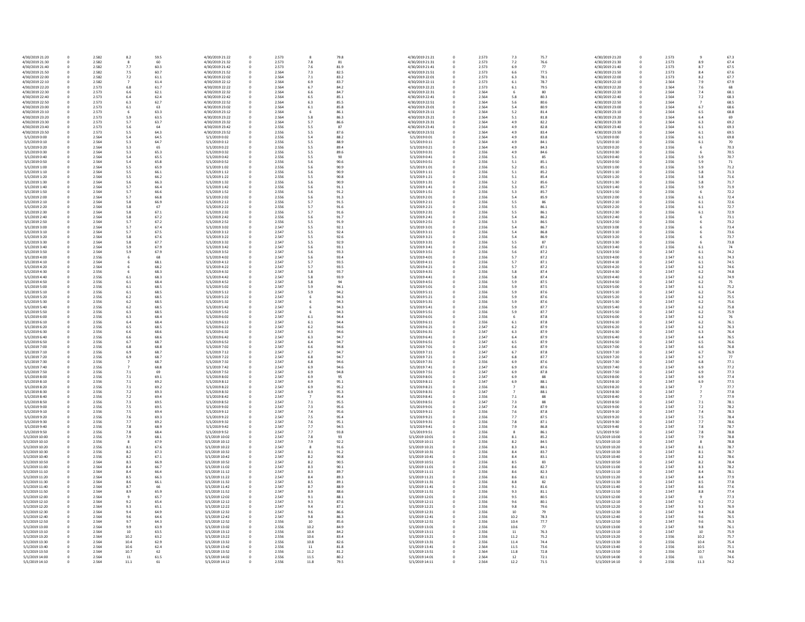| 4/30/2019 21:20 | 0 | 2.582 | 8.2  | 59.5 | 4/30/2019 21:22 | $\mathbf 0$ | 2.573 | 8    | 79.8 | 4/30/2019 21:21 |
|-----------------|---|-------|------|------|-----------------|-------------|-------|------|------|-----------------|
| 4/30/2019 21:30 | 0 | 2.582 | 8    | 60   | 4/30/2019 21:32 | 0           | 2.573 | 7.8  | 81   | 4/30/2019 21:31 |
| 4/30/2019 21:40 | 0 | 2.582 | 7.7  | 60.3 | 4/30/2019 21:42 | 0           | 2.573 | 7.6  | 81.9 | 4/30/2019 21:41 |
|                 |   |       |      | 60.7 |                 |             | 2.564 |      |      |                 |
| 4/30/2019 21:50 | 0 | 2.582 | 7.5  |      | 4/30/2019 21:52 |             |       | 7.3  | 82.5 | 4/30/2019 21:51 |
| 4/30/2019 22:00 | 0 | 2.582 | 7.2  | 61.1 | 4/30/2019 22:02 |             | 2.564 | 7.1  | 83.2 | 4/30/2019 22:01 |
| 4/30/2019 22:10 | 0 | 2.582 |      | 61.4 | 4/30/2019 22:12 | 0           | 2.564 | 6.9  | 83.7 | 4/30/2019 22:11 |
| 4/30/2019 22:20 | 0 | 2.573 | 6.8  | 61.7 | 4/30/2019 22:22 |             | 2.564 | 6.7  | 84.2 | 4/30/2019 22:21 |
| 4/30/2019 22:30 | 0 | 2.573 | 6.6  | 62.1 | 4/30/2019 22:32 |             | 2.564 | 6.6  | 84.7 | 4/30/2019 22:31 |
|                 |   |       |      |      |                 |             |       |      |      |                 |
| 4/30/2019 22:40 | 0 | 2.573 | 6.4  | 62.4 | 4/30/2019 22:42 |             | 2.564 | 6.5  | 85.1 | 4/30/2019 22:41 |
| 4/30/2019 22:50 | 0 | 2.573 | 6.3  | 62.7 | 4/30/2019 22:52 |             | 2.564 | 6.3  | 85.5 | 4/30/2019 22:51 |
| 4/30/2019 23:00 | 0 | 2.573 | 6.1  | 63   | 4/30/2019 23:02 |             | 2.564 | 6.1  | 85.8 | 4/30/2019 23:01 |
| 4/30/2019 23:10 | 0 | 2.573 | 6    | 63.3 | 4/30/2019 23:12 | $\Omega$    | 2.564 | 6    | 86.1 | 4/30/2019 23:11 |
|                 |   |       |      |      |                 |             |       |      |      |                 |
| 4/30/2019 23:20 | 0 | 2.573 | 5.9  | 63.5 | 4/30/2019 23:22 |             | 2.564 | 5.8  | 86.3 | 4/30/2019 23:21 |
| 4/30/2019 23:30 | 0 | 2.573 | 5.7  | 63.7 | 4/30/2019 23:32 | 0           | 2.564 | 5.7  | 86.6 | 4/30/2019 23:31 |
| 4/30/2019 23:40 | 0 | 2.573 | 5.6  | 64   | 4/30/2019 23:42 | 0           | 2.556 | 5.5  | 87   | 4/30/2019 23:41 |
| 4/30/2019 23:50 | 0 | 2.573 | 5.5  | 64.3 | 4/30/2019 23:52 | 0           | 2.556 | 5.5  | 87.6 | 4/30/2019 23:51 |
| 5/1/2019 0:00   | 0 | 2.564 | 5.4  | 64.5 | 5/1/2019 0:02   |             | 2.556 | 5.4  | 88.2 | 5/1/2019 0:01   |
|                 |   |       |      |      |                 |             |       |      |      |                 |
| 5/1/2019 0:10   | 0 | 2.564 | 5.3  | 64.7 | 5/1/2019 0:12   | $\Omega$    | 2.556 | 5.5  | 88.9 | 5/1/2019 0:11   |
| 5/1/2019 0:20   | 0 | 2.564 | 5.3  | 65   | 5/1/2019 0:22   | 0           | 2.556 | 5.5  | 89.4 | 5/1/2019 0:21   |
| 5/1/2019 0:30   | 0 | 2.564 | 5.3  | 65.3 | 5/1/2019 0:32   | 0           | 2.556 | 5.5  | 89.6 | 5/1/2019 0:31   |
| 5/1/2019 0:40   | 0 | 2.564 | 5.4  | 65.5 | 5/1/2019 0:42   | 0           | 2.556 | 5.5  | 90   | 5/1/2019 0:41   |
| 5/1/2019 0:50   |   | 2.564 |      | 65.8 | 5/1/2019 0:52   |             | 2.556 |      | 90.6 | 5/1/2019 0:51   |
|                 | 0 |       | 5.4  |      |                 | 0           |       | 5.6  |      |                 |
| 5/1/2019 1:00   | 0 | 2.564 | 5.5  | 65.9 | 5/1/2019 1:02   | 0           | 2.556 | 5.6  | 90.9 | 5/1/2019 1:01   |
| 5/1/2019 1:10   | 0 | 2.564 | 5.5  | 66.1 | 5/1/2019 1:12   | $\Omega$    | 2.556 | 5.6  | 90.9 | 5/1/2019 1:11   |
| 5/1/2019 1:20   | 0 | 2.564 | 5.5  | 66.2 | 5/1/2019 1:22   | 0           | 2.556 | 5.5  | 90.8 | 5/1/2019 1:21   |
| 5/1/2019 1:30   | 0 | 2.564 | 5.6  | 66.3 | 5/1/2019 1:32   |             | 2.556 | 5.6  | 90.9 | 5/1/2019 1:31   |
|                 |   |       |      |      |                 |             |       |      |      |                 |
| 5/1/2019 1:40   | 0 | 2.564 | 5.7  | 66.4 | 5/1/2019 1:42   | 0           | 2.556 | 5.6  | 91.1 | 5/1/2019 1:41   |
| 5/1/2019 1:50   | 0 | 2.564 | 5.7  | 66.6 | 5/1/2019 1:52   | 0           | 2.556 | 5.6  | 91.2 | 5/1/2019 1:51   |
| 5/1/2019 2:00   | 0 | 2.564 | 5.7  | 66.8 | 5/1/2019 2:02   | 0           | 2.556 | 5.6  | 91.3 | 5/1/2019 2:01   |
| 5/1/2019 2:10   | 0 | 2.564 | 5.8  | 66.9 | 5/1/2019 2:12   | 0           | 2.556 | 5.7  | 91.5 | 5/1/2019 2:11   |
|                 |   |       |      |      |                 |             |       |      |      |                 |
| 5/1/2019 2:20   | 0 | 2.564 | 5.8  | 67   | 5/1/2019 2:22   | 0           | 2.556 | 5.7  | 91.6 | 5/1/2019 2:21   |
| 5/1/2019 2:30   | 0 | 2.564 | 5.8  | 67.1 | 5/1/2019 2:32   | $\mathbf 0$ | 2.556 | 5.7  | 91.6 | 5/1/2019 2:31   |
| 5/1/2019 2:40   | 0 | 2.564 | 5.8  | 67.2 | 5/1/2019 2:42   | 0           | 2.556 | 5.6  | 91.7 | 5/1/2019 2:41   |
| 5/1/2019 2:50   | 0 | 2.564 | 5.7  | 67.2 | 5/1/2019 2:52   | 0           | 2.556 | 5.5  | 91.9 | 5/1/2019 2:51   |
|                 |   |       |      |      |                 |             |       |      |      |                 |
| 5/1/2019 3:00   | 0 | 2.564 | 5.7  | 67.4 | 5/1/2019 3:02   |             | 2.547 | 5.5  | 92.1 | 5/1/2019 3:01   |
| 5/1/2019 3:10   | 0 | 2.564 | 5.7  | 67.5 | 5/1/2019 3:12   |             | 2.547 | 5.5  | 92.4 | 5/1/2019 3:11   |
| 5/1/2019 3:20   |   | 2.564 | 5.8  | 67.6 | 5/1/2019 3:22   |             | 2.547 | 5.5  | 92.6 | 5/1/2019 3:21   |
| 5/1/2019 3:30   | 0 | 2.564 | 5.8  | 67.7 | 5/1/2019 3:32   |             | 2.547 | 5.5  | 92.9 | 5/1/2019 3:31   |
|                 |   |       |      |      |                 |             |       |      |      |                 |
| 5/1/2019 3:40   | 0 | 2.564 | 5.9  | 67.9 | 5/1/2019 3:42   |             | 2.547 | 5.6  | 93.1 | 5/1/2019 3:41   |
| 5/1/2019 3:50   | 0 | 2.564 | 5.9  | 67.9 | 5/1/2019 3:52   |             | 2.547 | 5.6  | 93.3 | 5/1/2019 3:51   |
| 5/1/2019 4:00   | 0 | 2.556 |      | 68   | 5/1/2019 4:02   | 0           | 2.547 | 5.6  | 93.4 | 5/1/2019 4:01   |
| 5/1/2019 4:10   |   | 2.564 |      | 68.1 | 5/1/2019 4:12   |             | 2.547 | 5.7  | 93.5 | 5/1/2019 4:11   |
|                 |   |       |      |      |                 |             |       |      |      |                 |
| 5/1/2019 4:20   | 0 | 2.564 |      | 68.2 | 5/1/2019 4:22   |             | 2.547 | 5.7  | 93.5 | 5/1/2019 4:21   |
| 5/1/2019 4:30   | 0 | 2.556 |      | 68.3 | 5/1/2019 4:32   |             | 2.547 | 5.8  | 93.7 | 5/1/2019 4:31   |
| 5/1/2019 4:40   | 0 | 2.556 | 6.1  | 68.3 | 5/1/2019 4:42   |             | 2.547 | 5.8  | 93.9 | 5/1/2019 4:41   |
| 5/1/2019 4:50   | 0 | 2.556 | 6.1  | 68.4 | 5/1/2019 4:52   |             | 2.547 | 5.8  | 94   | 5/1/2019 4:51   |
|                 |   |       |      |      |                 |             |       |      |      |                 |
| 5/1/2019 5:00   |   | 2.556 | 6.1  | 68.5 | 5/1/2019 5:02   | 0           | 2.547 | 5.9  | 94.1 | 5/1/2019 5:01   |
| 5/1/2019 5:10   |   | 2.556 | 6.1  | 68.5 | 5/1/2019 5:12   |             | 2.547 | 5.9  | 94.2 | 5/1/2019 5:11   |
| 5/1/2019 5:20   | 0 | 2.556 | 6.2  | 68.5 | 5/1/2019 5:22   |             | 2.547 |      | 94.3 | 5/1/2019 5:21   |
| 5/1/2019 5:30   | 0 | 2.556 | 6.2  | 68.5 | 5/1/2019 5:32   | 0           | 2.547 |      | 94.3 | 5/1/2019 5:31   |
| 5/1/2019 5:40   | 0 | 2.556 | 6.2  | 68.5 | 5/1/2019 5:42   |             | 2.547 |      | 94.3 | 5/1/2019 5:41   |
|                 |   |       |      |      |                 |             |       |      |      |                 |
| 5/1/2019 5:50   | 0 | 2.556 | 6.3  | 68.5 | 5/1/2019 5:52   |             | 2.547 | 6    | 94.3 | 5/1/2019 5:51   |
| 5/1/2019 6:00   |   | 2.556 | 6.3  | 68.4 | 5/1/2019 6:02   | 0           | 2.547 | 6.1  | 94.4 | 5/1/2019 6:01   |
| 5/1/2019 6:10   |   | 2.556 | 6.4  | 68.4 | 5/1/2019 6:12   |             | 2.547 | 6.1  | 94.4 | 5/1/2019 6:11   |
| 5/1/2019 6:20   | 0 | 2.556 | 6.5  | 68.5 | 5/1/2019 6:22   |             | 2.547 | 6.2  | 94.6 | 5/1/2019 6:21   |
|                 |   |       |      |      |                 |             |       |      |      |                 |
| 5/1/2019 6:30   | 0 | 2.556 | 6.6  | 68.6 | 5/1/2019 6:32   | 0           | 2.547 | 6.3  | 94.6 | 5/1/2019 6:31   |
| 5/1/2019 6:40   | 0 | 2.556 | 6.6  | 68.6 | 5/1/2019 6:42   | 0           | 2.547 | 6.3  | 94.7 | 5/1/2019 6:41   |
| 5/1/2019 6:50   |   | 2.556 | 6.7  | 68.7 | 5/1/2019 6:52   |             | 2.547 | 6.4  | 94.7 | 5/1/2019 6:51   |
| 5/1/2019 7:00   |   | 2.556 | 6.8  | 68.8 | 5/1/2019 7:02   | 0           | 2.547 | 6.6  | 94.8 | 5/1/2019 7:01   |
| 5/1/2019 7:10   |   | 2.556 | 6.9  | 68.7 | 5/1/2019 7:12   |             | 2.547 | 6.7  | 94.7 | 5/1/2019 7:11   |
|                 |   |       |      |      |                 |             |       |      |      |                 |
| 5/1/2019 7:20   | 0 | 2.556 | 6.9  | 68.7 | 5/1/2019 7:22   |             | 2.547 | 6.8  | 94.7 | 5/1/2019 7:21   |
| 5/1/2019 7:30   |   | 2.556 |      | 68.7 | 5/1/2019 7:32   |             | 2.547 | 6.8  | 94.6 | 5/1/2019 7:31   |
| 5/1/2019 7:40   |   | 2.556 |      | 68.8 | 5/1/2019 7:42   | 0           | 2.547 | 6.9  | 94.6 | 5/1/2019 7:41   |
| 5/1/2019 7:50   | 0 | 2.556 | 7.1  | 69   | 5/1/2019 7:52   | $\mathbf 0$ | 2.547 | 6.9  | 94.8 | 5/1/2019 7:51   |
|                 |   |       |      |      |                 |             |       |      |      |                 |
| 5/1/2019 8:00   | 0 | 2.556 | 7.1  | 69.1 | 5/1/2019 8:02   | 0           | 2.547 | 6.9  | 95   | 5/1/2019 8:01   |
| 5/1/2019 8:10   |   | 2.556 | 7.1  | 69.2 | 5/1/2019 8:12   |             | 2.547 | 6.9  | 95.1 | 5/1/2019 8:11   |
| 5/1/2019 8:20   |   | 2.556 | 7.1  | 69.2 | 5/1/2019 8:22   |             | 2.547 | 6.9  | 95.2 | 5/1/2019 8:21   |
| 5/1/2019 8:30   |   | 2.556 | 7.2  | 69.3 | 5/1/2019 8:32   |             | 2.547 | 6.9  | 95.3 | 5/1/2019 8:31   |
| 5/1/2019 8:40   |   | 2.556 | 7.2  | 69.4 | 5/1/2019 8:42   |             | 2.547 | -7   | 95.4 | 5/1/2019 8:41   |
|                 |   |       |      |      |                 |             |       |      |      |                 |
| 5/1/2019 8:50   |   | 2.556 | 7.3  | 69.5 | 5/1/2019 8:52   |             | 2.547 | 7.1  | 95.5 | 5/1/2019 8:51   |
| 5/1/2019 9:00   |   | 2.556 | 7.5  | 69.5 | 5/1/2019 9:02   |             | 2.547 | 7.3  | 95.6 | 5/1/2019 9:01   |
| 5/1/2019 9:10   |   | 2.556 | 7.5  | 69.4 | 5/1/2019 9:12   |             | 2.547 | 7.4  | 95.6 | 5/1/2019 9:11   |
| 5/1/2019 9:20   |   | 2.556 | 7.6  | 69.3 | 5/1/2019 9:22   | 0           | 2.547 | 7.5  | 95.4 | 5/1/2019 9:21   |
| 5/1/2019 9:30   |   | 2.556 | 7.7  | 69.2 | 5/1/2019 9:32   |             | 2.547 | 7.6  | 95.1 | 5/1/2019 9:31   |
|                 |   |       |      |      |                 |             |       |      |      |                 |
| 5/1/2019 9:40   |   | 2.556 | 7.8  | 68.9 | 5/1/2019 9:42   |             | 2.547 | 7.7  | 94.5 | 5/1/2019 9:41   |
| 5/1/2019 9:50   |   | 2.556 | 7.8  | 68.4 | 5/1/2019 9:52   |             | 2.547 | 7.7  | 93.8 | 5/1/2019 9:51   |
| 5/1/2019 10:00  |   | 2.556 | 7.9  | 68.1 | 5/1/2019 10:02  |             | 2.547 | 7.8  | 93   | 5/1/2019 10:01  |
|                 |   |       |      | 67.9 | 5/1/2019 10:12  |             |       |      |      |                 |
| 5/1/2019 10:10  |   | 2.556 |      |      |                 |             | 2.547 | 7.9  | 92.2 | 5/1/2019 10:11  |
| 5/1/2019 10:20  | 0 | 2.556 | 8.1  | 67.6 | 5/1/2019 10:22  | 0           | 2.547 | 8    | 91.6 | 5/1/2019 10:21  |
| 5/1/2019 10:30  |   | 2.556 | 8.2  | 67.3 | 5/1/2019 10:32  |             | 2.547 | 8.1  | 91.2 | 5/1/2019 10:31  |
| 5/1/2019 10:40  |   | 2.556 | 8.2  | 67.1 | 5/1/2019 10:42  |             | 2.547 | 8.2  | 90.8 | 5/1/2019 10:41  |
| 5/1/2019 10:50  | 0 | 2.564 | 8.3  | 66.9 | 5/1/2019 10:52  |             | 2.547 | 8.2  | 90.5 | 5/1/2019 10:51  |
|                 |   |       |      |      |                 |             |       |      |      |                 |
| 5/1/2019 11:00  | 0 | 2.564 | 8.4  | 66.7 | 5/1/2019 11:02  |             | 2.547 | 8.3  | 90.1 | 5/1/2019 11:01  |
| 5/1/2019 11:10  | 0 | 2.564 | 8.4  | 66.4 | 5/1/2019 11:12  |             | 2.547 | 8.3  | 89.7 | 5/1/2019 11:11  |
| 5/1/2019 11:20  |   | 2.564 | 8.5  | 66.3 | 5/1/2019 11:22  | 0           | 2.547 | 8.4  | 89.3 | 5/1/2019 11:21  |
| 5/1/2019 11:30  |   | 2.564 | 8.6  | 66.1 | 5/1/2019 11:32  |             | 2.547 | 8.5  | 89.1 | 5/1/2019 11:31  |
|                 |   |       |      |      |                 |             |       |      |      |                 |
| 5/1/2019 11:40  |   | 2.564 | 8.7  | 66   | 5/1/2019 11:42  |             | 2.547 | 8.7  | 88.9 | 5/1/2019 11:41  |
| 5/1/2019 11:50  | 0 | 2.564 | 8.9  | 65.9 | 5/1/2019 11:52  |             | 2.547 | 8.9  | 88.6 | 5/1/2019 11:51  |
| 5/1/2019 12:00  | 0 | 2.564 |      | 65.7 | 5/1/2019 12:02  | 0           | 2.547 | 9.1  | 88.1 | 5/1/2019 12:01  |
| 5/1/2019 12:10  |   | 2.564 | 9.2  | 65.4 | 5/1/2019 12:12  |             | 2.547 | 9.3  | 87.6 | 5/1/2019 12:11  |
|                 |   |       |      |      |                 |             |       |      |      |                 |
| 5/1/2019 12:20  |   | 2.564 | 9.3  | 65.1 | 5/1/2019 12:22  | 0           | 2.547 | 9.4  | 87.1 | 5/1/2019 12:21  |
| 5/1/2019 12:30  |   | 2.564 | 9.4  | 64.9 | 5/1/2019 12:32  |             | 2.547 | 9.6  | 86.6 | 5/1/2019 12:31  |
| 5/1/2019 12:40  | 0 | 2.564 | 9.6  | 64.6 | 5/1/2019 12:42  |             | 2.547 | 9.8  | 86.3 | 5/1/2019 12:41  |
| 5/1/2019 12:50  |   | 2.564 | 9.7  | 64.3 | 5/1/2019 12:52  |             | 2.556 | 10   | 85.6 | 5/1/2019 12:51  |
| 5/1/2019 13:00  |   | 2.564 | 9.9  | 63.9 | 5/1/2019 13:02  | 0           | 2.556 | 10.2 | 84.9 | 5/1/2019 13:01  |
|                 |   |       |      |      |                 |             |       |      |      |                 |
| 5/1/2019 13:10  | 0 | 2.564 | 10   | 63.5 | 5/1/2019 13:12  | $\mathbf 0$ | 2.556 | 10.4 | 84.2 | 5/1/2019 13:11  |
| 5/1/2019 13:20  | 0 | 2.564 | 10.2 | 63.2 | 5/1/2019 13:22  | 0           | 2.556 | 10.6 | 83.4 | 5/1/2019 13:21  |
| 5/1/2019 13:30  | 0 | 2.564 | 10.4 | 62.9 | 5/1/2019 13:32  | 0           | 2.556 | 10.8 | 82.6 | 5/1/2019 13:31  |
| 5/1/2019 13:40  | 0 | 2.564 | 10.6 | 62.4 | 5/1/2019 13:42  |             | 2.556 | 11   | 81.8 | 5/1/2019 13:41  |
|                 |   |       |      |      |                 |             |       |      |      |                 |
| 5/1/2019 13:50  | 0 | 2.564 | 10.7 | 62   | 5/1/2019 13:52  | 0           | 2.556 | 11.2 | 81.2 | 5/1/2019 13:51  |
| 5/1/2019 14:00  | 0 | 2.564 | 11   | 61.5 | 5/1/2019 14:02  | 0           | 2.556 | 11.5 | 80.2 | 5/1/2019 14:01  |
| 5/1/2019 14:10  | 0 | 2.564 | 11.1 | 61   | 5/1/2019 14:12  | $\mathbf 0$ | 2.556 | 11.8 | 79.5 | 5/1/2019 14:11  |

| 8             | 79.8 | 4/30/2019 21:21 | 0 | 2.573 | 7.3              | 75.7 | 4/30/2019 21:20 |
|---------------|------|-----------------|---|-------|------------------|------|-----------------|
| $^{\prime}.8$ | 81   | 4/30/2019 21:31 | 0 | 2.573 | $7.2$            | 76.6 | 4/30/2019 21:30 |
| .6            | 81.9 | 4/30/2019 21:41 | 0 | 2.573 | 6.9              | 77   | 4/30/2019 21:40 |
| $^{\prime}.3$ | 82.5 | 4/30/2019 21:51 | 0 | 2.573 | 6.6              | 77.5 | 4/30/2019 21:50 |
|               | 83.2 | 4/30/2019 22:01 |   | 2.573 | 6.3              | 78.1 | 4/30/2019 22:00 |
| $^{\prime}.1$ |      |                 | 0 |       |                  |      |                 |
| i.9           | 83.7 | 4/30/2019 22:11 | 0 | 2.573 | 6.1              | 78.7 | 4/30/2019 22:10 |
| .7            | 84.2 | 4/30/2019 22:21 | 0 | 2.573 | $6.1\,$          | 79.5 | 4/30/2019 22:20 |
| .6            | 84.7 | 4/30/2019 22:31 | 0 | 2.564 | 6                | 80   | 4/30/2019 22:30 |
| 5.5           | 85.1 | 4/30/2019 22:41 | 0 | 2.564 | 5.8              | 80.3 | 4/30/2019 22:40 |
| .3            | 85.5 | 4/30/2019 22:51 | 0 | 2.564 | 5.6              | 80.6 | 4/30/2019 22:50 |
| ,1            | 85.8 | 4/30/2019 23:01 | 0 | 2.564 | 5.4              | 80.9 | 4/30/2019 23:00 |
| 6             | 86.1 | 4/30/2019 23:11 | 0 | 2.564 | 5.2              | 81.4 | 4/30/2019 23:10 |
| .8            | 86.3 | 4/30/2019 23:21 | 0 | 2.564 | 5.1              | 81.8 | 4/30/2019 23:20 |
| .7            | 86.6 | 4/30/2019 23:31 | 0 | 2.564 | 4.9              | 82.2 | 4/30/2019 23:30 |
| $.5\,$        | 87   | 4/30/2019 23:41 | 0 | 2.564 | 4.9              | 82.8 | 4/30/2019 23:40 |
| $.5\,$        | 87.6 | 4/30/2019 23:51 | 0 | 2.564 | 4.9              | 83.4 | 4/30/2019 23:50 |
| .4            | 88.2 | 5/1/2019 0:01   | 0 | 2.564 | 4.9              | 83.8 | 5/1/2019 0:00   |
| .5            | 88.9 | 5/1/2019 0:11   | 0 | 2.564 | 4.9              | 84.1 | 5/1/2019 0:10   |
| $.5\,$        | 89.4 | 5/1/2019 0:21   | 0 | 2.564 | 4.9              | 84.3 | 5/1/2019 0:20   |
| .5            | 89.6 | 5/1/2019 0:31   | 0 | 2.556 | 4.9              | 84.6 | 5/1/2019 0:30   |
| .5            | 90   | 5/1/2019 0:41   | 0 | 2.556 | 5.1              | 85   | 5/1/2019 0:40   |
| .6            | 90.6 | 5/1/2019 0:51   | 0 | 2.556 | 5.1              | 85.1 | 5/1/2019 0:50   |
|               | 90.9 | 5/1/2019 1:01   | 0 | 2.556 | 5.2              | 85.1 | 5/1/2019 1:00   |
| .6            |      |                 |   |       |                  |      |                 |
| .6            | 90.9 | 5/1/2019 1:11   | 0 | 2.556 | 5.1              | 85.2 | 5/1/2019 1:10   |
| $.5\,$        | 90.8 | 5/1/2019 1:21   | 0 | 2.556 | 5.1              | 85.4 | 5/1/2019 1:20   |
| .6            | 90.9 | 5/1/2019 1:31   | 0 | 2.556 | 5.2              | 85.6 | 5/1/2019 1:30   |
| .6            | 91.1 | 5/1/2019 1:41   | 0 | 2.556 | 5.3              | 85.7 | 5/1/2019 1:40   |
| 6.            | 91.2 | 5/1/2019 1:51   | 0 | 2.556 | 5.3              | 85.7 | 5/1/2019 1:50   |
| 6.            | 91.3 | 5/1/2019 2:01   | 0 | 2.556 | 5.4              | 85.9 | 5/1/2019 2:00   |
| .7            | 91.5 | 5/1/2019 2:11   | 0 | 2.556 | 5.5              | 86   | 5/1/2019 2:10   |
| .7            | 91.6 | 5/1/2019 2:21   | 0 | 2.556 | 5.5              | 86.1 | 5/1/2019 2:20   |
| .7            | 91.6 | 5/1/2019 2:31   |   | 2.556 | 5.5              | 86.1 | 5/1/2019 2:30   |
| .6            | 91.7 | 5/1/2019 2:41   | 0 | 2.556 | 5.4              | 86.2 | 5/1/2019 2:40   |
| $.5\,$        | 91.9 | 5/1/2019 2:51   | 0 | 2.556 | 5.3              | 86.5 | 5/1/2019 2:50   |
| .5            | 92.1 | 5/1/2019 3:01   | 0 | 2.556 | 5.4              | 86.7 | 5/1/2019 3:00   |
| $.5\,$        | 92.4 | 5/1/2019 3:11   | 0 | 2.556 | 5.4              | 86.8 | 5/1/2019 3:10   |
| $.5\,$        | 92.6 | 5/1/2019 3:21   | 0 | 2.556 | 5.4              | 86.9 | 5/1/2019 3:20   |
| .5            | 92.9 | 5/1/2019 3:31   | 0 | 2.556 | 5.5              | 87   | 5/1/2019 3:30   |
|               | 93.1 | 5/1/2019 3:41   | 0 | 2.556 | 5.6              | 87.1 | 5/1/2019 3:40   |
| 6.            |      |                 |   |       |                  |      |                 |
| 6.,           | 93.3 | 5/1/2019 3:51   | 0 | 2.556 | 5.6              | 87.2 | 5/1/2019 3:50   |
| 6.            | 93.4 | 5/1/2019 4:01   | 0 | 2.556 | 5.7              | 87.2 | 5/1/2019 4:00   |
| .7            | 93.5 | 5/1/2019 4:11   | 0 | 2.556 | 5.7              | 87.1 | 5/1/2019 4:10   |
| .7            | 93.5 | 5/1/2019 4:21   | 0 | 2.556 | 5.7              | 87.2 | 5/1/2019 4:20   |
| .8            | 93.7 | 5/1/2019 4:31   | 0 | 2.556 | 5.8              | 87.4 | 5/1/2019 4:30   |
| .8            | 93.9 | 5/1/2019 4:41   | 0 | 2.556 | 5.8              | 87.4 | 5/1/2019 4:40   |
| .8            | 94   | 5/1/2019 4:51   | 0 | 2.556 | 5.9              | 87.5 | 5/1/2019 4:50   |
| و.,           | 94.1 | 5/1/2019 5:01   | 0 | 2.556 | 5.9              | 87.5 | 5/1/2019 5:00   |
| و.,           | 94.2 | 5/1/2019 5:11   | 0 | 2.556 | 5.9              | 87.6 | 5/1/2019 5:10   |
| 6             | 94.3 | 5/1/2019 5:21   | 0 | 2.556 | 5.9              | 87.6 | 5/1/2019 5:20   |
| 6             | 94.3 | 5/1/2019 5:31   | 0 | 2.556 | 5.9              | 87.6 | 5/1/2019 5:30   |
| 6             | 94.3 | 5/1/2019 5:41   | 0 | 2.556 | 5.9              | 87.7 | 5/1/2019 5:40   |
|               | 94.3 | 5/1/2019 5:51   | 0 | 2.556 | 5.9              | 87.7 | 5/1/2019 5:50   |
| .1            | 94.4 | 5/1/2019 6:01   | 0 | 2.556 | 6                | 87.8 | 5/1/2019 6:00   |
| .1            | 94.4 | 5/1/2019 6:11   | 0 | 2.556 | 6.1              | 87.8 | 5/1/2019 6:10   |
| .2            | 94.6 | 5/1/2019 6:21   | 0 | 2.547 | 6.2              | 87.9 | 5/1/2019 6:20   |
| .3            | 94.6 | 5/1/2019 6:31   | 0 | 2.547 | 6.3              | 87.9 | 5/1/2019 6:30   |
| .3            | 94.7 | 5/1/2019 6:41   | 0 | 2.547 | 6.4              | 87.9 | 5/1/2019 6:40   |
| i.4           | 94.7 | 5/1/2019 6:51   | 0 | 2.547 | 6.5              | 87.9 | 5/1/2019 6:50   |
| .6            | 94.8 | 5/1/2019 7:01   | 0 | 2.547 | 6.6              | 87.9 | 5/1/2019 7:00   |
| .7            | 94.7 | 5/1/2019 7:11   | 0 | 2.547 | 6.7              | 87.8 | 5/1/2019 7:10   |
|               |      |                 |   |       |                  |      | 5/1/2019 7:20   |
| .8            | 94.7 | 5/1/2019 7:21   | 0 | 2.547 | 6.8              | 87.7 |                 |
| .8            | 94.6 | 5/1/2019 7:31   | 0 | 2.556 | 6.9              | 87.6 | 5/1/2019 7:30   |
| i.9           | 94.6 | 5/1/2019 7:41   | 0 | 2.547 | 6.9              | 87.6 | 5/1/2019 7:40   |
| و.            | 94.8 | 5/1/2019 7:51   |   | 2.547 | 6.9              | 87.8 | 5/1/2019 7:50   |
| i.9           | 95   | 5/1/2019 8:01   | 0 | 2.547 | 6.9              | 88   | 5/1/2019 8:00   |
| i.9           | 95.1 | 5/1/2019 8:11   | 0 | 2.547 | 6.9              | 88.1 | 5/1/2019 8:10   |
| i.9           | 95.2 | 5/1/2019 8:21   | 0 | 2.556 | $\boldsymbol{7}$ | 88.1 | 5/1/2019 8:20   |
| i.9           | 95.3 | 5/1/2019 8:31   | 0 | 2.547 | $\overline{7}$   | 88.1 | 5/1/2019 8:30   |
|               | 95.4 | 5/1/2019 8:41   | 0 | 2.556 | $7.1\,$          | 88   | 5/1/2019 8:40   |
| $^{\prime}.1$ | 95.5 | 5/1/2019 8:51   | 0 | 2.547 | 7.3              | 88   | 5/1/2019 8:50   |
| $^{\prime}.3$ | 95.6 | 5/1/2019 9:01   | 0 | 2.547 | 7.4              | 87.9 | 5/1/2019 9:00   |
| $^{\prime}.4$ | 95.6 | 5/1/2019 9:11   | 0 | 2.556 | $7.6$            | 87.8 | 5/1/2019 9:10   |
| $^{\prime}.5$ | 95.4 | 5/1/2019 9:21   | 0 | 2.556 | 7.7              | 87.5 | 5/1/2019 9:20   |
| .6            | 95.1 | 5/1/2019 9:31   | 0 | 2.556 | 7.8              | 87.1 | 5/1/2019 9:30   |
| '.7           | 94.5 | 5/1/2019 9:41   | 0 | 2.556 | 7.9              | 86.8 | 5/1/2019 9:40   |
| .7            | 93.8 | 5/1/2019 9:51   | 0 | 2.556 | 8                | 86.1 | 5/1/2019 9:50   |
| $^{\prime}.8$ | 93   | 5/1/2019 10:01  | 0 | 2.556 | 8.1              | 85.2 | 5/1/2019 10:00  |
| 9.            | 92.2 | 5/1/2019 10:11  | 0 | 2.556 | 8.2              | 84.5 | 5/1/2019 10:10  |
| 8             | 91.6 | 5/1/2019 10:21  | 0 | 2.556 | 8.3              | 84.1 | 5/1/2019 10:20  |
| .1            | 91.2 | 5/1/2019 10:31  | 0 | 2.556 | 8.4              | 83.7 | 5/1/2019 10:30  |
| .2            | 90.8 | 5/1/2019 10:41  | 0 | 2.556 | 8.4              | 83.1 | 5/1/2019 10:40  |
| .2            | 90.5 | 5/1/2019 10:51  | 0 | 2.556 | 8.5              | 83   | 5/1/2019 10:50  |
| .3            | 90.1 | 5/1/2019 11:01  | 0 | 2.556 | 8.6              | 82.7 | 5/1/2019 11:00  |
| .3            | 89.7 | 5/1/2019 11:11  | 0 | 2.556 | 8.6              | 82.3 | 5/1/2019 11:10  |
| , 4           | 89.3 | 5/1/2019 11:21  | 0 | 2.556 | 8.6              | 82.1 | 5/1/2019 11:20  |
| .5            | 89.1 | 5/1/2019 11:31  | 0 | 2.556 | 8.8              | 82   | 5/1/2019 11:30  |
| .7            | 88.9 | 5/1/2019 11:41  | 0 | 2.556 | 9.1              | 81.6 | 5/1/2019 11:40  |
| 9.            | 88.6 | 5/1/2019 11:51  | 0 | 2.556 | 9.3              | 81.1 | 5/1/2019 11:50  |
|               |      |                 |   |       |                  |      |                 |
| $.1\,$        | 88.1 | 5/1/2019 12:01  | 0 | 2.556 | 9.5              | 80.5 | 5/1/2019 12:00  |
| .3            | 87.6 | 5/1/2019 12:11  | 0 | 2.556 | 9.6              | 80.1 | 5/1/2019 12:10  |
| .4            | 87.1 | 5/1/2019 12:21  | 0 | 2.556 | 9.8              | 79.6 | 5/1/2019 12:20  |
| $.6\,$        | 86.6 | 5/1/2019 12:31  | 0 | 2.556 | $10\,$           | 79   | 5/1/2019 12:30  |
| .8            | 86.3 | 5/1/2019 12:41  | 0 | 2.556 | 10.2             | 78.3 | 5/1/2019 12:40  |
|               | 85.6 | 5/1/2019 12:51  | 0 | 2.556 | 10.4             | 77.7 | 5/1/2019 12:50  |
| 0.2           | 84.9 | 5/1/2019 13:01  | 0 | 2.556 | 10.6             | 77   | 5/1/2019 13:00  |
| 0.4           | 84.2 | 5/1/2019 13:11  |   | 2.556 | 11               | 76.3 | 5/1/2019 13:10  |
| 0.6           | 83.4 | 5/1/2019 13:21  | 0 | 2.556 | 11.2             | 75.2 | 5/1/2019 13:20  |
| 0.8           | 82.6 | 5/1/2019 13:31  | 0 | 2.556 | 11.4             | 74.4 | 5/1/2019 13:30  |
| L1            | 81.8 | 5/1/2019 13:41  | 0 | 2.564 | 11.5             | 73.6 | 5/1/2019 13:40  |
| 1.2           | 81.2 | 5/1/2019 13:51  | 0 | 2.564 | 11.8             | 72.8 | 5/1/2019 13:50  |
| $1.5\,$       | 80.2 | 5/1/2019 14:01  | 0 | 2.564 | 12               | 72.1 | 5/1/2019 14:00  |
| 1.8           | 79.5 | 5/1/2019 14:11  | 0 | 2.564 | 12.2             | 71.5 | 5/1/2019 14:10  |

| 0 | 2.573 | 9              | 67.3 |
|---|-------|----------------|------|
|   |       |                |      |
| 0 | 2.573 | 8.9            | 67.4 |
| 0 | 2.573 | 8.7            | 67.5 |
| 0 | 2.573 | 8.4            | 67.6 |
| 0 | 2.573 | 8.2            | 67.7 |
| 0 | 2.564 | 7.9            | 67.9 |
| 0 | 2.564 | 7.6            | 68   |
| 0 | 2.564 | 7.4            | 68.1 |
| 0 | 2.564 | 7.2            | 68.3 |
| 0 | 2.564 | $\overline{7}$ | 68.5 |
|   |       | 6.7            |      |
| 0 | 2.564 |                | 68.6 |
| 0 | 2.564 | 6.5            | 68.8 |
| 0 | 2.564 | 6.4            | 69   |
| 0 | 2.564 | 6.3            | 69.2 |
| 0 | 2.564 | 6.1            | 69.3 |
| 0 | 2.564 | 6.1            | 69.5 |
| 0 | 2.556 | 6.1            | 69.8 |
| 0 | 2.556 | 6.1            | 70   |
| 0 | 2.556 | 6              | 70.3 |
| 0 | 2.556 | 6              | 70.5 |
|   |       |                | 70.7 |
| 0 | 2.556 | 5.9            |      |
| 0 | 2.556 | 5.9            | 71   |
| 0 | 2.556 | 5.9            | 71.2 |
| 0 | 2.556 | 5.8            | 71.3 |
| 0 | 2.556 | 5.8            | 71.6 |
| 0 | 2.556 | 5.8            | 71.7 |
| 0 | 2.556 | 5.9            | 71.9 |
| 0 | 2.556 | 6              | 72.2 |
| 0 | 2.556 | 6.1            | 72.4 |
|   | 2.556 | 6.1            | 72.6 |
| 0 |       |                |      |
| 0 | 2.556 | 6.1            | 72.7 |
| 0 | 2.556 | 6.1            | 72.9 |
| 0 | 2.556 | 6              | 73.1 |
| 0 | 2.556 | 6              | 73.2 |
| 0 | 2.556 | 6              | 73.4 |
| 0 | 2.556 | 6              | 73.6 |
| 0 | 2.556 | 6              | 73.7 |
| 0 | 2.556 | 6              | 73.8 |
| 0 | 2.556 | 6.1            | 74   |
|   | 2.547 |                | 74.2 |
| 0 |       | 6.1            |      |
| 0 | 2.547 | 6.1            | 74.3 |
| 0 | 2.547 | 6.1            | 74.5 |
| 0 | 2.547 | 6.2            | 74.6 |
| 0 | 2.547 | 6.2            | 74.8 |
| 0 | 2.547 | 6.2            | 74.9 |
| 0 | 2.547 | 6.2            | 75   |
| 0 | 2.547 | 6.1            | 75.2 |
| 0 | 2.547 | 6.2            | 75.4 |
| 0 | 2.547 | 6.2            | 75.5 |
|   |       |                |      |
| 0 | 2.547 | 6.2            | 75.6 |
| 0 | 2.547 | 6.2            | 75.8 |
| 0 | 2.547 | 6.2            | 75.9 |
| 0 | 2.547 | 6.2            | 76   |
| 0 | 2.547 | 6.2            | 76.1 |
| 0 | 2.547 | 6.2            | 76.3 |
| 0 | 2.547 | 6.3            | 76.4 |
| 0 | 2.547 | 6.4            | 76.5 |
| 0 | 2.547 | 6.5            | 76.6 |
|   | 2.547 |                |      |
| 0 |       | 6.6            | 76.8 |
| 0 | 2.547 | 6.7            | 76.9 |
| 0 | 2.547 | 6.7            | 77   |
| 0 | 2.547 | 6.8            | 77.1 |
| 0 | 2.547 | 6.9            | 77.2 |
| 0 | 2.547 | 6.9            | 77.3 |
| 0 | 2.547 | 6.9            | 77.4 |
| 0 | 2.547 | 6.9            | 77.5 |
| 0 | 2.547 | 7              | 77.7 |
| 0 | 2.547 | 7              | 77.8 |
| 0 | 2.547 | $\overline{7}$ | 77.9 |
|   |       |                |      |
| 0 | 2.547 | 7.1            | 78.1 |
| 0 | 2.547 | 7.2            | 78.2 |
| 0 | 2.547 | 7.4            | 78.3 |
| 0 | 2.547 | 7.5            | 78.4 |
| 0 | 2.547 | 7.7            | 78.6 |
| 0 | 2.547 | 7.8            | 78.7 |
| 0 | 2.547 | 7.8            | 78.8 |
| 0 | 2.547 | 7.9            | 78.8 |
| 0 | 2.547 | 8              | 78.8 |
| 0 | 2.547 | 8.1            | 78.7 |
| 0 | 2.547 | 8.1            | 78.7 |
| 0 | 2.547 | 8.2            | 78.6 |
|   |       |                |      |
| 0 | 2.547 | 8.2            | 78.4 |
| 0 | 2.547 | 8.3            | 78.2 |
| 0 | 2.547 | 8.4            | 78.1 |
| 0 | 2.547 | 8.4            | 77.9 |
| 0 | 2.547 | 8.5            | 77.8 |
| 0 | 2.547 | 8.6            | 77.6 |
| 0 | 2.547 | 8.8            | 77.4 |
| 0 | 2.547 | 9              | 77.3 |
| 0 | 2.547 | 9.2            | 77.2 |
|   | 2.547 | 9.3            | 76.9 |
| 0 |       |                |      |
| 0 | 2.547 | 9.4            | 76.8 |
| 0 | 2.547 | 9.6            | 76.5 |
| 0 | 2.547 | 9.6            | 76.3 |
| 0 | 2.547 | 9.8            | 76.1 |
| 0 | 2.547 | 10             | 75.9 |
| 0 | 2.556 | 10.2           | 75.7 |
| 0 | 2.556 | 10.4           | 75.4 |
| 0 | 2.556 | 10.5           | 75.1 |
| 0 | 2.556 | 10.7           | 74.8 |
| 0 | 2.556 | 11             | 74.6 |
| 0 | 2.556 | 11.3           | 74.2 |
|   |       |                |      |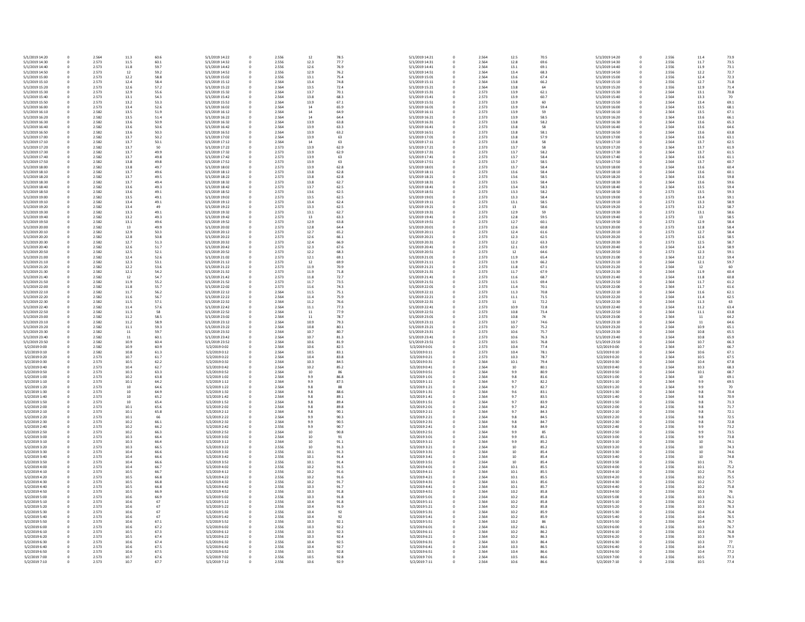| 5/1/2019 14:20                   | 0           | 2.564          | 11.3         | 60.6         | 5/1/2019 14:22                   | 0            | 2.556          | 12           | 78.5         | 5/1/2019 14:21                   |
|----------------------------------|-------------|----------------|--------------|--------------|----------------------------------|--------------|----------------|--------------|--------------|----------------------------------|
| 5/1/2019 14:30                   | 0           | 2.573          | 11.5         | 60.1         | 5/1/2019 14:32                   | 0            | 2.556          | 12.3         | 77.7         | 5/1/2019 14:31                   |
| 5/1/2019 14:40                   | 0           | 2.573          | 11.8         | 59.7         | 5/1/2019 14:42                   |              | 2.556          | 12.6         | 76.9         | 5/1/2019 14:41                   |
| 5/1/2019 14:50<br>5/1/2019 15:00 | 0<br>0      | 2.573<br>2.573 | 12<br>12.2   | 59.2<br>58.8 | 5/1/2019 14:52<br>5/1/2019 15:02 | 0<br>0       | 2.556<br>2.556 | 12.9<br>13.1 | 76.2<br>75.4 | 5/1/2019 14:51<br>5/1/2019 15:01 |
| 5/1/2019 15:10                   |             | 2.573          | 12.4         | 58.4         | 5/1/2019 15:12                   |              | 2.564          | 13.4         | 74.8         | 5/1/2019 15:11                   |
| 5/1/2019 15:20                   | 0           | 2.573          | 12.6         | 57.2         | 5/1/2019 15:22                   | 0            | 2.564          | 13.5         | 72.4         | 5/1/2019 15:21                   |
| 5/1/2019 15:30                   | 0           | 2.573          | 12.9         | 55.6         | 5/1/2019 15:32                   |              | 2.564          | 13.7         | 70.1         | 5/1/2019 15:31                   |
| 5/1/2019 15:40                   |             | 2.573          | 13.1         | 54.3         | 5/1/2019 15:42                   |              | 2.564          | 13.8         | 68.3         | 5/1/2019 15:41                   |
| 5/1/2019 15:50                   | 0           | 2.573          | 13.2         | 53.3         | 5/1/2019 15:52                   | 0            | 2.564          | 13.9         | 67.1         | 5/1/2019 15:51                   |
| 5/1/2019 16:00                   | 0           | 2.573          | 13.4         | 52.6         | 5/1/2019 16:02                   | 0            | 2.564          | 14           | 65.9         | 5/1/2019 16:01                   |
| 5/1/2019 16:10                   |             | 2.582          | 13.5         | 51.9         | 5/1/2019 16:12                   |              | 2.564          | 14           | 64.9         | 5/1/2019 16:11                   |
| 5/1/2019 16:20                   | 0           | 2.582          | 13.5         | 51.4         | 5/1/2019 16:22                   |              | 2.564          | 14           | 64.4         | 5/1/2019 16:21                   |
| 5/1/2019 16:30                   | 0           | 2.582          | 13.6         | 50.9         | 5/1/2019 16:32                   |              | 2.564          | 13.9         | 63.8         | 5/1/2019 16:31                   |
| 5/1/2019 16:40<br>5/1/2019 16:50 |             | 2.582<br>2.582 | 13.6<br>13.6 | 50.6<br>50.3 | 5/1/2019 16:42<br>5/1/2019 16:52 | 0            | 2.564<br>2.564 | 13.9<br>13.9 | 63.3<br>63.2 | 5/1/2019 16:41<br>5/1/2019 16:51 |
| 5/1/2019 17:00                   |             | 2.582          | 13.7         | 50.2         | 5/1/2019 17:02                   |              | 2.564          | 13.9         | 63           | 5/1/2019 17:01                   |
| 5/1/2019 17:10                   |             | 2.582          | 13.7         | 50.1         | 5/1/2019 17:12                   |              | 2.564          | 14           | 63           | 5/1/2019 17:11                   |
| 5/1/2019 17:20                   |             | 2.582          | 13.7         | 50           | 5/1/2019 17:22                   |              | 2.573          | 13.9         | 62.9         | 5/1/2019 17:21                   |
| 5/1/2019 17:30                   |             | 2.582          | 13.7         | 49.9         | 5/1/2019 17:32                   |              | 2.573          | 13.9         | 62.9         | 5/1/2019 17:31                   |
| 5/1/2019 17:40                   |             | 2.582          | 13.7         | 49.8         | 5/1/2019 17:42                   |              | 2.573          | 13.9         | 63           | 5/1/2019 17:41                   |
| 5/1/2019 17:50                   |             | 2.582          | 13.8         | 49.8         | 5/1/2019 17:52                   |              | 2.573          | 13.9         | 63           | 5/1/2019 17:51                   |
| 5/1/2019 18:00                   |             | 2.582          | 13.8         | 49.7         | 5/1/2019 18:02                   | 0            | 2.573          | 13.9         | 62.8         | 5/1/2019 18:01                   |
| 5/1/2019 18:10<br>5/1/2019 18:20 |             | 2.582<br>2.582 | 13.7<br>13.7 | 49.6<br>49.5 | 5/1/2019 18:12<br>5/1/2019 18:22 | 0            | 2.573<br>2.573 | 13.8<br>13.8 | 62.8<br>62.8 | 5/1/2019 18:11<br>5/1/2019 18:21 |
| 5/1/2019 18:30                   | 0           | 2.582          | 13.7         | 49.4         | 5/1/2019 18:32                   |              | 2.573          | 13.8         | 62.7         | 5/1/2019 18:31                   |
| 5/1/2019 18:40                   |             | 2.582          | 13.6         | 49.3         | 5/1/2019 18:42                   |              | 2.573          | 13.7         | 62.5         | 5/1/2019 18:41                   |
| 5/1/2019 18:50                   |             | 2.582          | 13.6         | 49.1         | 5/1/2019 18:52                   |              | 2.573          | 13.6         | 62.5         | 5/1/2019 18:51                   |
| 5/1/2019 19:00                   |             | 2.582          | 13.5         | 49.1         | 5/1/2019 19:02                   | 0            | 2.573          | 13.5         | 62.5         | 5/1/2019 19:01                   |
| 5/1/2019 19:10                   |             | 2.582          | 13.4         | 49.1         | 5/1/2019 19:12                   | 0            | 2.573          | 13.4         | 62.4         | 5/1/2019 19:11                   |
| 5/1/2019 19:20                   |             | 2.582          | 13.4         | 49           | 5/1/2019 19:22                   | 0            | 2.573          | 13.3         | 62.5         | 5/1/2019 19:21                   |
| 5/1/2019 19:30                   |             | 2.582          | 13.3         | 49.1         | 5/1/2019 19:32                   | 0            | 2.573          | 13.1         | 62.7         | 5/1/2019 19:31                   |
| 5/1/2019 19:40<br>5/1/2019 19:50 |             | 2.582<br>2.582 | 13.2         | 49.3<br>49.6 | 5/1/2019 19:42<br>5/1/2019 19:52 | 0            | 2.573<br>2.573 | 13<br>12.9   | 63.3<br>63.8 | 5/1/2019 19:41<br>5/1/2019 19:51 |
| 5/1/2019 20:00                   |             | 2.582          | 13.1<br>13   | 49.9         | 5/1/2019 20:02                   |              | 2.573          | 12.8         | 64.4         | 5/1/2019 20:01                   |
| 5/1/2019 20:10                   |             | 2.582          | 12.9         | 50.3         | 5/1/2019 20:12                   | 0            | 2.573          | 12.7         | 65.2         | 5/1/2019 20:11                   |
| 5/1/2019 20:20                   |             | 2.582          | 12.8         | 50.8         | 5/1/2019 20:22                   |              | 2.573          | 12.6         | 66.1         | 5/1/2019 20:21                   |
| 5/1/2019 20:30                   |             | 2.582          | 12.7         | 51.3         | 5/1/2019 20:32                   |              | 2.573          | 12.4         | 66.9         | 5/1/2019 20:31                   |
| 5/1/2019 20:40                   |             | 2.582          | 12.6         | 51.7         | 5/1/2019 20:42                   | <sup>0</sup> | 2.573          | 12.3         | 67.6         | 5/1/2019 20:41                   |
| 5/1/2019 20:50                   |             | 2.582          | 12.5         | 52.1         | 5/1/2019 20:52                   |              | 2.573          | 12.2         | 68.3         | 5/1/2019 20:51                   |
| 5/1/2019 21:00                   |             | 2.582          | 12.4         | 52.6         | 5/1/2019 21:02                   |              | 2.573          | 12.1         | 69.1         | 5/1/2019 21:01                   |
| 5/1/2019 21:10                   |             | 2.582          | 12.3         | 53.1         | 5/1/2019 21:12                   | 0            | 2.573          | 12           | 69.9         | 5/1/2019 21:11                   |
| 5/1/2019 21:20                   |             | 2.582          | 12.2         | 53.6         | 5/1/2019 21:22                   | 0            | 2.573          | 11.9         | 70.9         | 5/1/2019 21:21                   |
| 5/1/2019 21:30<br>5/1/2019 21:40 |             | 2.582<br>2.582 | 12.1<br>12   | 54.2<br>54.7 | 5/1/2019 21:32<br>5/1/2019 21:42 | 0            | 2.573<br>2.573 | 11.9<br>11.8 | 71.8<br>72.7 | 5/1/2019 21:31<br>5/1/2019 21:41 |
| 5/1/2019 21:50                   |             | 2.582          | 11.9         | 55.2         | 5/1/2019 21:52                   |              | 2.573          | 11.7         | 73.5         | 5/1/2019 21:51                   |
| 5/1/2019 22:00                   |             | 2.582          | 11.8         | 55.7         | 5/1/2019 22:02                   |              | 2.573          | 11.6         | 74.3         | 5/1/2019 22:01                   |
| 5/1/2019 22:10                   |             | 2.582          | 11.7         | 56.2         | 5/1/2019 22:12                   |              | 2.564          | 11.5         | 75.1         | 5/1/2019 22:11                   |
| 5/1/2019 22:20                   |             | 2.582          | 11.6         | 56.7         | 5/1/2019 22:22                   | 0            | 2.564          | 11.4         | 75.9         | 5/1/2019 22:21                   |
| 5/1/2019 22:30                   |             | 2.582          | 11.5         | 57.1         | 5/1/2019 22:32                   |              | 2.564          | 11.2         | 76.6         | 5/1/2019 22:31                   |
| 5/1/2019 22:40                   |             | 2.582          | 11.4         | 57.6         | 5/1/2019 22:42                   |              | 2.564          | 11.1         | 77.3         | 5/1/2019 22:41                   |
| 5/1/2019 22:50                   |             | 2.582          | 11.3         | 58           | 5/1/2019 22:52                   |              | 2.564          | 11           | 77.9         | 5/1/2019 22:51                   |
| 5/1/2019 23:00<br>5/1/2019 23:10 |             | 2.582<br>2.582 | 11.2<br>11.2 | 58.5<br>58.9 | 5/1/2019 23:02<br>5/1/2019 23:12 |              | 2.564<br>2.564 | 11<br>10.9   | 78.7<br>79.3 | 5/1/2019 23:01<br>5/1/2019 23:11 |
| 5/1/2019 23:20                   |             | 2.582          | 11.1         | 59.3         | 5/1/2019 23:22                   |              | 2.564          | 10.8         | 80.1         | 5/1/2019 23:21                   |
| 5/1/2019 23:30                   |             | 2.582          | 11           | 59.7         | 5/1/2019 23:32                   |              | 2.564          | 10.7         | 80.7         | 5/1/2019 23:31                   |
| 5/1/2019 23:40                   |             | 2.582          | 11           | 60.1         | 5/1/2019 23:42                   |              | 2.564          | 10.7         | 81.3         | 5/1/2019 23:41                   |
| 5/1/2019 23:50                   |             | 2.582          | 10.9         | 60.4         | 5/1/2019 23:52                   |              | 2.564          | 10.6         | 81.9         | 5/1/2019 23:51                   |
| 5/2/2019 0:00                    |             | 2.582          | 10.9         | 60.9         | 5/2/2019 0:02                    |              | 2.564          | 10.6         | 82.5         | 5/2/2019 0:01                    |
| 5/2/2019 0:10                    |             | 2.582          | 10.8         | 61.3         | 5/2/2019 0:12                    |              | 2.564          | 10.5         | 83.1         | 5/2/2019 0:11                    |
| 5/2/2019 0:20                    |             | 2.573          | 10.7         | 61.7         | 5/2/2019 0:22                    |              | 2.564          | 10.4         | 83.8         | 5/2/2019 0:21                    |
| 5/2/2019 0:30                    |             | 2.573          | 10.5         | 62.2         | 5/2/2019 0:32                    |              | 2.564          | 10.3         | 84.5         | 5/2/2019 0:31                    |
| 5/2/2019 0:40<br>5/2/2019 0:50   |             | 2.573<br>2.573 | 10.4<br>10.3 | 62.7<br>63.3 | 5/2/2019 0:42<br>5/2/2019 0:52   | 0            | 2.564<br>2.564 | 10.2<br>10   | 85.2<br>86   | 5/2/2019 0:41<br>5/2/2019 0:51   |
| 5/2/2019 1:00                    |             | 2.573          | 10.2         | 63.8         | 5/2/2019 1:02                    | 0            | 2.564          | 9.9          | 86.8         | 5/2/2019 1:01                    |
| 5/2/2019 1:10                    |             | 2.573          | 10.1         | 64.2         | 5/2/2019 1:12                    |              | 2.564          | 9.9          | 87.5         | 5/2/2019 1:11                    |
| 5/2/2019 1:20                    |             | 2.573          | 10           | 64.6         | 5/2/2019 1:22                    |              | 2.564          | 9.8          | 88           | 5/2/2019 1:21                    |
| 5/2/2019 1:30                    |             | 2.573          | 10           | 64.9         | 5/2/2019 1:32                    |              | 2.564          | 9.8          | 88.6         | 5/2/2019 1:31                    |
| 5/2/2019 1:40                    |             | 2.573          | 10           | 65.2         | 5/2/2019 1:42                    |              | 2.564          | 9.8          | 89.1         | 5/2/2019 1:41                    |
| 5/2/2019 1:50                    |             | 2.573          | 10           | 65.4         | 5/2/2019 1:52                    | 0            | 2.564          | 9.8          | 89.4         | 5/2/2019 1:51                    |
| 5/2/2019 2:00<br>5/2/2019 2:10   |             | 2.573<br>2.573 | 10.1         | 65.6         | 5/2/2019 2:02<br>5/2/2019 2:12   | <sup>0</sup> | 2.564<br>2.564 | 9.8          | 89.8<br>90.1 | 5/2/2019 2:01<br>5/2/2019 2:11   |
| 5/2/2019 2:20                    |             | 2.573          | 10.1<br>10.1 | 65.8<br>66   | 5/2/2019 2:22                    |              | 2.564          | 9.8<br>9.9   | 90.3         | 5/2/2019 2:21                    |
| 5/2/2019 2:30                    |             | 2.573          | 10.2         | 66.1         | 5/2/2019 2:32                    | 0            | 2.564          | 9.9          | 90.5         | 5/2/2019 2:31                    |
| 5/2/2019 2:40                    |             | 2.573          | 10.2         | 66.2         | 5/2/2019 2:42                    |              | 2.556          | 9.9          | 90.7         | 5/2/2019 2:41                    |
| 5/2/2019 2:50                    |             | 2.573          | 10.2         | 66.3         | 5/2/2019 2:52                    |              | 2.564          | 10           | 90.8         | 5/2/2019 2:51                    |
| 5/2/2019 3:00                    |             | 2.573          | 10.3         | 66.4         | 5/2/2019 3:02                    | 0            | 2.564          | 10           | 91           | 5/2/2019 3:01                    |
| 5/2/2019 3:10                    |             | 2.573          | 10.3         | 66.4         | 5/2/2019 3:12                    |              | 2.564          | 10           | 91.1         | 5/2/2019 3:11                    |
| 5/2/2019 3:20                    |             | 2.573          | 10.3         | 66.5         | 5/2/2019 3:22                    |              | 2.556          | 10           | 91.3         | 5/2/2019 3:21                    |
| 5/2/2019 3:30<br>5/2/2019 3:40   |             | 2.573<br>2.573 | 10.4         | 66.6         | 5/2/2019 3:32<br>5/2/2019 3:42   | 0            | 2.556<br>2.556 | 10.1         | 91.3         | 5/2/2019 3:31<br>5/2/2019 3:41   |
| 5/2/2019 3:50                    |             | 2.573          | 10.4<br>10.4 | 66.6<br>66.6 | 5/2/2019 3:52                    | 0            | 2.556          | 10.1<br>10.1 | 91.4<br>91.4 | 5/2/2019 3:51                    |
| 5/2/2019 4:00                    |             | 2.573          | 10.4         | 66.7         | 5/2/2019 4:02                    | 0            | 2.556          | 10.2         | 91.5         | 5/2/2019 4:01                    |
| 5/2/2019 4:10                    |             | 2.573          | 10.5         | 66.7         | 5/2/2019 4:12                    |              | 2.556          | 10.2         | 91.6         | 5/2/2019 4:11                    |
| 5/2/2019 4:20                    |             | 2.573          | 10.5         | 66.8         | 5/2/2019 4:22                    |              | 2.556          | 10.2         | 91.6         | 5/2/2019 4:21                    |
| 5/2/2019 4:30                    |             | 2.573          | 10.5         | 66.8         | 5/2/2019 4:32                    | 0            | 2.556          | 10.2         | 91.7         | 5/2/2019 4:31                    |
| 5/2/2019 4:40                    |             | 2.573          | 10.5         | 66.8         | 5/2/2019 4:42                    |              | 2.556          | 10.3         | 91.7         | 5/2/2019 4:41                    |
| 5/2/2019 4:50                    |             | 2.573          | 10.5         | 66.9         | 5/2/2019 4:52                    |              | 2.556          | 10.3         | 91.8         | 5/2/2019 4:51                    |
| 5/2/2019 5:00                    |             | 2.573          | 10.6         | 66.9         | 5/2/2019 5:02                    |              | 2.556          | 10.3         | 91.8         | 5/2/2019 5:01                    |
| 5/2/2019 5:10<br>5/2/2019 5:20   |             | 2.573<br>2.573 | 10.6<br>10.6 | 67<br>67     | 5/2/2019 5:12<br>5/2/2019 5:22   | 0<br>0       | 2.556<br>2.556 | 10.4<br>10.4 | 91.8<br>91.9 | 5/2/2019 5:11<br>5/2/2019 5:21   |
| 5/2/2019 5:30                    |             | 2.573          | 10.6         | 67           | 5/2/2019 5:32                    | 0            | 2.556          | 10.4         | 92           | 5/2/2019 5:31                    |
| 5/2/2019 5:40                    |             | 2.573          | 10.6         | 67           | 5/2/2019 5:42                    | 0            | 2.556          | 10.4         | 92           | 5/2/2019 5:41                    |
| 5/2/2019 5:50                    |             | 2.573          | 10.6         | 67.1         | 5/2/2019 5:52                    |              | 2.556          | 10.3         | 92.1         | 5/2/2019 5:51                    |
| 5/2/2019 6:00                    |             | 2.573          | 10.6         | 67.2         | 5/2/2019 6:02                    |              | 2.556          | 10.3         | 92.2         | 5/2/2019 6:01                    |
| 5/2/2019 6:10                    |             | 2.573          | 10.5         | 67.3         | 5/2/2019 6:12                    | 0            | 2.556          | 10.3         | 92.3         | 5/2/2019 6:11                    |
| 5/2/2019 6:20                    | 0           | 2.573          | 10.5         | 67.4         | 5/2/2019 6:22                    | 0            | 2.556          | 10.3         | 92.4         | 5/2/2019 6:21                    |
| 5/2/2019 6:30                    | 0           | 2.573          | 10.6         | 67.4         | 5/2/2019 6:32                    | 0            | 2.556          | 10.4         | 92.5         | 5/2/2019 6:31                    |
| 5/2/2019 6:40                    | 0           | 2.573          | 10.6         | 67.5         | 5/2/2019 6:42                    |              | 2.556          | 10.4         | 92.7         | 5/2/2019 6:41                    |
| 5/2/2019 6:50<br>5/2/2019 7:00   | 0<br>0      | 2.573<br>2.573 | 10.6<br>10.7 | 67.5<br>67.6 | 5/2/2019 6:52<br>5/2/2019 7:02   |              | 2.556<br>2.556 | 10.5<br>10.5 | 92.8<br>92.8 | 5/2/2019 6:51<br>5/2/2019 7:01   |
| 5/2/2019 7:10                    | $\mathbf 0$ | 2.573          | 10.7         | 67.7         | 5/2/2019 7:12                    | $\mathbf 0$  | 2.556          | 10.6         | 92.9         | 5/2/2019 7:11                    |
|                                  |             |                |              |              |                                  |              |                |              |              |                                  |

| 5/1/2019 14:21 | 0 | 2.564 | 12.5     | 70.5 | 5/1/2019 14:20 |
|----------------|---|-------|----------|------|----------------|
| 5/1/2019 14:31 | 0 | 2.564 | 12.8     | 69.6 | 5/1/2019 14:30 |
| 5/1/2019 14:41 | 0 | 2.564 | 13.1     | 69.1 | 5/1/2019 14:40 |
| 5/1/2019 14:51 | 0 | 2.564 | 13.4     | 68.3 | 5/1/2019 14:50 |
| 5/1/2019 15:01 | 0 | 2.564 | 13.6     | 67.4 | 5/1/2019 15:00 |
| 5/1/2019 15:11 | 0 | 2.564 | 13.8     | 66.2 | 5/1/2019 15:10 |
| 5/1/2019 15:21 | 0 | 2.564 | 13.8     | 64   | 5/1/2019 15:20 |
| 5/1/2019 15:31 | 0 | 2.573 | 13.9     | 62.1 | 5/1/2019 15:30 |
| 5/1/2019 15:41 | 0 | 2.573 | 13.9     | 60.7 | 5/1/2019 15:40 |
| 5/1/2019 15:51 | 0 | 2.573 | 13.9     | 60   | 5/1/2019 15:50 |
|                |   |       |          |      |                |
| 5/1/2019 16:01 | 0 | 2.573 | 13.9     | 59.4 | 5/1/2019 16:00 |
| 5/1/2019 16:11 | 0 | 2.573 | 13.9     | 59   | 5/1/2019 16:10 |
| 5/1/2019 16:21 | 0 | 2.573 | 13.9     | 58.5 | 5/1/2019 16:20 |
| 5/1/2019 16:31 | 0 | 2.573 | 13.8     | 58.2 | 5/1/2019 16:30 |
| 5/1/2019 16:41 | 0 | 2.573 | 13.8     | 58   | 5/1/2019 16:40 |
| 5/1/2019 16:51 | 0 | 2.573 | 13.8     | 58.1 | 5/1/2019 16:50 |
| 5/1/2019 17:01 | 0 | 2.573 | 13.8     | 57.9 | 5/1/2019 17:00 |
| 5/1/2019 17:11 | 0 | 2.573 | 13.8     | 58   | 5/1/2019 17:10 |
| 5/1/2019 17:21 | 0 | 2.573 | 13.7     | 58   | 5/1/2019 17:20 |
| 5/1/2019 17:31 | 0 | 2.573 | 13.7     | 58.2 | 5/1/2019 17:30 |
| 5/1/2019 17:41 | 0 | 2.573 | 13.7     | 58.4 | 5/1/2019 17:40 |
| 5/1/2019 17:51 | 0 | 2.573 | 13.7     | 58.5 | 5/1/2019 17:50 |
| 5/1/2019 18:01 | 0 | 2.573 | 13.7     | 58.4 | 5/1/2019 18:00 |
|                |   |       |          |      |                |
| 5/1/2019 18:11 | 0 | 2.573 | 13.6     | 58.4 | 5/1/2019 18:10 |
| 5/1/2019 18:21 | 0 | 2.573 | 13.6     | 58.5 | 5/1/2019 18:20 |
| 5/1/2019 18:31 | 0 | 2.573 | 13.5     | 58.4 | 5/1/2019 18:30 |
| 5/1/2019 18:41 | 0 | 2.573 | 13.4     | 58.3 | 5/1/2019 18:40 |
| 5/1/2019 18:51 | 0 | 2.573 | 13.3     | 58.2 | 5/1/2019 18:50 |
| 5/1/2019 19:01 | 0 | 2.573 | 13.3     | 58.4 | 5/1/2019 19:00 |
| 5/1/2019 19:11 | 0 | 2.573 | 13.1     | 58.5 | 5/1/2019 19:10 |
| 5/1/2019 19:21 | 0 | 2.573 | 13       | 58.6 | 5/1/2019 19:20 |
| 5/1/2019 19:31 | 0 | 2.573 | 12.9     | 59   | 5/1/2019 19:30 |
| 5/1/2019 19:41 | 0 | 2.573 | 12.8     | 59.5 | 5/1/2019 19:40 |
|                |   |       |          |      |                |
| 5/1/2019 19:51 | 0 | 2.573 | 12.7     | 60.1 | 5/1/2019 19:50 |
| 5/1/2019 20:01 | 0 | 2.573 | 12.6     | 60.8 | 5/1/2019 20:00 |
| 5/1/2019 20:11 | 0 | 2.573 | 12.4     | 61.6 | 5/1/2019 20:10 |
| 5/1/2019 20:21 | 0 | 2.573 | 12.3     | 62.5 | 5/1/2019 20:20 |
| 5/1/2019 20:31 | 0 | 2.573 | 12.2     | 63.3 | 5/1/2019 20:30 |
| 5/1/2019 20:41 | 0 | 2.573 | 12.1     | 63.9 | 5/1/2019 20:40 |
| 5/1/2019 20:51 | 0 | 2.573 | 12       | 64.6 | 5/1/2019 20:50 |
| 5/1/2019 21:01 | 0 | 2.573 | 11.9     | 65.4 | 5/1/2019 21:00 |
| 5/1/2019 21:11 | 0 | 2.573 | 11.9     | 66.2 | 5/1/2019 21:10 |
| 5/1/2019 21:21 | 0 | 2.573 | 11.8     | 67.1 | 5/1/2019 21:20 |
|                |   |       |          |      |                |
| 5/1/2019 21:31 | 0 | 2.573 | 11.7     | 67.9 | 5/1/2019 21:30 |
| 5/1/2019 21:41 | 0 | 2.573 | 11.6     | 68.7 | 5/1/2019 21:40 |
| 5/1/2019 21:51 | 0 | 2.573 | 11.5     | 69.4 | 5/1/2019 21:50 |
| 5/1/2019 22:01 | 0 | 2.573 | 11.4     | 70.1 | 5/1/2019 22:00 |
| 5/1/2019 22:11 | 0 | 2.573 | 11.3     | 70.8 | 5/1/2019 22:10 |
| 5/1/2019 22:21 | 0 | 2.573 | 11.1     | 71.5 | 5/1/2019 22:20 |
| 5/1/2019 22:31 | 0 | 2.573 | 11       | 72.2 | 5/1/2019 22:30 |
| 5/1/2019 22:41 | 0 | 2.573 | 10.9     | 72.8 | 5/1/2019 22:40 |
| 5/1/2019 22:51 | 0 | 2.573 | 10.8     | 73.4 | 5/1/2019 22:50 |
| 5/1/2019 23:01 | 0 | 2.573 | 10.8     | 74   | 5/1/2019 23:00 |
| 5/1/2019 23:11 | 0 | 2.573 | 10.7     | 74.6 | 5/1/2019 23:10 |
|                | 0 |       | 10.7     |      |                |
| 5/1/2019 23:21 |   | 2.573 |          | 75.2 | 5/1/2019 23:20 |
| 5/1/2019 23:31 | 0 | 2.573 | 10.6     | 75.7 | 5/1/2019 23:30 |
| 5/1/2019 23:41 | 0 | 2.573 | 10.6     | 76.3 | 5/1/2019 23:40 |
| 5/1/2019 23:51 | 0 | 2.573 | 10.5     | 76.8 | 5/1/2019 23:50 |
| 5/2/2019 0:01  | 0 | 2.573 | 10.4     | 77.4 | 5/2/2019 0:00  |
| 5/2/2019 0:11  | 0 | 2.573 | 10.4     | 78.1 | 5/2/2019 0:10  |
| 5/2/2019 0:21  | 0 | 2.573 | 10.3     | 78.7 | 5/2/2019 0:20  |
| 5/2/2019 0:31  | 0 | 2.564 | 10.1     | 79.4 | 5/2/2019 0:30  |
| 5/2/2019 0:41  | 0 | 2.564 | 10       | 80.1 | 5/2/2019 0:40  |
| 5/2/2019 0:51  | 0 | 2.564 | 9.9      | 80.9 | 5/2/2019 0:50  |
| 5/2/2019 1:01  | 0 | 2.564 | 9.8      | 81.6 | 5/2/2019 1:00  |
| 5/2/2019 1:11  | 0 | 2.564 | 9.7      | 82.2 | 5/2/2019 1:10  |
| 5/2/2019 1:21  | 0 | 2.564 | 9.7      | 82.7 | 5/2/2019 1:20  |
|                |   |       |          |      |                |
| 5/2/2019 1:31  | 0 | 2.564 | 9.6      | 83.1 | 5/2/2019 1:30  |
| 5/2/2019 1:41  | 0 | 2.564 | 9.7      | 83.5 | 5/2/2019 1:40  |
| 5/2/2019 1:51  | 0 | 2.564 | 9.7      | 83.9 | 5/2/2019 1:50  |
| 5/2/2019 2:01  | 0 | 2.564 | 9.7      | 84.2 | 5/2/2019 2:00  |
| 5/2/2019 2:11  | 0 | 2.564 | 9.7      | 84.3 | 5/2/2019 2:10  |
| 5/2/2019 2:21  | 0 | 2.564 | 9.8      | 84.5 | 5/2/2019 2:20  |
| 5/2/2019 2:31  | 0 | 2.564 | 9.8      | 84.7 | 5/2/2019 2:30  |
| 5/2/2019 2:41  | 0 | 2.564 | 9.8      | 84.9 | 5/2/2019 2:40  |
| 5/2/2019 2:51  | 0 | 2.564 | 9.9      | 85   | 5/2/2019 2:50  |
| 5/2/2019 3:01  | 0 | 2.564 | 9.9      | 85.1 | 5/2/2019 3:00  |
| 5/2/2019 3:11  | 0 | 2.564 | 9.9      | 85.2 | 5/2/2019 3:10  |
| 5/2/2019 3:21  | 0 | 2.564 | 10       | 85.2 | 5/2/2019 3:20  |
| 5/2/2019 3:31  | 0 | 2.564 | 10       | 85.4 | 5/2/2019 3:30  |
| 5/2/2019 3:41  | 0 | 2.564 | 10       | 85.4 | 5/2/2019 3:40  |
| 5/2/2019 3:51  | 0 | 2.564 | 10       | 85.4 | 5/2/2019 3:50  |
| 5/2/2019 4:01  | 0 | 2.564 | 10.1     | 85.5 | 5/2/2019 4:00  |
|                |   |       |          |      |                |
| 5/2/2019 4:11  | 0 | 2.564 | $10.1\,$ | 85.5 | 5/2/2019 4:10  |
| 5/2/2019 4:21  | 0 | 2.564 | 10.1     | 85.5 | 5/2/2019 4:20  |
| 5/2/2019 4:31  | 0 | 2.564 | 10.1     | 85.6 | 5/2/2019 4:30  |
| 5/2/2019 4:41  | 0 | 2.564 | 10.1     | 85.7 | 5/2/2019 4:40  |
| 5/2/2019 4:51  | 0 | 2.564 | 10.2     | 85.8 | 5/2/2019 4:50  |
| 5/2/2019 5:01  | 0 | 2.564 | 10.2     | 85.8 | 5/2/2019 5:00  |
| 5/2/2019 5:11  | 0 | 2.564 | 10.2     | 85.8 | 5/2/2019 5:10  |
| 5/2/2019 5:21  | 0 | 2.564 | 10.2     | 85.8 | 5/2/2019 5:20  |
| 5/2/2019 5:31  | 0 | 2.564 | 10.2     | 85.9 | 5/2/2019 5:30  |
| 5/2/2019 5:41  |   |       | 10.2     |      |                |
|                | 0 | 2.564 |          | 85.9 | 5/2/2019 5:40  |
| 5/2/2019 5:51  | 0 | 2.564 | 10.2     | 86   | 5/2/2019 5:50  |
| 5/2/2019 6:01  | 0 | 2.564 | 10.2     | 86.1 | 5/2/2019 6:00  |
| 5/2/2019 6:11  | 0 | 2.564 | 10.2     | 86.2 | 5/2/2019 6:10  |
| 5/2/2019 6:21  | 0 | 2.564 | 10.2     | 86.3 | 5/2/2019 6:20  |
| 5/2/2019 6:31  | 0 | 2.564 | 10.3     | 86.4 | 5/2/2019 6:30  |
| 5/2/2019 6:41  | 0 | 2.564 | 10.3     | 86.5 | 5/2/2019 6:40  |
| 5/2/2019 6:51  | 0 | 2.564 | 10.4     | 86.6 | 5/2/2019 6:50  |
| 5/2/2019 7:01  | 0 | 2.564 | 10.5     | 86.6 | 5/2/2019 7:00  |
| 5/2/2019 7:11  | 0 | 2.564 | 10.6     | 86.6 | 5/2/2019 7:10  |
|                |   |       |          |      |                |

| 0 | 2.556 | 11.4 | 73.9 |
|---|-------|------|------|
|   | 2.556 | 11.7 | 73.5 |
| 0 |       |      |      |
| 0 | 2.556 | 11.9 | 73.1 |
| 0 | 2.556 | 12.2 | 72.7 |
| 0 | 2.556 | 12.4 | 72.3 |
| 0 | 2.556 | 12.7 | 71.8 |
| 0 | 2.556 | 12.9 | 71.4 |
| 0 | 2.564 | 13.1 | 70.8 |
| 0 | 2.564 | 13.3 | 70   |
|   |       |      |      |
| 0 | 2.564 | 13.4 | 69.1 |
| 0 | 2.564 | 13.5 | 68.1 |
| 0 | 2.564 | 13.5 | 67.1 |
| 0 | 2.564 | 13.6 | 66.1 |
| 0 | 2.564 | 13.6 | 65.3 |
| 0 | 2.564 | 13.6 | 64.6 |
|   |       |      |      |
| 0 | 2.564 | 13.6 | 63.8 |
| 0 | 2.564 | 13.6 | 63.1 |
| 0 | 2.564 | 13.7 | 62.5 |
| 0 | 2.564 | 13.7 | 61.9 |
| 0 | 2.564 | 13.7 | 61.5 |
| 0 | 2.564 | 13.6 | 61.1 |
|   |       |      |      |
| 0 | 2.564 | 13.7 | 60.7 |
| 0 | 2.564 | 13.6 | 60.4 |
| 0 | 2.564 | 13.6 | 60.1 |
| 0 | 2.564 | 13.6 | 59.8 |
| 0 | 2.564 | 13.6 | 59.6 |
| 0 | 2.564 | 13.5 | 59.4 |
| 0 | 2.573 | 13.5 | 59.3 |
|   |       |      |      |
| 0 | 2.573 | 13.4 | 59.1 |
| 0 | 2.573 | 13.3 | 58.9 |
| 0 | 2.573 | 13.2 | 58.7 |
| 0 | 2.573 | 13.1 | 58.6 |
| 0 | 2.573 | 13   | 58.5 |
| 0 | 2.573 | 12.9 | 58.4 |
|   |       |      |      |
| 0 | 2.573 | 12.8 | 58.4 |
| 0 | 2.573 | 12.7 | 58.4 |
| 0 | 2.573 | 12.6 | 58.5 |
| 0 | 2.573 | 12.5 | 58.7 |
| 0 | 2.564 | 12.4 | 58.9 |
| 0 | 2.573 | 12.3 | 59.1 |
|   |       |      |      |
| 0 | 2.564 | 12.2 | 59.4 |
| 0 | 2.564 | 12.1 | 59.7 |
| 0 | 2.564 | 12   | 60   |
| 0 | 2.564 | 11.9 | 60.4 |
| 0 | 2.564 | 11.8 | 60.8 |
| 0 | 2.564 | 11.7 | 61.2 |
|   |       |      |      |
| 0 | 2.564 | 11.7 | 61.6 |
| 0 | 2.564 | 11.6 | 62.1 |
| 0 | 2.564 | 11.4 | 62.5 |
| 0 | 2.564 | 11.3 | 63   |
| 0 | 2.564 | 11.2 | 63.4 |
| 0 | 2.564 | 11.1 | 63.8 |
|   |       |      |      |
| 0 | 2.564 | 11   | 64.2 |
| 0 | 2.564 | 11   | 64.6 |
| 0 | 2.564 | 10.9 | 65.1 |
| 0 | 2.564 | 10.8 | 65.5 |
| 0 | 2.564 | 10.8 | 65.9 |
| 0 | 2.564 | 10.7 | 66.3 |
| 0 | 2.564 | 10.7 | 66.7 |
|   |       |      |      |
| 0 | 2.564 | 10.6 | 67.1 |
| 0 | 2.564 | 10.5 | 67.5 |
| 0 | 2.564 | 10.4 | 67.8 |
| 0 | 2.564 | 10.3 | 68.3 |
| 0 | 2.564 | 10.1 | 68.7 |
| 0 | 2.564 | 10   | 69.1 |
|   |       |      |      |
| 0 | 2.564 | 9.9  | 69.5 |
| 0 | 2.564 | 9.9  | 70   |
| 0 | 2.564 | 9.8  | 70.4 |
| 0 | 2.564 | 9.8  | 70.9 |
| 0 | 2.556 | 9.8  | 71.3 |
| 0 | 2.556 | 9.8  | 71.7 |
| 0 | 2.556 | 9.8  | 72.1 |
| 0 | 2.556 | 9.8  | 72.5 |
| 0 | 2.556 | 9.8  | 72.8 |
|   |       |      |      |
| 0 | 2.556 | 9.9  | 73.2 |
| 0 | 2.556 | 9.9  | 73.5 |
| 0 | 2.556 | 9.9  | 73.8 |
| 0 | 2.556 | 10   | 74.1 |
| 0 | 2.556 | 10   | 74.3 |
| 0 | 2.556 | 10   | 74.6 |
| 0 | 2.556 | 10   | 74.8 |
|   |       |      |      |
| 0 | 2.556 | 10.1 | 75   |
| 0 | 2.556 | 10.1 | 75.2 |
| 0 | 2.556 | 10.2 | 75.4 |
| 0 | 2.556 | 10.2 | 75.5 |
| 0 | 2.556 | 10.2 | 75.7 |
| 0 | 2.556 | 10.2 | 75.8 |
| 0 | 2.556 | 10.3 | 76   |
|   |       |      |      |
| 0 | 2.556 | 10.3 | 76.1 |
| 0 | 2.556 | 10.3 | 76.2 |
| 0 | 2.556 | 10.3 | 76.3 |
| 0 | 2.556 | 10.4 | 76.4 |
| 0 | 2.556 | 10.4 | 76.5 |
| 0 | 2.556 | 10.4 | 76.7 |
| 0 | 2.556 | 10.3 | 76.7 |
|   |       |      |      |
| 0 | 2.556 | 10.3 | 76.8 |
| 0 | 2.556 | 10.3 | 76.9 |
| 0 | 2.556 | 10.3 | 77   |
| 0 | 2.556 | 10.4 | 77.1 |
| 0 | 2.556 | 10.4 | 77.2 |
| 0 | 2.556 | 10.5 | 77.3 |
| 0 | 2.556 | 10.5 | 77.4 |
|   |       |      |      |

| ĺ<br>ſ | )                        |  |
|--------|--------------------------|--|
|        | )                        |  |
| ĺ      | )                        |  |
| C      | )                        |  |
|        | O                        |  |
|        | $\overline{0}$           |  |
| ĺ      | )                        |  |
| ĺ      | $\overline{\phantom{a}}$ |  |
|        | $\overline{0}$           |  |
| ĺ      | )                        |  |
|        | $\overline{0}$           |  |
|        | $\overline{0}$           |  |
|        | D                        |  |
|        | $\overline{0}$           |  |
|        |                          |  |
|        | $\overline{0}$           |  |
|        | O                        |  |
|        | O                        |  |
|        | $\overline{0}$           |  |
|        | O                        |  |
| ĺ      | $\overline{)}$           |  |
|        | $\overline{0}$           |  |
|        | O                        |  |
| ĺ      | )                        |  |
|        | O                        |  |
|        | O                        |  |
| l      | $\overline{\phantom{0}}$ |  |
|        |                          |  |
| ĺ      | )                        |  |
| ĺ      | )                        |  |
| l      | )                        |  |
| ĺ      | )                        |  |
| ĺ      | J                        |  |
|        |                          |  |
| ĺ      | J                        |  |
|        | $\overline{0}$           |  |
| ĺ      | $\mathbf{C}$             |  |
| ĺ      | )                        |  |
| ĺ      | )                        |  |
| ĺ      | J                        |  |
|        |                          |  |
| ĺ      | )                        |  |
|        | $\overline{0}$           |  |
|        | O                        |  |
| ĺ      | )                        |  |
|        | $\overline{0}$           |  |
|        | $\overline{0}$           |  |
| ĺ      | )                        |  |
|        | O                        |  |
|        | $\overline{0}$           |  |
|        | O                        |  |
|        |                          |  |
|        |                          |  |
|        | $\overline{0}$           |  |
|        | $\overline{0}$           |  |
|        | O                        |  |
| ĺ      | $\overline{)}$           |  |
|        | $\overline{0}$           |  |
|        | $\overline{0}$           |  |
|        | O                        |  |
|        | O                        |  |
|        | D                        |  |
| l      | )                        |  |
|        | 0                        |  |
| ĺ      | J                        |  |
|        |                          |  |
|        | O                        |  |
| ĺ      | O<br>J                   |  |
|        |                          |  |
|        |                          |  |
| ĺ      | )                        |  |
| ĺ      | )                        |  |
| ĺ      | J                        |  |
|        | O                        |  |
| ſ      | )                        |  |
| ĺ      | )                        |  |
| ĺ      | )                        |  |
| C      | $\mathbf{C}$             |  |
| ĺ      | J                        |  |
| ĺ      | )                        |  |
|        | O                        |  |
|        | $\overline{0}$           |  |
|        | )                        |  |
| ĺ      | O                        |  |
|        |                          |  |
|        | $\overline{0}$           |  |
|        | )                        |  |
|        | $\overline{0}$           |  |
| ĺ      | $\overline{0}$           |  |
|        | O                        |  |
|        | $\overline{0}$           |  |
|        | $\overline{0}$           |  |
|        | O                        |  |
|        | $\overline{0}$           |  |
|        | $\overline{0}$           |  |
|        | $\overline{0}$           |  |
| ĺ      | )                        |  |
|        | O                        |  |
| ĺ      | $\mathbf{C}$             |  |
|        | $\overline{0}$           |  |
|        | 0                        |  |
|        | O                        |  |
|        |                          |  |
| l      | J                        |  |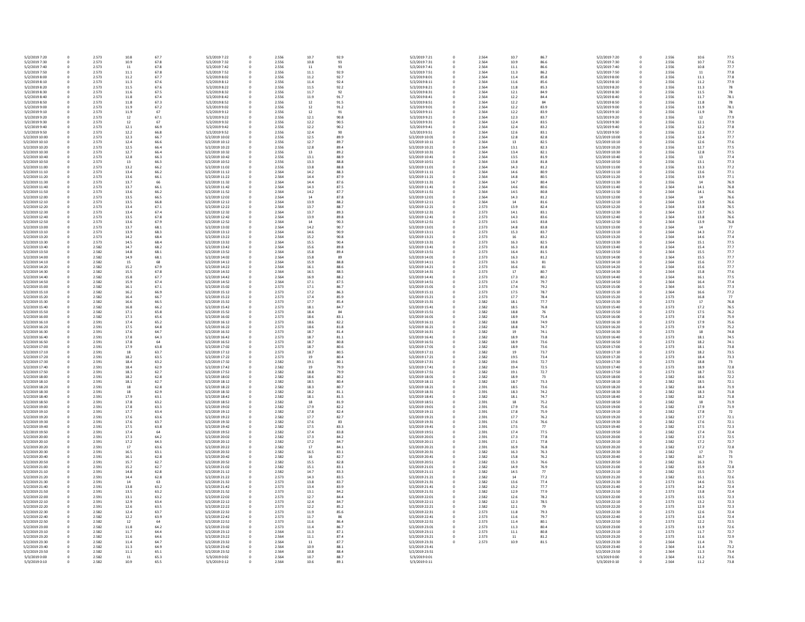| 5/2/2019 7:20                    | 0      | 2.573          | 10.8         | 67.7         | 5/2/2019 7:22                    | 0         | 2.556          | 10.7         |
|----------------------------------|--------|----------------|--------------|--------------|----------------------------------|-----------|----------------|--------------|
| 5/2/2019 7:30                    | 0      | 2.573          | 10.9         | 67.8         | 5/2/2019 7:32                    | 0         | 2.556          | 10.8         |
| 5/2/2019 7:40                    | 0      | 2.573          | 11           | 67.8         | 5/2/2019 7:42                    | 0         | 2.556          | 11           |
| 5/2/2019 7:50<br>5/2/2019 8:00   | 0<br>0 | 2.573<br>2.573 | 11.1<br>11.2 | 67.8<br>67.7 | 5/2/2019 7:52<br>5/2/2019 8:02   | 0<br>0    | 2.556<br>2.556 | 11.1<br>11.2 |
| 5/2/2019 8:10                    | 0      | 2.573          | 11.3         | 67.6         | 5/2/2019 8:12                    | 0         | 2.556          | 11.4         |
| 5/2/2019 8:20                    | 0      | 2.573          | 11.5         | 67.6         | 5/2/2019 8:22                    | 0         | 2.556          | 11.5         |
| 5/2/2019 8:30                    | 0      | 2.573          | 11.6         | 67.5         | 5/2/2019 8:32                    | 0         | 2.556          | 11.7         |
| 5/2/2019 8:40                    | 0      | 2.573          | 11.8         | 67.4         | 5/2/2019 8:42                    | 0         | 2.556          | 11.9         |
| 5/2/2019 8:50                    | 0      | 2.573          | 11.8         | 67.3         | 5/2/2019 8:52                    | 0         | 2.556          | 12           |
| 5/2/2019 9:00                    | 0      | 2.573          | 11.9         | 67.2<br>67   | 5/2/2019 9:02                    | 0         | 2.556          | 12           |
| 5/2/2019 9:10<br>5/2/2019 9:20   | 0<br>0 | 2.573<br>2.573 | 11.9<br>12   | 67.1         | 5/2/2019 9:12<br>5/2/2019 9:22   | 0<br>0    | 2.556<br>2.556 | 12<br>12.1   |
| 5/2/2019 9:30                    | 0      | 2.573          | 12           | 67           | 5/2/2019 9:32                    | 0         | 2.556          | 12.2         |
| 5/2/2019 9:40                    | 0      | 2.573          | 12.1         | 66.9         | 5/2/2019 9:42                    | 0         | 2.556          | 12.2         |
| 5/2/2019 9:50                    | 0      | 2.573          | 12.2         | 66.8         | 5/2/2019 9:52                    | 0         | 2.556          | 12.4         |
| 5/2/2019 10:00                   | 0      | 2.573          | 12.3         | 66.7         | 5/2/2019 10:02                   | 0         | 2.556          | 12.5         |
| 5/2/2019 10:10                   | 0      | 2.573<br>2.573 | 12.4         | 66.6         | 5/2/2019 10:12                   | 0         | 2.556          | 12.7         |
| 5/2/2019 10:20<br>5/2/2019 10:30 | 0<br>0 | 2.573          | 12.5<br>12.7 | 66.4<br>66.4 | 5/2/2019 10:22<br>5/2/2019 10:32 | 0<br>0    | 2.556<br>2.556 | 12.8<br>13   |
| 5/2/2019 10:40                   | 0      | 2.573          | 12.8         | 66.3         | 5/2/2019 10:42                   | 0         | 2.556          | 13.1         |
| 5/2/2019 10:50                   | 0      | 2.573          | 13           | 66.3         | 5/2/2019 10:52                   | 0         | 2.556          | 13.3         |
| 5/2/2019 11:00                   | 0      | 2.573          | 13.2         | 66.2         | 5/2/2019 11:02                   | 0         | 2.556          | 13.8         |
| 5/2/2019 11:10                   | 0      | 2.573          | 13.4         | 66.2         | 5/2/2019 11:12                   | 0         | 2.564          | 14.2         |
| 5/2/2019 11:20                   | 0      | 2.573          | 13.6         | 66.1         | 5/2/2019 11:22                   | 0         | 2.564          | 14.4         |
| 5/2/2019 11:30<br>5/2/2019 11:40 | 0<br>0 | 2.573<br>2.573 | 13.7<br>13.7 | 66<br>66.1   | 5/2/2019 11:32<br>5/2/2019 11:42 | 0<br>0    | 2.564<br>2.564 | 14.4<br>14.3 |
| 5/2/2019 11:50                   | 0      | 2.573          | 13.6         | 66.2         | 5/2/2019 11:52                   | 0         | 2.564          | 14.2         |
| 5/2/2019 12:00                   | 0      | 2.573          | 13.5         | 66.5         | 5/2/2019 12:02                   | 0         | 2.564          | 14           |
| 5/2/2019 12:10                   | 0      | 2.573          | 13.5         | 66.8         | 5/2/2019 12:12                   | 0         | 2.564          | 13.9         |
| 5/2/2019 12:20                   | 0      | 2.573          | 13.4         | 67.1         | 5/2/2019 12:22                   | 0         | 2.564          | 13.7         |
| 5/2/2019 12:30                   | 0      | 2.573          | 13.4         | 67.4         | 5/2/2019 12:32                   | 0         | 2.564          | 13.7         |
| 5/2/2019 12:40<br>5/2/2019 12:50 | 0<br>0 | 2.573<br>2.573 | 13.5<br>13.6 | 67.8<br>67.9 | 5/2/2019 12:42<br>5/2/2019 12:52 | 0         | 2.564<br>2.564 | 13.9<br>14   |
| 5/2/2019 13:00                   | 0      | 2.573          | 13.7         | 68.1         | 5/2/2019 13:02                   | 0<br>0    | 2.564          | 14.2         |
| 5/2/2019 13:10                   | 0      | 2.573          | 13.9         | 68.3         | 5/2/2019 13:12                   | 0         | 2.564          | 14.6         |
| 5/2/2019 13:20                   | 0      | 2.573          | 14.2         | 68.4         | 5/2/2019 13:22                   | 0         | 2.564          | 15.2         |
| 5/2/2019 13:30                   | 0      | 2.573          | 14.5         | 68.4         | 5/2/2019 13:32                   | 0         | 2.564          | 15.5         |
| 5/2/2019 13:40                   | 0      | 2.582          | 14.7         | 68.2         | 5/2/2019 13:42                   | 0         | 2.564          | 15.6         |
| 5/2/2019 13:50<br>5/2/2019 14:00 | 0      | 2.582<br>2.582 | 14.8<br>14.9 | 68.1<br>68.1 | 5/2/2019 13:52<br>5/2/2019 14:02 | 0         | 2.564<br>2.564 | 15.8<br>15.8 |
| 5/2/2019 14:10                   | 0<br>0 | 2.582          | 15           | 68           | 5/2/2019 14:12                   | 0<br>0    | 2.564          | 15.9         |
| 5/2/2019 14:20                   | 0      | 2.582          | 15.2         | 67.9         | 5/2/2019 14:22                   | 0         | 2.564          | 16.1         |
| 5/2/2019 14:30                   | 0      | 2.582          | 15.5         | 67.8         | 5/2/2019 14:32                   | 0         | 2.564          | 16.5         |
| 5/2/2019 14:40                   | 0      | 2.582          | 15.8         | 67.7         | 5/2/2019 14:42                   | 0         | 2.564          | 16.9         |
| 5/2/2019 14:50                   | 0      | 2.582          | 15.9         | 67.4         | 5/2/2019 14:52                   | 0         | 2.564          | 17.1         |
| 5/2/2019 15:00                   | 0      | 2.582          | 16.1         | 67.1         | 5/2/2019 15:02                   | 0         | 2.573          | 17.1         |
| 5/2/2019 15:10<br>5/2/2019 15:20 | 0<br>0 | 2.582<br>2.582 | 16.2<br>16.4 | 66.9<br>66.7 | 5/2/2019 15:12<br>5/2/2019 15:22 | 0<br>0    | 2.573<br>2.573 | 17.2<br>17.4 |
| 5/2/2019 15:30                   | 0      | 2.582          | 16.6         | 66.5         | 5/2/2019 15:32                   | 0         | 2.573          | 17.7         |
| 5/2/2019 15:40                   | 0      | 2.582          | 16.8         | 66.2         | 5/2/2019 15:42                   | 0         | 2.573          | 18.1         |
| 5/2/2019 15:50                   | 0      | 2.582          | 17.1         | 65.8         | 5/2/2019 15:52                   | 0         | 2.573          | 18.4         |
| 5/2/2019 16:00                   | 0      | 2.582          | 17.3         | 65.6         | 5/2/2019 16:02                   | 0         | 2.573          | 18.6         |
| 5/2/2019 16:10<br>5/2/2019 16:20 | 0<br>0 | 2.591<br>2.591 | 17.4<br>17.5 | 65.2<br>64.8 | 5/2/2019 16:12<br>5/2/2019 16:22 | 0<br>0    | 2.573<br>2.573 | 18.6<br>18.6 |
| 5/2/2019 16:30                   | 0      | 2.591          | 17.6         | 64.7         | 5/2/2019 16:32                   | 0         | 2.573          | 18.7         |
| 5/2/2019 16:40                   | 0      | 2.591          | 17.8         | 64.3         | 5/2/2019 16:42                   | 0         | 2.573          | 18.7         |
| 5/2/2019 16:50                   | 0      | 2.591          | 17.8         | 64           | 5/2/2019 16:52                   | 0         | 2.573          | 18.7         |
| 5/2/2019 17:00                   | 0      | 2.591          | 17.9         | 63.8         | 5/2/2019 17:02                   | 0         | 2.573          | 18.7         |
| 5/2/2019 17:10                   | 0      | 2.591          | 18           | 63.7         | 5/2/2019 17:12                   | 0         | 2.573          | 18.7         |
| 5/2/2019 17:20<br>5/2/2019 17:30 | 0<br>0 | 2.591<br>2.591 | 18.2<br>18.4 | 63.5<br>63.2 | 5/2/2019 17:22<br>5/2/2019 17:32 | 0<br>0    | 2.573<br>2.582 | 19<br>19.1   |
| 5/2/2019 17:40                   | 0      | 2.591          | 18.4         | 62.9         | 5/2/2019 17:42                   | 0         | 2.582          | 19           |
| 5/2/2019 17:50                   | 0      | 2.591          | 18.3         | 62.7         | 5/2/2019 17:52                   | 0         | 2.582          | 18.8         |
| 5/2/2019 18:00                   | 0      | 2.591          | 18.2         | 62.8         | 5/2/2019 18:02                   | 0         | 2.582          | 18.6         |
| 5/2/2019 18:10                   | 0      | 2.591          | 18.1         | 62.7         | 5/2/2019 18:12                   | 0         | 2.582          | 18.5         |
| 5/2/2019 18:20                   | 0      | 2.591          | 18           | 62.8         | 5/2/2019 18:22                   | 0         | 2.582          | 18.3         |
| 5/2/2019 18:30<br>5/2/2019 18:40 | 0<br>0 | 2.591<br>2.591 | 18<br>17.9   | 62.9<br>63.1 | 5/2/2019 18:32<br>5/2/2019 18:42 | 0<br>0    | 2.582<br>2.582 | 18.2<br>18.1 |
| 5/2/2019 18:50                   | 0      | 2.591          | 17.8         | 63.2         | 5/2/2019 18:52                   | 0         | 2.582          | 18           |
| 5/2/2019 19:00                   | 0      | 2.591          | 17.8         | 63.3         | 5/2/2019 19:02                   | 0         | 2.582          | 17.9         |
| 5/2/2019 19:10                   | 0      | 2.591          | 17.7         | 63.4         | 5/2/2019 19:12                   | 0         | 2.582          | 17.8         |
| 5/2/2019 19:20                   | 0      | 2.591          | 17.6         | 63.6         | 5/2/2019 19:22                   | 0         | 2.582          | 17.7         |
| 5/2/2019 19:30<br>5/2/2019 19:40 | 0<br>0 | 2.591<br>2.591 | 17.6<br>17.5 | 63.7<br>63.8 | 5/2/2019 19:32<br>5/2/2019 19:42 | 0<br>0    | 2.582<br>2.582 | 17.6<br>17.5 |
| 5/2/2019 19:50                   | 0      | 2.591          | 17.4         | 64           | 5/2/2019 19:52                   | 0         | 2.582          | 17.4         |
| 5/2/2019 20:00                   | 0      | 2.591          | 17.3         | 64.2         | 5/2/2019 20:02                   | 0         | 2.582          | 17.3         |
| 5/2/2019 20:10                   | 0      | 2.591          | 17.2         | 64.3         | 5/2/2019 20:12                   | 0         | 2.582          | 17.2         |
| 5/2/2019 20:20                   | 0      | 2.591          | 17           | 63.6         | 5/2/2019 20:22                   | 0         | 2.582          | 17           |
| 5/2/2019 20:30<br>5/2/2019 20:40 | 0      | 2.591          | 16.5         | 63.1         | 5/2/2019 20:32                   | 0         | 2.582          | 16.5         |
| 5/2/2019 20:50                   | 0<br>0 | 2.591<br>2.591 | 16.1<br>15.7 | 62.8<br>62.7 | 5/2/2019 20:42<br>5/2/2019 20:52 | 0<br>0    | 2.582<br>2.582 | 16<br>15.5   |
| 5/2/2019 21:00                   | 0      | 2.591          | 15.2         | 62.7         | 5/2/2019 21:02                   | 0         | 2.582          | 15.1         |
| 5/2/2019 21:10                   | 0      | 2.591          | 14.8         | 62.8         | 5/2/2019 21:12                   | 0         | 2.582          | 14.7         |
| 5/2/2019 21:20                   | 0      | 2.591          | 14.4         | 62.8         | 5/2/2019 21:22                   | 0         | 2.573          | 14.3         |
| 5/2/2019 21:30                   | 0      | 2.591          | 14           | 63           | 5/2/2019 21:32                   | 0         | 2.573          | 13.8         |
| 5/2/2019 21:40<br>5/2/2019 21:50 | 0<br>0 | 2.591<br>2.591 | 13.8<br>13.5 | 63.2<br>63.2 | 5/2/2019 21:42<br>5/2/2019 21:52 | 0<br>0    | 2.573<br>2.573 | 13.4<br>13.1 |
| 5/2/2019 22:00                   | 0      | 2.591          | 13.1         | 63.2         | 5/2/2019 22:02                   | 0         | 2.573          | 12.7         |
| 5/2/2019 22:10                   | 0      | 2.591          | 12.9         | 63.4         | 5/2/2019 22:12                   | 0         | 2.573          | 12.4         |
| 5/2/2019 22:20                   | 0      | 2.591          | 12.6         | 63.5         | 5/2/2019 22:22                   | 0         | 2.573          | 12.2         |
| 5/2/2019 22:30                   | 0      | 2.582          | 12.4         | 63.7         | 5/2/2019 22:32                   | 0         | 2.573          | 11.9         |
| 5/2/2019 22:40                   | 0      | 2.582          | 12.2         | 63.9         | 5/2/2019 22:42                   | 0         | 2.573          | 11.7         |
| 5/2/2019 22:50<br>5/2/2019 23:00 | 0<br>0 | 2.582<br>2.582 | 12<br>11.8   | 64<br>64.2   | 5/2/2019 22:52<br>5/2/2019 23:02 | 0<br>0    | 2.573<br>2.573 | 11.6<br>11.4 |
| 5/2/2019 23:10                   | 0      | 2.582          | 11.7         | 64.4         | 5/2/2019 23:12                   | 0         | 2.564          | 11.3         |
| 5/2/2019 23:20                   | 0      | 2.582          | 11.6         | 64.6         | 5/2/2019 23:22                   | 0         | 2.564          | 11.1         |
| 5/2/2019 23:30                   | 0      | 2.582          | 11.4         | 64.7         | 5/2/2019 23:32                   | 0         | 2.564          | 11           |
| 5/2/2019 23:40                   | 0      | 2.582          | 11.3         | 64.9         | 5/2/2019 23:42                   | 0         | 2.564          | 10.9         |
| 5/2/2019 23:50<br>5/3/2019 0:00  | 0<br>0 | 2.582<br>2.582 | 11.1<br>11   | 65.1<br>65.3 | 5/2/2019 23:52<br>5/3/2019 0:02  | 0<br>0    | 2.564<br>2.564 | 10.8<br>10.7 |
| 5/3/2019 0:10                    | 0      | 2.582          | 10.9         | 65.5         | 5/3/2019 0:12                    | $\pmb{0}$ | 2.564          | 10.6         |
|                                  |        |                |              |              |                                  |           |                |              |

| 2.556 | 10.7   |
|-------|--------|
|       |        |
| 2.556 | 10.8   |
| 2.556 | 11     |
| 2.556 | 11.1   |
|       |        |
| 2.556 | 11.2   |
| 2.556 | 11.4   |
| 2.556 | 11.5   |
|       |        |
| 2.556 | 11.7   |
| 2.556 | 11.9   |
|       |        |
| 2.556 | 12     |
| 2.556 | 12     |
|       |        |
| 2.556 | 12     |
| 2.556 | 12.1   |
|       |        |
| 2.556 | 12.2   |
| 2.556 | 12.2   |
|       |        |
| 2.556 | 12.4   |
| 2.556 | 12.5   |
|       |        |
| 2.556 | 12.7   |
| 2.556 | 12.8   |
| 2.556 | 13     |
|       |        |
| 2.556 | 13.1   |
| 2.556 | 13.3   |
|       |        |
| 2.556 | 13.8   |
| 2.564 | 14.2   |
|       |        |
| 2.564 | 14.4   |
| 2.564 | 14.4   |
| 2.564 | 14.3   |
|       |        |
| 2.564 | 14.2   |
| 2.564 | 14     |
|       |        |
| 2.564 | 13.9   |
| 2.564 | 13.7   |
| 2.564 | 13.7   |
|       |        |
| 2.564 | 13.9   |
| 2.564 | 14     |
|       |        |
| 2.564 | 14.2   |
| 2.564 | 14.6   |
|       |        |
| 2.564 | 15.2   |
| 2.564 | 15.5   |
|       |        |
| 2.564 | 15.6   |
| 2.564 | 15.8   |
|       |        |
| 2.564 | 15.8   |
| 2.564 | 15.9   |
| 2.564 | 16.1   |
|       |        |
| 2.564 | 16.5   |
| 2.564 | 16.9   |
| 2.564 | 17.1   |
|       |        |
| 2.573 | 17.1   |
| 2.573 | 17.2   |
| 2.573 | 17.4   |
|       |        |
| 2.573 | 17.7   |
| 2.573 | 18.1   |
|       |        |
| 2.573 | 18.4   |
| 2.573 | 18.6   |
|       |        |
| 2.573 | 18.6   |
| 2.573 | 18.6   |
| 2.573 | 18.7   |
|       |        |
| 2.573 | 18.7   |
| 2.573 | 18.7   |
| 2.573 | 18.7   |
|       |        |
| 2.573 | 18.7   |
| 2.573 | 19     |
|       |        |
| 2.582 | 19.1   |
| 2.582 | 19     |
| 2.582 | 18.8   |
|       |        |
| 2.582 | 18.6   |
| 2.582 | 18.5   |
| 2.582 | 18.3   |
|       |        |
| 2.582 | 18.2   |
| 2.582 | 18.1   |
|       |        |
| 2.582 | 18     |
| 2.582 | 17.9   |
| 2.582 | 17.8   |
|       |        |
| 2.582 | 17.7   |
| 2.582 | 17.6   |
| 2.582 | 17.5   |
|       |        |
| 2.582 | 17.4   |
| 2.582 | 17.3   |
|       |        |
| 2.582 | 17.2   |
| 2.582 | $17\,$ |
|       |        |
| 2.582 | 16.5   |
| 2.582 | 16     |
| 2.582 | 15.5   |
|       |        |
| 2.582 | 15.1   |
| 2.582 | 14.7   |
| 2.573 | 14.3   |
|       |        |
| 2.573 | 13.8   |
| 2.573 | 13.4   |
|       |        |
| 2.573 | 13.1   |
| 2.573 | 12.7   |
| 2.573 | 12.4   |
|       |        |
| 2.573 | 12.2   |
| 2.573 | 11.9   |
| 2.573 |        |
|       | 11.7   |
| 2.573 | 11.6   |
| 2.573 | 11.4   |
|       |        |
| 2.564 | 11.3   |
| 2.564 | 11.1   |
| 2.564 | 11     |
|       |        |
| 2.564 | 10.9   |
| 2.564 | 10.8   |
| 2.564 | 10.7   |
|       |        |
| 2.564 | 10.6   |

| 0 | 2.556 | 10.6 | 77.5 |
|---|-------|------|------|
|   |       |      |      |
| 0 | 2.556 | 10.7 | 77.6 |
| 0 | 2.556 | 10.8 | 77.7 |
| 0 | 2.556 | 11   | 77.8 |
| 0 | 2.556 | 11.1 | 77.8 |
| 0 | 2.556 | 11.2 | 77.9 |
| 0 | 2.556 | 11.3 | 78   |
| 0 | 2.556 | 11.5 | 78   |
|   |       |      |      |
| 0 | 2.556 | 11.7 | 78.1 |
| 0 | 2.556 | 11.8 | 78   |
| 0 | 2.556 | 11.9 | 78.1 |
| 0 | 2.556 | 11.9 | 78   |
| 0 | 2.556 | 12   | 77.9 |
|   |       |      |      |
| 0 | 2.556 | 12.1 | 77.9 |
| 0 | 2.556 | 12.2 | 77.8 |
| 0 | 2.556 | 12.3 | 77.7 |
| 0 | 2.556 | 12.4 | 77.7 |
| 0 | 2.556 | 12.6 | 77.6 |
| 0 | 2.556 | 12.7 | 77.5 |
|   |       |      |      |
| 0 | 2.556 | 12.8 | 77.5 |
| 0 | 2.556 | 13   | 77.4 |
| 0 | 2.556 | 13.1 | 77.3 |
| 0 | 2.556 | 13.3 | 77.2 |
| 0 | 2.556 | 13.6 | 77.1 |
| 0 | 2.556 | 13.9 | 77.1 |
|   |       |      |      |
| 0 | 2.556 | 14   | 76.9 |
| 0 | 2.564 | 14.1 | 76.8 |
| 0 | 2.564 | 14.1 | 76.6 |
| 0 | 2.564 | 14   | 76.6 |
| 0 | 2.564 | 13.9 | 76.6 |
| 0 | 2.564 | 13.8 | 76.5 |
|   | 2.564 |      |      |
| 0 |       | 13.7 | 76.5 |
| 0 | 2.564 | 13.8 | 76.6 |
| 0 | 2.564 | 13.9 | 76.8 |
| 0 | 2.564 | 14   | 77   |
| 0 | 2.564 | 14.3 | 77.2 |
| 0 | 2.564 | 14.6 | 77.4 |
|   |       |      |      |
| 0 | 2.564 | 15.1 | 77.5 |
| 0 | 2.564 | 15.4 | 77.7 |
| 0 | 2.564 | 15.5 | 77.7 |
| 0 | 2.564 | 15.5 | 77.7 |
| 0 | 2.564 | 15.6 | 77.7 |
|   | 2.564 | 15.6 | 77.7 |
| 0 |       |      |      |
| 0 | 2.564 | 15.8 | 77.6 |
| 0 | 2.564 | 16.1 | 77.5 |
| 0 | 2.564 | 16.4 | 77.4 |
| 0 | 2.564 | 16.5 | 77.3 |
| 0 | 2.564 | 16.6 | 77.2 |
|   |       |      |      |
| 0 | 2.573 | 16.8 | 77   |
| 0 | 2.573 | 17   | 76.8 |
| 0 | 2.573 | 17.2 | 76.5 |
| 0 | 2.573 | 17.5 | 76.2 |
| 0 | 2.573 | 17.8 | 75.9 |
|   |       |      |      |
| 0 | 2.573 | 17.9 | 75.6 |
| 0 | 2.573 | 17.9 | 75.2 |
| 0 | 2.573 | 18   | 74.8 |
| 0 | 2.573 | 18.1 | 74.5 |
| 0 | 2.573 | 18.2 | 74.1 |
| 0 | 2.573 | 18.1 | 73.8 |
|   |       |      |      |
| 0 | 2.573 | 18.2 | 73.5 |
| 0 | 2.573 | 18.4 | 73.3 |
| 0 | 2.573 | 18.8 | 73   |
| 0 | 2.573 | 18.9 | 72.8 |
| 0 | 2.573 | 18.7 | 72.5 |
| 0 | 2.582 | 18.6 | 72.2 |
|   |       |      |      |
| 0 | 2.582 | 18.5 | 72.1 |
| 0 | 2.582 | 18.4 | 71.9 |
| 0 | 2.582 | 18.3 | 71.8 |
| 0 | 2.582 | 18.2 | 71.8 |
| 0 | 2.582 | 18   | 71.9 |
| 0 | 2.582 | 17.9 | 71.9 |
|   |       | 17.8 | 72   |
| 0 | 2.582 |      |      |
| 0 | 2.582 | 17.7 | 72.1 |
| 0 | 2.582 | 17.6 | 72.1 |
| 0 | 2.582 | 17.5 | 72.3 |
| 0 | 2.582 | 17.4 | 72.4 |
| 0 | 2.582 | 17.3 | 72.5 |
| 0 | 2.582 | 17.2 | 72.7 |
|   |       |      |      |
| 0 | 2.582 | 17.2 | 72.8 |
| 0 | 2.582 | 17   | 73   |
| 0 | 2.582 | 16.7 | 73   |
| 0 | 2.582 | 16.3 | 73   |
| 0 | 2.582 | 15.9 | 72.8 |
|   |       | 15.5 |      |
| 0 | 2.582 |      | 72.7 |
| 0 | 2.582 | 15.1 | 72.6 |
| 0 | 2.573 | 14.6 | 72.5 |
| 0 | 2.573 | 14.2 | 72.4 |
| 0 | 2.573 | 13.8 | 72.4 |
| 0 | 2.573 | 13.5 | 72.3 |
|   |       |      |      |
| 0 | 2.573 | 13.2 | 72.3 |
| 0 | 2.573 | 12.9 | 72.3 |
| 0 | 2.573 | 12.6 | 72.4 |
| 0 | 2.573 | 12.4 | 72.4 |
| 0 | 2.573 | 12.2 | 72.5 |
| 0 | 2.573 | 11.9 | 72.6 |
|   |       | 11.7 | 72.7 |
| 0 | 2.573 |      |      |
| 0 | 2.573 | 11.6 | 72.9 |
| 0 | 2.564 | 11.4 | 73   |
| 0 | 2.564 | 11.4 | 73.2 |
| 0 | 2.564 | 11.3 | 73.4 |
| 0 | 2.564 | 11.2 | 73.6 |
| 0 | 2.564 | 11.2 | 73.8 |
|   |       |      |      |

| l                        |                          |  |
|--------------------------|--------------------------|--|
|                          | 0                        |  |
|                          | O                        |  |
|                          | $\overline{0}$           |  |
|                          |                          |  |
|                          | 0                        |  |
| ĺ                        | $\mathbf{C}$             |  |
|                          | $\overline{0}$           |  |
|                          | $\overline{0}$           |  |
|                          |                          |  |
| ĺ                        | $\mathbf{C}$             |  |
|                          | $\overline{0}$           |  |
|                          | $\overline{0}$           |  |
|                          |                          |  |
| ĺ                        | )                        |  |
|                          | $\overline{0}$           |  |
|                          | $\overline{0}$           |  |
|                          |                          |  |
| ĺ                        | )                        |  |
|                          | $\overline{0}$           |  |
| ĺ                        | J                        |  |
|                          | O                        |  |
|                          |                          |  |
|                          | O                        |  |
|                          | O                        |  |
| ĺ                        | $\mathbf{C}$             |  |
|                          |                          |  |
|                          | O                        |  |
| ĺ                        | )                        |  |
| $\overline{\phantom{a}}$ | )                        |  |
| $\overline{\phantom{a}}$ | )                        |  |
|                          |                          |  |
| ĺ                        | )                        |  |
| l                        | )                        |  |
| ĺ                        | )                        |  |
|                          | O                        |  |
|                          |                          |  |
| ĺ                        | J                        |  |
| ĺ                        | )                        |  |
| ĺ                        | J                        |  |
|                          |                          |  |
|                          |                          |  |
| ĺ                        | )                        |  |
|                          | $\overline{0}$           |  |
|                          | $\overline{0}$           |  |
|                          |                          |  |
|                          | 0                        |  |
|                          | $\overline{0}$           |  |
|                          | $\overline{0}$           |  |
|                          |                          |  |
|                          | O                        |  |
|                          | $\overline{0}$           |  |
|                          | $\overline{0}$           |  |
|                          | $\overline{0}$           |  |
|                          |                          |  |
|                          | O                        |  |
|                          | O                        |  |
|                          | $\overline{0}$           |  |
|                          |                          |  |
|                          | $\overline{0}$           |  |
|                          | O                        |  |
| ĺ                        | J                        |  |
|                          |                          |  |
|                          |                          |  |
|                          | O                        |  |
|                          | O                        |  |
|                          |                          |  |
|                          | $\overline{0}$           |  |
|                          | O                        |  |
|                          | D                        |  |
|                          |                          |  |
| ſ                        | )                        |  |
| $\mathsf{C}$             | $\mathbf{C}$             |  |
| $\overline{\phantom{a}}$ | $\mathbf{)}$             |  |
| ĺ                        | )                        |  |
|                          |                          |  |
| ١                        | $\mathbf{)}$             |  |
| ĺ                        | $\overline{\phantom{a}}$ |  |
| C                        | )                        |  |
| ĺ                        | J                        |  |
|                          |                          |  |
| $\overline{\phantom{a}}$ | )                        |  |
|                          | O                        |  |
|                          |                          |  |
| ĺ                        | )                        |  |
|                          |                          |  |
| ĺ                        | )                        |  |
|                          | $\overline{0}$           |  |
| ĺ                        | )                        |  |
|                          |                          |  |
|                          | $\overline{0}$           |  |
|                          | $\overline{0}$           |  |
|                          | O                        |  |
|                          | $\overline{0}$           |  |
|                          |                          |  |
|                          | $\overline{0}$           |  |
|                          | D                        |  |
|                          | O                        |  |
|                          |                          |  |
|                          | $\overline{0}$           |  |
|                          | $\overline{0}$           |  |
| ĺ                        | $\overline{\phantom{a}}$ |  |
|                          |                          |  |
|                          | $\overline{0}$           |  |
|                          | $\overline{0}$           |  |
|                          | $\overline{0}$           |  |
|                          |                          |  |
|                          | O                        |  |
|                          | O                        |  |
| ĺ                        | $\mathbf{)}$             |  |
|                          | O                        |  |
|                          |                          |  |
|                          | J                        |  |
|                          | D                        |  |
|                          | O                        |  |
|                          | J                        |  |
| ĺ<br>ĺ                   |                          |  |
| ١                        | )                        |  |
| ĺ                        | )                        |  |
| ĺ                        | )                        |  |
|                          |                          |  |
| ĺ                        | )                        |  |
| ĺ                        | )                        |  |
|                          | )                        |  |
| ĺ                        |                          |  |
|                          | I                        |  |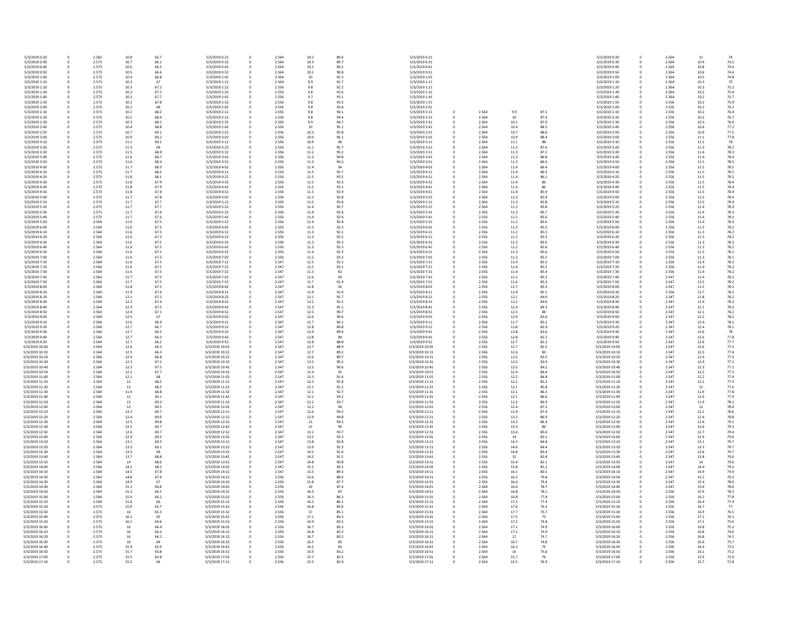| 5/3/2019 0:20  | 0 | 2.582 | 10.8 | 65.7 | 5/3/2019 0:22  | 0           | 2.564 | 10.5 |
|----------------|---|-------|------|------|----------------|-------------|-------|------|
| 5/3/2019 0:30  | 0 | 2.573 | 10.7 | 66.1 | 5/3/2019 0:32  | $\mathbf 0$ | 2.564 | 10.3 |
| 5/3/2019 0:40  | 0 | 2.573 | 10.6 | 66.3 | 5/3/2019 0:42  | 0           | 2.564 | 10.2 |
| 5/3/2019 0:50  | 0 | 2.573 | 10.5 | 66.6 | 5/3/2019 0:52  | 0           | 2.564 | 10.1 |
| 5/3/2019 1:00  | 0 | 2.573 | 10.4 | 66.8 | 5/3/2019 1:02  | $\mathbf 0$ | 2.564 | 10   |
| 5/3/2019 1:10  | 0 | 2.573 | 10.3 | 67   | 5/3/2019 1:12  | 0           | 2.564 | 9.9  |
| 5/3/2019 1:20  | 0 | 2.573 | 10.3 | 67.2 | 5/3/2019 1:22  | 0           | 2.556 | 9.8  |
| 5/3/2019 1:30  | 0 | 2.573 | 10.2 | 67.5 | 5/3/2019 1:32  | $\mathbf 0$ | 2.556 | 9.8  |
| 5/3/2019 1:40  | 0 | 2.573 | 10.2 | 67.7 | 5/3/2019 1:42  | 0           | 2.556 | 9.7  |
| 5/3/2019 1:50  | 0 | 2.573 | 10.2 | 67.8 | 5/3/2019 1:52  | 0           | 2.556 | 9.8  |
| 5/3/2019 2:00  | 0 | 2.573 | 10.2 | 68   | 5/3/2019 2:02  | 0           | 2.556 | 9.8  |
| 5/3/2019 2:10  | 0 | 2.573 | 10.2 | 68.2 | 5/3/2019 2:12  |             | 2.556 | 9.8  |
|                |   |       |      |      |                | 0           |       |      |
| 5/3/2019 2:20  | 0 | 2.573 | 10.2 | 68.4 | 5/3/2019 2:22  | 0           | 2.556 | 9.8  |
| 5/3/2019 2:30  | 0 | 2.573 | 10.3 | 68.5 | 5/3/2019 2:32  | 0           | 2.556 | 9.9  |
| 5/3/2019 2:40  | 0 | 2.573 | 10.4 | 68.8 | 5/3/2019 2:42  | 0           | 2.556 | 10   |
| 5/3/2019 2:50  | 0 | 2.573 | 10.7 | 69.1 | 5/3/2019 2:52  | 0           | 2.556 | 10.3 |
| 5/3/2019 3:00  | 0 | 2.573 | 10.9 | 69.2 | 5/3/2019 3:02  | 0           | 2.556 | 10.6 |
| 5/3/2019 3:10  | 0 | 2.573 | 11.1 | 69.2 | 5/3/2019 3:12  | 0           | 2.556 | 10.9 |
| 5/3/2019 3:20  | 0 | 2.573 | 11.3 | 69   | 5/3/2019 3:22  | 0           | 2.556 | 11.1 |
| 5/3/2019 3:30  | 0 | 2.573 | 11.5 | 68.9 | 5/3/2019 3:32  | 0           | 2.556 | 11.2 |
| 5/3/2019 3:40  | 0 | 2.573 | 11.6 | 68.7 | 5/3/2019 3:42  | 0           | 2.556 | 11.3 |
| 5/3/2019 3:50  | 0 | 2.573 | 11.6 | 68.4 | 5/3/2019 3:52  | 0           | 2.556 | 11.3 |
| 5/3/2019 4:00  | 0 | 2.573 | 11.7 | 68.3 | 5/3/2019 4:02  | 0           | 2.556 | 11.4 |
| 5/3/2019 4:10  | 0 | 2.573 | 11.7 | 68.2 | 5/3/2019 4:12  | 0           | 2.556 | 11.5 |
| 5/3/2019 4:20  | 0 | 2.573 | 11.8 | 68.1 | 5/3/2019 4:22  | 0           | 2.556 | 11.5 |
| 5/3/2019 4:30  | 0 | 2.573 | 11.8 | 67.9 | 5/3/2019 4:32  | 0           | 2.556 | 11.5 |
| 5/3/2019 4:40  | 0 | 2.573 | 11.8 | 67.9 | 5/3/2019 4:42  | 0           | 2.556 | 11.5 |
| 5/3/2019 4:50  | 0 | 2.573 | 11.8 | 67.8 | 5/3/2019 4:52  | 0           | 2.556 | 11.5 |
| 5/3/2019 5:00  | 0 | 2.573 | 11.7 | 67.8 | 5/3/2019 5:02  | 0           | 2.556 | 11.5 |
| 5/3/2019 5:10  | 0 | 2.573 | 11.7 | 67.7 | 5/3/2019 5:12  | 0           | 2.556 | 11.5 |
| 5/3/2019 5:20  | 0 | 2.573 | 11.7 | 67.7 | 5/3/2019 5:22  | 0           | 2.556 | 11.4 |
| 5/3/2019 5:30  | 0 | 2.573 | 11.7 | 67.6 | 5/3/2019 5:32  | 0           | 2.556 | 11.4 |
| 5/3/2019 5:40  | 0 | 2.573 | 11.7 | 67.6 | 5/3/2019 5:42  |             | 2.556 | 11.4 |
|                |   |       |      |      |                | 0           |       |      |
| 5/3/2019 5:50  | 0 | 2.564 | 11.6 | 67.5 | 5/3/2019 5:52  | 0           | 2.556 | 11.4 |
| 5/3/2019 6:00  | 0 | 2.564 | 11.6 | 67.5 | 5/3/2019 6:02  | 0           | 2.556 | 11.3 |
| 5/3/2019 6:10  | 0 | 2.564 | 11.6 | 67.5 | 5/3/2019 6:12  | 0           | 2.556 | 11.3 |
| 5/3/2019 6:20  | 0 | 2.564 | 11.6 | 67.5 | 5/3/2019 6:22  | 0           | 2.556 | 11.3 |
| 5/3/2019 6:30  | 0 | 2.564 | 11.6 | 67.5 | 5/3/2019 6:32  | 0           | 2.556 | 11.3 |
| 5/3/2019 6:40  | 0 | 2.564 | 11.6 | 67.5 | 5/3/2019 6:42  | 0           | 2.556 | 11.3 |
| 5/3/2019 6:50  | 0 | 2.564 | 11.6 | 67.5 | 5/3/2019 6:52  | 0           | 2.556 | 11.4 |
| 5/3/2019 7:00  | 0 | 2.564 | 11.6 | 67.5 | 5/3/2019 7:02  | 0           | 2.556 | 11.5 |
| 5/3/2019 7:10  | 0 | 2.564 | 11.6 | 67.5 | 5/3/2019 7:12  | 0           | 2.547 | 11.5 |
| 5/3/2019 7:20  | 0 | 2.564 | 11.6 | 67.5 | 5/3/2019 7:22  | 0           | 2.547 | 11.5 |
| 5/3/2019 7:30  | 0 | 2.564 | 11.6 | 67.5 | 5/3/2019 7:32  | 0           | 2.547 | 11.5 |
| 5/3/2019 7:40  | 0 | 2.564 | 11.7 | 67.5 | 5/3/2019 7:42  | 0           | 2.547 | 11.6 |
| 5/3/2019 7:50  | 0 | 2.564 | 11.7 | 67.5 | 5/3/2019 7:52  | 0           | 2.547 | 11.7 |
| 5/3/2019 8:00  | 0 | 2.564 | 11.8 | 67.5 | 5/3/2019 8:02  | 0           | 2.547 | 11.8 |
| 5/3/2019 8:10  | 0 | 2.564 | 11.9 | 67.6 | 5/3/2019 8:12  | 0           | 2.547 | 11.9 |
| 5/3/2019 8:20  | 0 | 2.564 | 12.1 | 67.5 | 5/3/2019 8:22  | 0           | 2.547 | 12.1 |
| 5/3/2019 8:30  | 0 | 2.564 | 12.2 | 67.4 | 5/3/2019 8:32  | 0           | 2.547 | 12.2 |
| 5/3/2019 8:40  | 0 | 2.564 | 12.3 | 67.3 | 5/3/2019 8:42  | 0           | 2.547 | 12.3 |
| 5/3/2019 8:50  | 0 | 2.564 | 12.4 | 67.1 | 5/3/2019 8:52  | 0           | 2.547 | 12.5 |
| 5/3/2019 9:00  | 0 | 2.564 | 12.5 | 67   | 5/3/2019 9:02  | 0           | 2.547 | 12.6 |
| 5/3/2019 9:10  | 0 | 2.564 | 12.6 | 66.9 | 5/3/2019 9:12  | 0           | 2.547 | 12.7 |
| 5/3/2019 9:20  |   | 2.564 | 12.7 | 66.7 | 5/3/2019 9:22  | 0           | 2.547 | 12.8 |
|                | 0 |       |      |      |                |             |       |      |
| 5/3/2019 9:30  | 0 | 2.564 | 12.7 | 66.5 | 5/3/2019 9:32  | 0           | 2.547 | 12.9 |
| 5/3/2019 9:40  | 0 | 2.564 | 12.7 | 66.3 | 5/3/2019 9:42  | 0           | 2.547 | 12.8 |
| 5/3/2019 9:50  | 0 | 2.564 | 12.7 | 66.2 | 5/3/2019 9:52  | 0           | 2.547 | 12.8 |
| 5/3/2019 10:00 | 0 | 2.564 | 12.6 | 66.3 | 5/3/2019 10:02 | 0           | 2.547 | 12.7 |
| 5/3/2019 10:10 | 0 | 2.564 | 12.5 | 66.5 | 5/3/2019 10:12 | 0           | 2.547 | 12.7 |
| 5/3/2019 10:20 | 0 | 2.564 | 12.4 | 66.8 | 5/3/2019 10:22 | 0           | 2.547 | 12.6 |
| 5/3/2019 10:30 | 0 | 2.564 | 12.3 | 67.2 | 5/3/2019 10:32 | 0           | 2.547 | 12.5 |
| 5/3/2019 10:40 | 0 | 2.564 | 12.3 | 67.5 | 5/3/2019 10:42 | 0           | 2.547 | 12.5 |
| 5/3/2019 10:50 | 0 | 2.564 | 12.2 | 67.7 | 5/3/2019 10:52 | 0           | 2.547 | 12.4 |
| 5/3/2019 11:00 | 0 | 2.564 | 12.1 | 68   | 5/3/2019 11:02 | 0           | 2.547 | 12.3 |
| 5/3/2019 11:10 | 0 | 2.564 | 12   | 68.2 | 5/3/2019 11:12 | 0           | 2.547 | 12.2 |
| 5/3/2019 11:20 | 0 | 2.564 | 12   | 68.5 | 5/3/2019 11:22 | 0           | 2.547 | 12.1 |
| 5/3/2019 11:30 | 0 | 2.564 | 11.9 | 68.8 | 5/3/2019 11:32 | 0           | 2.547 | 12.1 |
| 5/3/2019 11:40 | 0 | 2.564 | 12   | 69.1 | 5/3/2019 11:42 | 0           | 2.547 | 12.1 |
| 5/3/2019 11:50 | 0 | 2.564 | 12   | 69.3 | 5/3/2019 11:52 | 0           | 2.547 | 12.2 |
| 5/3/2019 12:00 | 0 | 2.564 | 12   | 69.5 | 5/3/2019 12:02 | 0           | 2.547 | 12.2 |
| 5/3/2019 12:10 | 0 | 2.564 | 12.2 | 69.7 | 5/3/2019 12:12 | 0           | 2.547 | 12.6 |
| 5/3/2019 12:20 | 0 | 2.564 | 12.4 | 69.9 | 5/3/2019 12:22 | 0           | 2.547 | 12.9 |
| 5/3/2019 12:30 | 0 | 2.564 | 12.5 | 69.8 | 5/3/2019 12:32 | 0           | 2.547 | 13   |
| 5/3/2019 12:40 | 0 | 2.564 | 12.5 | 69.7 | 5/3/2019 12:42 | 0           | 2.547 | 13   |
| 5/3/2019 12:50 | 0 | 2.564 | 12.6 | 69.7 | 5/3/2019 12:52 | 0           | 2.547 | 13.1 |
| 5/3/2019 13:00 | 0 | 2.564 | 12.9 | 69.5 | 5/3/2019 13:02 | 0           | 2.547 | 13.5 |
| 5/3/2019 13:10 | 0 | 2.564 | 13.1 | 69.3 | 5/3/2019 13:12 | 0           | 2.547 | 13.8 |
| 5/3/2019 13:20 | 0 | 2.564 | 13.3 | 69.1 | 5/3/2019 13:22 | 0           | 2.547 | 13.9 |
| 5/3/2019 13:30 | 0 | 2.564 | 13.5 | 69   | 5/3/2019 13:32 | 0           | 2.547 | 14.2 |
| 5/3/2019 13:40 | 0 | 2.564 | 13.7 | 68.8 | 5/3/2019 13:42 | 0           | 2.547 | 14.5 |
| 5/3/2019 13:50 | 0 | 2.564 | 14   | 68.6 | 5/3/2019 13:52 | 0           | 2.547 | 14.8 |
| 5/3/2019 14:00 | 0 | 2.564 | 14.2 | 68.2 | 5/3/2019 14:02 | 0           | 2.547 | 15.2 |
| 5/3/2019 14:10 | 0 | 2.564 | 14.5 | 67.8 | 5/3/2019 14:12 | 0           | 2.547 | 15.5 |
| 5/3/2019 14:20 | 0 | 2.564 | 14.8 | 67.4 | 5/3/2019 14:22 | 0           | 2.556 | 15.6 |
| 5/3/2019 14:30 | 0 | 2.564 | 14.9 | 67   | 5/3/2019 14:32 | 0           | 2.556 | 15.8 |
| 5/3/2019 14:40 | 0 | 2.564 | 15.1 | 66.8 | 5/3/2019 14:42 | 0           | 2.556 | 16   |
| 5/3/2019 14:50 | 0 | 2.564 | 15.3 | 66.5 | 5/3/2019 14:52 | 0           | 2.556 | 16.3 |
| 5/3/2019 15:00 | 0 | 2.564 | 15.4 | 66.2 | 5/3/2019 15:02 | 0           | 2.556 | 16.3 |
|                |   | 2.564 | 15.6 | 66   | 5/3/2019 15:12 |             | 2.556 | 16.5 |
| 5/3/2019 15:10 | 0 |       |      |      |                | 0           |       |      |
| 5/3/2019 15:20 | 0 | 2.573 | 15.9 | 65.7 | 5/3/2019 15:22 | 0           | 2.556 | 16.8 |
| 5/3/2019 15:30 | 0 | 2.573 | 16   | 65.3 | 5/3/2019 15:32 | 0           | 2.556 | 17   |
| 5/3/2019 15:40 | 0 | 2.573 | 16.1 | 65   | 5/3/2019 15:42 | 0           | 2.556 | 17.1 |
| 5/3/2019 15:50 | 0 | 2.573 | 16.1 | 64.6 | 5/3/2019 15:52 | 0           | 2.556 | 16.9 |
| 5/3/2019 16:00 | 0 | 2.573 | 16   | 64.4 | 5/3/2019 16:02 | 0           | 2.556 | 16.7 |
| 5/3/2019 16:10 | 0 | 2.573 | 16   | 64.2 | 5/3/2019 16:12 | 0           | 2.556 | 16.8 |
| 5/3/2019 16:20 | 0 | 2.573 | 16   | 64.2 | 5/3/2019 16:22 | 0           | 2.556 | 16.7 |
| 5/3/2019 16:30 | 0 | 2.573 | 16   | 64   | 5/3/2019 16:32 | 0           | 2.556 | 16.5 |
| 5/3/2019 16:40 | 0 | 2.573 | 15.9 | 63.9 | 5/3/2019 16:42 | 0           | 2.556 | 16.2 |
| 5/3/2019 16:50 | 0 | 2.573 | 15.7 | 63.8 | 5/3/2019 16:52 | 0           | 2.556 | 15.9 |
| 5/3/2019 17:00 | 0 | 2.573 | 15.5 | 63.8 | 5/3/2019 17:02 | 0           | 2.556 | 15.7 |
| 5/3/2019 17:10 | 0 | 2.573 | 15.3 | 64   | 5/3/2019 17:12 | $\pmb{0}$   | 2.556 | 15.5 |

| 2.564 | 10.5     | 89.4 | 5/3/2019 0:21  |             |       |          |      | 5/3/2019 0:20  |
|-------|----------|------|----------------|-------------|-------|----------|------|----------------|
| 2.564 | 10.3     | 89.7 | 5/3/2019 0:31  |             |       |          |      | 5/3/2019 0:30  |
| 2.564 | $10.2$   | 90.2 | 5/3/2019 0:41  |             |       |          |      | 5/3/2019 0:40  |
|       |          |      |                |             |       |          |      |                |
| 2.564 | 10.1     | 90.8 | 5/3/2019 0:51  |             |       |          |      | 5/3/2019 0:50  |
| 2.564 | 10       | 91.3 | 5/3/2019 1:01  |             |       |          |      | 5/3/2019 1:00  |
| 2.564 | 9.9      | 91.7 | 5/3/2019 1:11  |             |       |          |      | 5/3/2019 1:10  |
| 2.556 | 9.8      | 92.2 | 5/3/2019 1:21  |             |       |          |      | 5/3/2019 1:20  |
|       |          |      |                |             |       |          |      |                |
| 2.556 | 9.8      | 92.6 | 5/3/2019 1:31  |             |       |          |      | 5/3/2019 1:30  |
| 2.556 | 9.7      | 93.1 | 5/3/2019 1:41  |             |       |          |      | 5/3/2019 1:40  |
| 2.556 | 9.8      | 93.5 | 5/3/2019 1:51  |             |       |          |      | 5/3/2019 1:50  |
| 2.556 | 9.8      | 93.8 | 5/3/2019 2:01  |             |       |          |      | 5/3/2019 2:00  |
|       |          |      |                |             |       |          |      |                |
| 2.556 | 9.8      | 94.1 | 5/3/2019 2:11  | 0           | 2.564 | 9.9      | 87.1 | 5/3/2019 2:10  |
| 2.556 | 9.8      | 94.4 | 5/3/2019 2:21  | 0           | 2.564 | 10       | 87.4 | 5/3/2019 2:20  |
| 2.556 | 9.9      | 94.7 | 5/3/2019 2:31  | 0           | 2.564 | $10.1\,$ | 87.9 | 5/3/2019 2:30  |
|       |          |      |                |             |       |          |      |                |
| 2.556 | 10       | 95.1 | 5/3/2019 2:41  | 0           | 2.564 | 10.4     | 88.5 | 5/3/2019 2:40  |
| 2.556 | 10.3     | 95.8 | 5/3/2019 2:51  | 0           | 2.564 | 10.7     | 88.6 | 5/3/2019 2:50  |
| 2.556 | 10.6     | 96.1 | 5/3/2019 3:01  | 0           | 2.564 | 10.9     | 88.4 | 5/3/2019 3:00  |
|       |          |      |                |             |       |          |      |                |
| 2.556 | 10.9     | 96   | 5/3/2019 3:11  | 0           | 2.564 | $11.1\,$ | 88   | 5/3/2019 3:10  |
| 2.556 | 11.1     | 95.7 | 5/3/2019 3:21  | 0           | 2.564 | 11.2     | 87.6 | 5/3/2019 3:20  |
| 2.556 | 11.2     | 95.2 | 5/3/2019 3:31  | 0           | 2.564 | 11.3     | 87.2 | 5/3/2019 3:30  |
| 2.556 | 11.3     | 94.8 | 5/3/2019 3:41  | 0           | 2.564 | 11.3     | 86.8 | 5/3/2019 3:40  |
|       |          |      |                |             |       |          |      |                |
| 2.556 | 11.3     | 94.3 | 5/3/2019 3:51  | 0           | 2.564 | 11.3     | 86.6 | 5/3/2019 3:50  |
| 2.556 | 11.4     | 94   | 5/3/2019 4:01  | 0           | 2.564 | 11.4     | 86.4 | 5/3/2019 4:00  |
| 2.556 | $11.5\,$ | 93.7 | 5/3/2019 4:11  | 0           | 2.564 | 11.4     | 86.3 | 5/3/2019 4:10  |
| 2.556 |          |      |                |             |       |          |      | 5/3/2019 4:20  |
|       | 11.5     | 93.5 | 5/3/2019 4:21  | 0           | 2.564 | 11.4     | 86.1 |                |
| 2.556 | 11.5     | 93.3 | 5/3/2019 4:31  | 0           | 2.564 | 11.4     | 86   | 5/3/2019 4:30  |
| 2.556 | 11.5     | 93.1 | 5/3/2019 4:41  | 0           | 2.564 | 11.4     | 86   | 5/3/2019 4:40  |
| 2.556 | 11.5     | 92.9 | 5/3/2019 4:51  | 0           | 2.564 | 11.4     | 85.9 | 5/3/2019 4:50  |
|       |          |      |                |             |       |          |      |                |
| 2.556 | 11.5     | 92.8 | 5/3/2019 5:01  | 0           | 2.564 | 11.3     | 85.9 | 5/3/2019 5:00  |
| 2.556 | 11.5     | 92.8 | 5/3/2019 5:11  | 0           | 2.564 | 11.3     | 85.8 | 5/3/2019 5:10  |
| 2.556 | 11.4     | 92.7 | 5/3/2019 5:21  | 0           | 2.564 | 11.3     | 85.8 | 5/3/2019 5:20  |
|       |          |      |                |             |       |          |      |                |
| 2.556 | 11.4     | 92.6 | 5/3/2019 5:31  | $\mathbf 0$ | 2.556 | 11.3     | 85.7 | 5/3/2019 5:30  |
| 2.556 | 11.4     | 92.4 | 5/3/2019 5:41  | 0           | 2.556 | 11.2     | 85.6 | 5/3/2019 5:40  |
| 2.556 | 11.4     | 92.4 | 5/3/2019 5:51  | 0           | 2.556 | 11.2     | 85.6 | 5/3/2019 5:50  |
| 2.556 | 11.3     | 92.3 | 5/3/2019 6:01  | 0           | 2.556 | 11.2     | 85.5 | 5/3/2019 6:00  |
|       |          |      |                |             |       |          |      |                |
| 2.556 | 11.3     | 92.2 | 5/3/2019 6:11  | 0           | 2.556 | 11.2     | 85.5 | 5/3/2019 6:10  |
| 2.556 | 11.3     | 92.2 | 5/3/2019 6:21  | 0           | 2.556 | 11.2     | 85.5 | 5/3/2019 6:20  |
| 2.556 | 11.3     | 92.3 | 5/3/2019 6:31  | 0           | 2.556 | 11.2     | 85.6 | 5/3/2019 6:30  |
|       |          |      |                |             |       |          |      |                |
| 2.556 | 11.3     | 92.3 | 5/3/2019 6:41  | 0           | 2.556 | 11.2     | 85.6 | 5/3/2019 6:40  |
| 2.556 | 11.4     | 92.3 | 5/3/2019 6:51  | 0           | 2.556 | 11.3     | 85.6 | 5/3/2019 6:50  |
| 2.556 | 11.5     | 92.3 | 5/3/2019 7:01  | 0           | 2.556 | 11.3     | 85.5 | 5/3/2019 7:00  |
| 2.547 |          |      |                |             |       |          |      |                |
|       | 11.5     | 92.2 | 5/3/2019 7:11  | 0           | 2.556 | 11.4     | 85.5 | 5/3/2019 7:10  |
| 2.547 | 11.5     | 92.1 | 5/3/2019 7:21  | 0           | 2.556 | 11.4     | 85.5 | 5/3/2019 7:20  |
| 2.547 | $11.5\,$ | 92   | 5/3/2019 7:31  | 0           | 2.556 | 11.4     | 85.4 | 5/3/2019 7:30  |
| 2.547 | 11.6     | 92   | 5/3/2019 7:41  | 0           | 2.556 | 11.5     | 85.3 | 5/3/2019 7:40  |
|       |          |      |                |             |       |          |      |                |
| 2.547 | 11.7     | 91.9 | 5/3/2019 7:51  | 0           | 2.556 | 11.6     | 85.3 | 5/3/2019 7:50  |
| 2.547 | 11.8     | 92   | 5/3/2019 8:01  | 0           | 2.556 | 11.7     | 85.3 | 5/3/2019 8:00  |
| 2.547 | 11.9     | 91.9 | 5/3/2019 8:11  | 0           | 2.556 | 11.9     | 85.1 | 5/3/2019 8:10  |
| 2.547 |          | 91.7 | 5/3/2019 8:21  |             | 2.556 |          | 84.9 | 5/3/2019 8:20  |
|       | 12.1     |      |                | 0           |       | 12.1     |      |                |
| 2.547 | 12.2     | 91.5 | 5/3/2019 8:31  | 0           | 2.556 | 12.2     | 84.6 | 5/3/2019 8:30  |
| 2.547 | 12.3     | 91.1 | 5/3/2019 8:41  | 0           | 2.556 | 12.4     | 84.3 | 5/3/2019 8:40  |
| 2.547 | 12.5     | 90.7 | 5/3/2019 8:51  | 0           | 2.556 | 12.5     | 84   | 5/3/2019 8:50  |
|       |          |      |                |             |       |          |      |                |
| 2.547 | 12.6     | 90.4 | 5/3/2019 9:01  | 0           | 2.556 | 12.6     | 83.6 | 5/3/2019 9:00  |
| 2.547 | 12.7     | 90.1 | 5/3/2019 9:11  | 0           | 2.556 | 12.7     | 83.2 | 5/3/2019 9:10  |
| 2.547 | 12.8     | 89.8 | 5/3/2019 9:21  | 0           | 2.556 | 12.8     | 82.9 | 5/3/2019 9:20  |
|       |          |      |                |             |       |          |      |                |
| 2.547 | 12.9     | 89.4 | 5/3/2019 9:31  | 0           | 2.556 | 12.8     | 82.6 | 5/3/2019 9:30  |
| 2.547 | 12.8     | 89   | 5/3/2019 9:41  | 0           | 2.556 | 12.8     | 82.2 | 5/3/2019 9:40  |
| 2.547 | 12.8     | 88.8 | 5/3/2019 9:51  | 0           | 2.556 | 12.7     | 82.2 | 5/3/2019 9:50  |
| 2.547 | 12.7     | 88.9 | 5/3/2019 10:01 | 0           | 2.556 | 12.7     | 82.5 | 5/3/2019 10:00 |
|       |          |      |                |             |       |          |      |                |
| 2.547 | 12.7     | 89.2 | 5/3/2019 10:11 | 0           | 2.556 | 12.6     | 83   | 5/3/2019 10:10 |
| 2.547 | 12.6     | 89.7 | 5/3/2019 10:21 | 0           | 2.556 | 12.5     | 83.5 | 5/3/2019 10:20 |
| 2.547 | 12.5     | 90.2 | 5/3/2019 10:31 | 0           | 2.556 | 12.5     | 83.9 | 5/3/2019 10:30 |
| 2.547 | 12.5     |      | 5/3/2019 10:41 |             |       | 12.5     | 84.2 |                |
|       |          | 90.6 |                | 0           | 2.556 |          |      | 5/3/2019 10:40 |
| 2.547 | 12.4     | 91   | 5/3/2019 10:51 | $\mathbf 0$ | 2.556 | 12.4     | 84.4 | 5/3/2019 10:50 |
| 2.547 | 12.3     | 91.4 | 5/3/2019 11:01 | 0           | 2.556 | 12.2     | 84.8 | 5/3/2019 11:00 |
| 2.547 | 12.2     | 91.8 | 5/3/2019 11:11 | 0           | 2.556 | 12.1     | 85.2 | 5/3/2019 11:10 |
| 2.547 | 12.1     | 92.2 | 5/3/2019 11:21 | 0           | 2.556 | 12.1     | 85.8 | 5/3/2019 11:20 |
|       |          |      |                |             |       |          |      |                |
| 2.547 | 12.1     | 92.7 | 5/3/2019 11:31 | 0           | 2.556 | 12.1     | 86.3 | 5/3/2019 11:30 |
| 2.547 | 12.1     | 93.2 | 5/3/2019 11:41 | 0           | 2.556 | 12.1     | 86.6 | 5/3/2019 11:40 |
| 2.547 | 12.2     | 93.7 | 5/3/2019 11:51 | 0           | 2.556 | 12.2     | 86.9 | 5/3/2019 11:50 |
|       |          |      |                |             |       |          |      |                |
| 2.547 | 12.2     | 94   | 5/3/2019 12:01 | 0           | 2.556 | 12.4     | 87.2 | 5/3/2019 12:00 |
| 2.547 | 12.6     | 94.5 | 5/3/2019 12:11 | 0           | 2.556 | 12.9     | 87.4 | 5/3/2019 12:10 |
| 2.547 | 12.9     | 94.8 | 5/3/2019 12:21 | 0           | 2.556 | 13.2     | 86.9 | 5/3/2019 12:20 |
| 2.547 | 13       | 94.5 | 5/3/2019 12:31 | 0           | 2.556 | 13.2     | 86.4 | 5/3/2019 12:30 |
|       |          |      |                |             |       |          |      |                |
| 2.547 | 13       | 94   | 5/3/2019 12:41 | 0           | 2.556 | 13.3     | 86   | 5/3/2019 12:40 |
| 2.547 | 13.1     | 93.7 | 5/3/2019 12:51 | 0           | 2.556 | 13.6     | 85.6 | 5/3/2019 12:50 |
| 2.547 | 13.5     | 93.3 | 5/3/2019 13:01 | 0           | 2.556 | 14       | 85.1 | 5/3/2019 13:00 |
| 2.547 | 13.8     | 92.8 | 5/3/2019 13:11 | 0           | 2.556 | 14.3     | 84.8 | 5/3/2019 13:10 |
|       |          |      |                |             |       |          |      |                |
| 2.547 | 13.9     | 92.3 | 5/3/2019 13:21 | 0           | 2.556 | 14.6     | 84.4 | 5/3/2019 13:20 |
| 2.547 | 14.2     | 91.6 | 5/3/2019 13:31 | 0           | 2.556 | 14.8     | 83.4 | 5/3/2019 13:30 |
| 2.547 | 14.5     | 91.2 | 5/3/2019 13:41 | 0           | 2.556 | 15       | 82.8 | 5/3/2019 13:40 |
|       |          |      |                |             |       |          |      |                |
| 2.547 | 14.8     | 90.8 | 5/3/2019 13:51 | 0           | 2.556 | 15.4     | 82.1 | 5/3/2019 13:50 |
| 2.547 | 15.2     | 90.1 | 5/3/2019 14:01 | 0           | 2.556 | 15.8     | 81.2 | 5/3/2019 14:00 |
| 2.547 | 15.5     | 89.3 | 5/3/2019 14:11 | 0           | 2.556 | 16.1     | 80.5 | 5/3/2019 14:10 |
| 2.556 | 15.6     | 88.4 | 5/3/2019 14:21 | 0           | 2.556 | 16.2     | 79.8 | 5/3/2019 14:20 |
|       |          |      |                |             |       |          |      |                |
| 2.556 | 15.8     | 87.7 | 5/3/2019 14:31 | 0           | 2.556 | 16.4     | 79.4 | 5/3/2019 14:30 |
| 2.556 | 16       | 87.4 | 5/3/2019 14:41 | 0           | 2.564 | 16.6     | 78.7 | 5/3/2019 14:40 |
| 2.556 | 16.3     | 87   | 5/3/2019 14:51 | 0           | 2.564 | 16.8     | 78.1 | 5/3/2019 14:50 |
| 2.556 | 16.3     | 86.3 | 5/3/2019 15:01 |             | 2.564 | 16.8     | 77.8 | 5/3/2019 15:00 |
|       |          |      |                | 0           |       |          |      |                |
| 2.556 | 16.5     | 86.1 | 5/3/2019 15:11 | 0           | 2.564 | 17.3     | 77.4 | 5/3/2019 15:10 |
| 2.556 | 16.8     | 85.6 | 5/3/2019 15:21 | 0           | 2.564 | 17.6     | 76.3 | 5/3/2019 15:20 |
| 2.556 | 17       | 85.1 | 5/3/2019 15:31 |             | 2.564 | 17.7     |      | 5/3/2019 15:30 |
|       |          |      |                | 0           |       |          | 75.7 |                |
| 2.556 | 17.1     | 84.3 | 5/3/2019 15:41 | 0           | 2.564 | 17.5     | 75   | 5/3/2019 15:40 |
| 2.556 | 16.9     | 83.5 | 5/3/2019 15:51 | 0           | 2.564 | 17.2     | 74.8 | 5/3/2019 15:50 |
| 2.556 | 16.7     | 83.3 | 5/3/2019 16:01 | 0           | 2.564 | 17.1     | 74.9 | 5/3/2019 16:00 |
|       |          |      |                |             |       |          |      |                |
| 2.556 | 16.8     | 83.3 | 5/3/2019 16:11 | $\mathbf 0$ | 2.564 | 17.2     | 74.9 | 5/3/2019 16:10 |
| 2.556 | 16.7     | 83.2 | 5/3/2019 16:21 | 0           | 2.564 | $17\,$   | 74.7 | 5/3/2019 16:20 |
| 2.556 | 16.5     | 83   | 5/3/2019 16:31 | 0           | 2.564 | 16.7     | 74.8 | 5/3/2019 16:30 |
| 2.556 | 16.2     | 83   | 5/3/2019 16:41 | 0           | 2.564 | 16.3     | 75   | 5/3/2019 16:40 |
|       |          |      |                |             |       |          |      |                |
| 2.556 | 15.9     | 83.2 | 5/3/2019 16:51 | 0           | 2.564 | 16       | 75.6 | 5/3/2019 16:50 |
| 2.556 | 15.7     | 83.5 | 5/3/2019 17:01 | 0           | 2.564 | 15.7     | 76   | 5/3/2019 17:00 |
| 2.556 | 15.5     | 83.9 | 5/3/2019 17:11 | $\mathbf 0$ | 2.564 | 15.5     | 76.9 | 5/3/2019 17:10 |
|       |          |      |                |             |       |          |      |                |

| 0 | 2.564 | 11   | 74   |
|---|-------|------|------|
|   |       |      |      |
| 0 | 2.564 | 10.9 | 74.2 |
| 0 | 2.564 | 10.8 | 74.4 |
| 0 | 2.564 | 10.6 | 74.6 |
| 0 | 2.564 | 10.5 | 74.8 |
| 0 | 2.564 | 10.3 | 75   |
|   |       |      |      |
| 0 | 2.564 | 10.3 | 75.2 |
| 0 | 2.564 | 10.2 | 75.4 |
| 0 | 2.564 | 10.2 | 75.7 |
| 0 | 2.556 | 10.2 | 75.9 |
|   |       |      |      |
| 0 | 2.556 | 10.2 | 76.2 |
| 0 | 2.556 | 10.2 | 76.4 |
| 0 | 2.556 | 10.2 | 76.7 |
| 0 | 2.556 | 10.3 | 76.9 |
|   |       |      |      |
| 0 | 2.556 | 10.6 | 77.2 |
| 0 | 2.556 | 10.9 | 77.5 |
| 0 | 2.556 | 11.1 | 77.8 |
| 0 | 2.556 | 11.2 | 78   |
|   |       | 11.3 |      |
| 0 | 2.556 |      | 78.2 |
| 0 | 2.556 | 11.4 | 78.3 |
| 0 | 2.556 | 11.4 | 78.4 |
| 0 | 2.556 | 11.5 | 78.5 |
| 0 | 2.556 | 11.5 | 78.5 |
|   |       |      |      |
| 0 | 2.556 | 11.5 | 78.5 |
| 0 | 2.556 | 11.5 | 78.5 |
| 0 | 2.556 | 11.5 | 78.4 |
| 0 | 2.556 | 11.5 | 78.4 |
|   |       |      |      |
| 0 | 2.556 | 11.5 | 78.4 |
| 0 | 2.556 | 11.5 | 78.4 |
| 0 | 2.556 | 11.5 | 78.4 |
| 0 | 2.556 | 11.4 | 78.3 |
|   |       |      |      |
| 0 | 2.556 | 11.4 | 78.3 |
| 0 | 2.556 | 11.4 | 78.3 |
| 0 | 2.556 | 11.4 | 78.3 |
| 0 | 2.556 | 11.3 | 78.2 |
|   | 2.556 | 11.3 | 78.2 |
| 0 |       |      |      |
| 0 | 2.556 | 11.3 | 78.2 |
| 0 | 2.556 | 11.3 | 78.2 |
| 0 | 2.556 | 11.3 | 78.2 |
|   | 2.556 |      | 78.2 |
| 0 |       | 11.3 |      |
| 0 | 2.556 | 11.3 | 78.1 |
| 0 | 2.556 | 11.4 | 78.2 |
| 0 | 2.556 | 11.4 | 78.2 |
|   | 2.556 | 11.4 | 78.2 |
| 0 |       |      |      |
| 0 | 2.547 | 11.4 | 78.2 |
| 0 | 2.547 | 11.5 | 78.2 |
| 0 | 2.547 | 11.5 | 78.2 |
| 0 | 2.556 | 11.7 | 78.2 |
|   |       |      |      |
| 0 | 2.547 | 11.8 | 78.2 |
| 0 | 2.547 | 11.9 | 78.2 |
| 0 | 2.547 | 12.1 | 78.2 |
| 0 | 2.547 | 12.1 | 78.2 |
|   |       |      |      |
| 0 | 2.547 | 12.2 | 78.2 |
| 0 | 2.547 | 12.4 | 78.1 |
| 0 | 2.547 | 12.4 | 78.1 |
| 0 | 2.547 | 12.6 | 78   |
|   |       |      |      |
| 0 | 2.547 | 12.6 | 77.8 |
| 0 | 2.547 | 12.6 | 77.7 |
| 0 | 2.547 | 12.6 | 77.5 |
| 0 | 2.547 | 12.5 | 77.4 |
|   |       |      |      |
| 0 | 2.547 | 12.4 | 77.3 |
| 0 | 2.547 | 12.4 | 77.2 |
| 0 | 2.547 | 12.3 | 77.2 |
| 0 | 2.547 | 12.2 | 77.3 |
|   |       |      |      |
| 0 | 2.547 | 12.2 | 77.4 |
| 0 | 2.547 | 12.1 | 77.5 |
| 0 | 2.547 | 12   | 77.6 |
| 0 | 2.547 | 11.9 | 77.8 |
|   |       |      |      |
| 0 | 2.547 | 11.9 | 77.9 |
| 0 | 2.547 | 11.9 | 78.1 |
| 0 | 2.547 | 12   | 78.4 |
| 0 | 2.547 | 12.1 | 78.6 |
| 0 | 2.547 | 12.4 | 78.8 |
|   |       |      |      |
| 0 | 2.547 | 12.6 | 79.1 |
| 0 | 2.547 | 12.6 | 79.3 |
| 0 | 2.547 | 12.7 | 79.4 |
| 0 | 2.547 | 12.9 | 79.6 |
| 0 | 2.547 | 13.1 | 79.7 |
|   |       |      |      |
| 0 | 2.547 | 13.3 | 79.7 |
| 0 | 2.547 | 13.6 | 79.7 |
| 0 | 2.547 | 13.8 | 79.6 |
| 0 | 2.547 | 14   | 79.6 |
|   |       |      |      |
| 0 | 2.547 | 14.4 | 79.5 |
| 0 | 2.547 | 14.9 | 79.4 |
| 0 | 2.547 | 15.2 | 79.2 |
| 0 | 2.547 | 15.4 | 78.9 |
|   |       |      |      |
| 0 | 2.547 | 15.6 | 78.6 |
| 0 | 2.556 | 15.9 | 78.2 |
| 0 | 2.556 | 16.2 | 77.8 |
| 0 | 2.556 | 16.4 | 77.4 |
|   |       |      |      |
| 0 | 2.556 | 16.7 | 77   |
| 0 | 2.556 | 16.9 | 76.5 |
| 0 | 2.556 | 17.1 | 76.1 |
| 0 | 2.556 | 17.1 | 75.6 |
|   |       |      |      |
| 0 | 2.556 | 16.8 | 75.1 |
| 0 | 2.556 | 16.8 | 74.6 |
| 0 | 2.556 | 16.8 | 74.1 |
| 0 | 2.556 | 16.6 | 73.7 |
| 0 | 2.556 | 16.4 | 73.5 |
|   |       |      |      |
| 0 | 2.556 | 16.1 | 73.2 |
| 0 | 2.556 | 15.9 | 72.9 |
| 0 | 2.556 | 15.7 | 72.8 |
|   |       |      |      |

| J<br>l                                                                                                         |  |
|----------------------------------------------------------------------------------------------------------------|--|
|                                                                                                                |  |
| )<br>ĺ                                                                                                         |  |
| $\overline{0}$                                                                                                 |  |
| $\overline{0}$                                                                                                 |  |
|                                                                                                                |  |
| $\overline{0}$                                                                                                 |  |
| $\overline{0}$                                                                                                 |  |
| $\overline{0}$                                                                                                 |  |
| $\overline{0}$                                                                                                 |  |
|                                                                                                                |  |
| $\overline{0}$                                                                                                 |  |
| $\overline{0}$                                                                                                 |  |
|                                                                                                                |  |
| $\overline{0}$                                                                                                 |  |
| $\overline{0}$                                                                                                 |  |
| $\overline{0}$                                                                                                 |  |
|                                                                                                                |  |
| )<br>ĺ                                                                                                         |  |
| $\overline{0}$                                                                                                 |  |
| $\overline{0}$                                                                                                 |  |
|                                                                                                                |  |
| $\overline{0}$                                                                                                 |  |
| $\overline{0}$                                                                                                 |  |
|                                                                                                                |  |
| $\overline{0}$                                                                                                 |  |
| )<br>ĺ                                                                                                         |  |
| $\overline{0}$                                                                                                 |  |
|                                                                                                                |  |
| $\overline{0}$                                                                                                 |  |
| D                                                                                                              |  |
| $\overline{0}$                                                                                                 |  |
|                                                                                                                |  |
| $\overline{0}$                                                                                                 |  |
| O                                                                                                              |  |
|                                                                                                                |  |
| $\overline{0}$                                                                                                 |  |
| $\overline{0}$                                                                                                 |  |
| O                                                                                                              |  |
|                                                                                                                |  |
| $\mathbf{)}$<br>ĺ                                                                                              |  |
| $\overline{0}$                                                                                                 |  |
| O                                                                                                              |  |
|                                                                                                                |  |
| J<br>l                                                                                                         |  |
| )<br>ĺ                                                                                                         |  |
| $\overline{\phantom{0}}$<br>ĺ                                                                                  |  |
|                                                                                                                |  |
| ĺ<br>$\overline{ }$                                                                                            |  |
| O                                                                                                              |  |
| O                                                                                                              |  |
|                                                                                                                |  |
| O                                                                                                              |  |
| $\overline{0}$                                                                                                 |  |
| $\overline{0}$                                                                                                 |  |
|                                                                                                                |  |
| $\overline{0}$                                                                                                 |  |
| $\overline{0}$                                                                                                 |  |
| $\overline{0}$                                                                                                 |  |
|                                                                                                                |  |
| $\overline{0}$                                                                                                 |  |
| $\overline{0}$                                                                                                 |  |
|                                                                                                                |  |
| $\overline{0}$                                                                                                 |  |
| $\overline{0}$                                                                                                 |  |
| $\overline{0}$                                                                                                 |  |
|                                                                                                                |  |
|                                                                                                                |  |
| $\overline{0}$                                                                                                 |  |
|                                                                                                                |  |
| $\overline{0}$                                                                                                 |  |
| )<br>ĺ                                                                                                         |  |
| $\overline{0}$                                                                                                 |  |
|                                                                                                                |  |
| $\overline{0}$                                                                                                 |  |
| O                                                                                                              |  |
| O                                                                                                              |  |
| $\overline{0}$                                                                                                 |  |
|                                                                                                                |  |
| )<br>ĺ                                                                                                         |  |
| $\overline{0}$                                                                                                 |  |
| $\overline{0}$                                                                                                 |  |
|                                                                                                                |  |
| O                                                                                                              |  |
| $\mathfrak{z}$<br>ĺ                                                                                            |  |
| $\overline{0}$                                                                                                 |  |
|                                                                                                                |  |
| $\overline{0}$                                                                                                 |  |
| J<br>l                                                                                                         |  |
| )<br>ι                                                                                                         |  |
|                                                                                                                |  |
| $\overline{0}$                                                                                                 |  |
| ĺ<br>$\mathbf{C}$                                                                                              |  |
| $\overline{0}$                                                                                                 |  |
| $\overline{\phantom{a}}$                                                                                       |  |
| l                                                                                                              |  |
| ĺ<br>)                                                                                                         |  |
| $\overline{0}$                                                                                                 |  |
|                                                                                                                |  |
| $\overline{0}$                                                                                                 |  |
| $\overline{0}$                                                                                                 |  |
| O                                                                                                              |  |
|                                                                                                                |  |
| $\overline{0}$                                                                                                 |  |
|                                                                                                                |  |
|                                                                                                                |  |
| $\overline{)}$                                                                                                 |  |
|                                                                                                                |  |
| $\mathfrak{z}$                                                                                                 |  |
| $\mathbf{)}$                                                                                                   |  |
| $\overline{0}$<br>$\mathsf{C}$<br>$\overline{0}$<br>$\mathsf{C}$<br>$\overline{\phantom{a}}$<br>$\overline{0}$ |  |
|                                                                                                                |  |
| $\overline{0}$                                                                                                 |  |
| l<br>)                                                                                                         |  |
| $\overline{0}$                                                                                                 |  |
|                                                                                                                |  |
| $\overline{0}$                                                                                                 |  |
| )                                                                                                              |  |
|                                                                                                                |  |
|                                                                                                                |  |
|                                                                                                                |  |
| J                                                                                                              |  |
|                                                                                                                |  |
| $\mathbf{r}$<br>$\overline{0}$<br>$\overline{0}$<br>ĺ<br>O                                                     |  |
| $\overline{0}$                                                                                                 |  |
| ĺ<br>$\mathbf{C}$                                                                                              |  |
| $\overline{\phantom{a}}$<br>ĺ                                                                                  |  |
| $\overline{0}$                                                                                                 |  |
|                                                                                                                |  |
| $\overline{\phantom{a}}$                                                                                       |  |
| J                                                                                                              |  |
| ĺ<br>ׇ֚֓֡<br>ׇ֚֬֡<br>۱                                                                                         |  |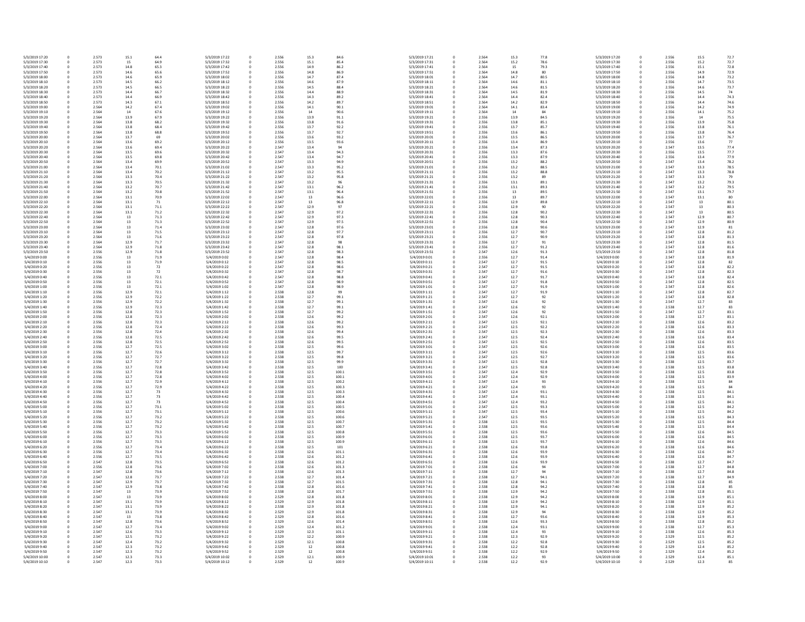| 5/3/2019 17:20 | 0 | 2.573 | 15.1 | 64.4 | 5/3/2019 17:22 | 0           | 2.556 | 15.3 |
|----------------|---|-------|------|------|----------------|-------------|-------|------|
| 5/3/2019 17:30 | 0 | 2.573 | 15   | 64.9 | 5/3/2019 17:32 | 0           | 2.556 | 15.1 |
| 5/3/2019 17:40 | 0 | 2.573 | 14.8 | 65.3 | 5/3/2019 17:42 | 0           | 2.556 | 14.9 |
| 5/3/2019 17:50 | 0 | 2.573 | 14.6 | 65.6 | 5/3/2019 17:52 | 0           | 2.556 | 14.8 |
| 5/3/2019 18:00 | 0 | 2.573 | 14.6 | 65.9 | 5/3/2019 18:02 | 0           | 2.556 | 14.7 |
| 5/3/2019 18:10 | 0 | 2.573 | 14.5 | 66.2 | 5/3/2019 18:12 | 0           | 2.556 | 14.6 |
| 5/3/2019 18:20 | 0 | 2.573 | 14.5 | 66.5 | 5/3/2019 18:22 | 0           | 2.556 | 14.5 |
| 5/3/2019 18:30 | 0 | 2.573 | 14.4 | 66.7 | 5/3/2019 18:32 | 0           | 2.556 | 14.4 |
| 5/3/2019 18:40 | 0 | 2.573 | 14.4 | 66.9 | 5/3/2019 18:42 | 0           | 2.556 | 14.3 |
| 5/3/2019 18:50 | 0 | 2.573 | 14.3 | 67.1 | 5/3/2019 18:52 | 0           | 2.556 | 14.2 |
| 5/3/2019 19:00 | 0 | 2.564 | 14.2 | 67.4 | 5/3/2019 19:02 | 0           | 2.556 | 14.1 |
| 5/3/2019 19:10 | 0 | 2.564 | 14   | 67.6 | 5/3/2019 19:12 | 0           | 2.556 | 14   |
| 5/3/2019 19:20 | 0 | 2.564 | 13.9 | 67.9 | 5/3/2019 19:22 | 0           | 2.556 | 13.9 |
| 5/3/2019 19:30 | 0 | 2.564 | 13.8 | 68.2 | 5/3/2019 19:32 | 0           | 2.556 | 13.8 |
| 5/3/2019 19:40 | 0 | 2.564 | 13.8 | 68.4 | 5/3/2019 19:42 | 0           | 2.556 | 13.7 |
| 5/3/2019 19:50 | 0 | 2.564 | 13.8 | 68.8 | 5/3/2019 19:52 | 0           | 2.556 | 13.7 |
| 5/3/2019 20:00 | 0 | 2.564 | 13.7 | 69   | 5/3/2019 20:02 | 0           | 2.556 | 13.6 |
| 5/3/2019 20:10 | 0 | 2.564 | 13.6 | 69.2 | 5/3/2019 20:12 | 0           | 2.556 | 13.5 |
| 5/3/2019 20:20 | 0 | 2.564 | 13.6 | 69.4 | 5/3/2019 20:22 | 0           | 2.547 | 13.4 |
| 5/3/2019 20:30 | 0 | 2.564 | 13.5 | 69.6 | 5/3/2019 20:32 | 0           | 2.547 | 13.4 |
| 5/3/2019 20:40 | 0 | 2.564 | 13.5 | 69.8 | 5/3/2019 20:42 | 0           | 2.547 | 13.4 |
| 5/3/2019 20:50 | 0 | 2.564 | 13.4 | 69.9 | 5/3/2019 20:52 | 0           | 2.547 | 13.3 |
| 5/3/2019 21:00 | 0 | 2.564 | 13.4 | 70.1 | 5/3/2019 21:02 | 0           | 2.547 | 13.3 |
| 5/3/2019 21:10 | 0 | 2.564 | 13.4 | 70.2 | 5/3/2019 21:12 | 0           | 2.547 | 13.2 |
| 5/3/2019 21:20 | 0 | 2.564 | 13.3 | 70.4 | 5/3/2019 21:22 | 0           | 2.547 | 13.2 |
| 5/3/2019 21:30 | 0 | 2.564 | 13.3 | 70.5 | 5/3/2019 21:32 | 0           | 2.547 | 13.2 |
| 5/3/2019 21:40 | 0 | 2.564 | 13.2 | 70.7 | 5/3/2019 21:42 | 0           | 2.547 | 13.1 |
| 5/3/2019 21:50 | 0 | 2.564 | 13.2 | 70.8 | 5/3/2019 21:52 | 0           | 2.547 | 13.1 |
| 5/3/2019 22:00 | 0 | 2.564 | 13.1 | 70.9 | 5/3/2019 22:02 | 0           | 2.547 | 13   |
| 5/3/2019 22:10 | 0 | 2.564 | 13.1 | 71   | 5/3/2019 22:12 | 0           | 2.547 | 13   |
| 5/3/2019 22:20 | 0 | 2.564 | 13.1 | 71.1 | 5/3/2019 22:22 | 0           | 2.547 | 12.9 |
| 5/3/2019 22:30 | 0 | 2.564 | 13.1 | 71.2 | 5/3/2019 22:32 | 0           | 2.547 | 12.9 |
| 5/3/2019 22:40 | 0 | 2.564 | 13   | 71.3 | 5/3/2019 22:42 | 0           | 2.547 | 12.9 |
| 5/3/2019 22:50 | 0 | 2.564 | 13   | 71.3 | 5/3/2019 22:52 | 0           | 2.547 | 12.9 |
| 5/3/2019 23:00 | 0 | 2.564 | 13   | 71.4 | 5/3/2019 23:02 | 0           | 2.547 | 12.8 |
| 5/3/2019 23:10 | 0 | 2.564 | 13   | 71.5 | 5/3/2019 23:12 | 0           | 2.547 | 12.8 |
| 5/3/2019 23:20 | 0 | 2.564 | 13   | 71.6 | 5/3/2019 23:22 | 0           | 2.547 | 12.8 |
| 5/3/2019 23:30 | 0 | 2.564 | 12.9 | 71.7 | 5/3/2019 23:32 | 0           | 2.547 | 12.8 |
| 5/3/2019 23:40 | 0 | 2.564 | 12.9 | 71.8 | 5/3/2019 23:42 | 0           | 2.547 | 12.8 |
| 5/3/2019 23:50 | 0 | 2.556 | 12.9 | 71.8 | 5/3/2019 23:52 | 0           | 2.547 | 12.8 |
| 5/4/2019 0:00  | 0 | 2.556 | 13   | 71.9 | 5/4/2019 0:02  | 0           | 2.547 | 12.8 |
| 5/4/2019 0:10  | 0 | 2.556 | 13   | 71.9 | 5/4/2019 0:12  | 0           | 2.547 | 12.8 |
| 5/4/2019 0:20  | 0 | 2.556 | 13   | 72   | 5/4/2019 0:22  | 0           | 2.547 | 12.8 |
|                |   |       |      |      |                |             |       |      |
| 5/4/2019 0:30  | 0 | 2.556 | 13   | 72   | 5/4/2019 0:32  | 0           | 2.547 | 12.8 |
| 5/4/2019 0:40  | 0 | 2.556 | 13   | 72.1 | 5/4/2019 0:42  | 0           | 2.547 | 12.8 |
| 5/4/2019 0:50  | 0 | 2.556 | 13   | 72.1 | 5/4/2019 0:52  | 0           | 2.547 | 12.8 |
| 5/4/2019 1:00  | 0 | 2.556 | 13   | 72.1 | 5/4/2019 1:02  | 0           | 2.547 | 12.8 |
| 5/4/2019 1:10  | 0 | 2.556 | 12.9 | 72.1 | 5/4/2019 1:12  | 0           | 2.538 | 12.8 |
| 5/4/2019 1:20  | 0 | 2.556 | 12.9 | 72.2 | 5/4/2019 1:22  | 0           | 2.538 | 12.7 |
| 5/4/2019 1:30  | 0 | 2.556 | 12.9 | 72.2 | 5/4/2019 1:32  | 0           | 2.538 | 12.7 |
| 5/4/2019 1:40  | 0 | 2.556 | 12.9 | 72.3 | 5/4/2019 1:42  | 0           | 2.538 | 12.7 |
| 5/4/2019 1:50  | 0 | 2.556 | 12.8 | 72.3 | 5/4/2019 1:52  | 0           | 2.538 | 12.7 |
| 5/4/2019 2:00  | 0 | 2.556 | 12.8 | 72.3 | 5/4/2019 2:02  | 0           | 2.538 | 12.6 |
| 5/4/2019 2:10  | 0 | 2.556 | 12.8 | 72.3 | 5/4/2019 2:12  | 0           | 2.538 | 12.6 |
| 5/4/2019 2:20  | 0 | 2.556 | 12.8 | 72.4 | 5/4/2019 2:22  | 0           | 2.538 | 12.6 |
| 5/4/2019 2:30  | 0 | 2.556 | 12.8 | 72.4 | 5/4/2019 2:32  | 0           | 2.538 | 12.6 |
| 5/4/2019 2:40  | 0 | 2.556 | 12.8 | 72.5 | 5/4/2019 2:42  | 0           | 2.538 | 12.6 |
| 5/4/2019 2:50  | 0 | 2.556 | 12.8 | 72.5 | 5/4/2019 2:52  | 0           | 2.538 | 12.6 |
| 5/4/2019 3:00  | 0 | 2.556 | 12.7 | 72.5 | 5/4/2019 3:02  | 0           | 2.538 | 12.5 |
| 5/4/2019 3:10  | 0 | 2.556 | 12.7 | 72.6 | 5/4/2019 3:12  | 0           | 2.538 | 12.5 |
| 5/4/2019 3:20  | 0 | 2.556 | 12.7 | 72.7 | 5/4/2019 3:22  | 0           | 2.538 | 12.5 |
| 5/4/2019 3:30  | 0 | 2.556 | 12.7 | 72.7 | 5/4/2019 3:32  | 0           | 2.538 | 12.5 |
| 5/4/2019 3:40  | 0 | 2.556 | 12.7 | 72.8 | 5/4/2019 3:42  | 0           | 2.538 | 12.5 |
| 5/4/2019 3:50  | 0 | 2.556 | 12.7 | 72.8 | 5/4/2019 3:52  | 0           | 2.538 | 12.5 |
| 5/4/2019 4:00  | 0 | 2.556 | 12.7 | 72.8 | 5/4/2019 4:02  | 0           | 2.538 | 12.5 |
| 5/4/2019 4:10  | 0 | 2.556 | 12.7 | 72.9 | 5/4/2019 4:12  | 0           | 2.538 | 12.5 |
| 5/4/2019 4:20  | 0 | 2.556 | 12.7 | 72.9 | 5/4/2019 4:22  | 0           | 2.538 | 12.5 |
| 5/4/2019 4:30  | 0 | 2.556 | 12.7 | 73   | 5/4/2019 4:32  | 0           | 2.538 | 12.5 |
| 5/4/2019 4:40  | 0 | 2.556 | 12.7 | 73   | 5/4/2019 4:42  | 0           | 2.538 | 12.5 |
| 5/4/2019 4:50  | 0 | 2.556 | 12.7 | 73   | 5/4/2019 4:52  | 0           | 2.538 | 12.5 |
| 5/4/2019 5:00  | 0 | 2.556 | 12.7 | 73.1 | 5/4/2019 5:02  | 0           | 2.538 | 12.5 |
| 5/4/2019 5:10  | 0 | 2.556 | 12.7 | 73.1 | 5/4/2019 5:12  | 0           | 2.538 | 12.5 |
| 5/4/2019 5:20  | 0 | 2.556 | 12.7 | 73.2 | 5/4/2019 5:22  | 0           | 2.538 | 12.5 |
| 5/4/2019 5:30  | 0 | 2.556 | 12.7 | 73.2 | 5/4/2019 5:32  | 0           | 2.538 | 12.5 |
| 5/4/2019 5:40  | 0 | 2.556 | 12.7 | 73.2 | 5/4/2019 5:42  | 0           | 2.538 | 12.5 |
| 5/4/2019 5:50  | 0 | 2.556 | 12.7 | 73.3 | 5/4/2019 5:52  | 0           | 2.538 | 12.5 |
| 5/4/2019 6:00  | 0 | 2.556 | 12.7 | 73.3 | 5/4/2019 6:02  | 0           | 2.538 | 12.5 |
| 5/4/2019 6:10  | 0 | 2.556 | 12.7 | 73.3 | 5/4/2019 6:12  | 0           | 2.538 | 12.5 |
| 5/4/2019 6:20  | 0 | 2.556 | 12.7 | 73.4 | 5/4/2019 6:22  | 0           | 2.538 | 12.5 |
| 5/4/2019 6:30  | 0 | 2.556 | 12.7 | 73.4 | 5/4/2019 6:32  | 0           | 2.538 | 12.6 |
| 5/4/2019 6:40  | 0 | 2.556 | 12.7 | 73.5 | 5/4/2019 6:42  | 0           | 2.538 | 12.6 |
| 5/4/2019 6:50  | 0 | 2.547 | 12.8 | 73.5 | 5/4/2019 6:52  | 0           | 2.538 | 12.6 |
| 5/4/2019 7:00  | 0 | 2.556 | 12.8 | 73.6 | 5/4/2019 7:02  | 0           | 2.538 | 12.6 |
| 5/4/2019 7:10  | 0 | 2.547 | 12.8 | 73.6 | 5/4/2019 7:12  | 0           | 2.538 | 12.6 |
| 5/4/2019 7:20  | 0 | 2.547 | 12.8 | 73.7 | 5/4/2019 7:22  | 0           | 2.538 | 12.7 |
| 5/4/2019 7:30  | 0 | 2.547 | 12.9 | 73.7 | 5/4/2019 7:32  | 0           | 2.538 | 12.7 |
| 5/4/2019 7:40  | 0 | 2.547 | 12.9 | 73.8 | 5/4/2019 7:42  | 0           | 2.538 | 12.8 |
| 5/4/2019 7:50  | 0 | 2.547 | 13   | 73.9 | 5/4/2019 7:52  | 0           | 2.538 | 12.8 |
| 5/4/2019 8:00  | 0 | 2.547 | 13   | 73.9 | 5/4/2019 8:02  | 0           | 2.529 | 12.8 |
| 5/4/2019 8:10  | 0 | 2.547 | 13.1 | 73.9 | 5/4/2019 8:12  | 0           | 2.529 | 12.9 |
| 5/4/2019 8:20  | 0 | 2.547 | 13.1 | 73.9 | 5/4/2019 8:22  | 0           | 2.538 | 12.9 |
| 5/4/2019 8:30  | 0 | 2.547 | 13.1 | 73.9 | 5/4/2019 8:32  | 0           | 2.529 | 12.9 |
| 5/4/2019 8:40  | 0 | 2.547 | 13   | 73.8 | 5/4/2019 8:42  | 0           | 2.529 | 12.8 |
| 5/4/2019 8:50  | 0 | 2.547 | 12.8 | 73.6 | 5/4/2019 8:52  | 0           | 2.529 | 12.6 |
| 5/4/2019 9:00  | 0 | 2.547 | 12.7 | 73.4 | 5/4/2019 9:02  | 0           | 2.529 | 12.4 |
| 5/4/2019 9:10  | 0 | 2.547 | 12.6 | 73.3 | 5/4/2019 9:12  | 0           | 2.529 | 12.3 |
| 5/4/2019 9:20  | 0 | 2.547 | 12.5 | 73.2 | 5/4/2019 9:22  | $\pmb{0}$   | 2.529 | 12.2 |
| 5/4/2019 9:30  | 0 | 2.547 | 12.4 | 73.2 | 5/4/2019 9:32  | 0           | 2.529 | 12.1 |
| 5/4/2019 9:40  | 0 | 2.547 | 12.3 | 73.2 | 5/4/2019 9:42  | $\pmb{0}$   | 2.529 | 12   |
| 5/4/2019 9:50  | 0 | 2.547 | 12.3 | 73.2 | 5/4/2019 9:52  | $\mathbf 0$ | 2.529 | 12   |
| 5/4/2019 10:00 | 0 | 2.547 | 12.3 | 73.3 | 5/4/2019 10:02 | 0           | 2.529 | 12.1 |
| 5/4/2019 10:10 | 0 | 2.547 | 12.3 | 73.3 | 5/4/2019 10:12 | $\pmb{0}$   | 2.529 | 12   |

| 2.556 | 15.3 | 84.6  | 5/3/2019 17:21 | $\pmb{0}$        | 2.564 | 15.3 | 77.8 | 5/3/2019 17:20 |
|-------|------|-------|----------------|------------------|-------|------|------|----------------|
| 2.556 | 15.1 | 85.4  | 5/3/2019 17:31 | $\mathbf 0$      | 2.564 | 15.2 | 78.6 | 5/3/2019 17:30 |
| 2.556 | 14.9 | 86.2  | 5/3/2019 17:41 | $\mathbf 0$      | 2.564 | 15   | 79.3 | 5/3/2019 17:40 |
| 2.556 | 14.8 | 86.9  | 5/3/2019 17:51 | $\pmb{0}$        | 2.564 | 14.8 | 80   | 5/3/2019 17:50 |
| 2.556 | 14.7 | 87.4  | 5/3/2019 18:01 | $\mathbf 0$      | 2.564 | 14.7 | 80.5 | 5/3/2019 18:00 |
| 2.556 | 14.6 | 87.9  | 5/3/2019 18:11 | $\pmb{0}$        | 2.564 | 14.6 | 81.1 | 5/3/2019 18:10 |
| 2.556 | 14.5 | 88.4  | 5/3/2019 18:21 | $\boldsymbol{0}$ | 2.564 | 14.6 | 81.5 | 5/3/2019 18:20 |
| 2.556 | 14.4 | 88.9  | 5/3/2019 18:31 | $\mathbf 0$      | 2.564 | 14.5 | 81.9 | 5/3/2019 18:30 |
| 2.556 | 14.3 | 89.2  | 5/3/2019 18:41 |                  | 2.564 | 14.4 | 82.4 | 5/3/2019 18:40 |
|       |      |       |                | $\mathbf 0$      |       |      |      |                |
| 2.556 | 14.2 | 89.7  | 5/3/2019 18:51 | $\pmb{0}$        | 2.564 | 14.2 | 82.9 | 5/3/2019 18:50 |
| 2.556 | 14.1 | 90.1  | 5/3/2019 19:01 | $\boldsymbol{0}$ | 2.564 | 14.1 | 83.4 | 5/3/2019 19:00 |
| 2.556 | 14   | 90.6  | 5/3/2019 19:11 | $\mathbf 0$      | 2.564 | 14   | 84   | 5/3/2019 19:10 |
| 2.556 | 13.9 | 91.1  | 5/3/2019 19:21 | $\boldsymbol{0}$ | 2.556 | 13.9 | 84.5 | 5/3/2019 19:20 |
| 2.556 | 13.8 | 91.6  | 5/3/2019 19:31 | $\boldsymbol{0}$ | 2.556 | 13.8 | 85.1 | 5/3/2019 19:30 |
| 2.556 | 13.7 | 92.2  | 5/3/2019 19:41 | $\mathbf 0$      | 2.556 | 13.7 | 85.7 | 5/3/2019 19:40 |
| 2.556 | 13.7 | 92.7  | 5/3/2019 19:51 | $\boldsymbol{0}$ | 2.556 | 13.6 | 86.1 | 5/3/2019 19:50 |
| 2.556 | 13.6 | 93.2  | 5/3/2019 20:01 | $\boldsymbol{0}$ | 2.556 | 13.5 | 86.5 | 5/3/2019 20:00 |
|       |      |       |                |                  |       |      |      |                |
| 2.556 | 13.5 | 93.6  | 5/3/2019 20:11 | $\mathbf 0$      | 2.556 | 13.4 | 86.9 | 5/3/2019 20:10 |
| 2.547 | 13.4 | 94    | 5/3/2019 20:21 | $\boldsymbol{0}$ | 2.556 | 13.4 | 87.3 | 5/3/2019 20:20 |
| 2.547 | 13.4 | 94.3  | 5/3/2019 20:31 | $\mathbf 0$      | 2.556 | 13.3 | 87.6 | 5/3/2019 20:30 |
| 2.547 | 13.4 | 94.7  | 5/3/2019 20:41 | $\mathbf 0$      | 2.556 | 13.3 | 87.9 | 5/3/2019 20:40 |
| 2.547 | 13.3 | 94.9  | 5/3/2019 20:51 | $\boldsymbol{0}$ | 2.556 | 13.2 | 88.2 | 5/3/2019 20:50 |
| 2.547 | 13.3 | 95.2  | 5/3/2019 21:01 | $\boldsymbol{0}$ | 2.556 | 13.2 | 88.5 | 5/3/2019 21:00 |
| 2.547 | 13.2 | 95.5  | 5/3/2019 21:11 | $\mathbf 0$      | 2.556 | 13.2 | 88.8 | 5/3/2019 21:10 |
| 2.547 | 13.2 | 95.8  | 5/3/2019 21:21 | $\boldsymbol{0}$ |       | 13.2 | 89   | 5/3/2019 21:20 |
|       |      |       |                |                  | 2.556 |      |      |                |
| 2.547 | 13.2 | 96    | 5/3/2019 21:31 | $\boldsymbol{0}$ | 2.556 | 13.1 | 89.1 | 5/3/2019 21:30 |
| 2.547 | 13.1 | 96.2  | 5/3/2019 21:41 | $\mathbf 0$      | 2.556 | 13.1 | 89.3 | 5/3/2019 21:40 |
| 2.547 | 13.1 | 96.4  | 5/3/2019 21:51 | $\mathbf 0$      | 2.556 | 13   | 89.5 | 5/3/2019 21:50 |
| 2.547 | 13   | 96.6  | 5/3/2019 22:01 | $\mathbf 0$      | 2.556 | 13   | 89.7 | 5/3/2019 22:00 |
| 2.547 | 13   | 96.8  | 5/3/2019 22:11 | $\mathbf 0$      | 2.556 | 12.9 | 89.8 | 5/3/2019 22:10 |
| 2.547 | 12.9 | 97    | 5/3/2019 22:21 | $\mathbf 0$      | 2.556 | 12.9 | 90   | 5/3/2019 22:20 |
| 2.547 | 12.9 | 97.2  | 5/3/2019 22:31 | 0                | 2.556 | 12.8 | 90.2 | 5/3/2019 22:30 |
| 2.547 | 12.9 | 97.3  | 5/3/2019 22:41 | $\mathbf 0$      | 2.556 | 12.8 | 90.3 | 5/3/2019 22:40 |
|       |      |       |                |                  |       |      |      |                |
| 2.547 | 12.9 | 97.5  | 5/3/2019 22:51 | 0                | 2.556 | 12.8 | 90.4 | 5/3/2019 22:50 |
| 2.547 | 12.8 | 97.6  | 5/3/2019 23:01 | 0                | 2.556 | 12.8 | 90.6 | 5/3/2019 23:00 |
| 2.547 | 12.8 | 97.7  | 5/3/2019 23:11 | $\mathbf 0$      | 2.556 | 12.7 | 90.7 | 5/3/2019 23:10 |
| 2.547 | 12.8 | 97.8  | 5/3/2019 23:21 | $\mathbf 0$      | 2.556 | 12.7 | 90.9 | 5/3/2019 23:20 |
| 2.547 | 12.8 | 98    | 5/3/2019 23:31 | $\mathbf 0$      | 2.556 | 12.7 | 91   | 5/3/2019 23:30 |
| 2.547 | 12.8 | 98.1  | 5/3/2019 23:41 | $\pmb{0}$        | 2.556 | 12.7 | 91.2 | 5/3/2019 23:40 |
| 2.547 |      |       |                |                  |       |      |      |                |
|       | 12.8 | 98.3  | 5/3/2019 23:51 | 0                | 2.547 | 12.6 | 91.3 | 5/3/2019 23:50 |
| 2.547 | 12.8 | 98.4  | 5/4/2019 0:01  | 0                | 2.556 | 12.7 | 91.4 | 5/4/2019 0:00  |
| 2.547 | 12.8 | 98.5  | 5/4/2019 0:11  | $\mathbf 0$      | 2.547 | 12.7 | 91.5 | 5/4/2019 0:10  |
| 2.547 | 12.8 | 98.6  | 5/4/2019 0:21  | $\mathbf 0$      | 2.547 | 12.7 | 91.5 | 5/4/2019 0:20  |
| 2.547 | 12.8 | 98.7  | 5/4/2019 0:31  | $\mathbf 0$      | 2.547 | 12.7 | 91.6 | 5/4/2019 0:30  |
| 2.547 | 12.8 | 98.8  | 5/4/2019 0:41  | $\mathbf 0$      | 2.547 | 12.7 | 91.7 | 5/4/2019 0:40  |
| 2.547 | 12.8 | 98.9  | 5/4/2019 0:51  | $\mathbf 0$      | 2.547 | 12.7 | 91.8 | 5/4/2019 0:50  |
|       |      |       |                |                  |       |      |      |                |
| 2.547 | 12.8 | 98.9  | 5/4/2019 1:01  | $\mathbf 0$      | 2.547 | 12.7 | 91.9 | 5/4/2019 1:00  |
| 2.538 | 12.8 | 99    | 5/4/2019 1:11  | $\mathbf 0$      | 2.547 | 12.7 | 91.9 | 5/4/2019 1:10  |
| 2.538 | 12.7 | 99.1  | 5/4/2019 1:21  | $\mathbf 0$      | 2.547 | 12.7 | 92   | 5/4/2019 1:20  |
| 2.538 | 12.7 | 99.1  | 5/4/2019 1:31  | $\mathbf 0$      | 2.547 | 12.6 | 92   | 5/4/2019 1:30  |
| 2.538 | 12.7 | 99.1  | 5/4/2019 1:41  | $\mathbf 0$      | 2.547 | 12.6 | 92   | 5/4/2019 1:40  |
| 2.538 | 12.7 | 99.2  | 5/4/2019 1:51  | 0                | 2.547 | 12.6 | 92   | 5/4/2019 1:50  |
| 2.538 | 12.6 | 99.2  | 5/4/2019 2:01  | $\mathbf 0$      | 2.547 | 12.6 | 92.1 | 5/4/2019 2:00  |
|       |      |       |                |                  |       |      |      |                |
| 2.538 | 12.6 | 99.2  | 5/4/2019 2:11  | $\mathbf 0$      | 2.547 | 12.5 | 92.1 | 5/4/2019 2:10  |
| 2.538 | 12.6 | 99.3  | 5/4/2019 2:21  | $\mathbf 0$      | 2.547 | 12.5 | 92.2 | 5/4/2019 2:20  |
| 2.538 | 12.6 | 99.4  | 5/4/2019 2:31  | $\mathbf 0$      | 2.547 | 12.5 | 92.3 | 5/4/2019 2:30  |
| 2.538 | 12.6 | 99.5  | 5/4/2019 2:41  | $\mathbf 0$      | 2.547 | 12.5 | 92.4 | 5/4/2019 2:40  |
| 2.538 | 12.6 | 99.5  | 5/4/2019 2:51  | 0                | 2.547 | 12.5 | 92.5 | 5/4/2019 2:50  |
| 2.538 | 12.5 | 99.6  | 5/4/2019 3:01  | $\mathbf 0$      | 2.547 | 12.5 | 92.6 | 5/4/2019 3:00  |
| 2.538 | 12.5 | 99.7  | 5/4/2019 3:11  | $\mathbf 0$      | 2.547 | 12.5 | 92.6 | 5/4/2019 3:10  |
| 2.538 |      |       | 5/4/2019 3:21  |                  | 2.547 | 12.5 | 92.7 | 5/4/2019 3:20  |
|       | 12.5 | 99.8  |                | 0                |       |      |      |                |
| 2.538 | 12.5 | 99.9  | 5/4/2019 3:31  | 0                | 2.547 | 12.5 | 92.8 | 5/4/2019 3:30  |
| 2.538 | 12.5 | 100   | 5/4/2019 3:41  | 0                | 2.547 | 12.5 | 92.8 | 5/4/2019 3:40  |
| 2.538 | 12.5 | 100.1 | 5/4/2019 3:51  | 0                | 2.547 | 12.4 | 92.9 | 5/4/2019 3:50  |
| 2.538 | 12.5 | 100.1 | 5/4/2019 4:01  | $\mathbf 0$      | 2.547 | 12.4 | 92.9 | 5/4/2019 4:00  |
| 2.538 | 12.5 | 100.2 | 5/4/2019 4:11  | 0                | 2.547 | 12.4 | 93   | 5/4/2019 4:10  |
| 2.538 | 12.5 | 100.3 | 5/4/2019 4:21  | 0                | 2.547 | 12.4 | 93   | 5/4/2019 4:20  |
| 2.538 | 12.5 | 100.3 | 5/4/2019 4:31  | $\mathbf 0$      | 2.547 | 12.4 | 93.1 | 5/4/2019 4:30  |
| 2.538 | 12.5 | 100.4 | 5/4/2019 4:41  | 0                | 2.547 | 12.4 | 93.1 | 5/4/2019 4:40  |
| 2.538 | 12.5 | 100.4 | 5/4/2019 4:51  | 0                | 2.547 | 12.4 | 93.2 | 5/4/2019 4:50  |
|       |      |       |                |                  |       |      |      |                |
| 2.538 | 12.5 | 100.5 | 5/4/2019 5:01  | $\mathbf 0$      | 2.547 | 12.5 | 93.3 | 5/4/2019 5:00  |
| 2.538 | 12.5 | 100.6 | 5/4/2019 5:11  | 0                | 2.547 | 12.5 | 93.4 | 5/4/2019 5:10  |
| 2.538 | 12.5 | 100.6 | 5/4/2019 5:21  | $\mathbf 0$      | 2.547 | 12.5 | 93.5 | 5/4/2019 5:20  |
| 2.538 | 12.5 | 100.7 | 5/4/2019 5:31  | $\mathbf 0$      | 2.538 | 12.5 | 93.5 | 5/4/2019 5:30  |
| 2.538 | 12.5 | 100.7 | 5/4/2019 5:41  | $\mathbf 0$      | 2.538 | 12.5 | 93.6 | 5/4/2019 5:40  |
| 2.538 | 12.5 | 100.8 | 5/4/2019 5:51  | $\mathbf 0$      | 2.538 | 12.5 | 93.6 | 5/4/2019 5:50  |
| 2.538 | 12.5 | 100.9 | 5/4/2019 6:01  | $\mathbf 0$      | 2.538 | 12.5 | 93.7 | 5/4/2019 6:00  |
| 2.538 | 12.5 | 100.9 | 5/4/2019 6:11  | 0                | 2.538 | 12.5 | 93.7 | 5/4/2019 6:10  |
|       |      |       |                |                  |       |      |      |                |
| 2.538 | 12.5 | 101   | 5/4/2019 6:21  | $\mathbf 0$      | 2.538 | 12.6 | 93.8 | 5/4/2019 6:20  |
| 2.538 | 12.6 | 101.1 | 5/4/2019 6:31  | $\pmb{0}$        | 2.538 | 12.6 | 93.9 | 5/4/2019 6:30  |
| 2.538 | 12.6 | 101.2 | 5/4/2019 6:41  | 0                | 2.538 | 12.6 | 93.9 | 5/4/2019 6:40  |
| 2.538 | 12.6 | 101.2 | 5/4/2019 6:51  | $\mathbf 0$      | 2.538 | 12.6 | 93.9 | 5/4/2019 6:50  |
| 2.538 | 12.6 | 101.3 | 5/4/2019 7:01  | $\mathbf 0$      | 2.538 | 12.6 | 94   | 5/4/2019 7:00  |
| 2.538 | 12.6 | 101.3 | 5/4/2019 7:11  | $\mathbf 0$      | 2.538 | 12.7 | 94   | 5/4/2019 7:10  |
| 2.538 | 12.7 | 101.4 | 5/4/2019 7:21  | $\mathbf 0$      | 2.538 | 12.7 | 94.1 | 5/4/2019 7:20  |
| 2.538 | 12.7 | 101.5 | 5/4/2019 7:31  | $\mathbf 0$      |       | 12.8 | 94.1 | 5/4/2019 7:30  |
|       |      |       |                |                  | 2.538 |      |      |                |
| 2.538 | 12.8 | 101.6 | 5/4/2019 7:41  | 0                | 2.538 | 12.8 | 94.2 | 5/4/2019 7:40  |
| 2.538 | 12.8 | 101.7 | 5/4/2019 7:51  | $\mathbf 0$      | 2.538 | 12.9 | 94.2 | 5/4/2019 7:50  |
| 2.529 | 12.8 | 101.8 | 5/4/2019 8:01  | $\mathbf 0$      | 2.538 | 12.9 | 94.2 | 5/4/2019 8:00  |
| 2.529 | 12.9 | 101.8 | 5/4/2019 8:11  | 0                | 2.538 | 12.9 | 94.2 | 5/4/2019 8:10  |
| 2.538 | 12.9 | 101.8 | 5/4/2019 8:21  | $\mathbf 0$      | 2.538 | 12.9 | 94.1 | 5/4/2019 8:20  |
| 2.529 | 12.9 | 101.8 | 5/4/2019 8:31  | $\mathbf 0$      | 2.538 | 12.9 | 94   | 5/4/2019 8:30  |
| 2.529 | 12.8 | 101.6 | 5/4/2019 8:41  | 0                | 2.538 | 12.7 | 93.6 | 5/4/2019 8:40  |
|       |      |       |                |                  |       |      |      |                |
| 2.529 | 12.6 | 101.4 | 5/4/2019 8:51  | 0                | 2.538 | 12.6 | 93.3 | 5/4/2019 8:50  |
| 2.529 | 12.4 | 101.2 | 5/4/2019 9:01  | $\mathbf 0$      | 2.538 | 12.4 | 93.1 | 5/4/2019 9:00  |
| 2.529 | 12.3 | 101.1 | 5/4/2019 9:11  | 0                | 2.538 | 12.4 | 93   | 5/4/2019 9:10  |
| 2.529 | 12.2 | 100.9 | 5/4/2019 9:21  | $\mathbf 0$      | 2.538 | 12.3 | 92.9 | 5/4/2019 9:20  |
| 2.529 | 12.1 | 100.8 | 5/4/2019 9:31  | $\mathbf 0$      | 2.538 | 12.2 | 92.8 | 5/4/2019 9:30  |
| 2.529 | 12   | 100.8 | 5/4/2019 9:41  | $\mathbf 0$      | 2.538 | 12.2 | 92.8 | 5/4/2019 9:40  |
| 2.529 | 12   | 100.8 | 5/4/2019 9:51  | $\pmb{0}$        | 2.538 | 12.2 | 92.9 | 5/4/2019 9:50  |
| 2.529 | 12.1 | 100.9 | 5/4/2019 10:01 | $\mathbf 0$      | 2.538 | 12.2 | 93   | 5/4/2019 10:00 |
|       |      |       |                |                  |       |      |      |                |
| 2.529 | 12   | 100.9 | 5/4/2019 10:11 | $\mathbf 0$      | 2.538 | 12.2 | 92.9 | 5/4/2019 10:10 |

| 0      | 2.556          | 15.5         | 72.7 |
|--------|----------------|--------------|------|
| 0      | 2.556          | 15.2         | 72.7 |
|        |                |              |      |
| 0      | 2.556          | 15.1         | 72.8 |
| 0      | 2.556          | 14.9         | 72.9 |
| 0      | 2.556          | 14.8         | 73.2 |
| 0      | 2.556          | 14.7         | 73.5 |
|        |                |              |      |
| 0      | 2.556          | 14.6         | 73.7 |
| 0      | 2.556          | 14.5         | 74   |
| 0      | 2.556          | 14.4         | 74.3 |
|        |                | 14.4         |      |
| 0      | 2.556          |              | 74.6 |
| 0      | 2.556          | 14.2         | 74.9 |
| 0      | 2.556          | 14.1         | 75.2 |
| 0      | 2.556          | 14           | 75.5 |
|        |                |              |      |
| 0      | 2.556          | 13.9         | 75.8 |
| 0      | 2.556          | 13.8         | 76.1 |
| 0      | 2.556          | 13.8         | 76.4 |
|        |                |              |      |
| 0      | 2.556          | 13.7         | 76.7 |
| 0      | 2.556          | 13.6         | 77   |
| 0      | 2.547          | 13.5         | 77.4 |
|        |                |              |      |
| 0      | 2.556          | 13.5         | 77.7 |
| 0      | 2.556          | 13.4         | 77.9 |
| 0      | 2.547          | 13.4         | 78.2 |
| 0      | 2.547          | 13.3         | 78.5 |
|        |                |              |      |
| 0      | 2.547          | 13.3         | 78.8 |
| 0      | 2.547          | 13.3         | 79   |
| 0      | 2.547          | 13.2         | 79.3 |
|        |                |              |      |
| 0      | 2.547          | 13.2         | 79.5 |
| 0      | 2.547          | 13.1         | 79.7 |
| 0      | 2.547          | 13.1         | 80   |
|        |                |              | 80.1 |
| 0      | 2.547          | 13           |      |
| 0      | 2.547          | 13           | 80.3 |
| 0      | 2.547          | 13           | 80.5 |
| 0      | 2.547          | 12.9         | 80.7 |
|        |                |              |      |
| 0      | 2.547          | 12.9         | 80.9 |
| 0      | 2.547          | 12.9         | 81   |
| 0      | 2.547          | 12.8         | 81.2 |
|        | 2.547          | 12.8         | 81.3 |
| 0      |                |              |      |
| 0      | 2.547          | 12.8         | 81.5 |
| 0      | 2.547          | 12.8         | 81.6 |
| 0      | 2.547          | 12.8         | 81.8 |
|        |                |              |      |
| 0      | 2.547          | 12.8         | 81.9 |
| 0      | 2.547          | 12.8         | 82   |
| 0      | 2.547          | 12.8         | 82.2 |
|        |                |              |      |
| 0      | 2.547          | 12.8         | 82.3 |
| 0      | 2.547          | 12.8         | 82.4 |
| 0      | 2.547          | 12.8         | 82.5 |
|        |                |              |      |
| 0      | 2.547          | 12.8         | 82.6 |
| 0      | 2.547          | 12.8         | 82.7 |
| 0      | 2.547          | 12.8         | 82.8 |
|        |                |              |      |
| 0      | 2.547          | 12.7         | 83   |
| 0      | 2.538          | 12.7         | 83   |
| 0      | 2.547          | 12.7         | 83.1 |
| 0      | 2.538          | 12.7         | 83.1 |
|        |                |              |      |
| 0      | 2.538          | 12.6         | 83.2 |
| 0      | 2.538          | 12.6         | 83.3 |
| 0      | 2.538          | 12.6         | 83.3 |
|        |                |              |      |
| 0      | 2.538          | 12.6         | 83.4 |
| 0      | 2.538          | 12.6         | 83.5 |
| 0      | 2.538          | 12.6         | 83.5 |
| 0      | 2.538          | 12.5         | 83.6 |
|        |                |              |      |
| 0      | 2.538          | 12.5         | 83.6 |
| 0      | 2.538          | 12.5         | 83.7 |
| 0      | 2.538          | 12.5         | 83.8 |
|        |                |              |      |
| 0      | 2.538          | 12.5         | 83.8 |
| 0      | 2.538          | 12.5         | 83.9 |
| 0      | 2.538          | 12.5         | 84   |
|        |                |              |      |
| 0      | 2.538          | 12.5         | 84   |
| 0      | 2.538          | 12.5         | 84.1 |
| 0      | 2.538          | 12.5         | 84.1 |
| 0      | 2.538          | 12.5         | 84.1 |
|        |                |              |      |
| 0      | 2.538          | 12.5         | 84.2 |
| 0      | 2.538          | 12.5         | 84.2 |
| 0      | 2.538          | 12.5         | 84.3 |
| 0      | 2.538          | 12.5         | 84.4 |
|        |                |              |      |
| 0      | 2.538          | 12.5         | 84.4 |
| 0      | 2.538          | 12.6         | 84.5 |
| 0      | 2.538          | 12.6         | 84.5 |
| 0      | 2.538          | 12.6         | 84.6 |
|        |                |              |      |
| 0      | 2.538          | 12.6         | 84.6 |
| 0      | 2.538          | 12.6         | 84.7 |
| 0      | 2.538          | 12.6         | 84.7 |
|        |                | 12.7         |      |
| 0      | 2.538          |              | 84.7 |
| 0      | 2.538          | 12.7         | 84.8 |
| 0      | 2.538          | 12.7         | 84.8 |
| 0      | 2.538          | 12.7         | 84.9 |
|        |                |              |      |
| 0      | 2.538          | 12.8         | 85   |
| 0      | 2.538          | 12.8         | 85   |
| 0      | 2.538          | 12.8         | 85.1 |
| 0      | 2.538          | 12.9         | 85.1 |
|        |                |              |      |
| 0      | 2.538          | 12.9         | 85.1 |
| 0      | 2.538          | 12.9         | 85.2 |
| 0      | 2.538          | 12.9         | 85.2 |
|        |                |              |      |
| 0      | 2.538          | 12.9         | 85.3 |
| 0      | 2.538          | 12.8         | 85.2 |
| 0      | 2.538          | 12.7         | 85.3 |
|        | 2.538          |              |      |
| 0      |                | 12.6         | 85.3 |
| 0      | 2.529          | 12.5         | 85.2 |
| 0      | 2.529          | 12.5         | 85.2 |
| 0      | 2.529          | 12.4         | 85.2 |
| 0      | 2.529          | 12.4         | 85.2 |
|        |                |              |      |
|        |                |              | 85.1 |
| 0<br>0 | 2.529<br>2.529 | 12.4<br>12.3 | 85   |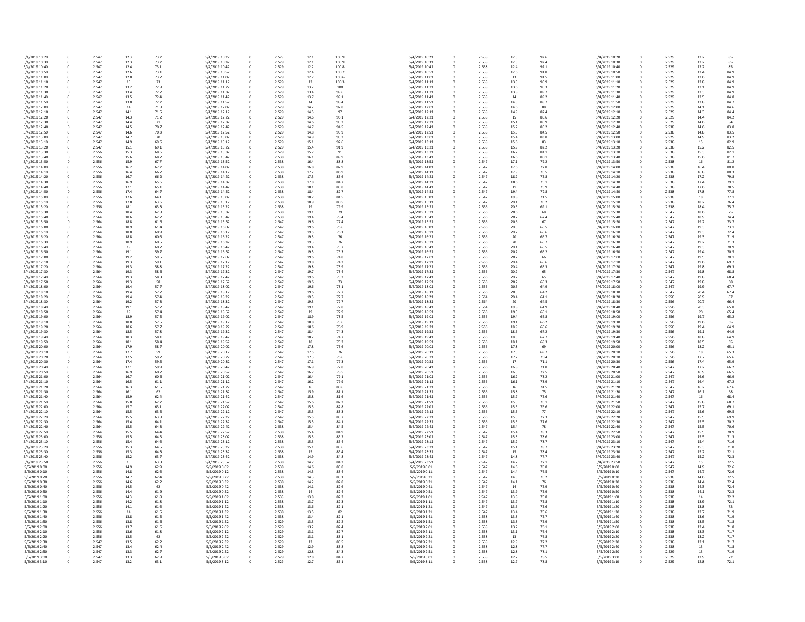| 5/4/2019 10:20 | 0           | 2.547 | 12.3         | 73.2 | 5/4/2019 10:22 | 0           | 2.529 | 12.1         | 100.9 | 5/4/2019 10:21 |
|----------------|-------------|-------|--------------|------|----------------|-------------|-------|--------------|-------|----------------|
| 5/4/2019 10:30 | 0           | 2.547 | 12.3         | 73.2 | 5/4/2019 10:32 | 0           | 2.529 | 12.1         | 100.9 | 5/4/2019 10:31 |
| 5/4/2019 10:40 | 0           | 2.547 | 12.4         | 73.1 | 5/4/2019 10:42 |             | 2.529 | 12.2         | 100.8 | 5/4/2019 10:41 |
| 5/4/2019 10:50 | 0           | 2.547 | 12.6         | 73.1 | 5/4/2019 10:52 |             | 2.529 | 12.4         | 100.7 | 5/4/2019 10:51 |
| 5/4/2019 11:00 | 0           | 2.547 | 12.8         | 73.2 | 5/4/2019 11:02 |             | 2.529 | 12.7         | 100.6 | 5/4/2019 11:01 |
| 5/4/2019 11:10 | 0           | 2.547 | 13           | 73   | 5/4/2019 11:12 |             | 2.529 | 13           | 100.3 | 5/4/2019 11:11 |
| 5/4/2019 11:20 | 0           | 2.547 | 13.2         | 72.9 | 5/4/2019 11:22 |             | 2.529 | 13.2         | 100   | 5/4/2019 11:21 |
| 5/4/2019 11:30 | 0           | 2.547 | 13.4         | 72.7 | 5/4/2019 11:32 |             | 2.529 | 13.4         | 99.6  | 5/4/2019 11:31 |
| 5/4/2019 11:40 | 0           | 2.547 | 13.5         | 72.4 | 5/4/2019 11:42 |             | 2.529 | 13.7         | 99.1  | 5/4/2019 11:41 |
| 5/4/2019 11:50 | 0           | 2.547 | 13.8         | 72.2 | 5/4/2019 11:52 |             | 2.529 | 14           | 98.4  | 5/4/2019 11:51 |
| 5/4/2019 12:00 |             | 2.547 | 14           | 71.8 | 5/4/2019 12:02 |             | 2.529 |              |       | 5/4/2019 12:01 |
|                | 0           |       |              |      |                |             |       | 14.2         | 97.8  |                |
| 5/4/2019 12:10 | 0           | 2.547 | 14.1         | 71.5 | 5/4/2019 12:12 |             | 2.529 | 14.5         | 97    | 5/4/2019 12:11 |
| 5/4/2019 12:20 | 0           | 2.547 | 14.3         | 71.2 | 5/4/2019 12:22 |             | 2.529 | 14.6         | 96.1  | 5/4/2019 12:21 |
| 5/4/2019 12:30 | 0           | 2.547 | 14.4         | 71   | 5/4/2019 12:32 |             | 2.529 | 14.6         | 95.3  | 5/4/2019 12:31 |
| 5/4/2019 12:40 | 0           | 2.547 | 14.5         | 70.7 | 5/4/2019 12:42 |             | 2.529 | 14.7         | 94.5  | 5/4/2019 12:41 |
| 5/4/2019 12:50 | 0           | 2.547 | 14.6         | 70.3 | 5/4/2019 12:52 |             | 2.529 | 14.8         | 93.9  | 5/4/2019 12:51 |
| 5/4/2019 13:00 | 0           | 2.547 | 14.7         | 70   | 5/4/2019 13:02 |             | 2.529 | 14.9         | 93.2  | 5/4/2019 13:01 |
| 5/4/2019 13:10 | 0           | 2.547 | 14.9         | 69.6 | 5/4/2019 13:12 |             | 2.529 | 15.1         | 92.6  | 5/4/2019 13:11 |
| 5/4/2019 13:20 | 0           | 2.547 | 15.1         | 69.1 | 5/4/2019 13:22 |             | 2.529 | 15.4         | 91.9  | 5/4/2019 13:21 |
| 5/4/2019 13:30 | 0           | 2.556 | 15.3         | 68.6 | 5/4/2019 13:32 |             | 2.529 | 15.7         | 91    | 5/4/2019 13:31 |
| 5/4/2019 13:40 | 0           | 2.556 | 15.6         | 68.2 | 5/4/2019 13:42 |             | 2.538 | 16.1         | 89.9  | 5/4/2019 13:41 |
| 5/4/2019 13:50 | 0           | 2.556 | 15.9         | 67.7 | 5/4/2019 13:52 |             | 2.538 | 16.4         | 88.8  | 5/4/2019 13:51 |
| 5/4/2019 14:00 | 0           | 2.556 | 16.2         | 67.2 | 5/4/2019 14:02 |             | 2.538 | 16.8         | 87.9  | 5/4/2019 14:01 |
| 5/4/2019 14:10 | 0           | 2.556 | 16.4         | 66.7 | 5/4/2019 14:12 |             | 2.538 | 17.2         | 86.9  | 5/4/2019 14:11 |
| 5/4/2019 14:20 | 0           | 2.556 | 16.7         | 66.2 | 5/4/2019 14:22 |             | 2.538 | 17.5         | 85.6  | 5/4/2019 14:21 |
| 5/4/2019 14:30 | 0           | 2.556 | 16.9         | 65.6 | 5/4/2019 14:32 |             | 2.538 | 17.8         | 84.7  | 5/4/2019 14:31 |
|                |             | 2.556 |              |      |                |             | 2.538 |              | 83.8  | 5/4/2019 14:41 |
| 5/4/2019 14:40 | 0           |       | 17.1         | 65.1 | 5/4/2019 14:42 |             |       | 18.1         |       |                |
| 5/4/2019 14:50 | 0           | 2.556 | 17.4         | 64.7 | 5/4/2019 14:52 |             | 2.538 | 18.4         | 82.7  | 5/4/2019 14:51 |
| 5/4/2019 15:00 | 0           | 2.556 | 17.6         | 64.1 | 5/4/2019 15:02 |             | 2.538 | 18.7         | 81.5  | 5/4/2019 15:01 |
| 5/4/2019 15:10 | 0           | 2.556 | 17.8         | 63.6 | 5/4/2019 15:12 |             | 2.538 | 18.9         | 80.5  | 5/4/2019 15:11 |
| 5/4/2019 15:20 | 0           | 2.556 | 18.1         | 63.3 | 5/4/2019 15:22 | 0           | 2.538 | 19           | 79.9  | 5/4/2019 15:21 |
| 5/4/2019 15:30 | 0           | 2.556 | 18.4         | 62.8 | 5/4/2019 15:32 | 0           | 2.538 | 19.1         | 79    | 5/4/2019 15:31 |
| 5/4/2019 15:40 | 0           | 2.564 | 18.6         | 62.2 | 5/4/2019 15:42 |             | 2.538 | 19.4         | 78.4  | 5/4/2019 15:41 |
| 5/4/2019 15:50 | 0           | 2.564 | 18.8         | 61.6 | 5/4/2019 15:52 |             | 2.547 | 19.6         | 77.4  | 5/4/2019 15:51 |
| 5/4/2019 16:00 | 0           | 2.564 | 18.9         | 61.4 | 5/4/2019 16:02 |             | 2.547 | 19.6         | 76.6  | 5/4/2019 16:01 |
| 5/4/2019 16:10 | 0           | 2.564 | 18.8         | 60.9 | 5/4/2019 16:12 |             | 2.547 | 19.5         | 76.1  | 5/4/2019 16:11 |
| 5/4/2019 16:20 |             | 2.564 | 18.8         | 60.6 | 5/4/2019 16:22 |             | 2.547 | 19.3         | 76    | 5/4/2019 16:21 |
| 5/4/2019 16:30 | 0           | 2.564 | 18.9         | 60.5 | 5/4/2019 16:32 |             | 2.547 | 19.3         | 76    | 5/4/2019 16:31 |
| 5/4/2019 16:40 | 0           | 2.564 | 19           | 60.2 | 5/4/2019 16:42 |             | 2.547 | 19.4         | 75.7  | 5/4/2019 16:41 |
| 5/4/2019 16:50 | 0           | 2.564 | 19.1         | 59.7 | 5/4/2019 16:52 |             | 2.547 | 19.5         | 75.3  | 5/4/2019 16:51 |
|                |             |       |              |      |                |             |       |              |       |                |
| 5/4/2019 17:00 | 0           | 2.564 | 19.2         | 59.5 | 5/4/2019 17:02 |             | 2.547 | 19.6         | 74.8  | 5/4/2019 17:01 |
| 5/4/2019 17:10 |             | 2.564 | 19.3         | 59.1 | 5/4/2019 17:12 |             | 2.547 | 19.8         | 74.3  | 5/4/2019 17:11 |
| 5/4/2019 17:20 | 0           | 2.564 | 19.3         | 58.8 | 5/4/2019 17:22 |             | 2.547 | 19.8         | 73.9  | 5/4/2019 17:21 |
| 5/4/2019 17:30 | 0           | 2.564 | 19.3         | 58.6 | 5/4/2019 17:32 |             | 2.547 | 19.7         | 73.4  | 5/4/2019 17:31 |
| 5/4/2019 17:40 | 0           | 2.564 | 19.3         | 58.3 | 5/4/2019 17:42 |             | 2.547 | 19.6         | 73.3  | 5/4/2019 17:41 |
| 5/4/2019 17:50 | 0           | 2.564 | 19.3         | 58   | 5/4/2019 17:52 |             | 2.547 | 19.6         | 73    | 5/4/2019 17:51 |
| 5/4/2019 18:00 | 0           | 2.564 | 19.4         | 57.7 | 5/4/2019 18:02 |             | 2.547 | 19.6         | 73.1  | 5/4/2019 18:01 |
| 5/4/2019 18:10 | 0           | 2.564 | 19.4         | 57.7 | 5/4/2019 18:12 |             | 2.547 | 19.6         | 72.7  | 5/4/2019 18:11 |
| 5/4/2019 18:20 |             | 2.564 | 19.4         | 57.4 | 5/4/2019 18:22 |             | 2.547 | 19.5         | 72.7  | 5/4/2019 18:21 |
| 5/4/2019 18:30 | 0           | 2.564 | 19.2         | 57.3 | 5/4/2019 18:32 |             | 2.547 | 19.3         | 72.7  | 5/4/2019 18:31 |
| 5/4/2019 18:40 | 0           | 2.564 | 19.1         | 57.2 | 5/4/2019 18:42 |             | 2.547 | 19.1         | 72.8  | 5/4/2019 18:41 |
| 5/4/2019 18:50 | 0           | 2.564 | 19           | 57.4 | 5/4/2019 18:52 |             | 2.547 | 19           | 72.9  | 5/4/2019 18:51 |
| 5/4/2019 19:00 | 0           | 2.564 | 18.9         | 57.5 | 5/4/2019 19:02 |             | 2.547 | 18.9         | 73.5  | 5/4/2019 19:01 |
| 5/4/2019 19:10 | 0           | 2.564 | 18.8         | 57.5 | 5/4/2019 19:12 |             | 2.547 | 18.8         | 73.6  | 5/4/2019 19:11 |
|                |             | 2.564 |              |      |                |             |       |              |       | 5/4/2019 19:21 |
| 5/4/2019 19:20 | 0           |       | 18.6         | 57.7 | 5/4/2019 19:22 |             | 2.547 | 18.6         | 73.9  |                |
| 5/4/2019 19:30 | 0           | 2.564 | 18.5         | 57.8 | 5/4/2019 19:32 |             | 2.547 | 18.4         | 74.3  | 5/4/2019 19:31 |
| 5/4/2019 19:40 | 0           | 2.564 | 18.3         | 58.1 | 5/4/2019 19:42 |             | 2.547 | 18.2         | 74.7  | 5/4/2019 19:41 |
| 5/4/2019 19:50 | 0           | 2.564 | 18.1         | 58.4 | 5/4/2019 19:52 |             | 2.547 | 18           | 75.2  | 5/4/2019 19:51 |
| 5/4/2019 20:00 | 0           | 2.564 | 17.9         | 58.7 | 5/4/2019 20:02 |             | 2.547 | 17.8         | 75.6  | 5/4/2019 20:01 |
| 5/4/2019 20:10 | 0           | 2.564 | 17.7         | 59   | 5/4/2019 20:12 |             | 2.547 | 17.5         | 76    | 5/4/2019 20:11 |
| 5/4/2019 20:20 | 0           | 2.564 | 17.5         | 59.2 | 5/4/2019 20:22 |             | 2.547 | 17.3         | 76.6  | 5/4/2019 20:21 |
| 5/4/2019 20:30 | 0           | 2.564 | 17.4         | 59.5 | 5/4/2019 20:32 |             | 2.547 | 17.1         | 77.3  | 5/4/2019 20:31 |
| 5/4/2019 20:40 | 0           | 2.564 | 17.1         | 59.9 | 5/4/2019 20:42 | 0           | 2.547 | 16.9         | 77.8  | 5/4/2019 20:41 |
| 5/4/2019 20:50 | 0           | 2.564 | 16.9         | 60.2 | 5/4/2019 20:52 | 0           | 2.547 | 16.7         | 78.5  | 5/4/2019 20:51 |
| 5/4/2019 21:00 |             | 2.564 | 16.7         | 60.6 | 5/4/2019 21:02 | 0           | 2.547 | 16.4         | 79.1  | 5/4/2019 21:01 |
| 5/4/2019 21:10 | 0           | 2.564 | 16.5         | 61.1 | 5/4/2019 21:12 |             | 2.547 | 16.2         | 79.9  | 5/4/2019 21:11 |
| 5/4/2019 21:20 | 0           | 2.564 | 16.3         | 61.5 | 5/4/2019 21:22 |             | 2.547 | 16           | 80.6  | 5/4/2019 21:21 |
| 5/4/2019 21:30 | 0           | 2.564 | 16.1         | 62   | 5/4/2019 21:32 |             | 2.547 | 15.9         | 81.1  | 5/4/2019 21:31 |
| 5/4/2019 21:40 |             | 2.564 | 15.9         | 62.4 | 5/4/2019 21:42 |             | 2.547 | 15.8         | 81.6  | 5/4/2019 21:41 |
| 5/4/2019 21:50 | 0           | 2.564 | 15.8         | 62.7 | 5/4/2019 21:52 |             | 2.547 | 15.6         | 82.2  | 5/4/2019 21:51 |
| 5/4/2019 22:00 |             | 2.564 |              | 63.1 | 5/4/2019 22:02 |             | 2.547 |              | 82.8  | 5/4/2019 22:01 |
| 5/4/2019 22:10 | 0<br>0      | 2.564 | 15.7<br>15.5 | 63.5 | 5/4/2019 22:12 |             | 2.547 | 15.5<br>15.5 | 83.3  | 5/4/2019 22:11 |
| 5/4/2019 22:20 |             | 2.564 | 15.5         | 63.8 | 5/4/2019 22:22 |             | 2.547 | 15.5         | 83.7  | 5/4/2019 22:21 |
|                | 0           |       |              |      |                |             |       |              |       |                |
| 5/4/2019 22:30 | 0           | 2.564 | 15.4         | 64.1 | 5/4/2019 22:32 |             | 2.547 | 15.5         | 84.1  | 5/4/2019 22:31 |
| 5/4/2019 22:40 | 0           | 2.564 | 15.5         | 64.3 | 5/4/2019 22:42 |             | 2.538 | 15.4         | 84.5  | 5/4/2019 22:41 |
| 5/4/2019 22:50 | 0           | 2.564 | 15.5         | 64.4 | 5/4/2019 22:52 |             | 2.538 | 15.4         | 84.9  | 5/4/2019 22:51 |
| 5/4/2019 23:00 | 0           | 2.556 | 15.5         | 64.5 | 5/4/2019 23:02 |             | 2.538 | 15.3         | 85.2  | 5/4/2019 23:01 |
| 5/4/2019 23:10 | 0           | 2.556 | 15.4         | 64.6 | 5/4/2019 23:12 |             | 2.538 | 15.3         | 85.4  | 5/4/2019 23:11 |
| 5/4/2019 23:20 | 0           | 2.556 | 15.3         | 64.5 | 5/4/2019 23:22 |             | 2.538 | 15.1         | 85.6  | 5/4/2019 23:21 |
| 5/4/2019 23:30 |             | 2.556 | 15.3         | 64.3 | 5/4/2019 23:32 |             | 2.538 | 15           | 85.4  | 5/4/2019 23:31 |
| 5/4/2019 23:40 |             | 2.556 | 15.2         | 63.7 | 5/4/2019 23:42 |             | 2.538 | 14.9         | 84.8  | 5/4/2019 23:41 |
| 5/4/2019 23:50 | 0           | 2.556 | 15           | 63.3 | 5/4/2019 23:52 |             | 2.538 | 14.7         | 84.2  | 5/4/2019 23:51 |
| 5/5/2019 0:00  | 0           | 2.556 | 14.9         | 62.9 | 5/5/2019 0:02  |             | 2.538 | 14.6         | 83.8  | 5/5/2019 0:01  |
| 5/5/2019 0:10  | 0           | 2.556 | 14.8         | 62.6 | 5/5/2019 0:12  |             | 2.538 | 14.5         | 83.4  | 5/5/2019 0:11  |
| 5/5/2019 0:20  | 0           | 2.556 | 14.7         | 62.4 | 5/5/2019 0:22  |             | 2.538 | 14.3         | 83.1  | 5/5/2019 0:21  |
| 5/5/2019 0:30  | 0           | 2.556 | 14.6         | 62.2 | 5/5/2019 0:32  |             | 2.538 | 14.2         | 82.8  | 5/5/2019 0:31  |
| 5/5/2019 0:40  |             | 2.556 | 14.5         | 62   | 5/5/2019 0:42  |             | 2.538 | 14.1         | 82.6  | 5/5/2019 0:41  |
| 5/5/2019 0:50  | 0           | 2.556 | 14.4         | 61.9 | 5/5/2019 0:52  |             | 2.538 | 14           | 82.4  | 5/5/2019 0:51  |
| 5/5/2019 1:00  | 0           | 2.556 | 14.3         | 61.8 | 5/5/2019 1:02  |             | 2.538 | 13.8         | 82.3  | 5/5/2019 1:01  |
| 5/5/2019 1:10  |             | 2.556 | 14.2         | 61.8 | 5/5/2019 1:12  |             | 2.538 | 13.7         | 82.3  | 5/5/2019 1:11  |
|                |             |       |              |      |                |             |       |              |       |                |
| 5/5/2019 1:20  | 0           | 2.556 | 14.1         | 61.6 | 5/5/2019 1:22  |             | 2.538 | 13.6         | 82.1  | 5/5/2019 1:21  |
| 5/5/2019 1:30  | 0           | 2.556 | 14           | 61.5 | 5/5/2019 1:32  |             | 2.538 | 13.5         | 82    | 5/5/2019 1:31  |
| 5/5/2019 1:40  | 0           | 2.556 | 13.8         | 61.5 | 5/5/2019 1:42  |             | 2.538 | 13.4         | 82.1  | 5/5/2019 1:41  |
| 5/5/2019 1:50  | $\Omega$    | 2.556 | 13.8         | 61.6 | 5/5/2019 1:52  |             | 2.529 | 13.3         | 82.2  | 5/5/2019 1:51  |
| 5/5/2019 2:00  | 0           | 2.556 | 13.7         | 61.6 | 5/5/2019 2:02  |             | 2.529 | 13.2         | 82.4  | 5/5/2019 2:01  |
| 5/5/2019 2:10  | 0           | 2.556 | 13.6         | 61.8 | 5/5/2019 2:12  | $\mathbf 0$ | 2.529 | 13.1         | 82.7  | 5/5/2019 2:11  |
| 5/5/2019 2:20  | 0           | 2.556 | 13.5         | 62   | 5/5/2019 2:22  | 0           | 2.529 | 13.1         | 83.1  | 5/5/2019 2:21  |
| 5/5/2019 2:30  | $\pmb{0}$   | 2.547 | 13.5         | 62.2 | 5/5/2019 2:32  |             | 2.529 | 13           | 83.5  | 5/5/2019 2:31  |
| 5/5/2019 2:40  | $\pmb{0}$   | 2.547 | 13.4         | 62.4 | 5/5/2019 2:42  |             | 2.529 | 12.9         | 83.8  | 5/5/2019 2:41  |
| 5/5/2019 2:50  | $\pmb{0}$   | 2.547 | 13.3         | 62.7 | 5/5/2019 2:52  |             | 2.529 | 12.8         | 84.3  | 5/5/2019 2:51  |
| 5/5/2019 3:00  | 0           | 2.547 | 13.3         | 62.9 | 5/5/2019 3:02  |             | 2.529 | 12.8         | 84.7  | 5/5/2019 3:01  |
| 5/5/2019 3:10  | $\mathbf 0$ | 2.547 | 13.2         | 63.1 | 5/5/2019 3:12  | 0           | 2.529 | 12.7         | 85.1  | 5/5/2019 3:11  |

| 5/4/2019 10:21 | 0 | 2.538 | 12.3 | 92.6 | 5/4/2019 10:20 |
|----------------|---|-------|------|------|----------------|
| 5/4/2019 10:31 | 0 | 2.538 | 12.3 | 92.4 | 5/4/2019 10:30 |
| 5/4/2019 10:41 | 0 | 2.538 | 12.4 | 92.1 | 5/4/2019 10:40 |
| 5/4/2019 10:51 | 0 | 2.538 | 12.6 | 91.8 | 5/4/2019 10:50 |
|                |   |       |      |      |                |
| 5/4/2019 11:01 | 0 | 2.538 | 13   | 91.5 | 5/4/2019 11:00 |
| 5/4/2019 11:11 | 0 | 2.538 | 13.3 | 90.9 | 5/4/2019 11:10 |
| 5/4/2019 11:21 | 0 | 2.538 | 13.6 | 90.3 | 5/4/2019 11:20 |
| 5/4/2019 11:31 | 0 | 2.538 | 13.8 | 89.7 | 5/4/2019 11:30 |
| 5/4/2019 11:41 | 0 | 2.538 | 14   | 89.2 | 5/4/2019 11:40 |
|                |   |       |      |      |                |
| 5/4/2019 11:51 | 0 | 2.538 | 14.3 | 88.7 | 5/4/2019 11:50 |
| 5/4/2019 12:01 | 0 | 2.538 | 14.6 | 88   | 5/4/2019 12:00 |
| 5/4/2019 12:11 | 0 | 2.538 | 14.9 | 87.4 | 5/4/2019 12:10 |
| 5/4/2019 12:21 | 0 | 2.538 | 15   | 86.6 | 5/4/2019 12:20 |
| 5/4/2019 12:31 | 0 | 2.538 | 15.1 | 85.9 | 5/4/2019 12:30 |
|                |   |       |      |      |                |
| 5/4/2019 12:41 | 0 | 2.538 | 15.2 | 85.2 | 5/4/2019 12:40 |
| 5/4/2019 12:51 | 0 | 2.538 | 15.3 | 84.5 | 5/4/2019 12:50 |
| 5/4/2019 13:01 | 0 | 2.538 | 15.4 | 83.8 | 5/4/2019 13:00 |
| 5/4/2019 13:11 | 0 | 2.538 | 15.6 | 83   | 5/4/2019 13:10 |
| 5/4/2019 13:21 | 0 | 2.538 | 15.9 | 82.2 | 5/4/2019 13:20 |
|                |   |       |      |      |                |
| 5/4/2019 13:31 | 0 | 2.538 | 16.2 | 81.1 | 5/4/2019 13:30 |
| 5/4/2019 13:41 | 0 | 2.538 | 16.6 | 80.1 | 5/4/2019 13:40 |
| 5/4/2019 13:51 | 0 | 2.547 | 17.1 | 79.2 | 5/4/2019 13:50 |
| 5/4/2019 14:01 | 0 | 2.547 | 17.6 | 77.8 | 5/4/2019 14:00 |
| 5/4/2019 14:11 | 0 | 2.547 | 17.9 | 76.5 | 5/4/2019 14:10 |
|                |   |       |      |      |                |
| 5/4/2019 14:21 | 0 | 2.547 | 18.2 | 75.8 | 5/4/2019 14:20 |
| 5/4/2019 14:31 | 0 | 2.547 | 18.6 | 75.1 | 5/4/2019 14:30 |
| 5/4/2019 14:41 | 0 | 2.547 | 19   | 73.9 | 5/4/2019 14:40 |
| 5/4/2019 14:51 | 0 | 2.547 | 19.4 | 72.8 | 5/4/2019 14:50 |
| 5/4/2019 15:01 | 0 | 2.547 | 19.8 | 71.5 | 5/4/2019 15:00 |
|                |   |       |      |      |                |
| 5/4/2019 15:11 | 0 | 2.547 | 20.1 | 70.2 | 5/4/2019 15:10 |
| 5/4/2019 15:21 | 0 | 2.556 | 20.5 | 69.1 | 5/4/2019 15:20 |
| 5/4/2019 15:31 | 0 | 2.556 | 20.6 | 68   | 5/4/2019 15:30 |
| 5/4/2019 15:41 | 0 | 2.556 | 20.7 | 67.4 | 5/4/2019 15:40 |
| 5/4/2019 15:51 | 0 | 2.556 | 20.6 | 67   | 5/4/2019 15:50 |
|                |   |       |      |      |                |
| 5/4/2019 16:01 | 0 | 2.556 | 20.5 | 66.5 | 5/4/2019 16:00 |
| 5/4/2019 16:11 | 0 | 2.556 | 20.2 | 66.6 | 5/4/2019 16:10 |
| 5/4/2019 16:21 | 0 | 2.556 | 20   | 66.7 | 5/4/2019 16:20 |
| 5/4/2019 16:31 | 0 | 2.556 | 20   | 66.7 | 5/4/2019 16:30 |
|                |   |       |      |      |                |
| 5/4/2019 16:41 | 0 | 2.556 | 20.1 | 66.5 | 5/4/2019 16:40 |
| 5/4/2019 16:51 | 0 | 2.556 | 20.2 | 66.2 | 5/4/2019 16:50 |
| 5/4/2019 17:01 | 0 | 2.556 | 20.2 | 66   | 5/4/2019 17:00 |
| 5/4/2019 17:11 | 0 | 2.556 | 20.4 | 65.6 | 5/4/2019 17:10 |
|                |   |       | 20.4 |      |                |
| 5/4/2019 17:21 | 0 | 2.556 |      | 65.3 | 5/4/2019 17:20 |
| 5/4/2019 17:31 | 0 | 2.556 | 20.2 | 65   | 5/4/2019 17:30 |
| 5/4/2019 17:41 | 0 | 2.556 | 20.2 | 65   | 5/4/2019 17:40 |
| 5/4/2019 17:51 | 0 | 2.556 | 20.2 | 65.3 | 5/4/2019 17:50 |
| 5/4/2019 18:01 | 0 | 2.556 | 20.5 | 64.9 | 5/4/2019 18:00 |
|                |   |       |      |      |                |
| 5/4/2019 18:11 | 0 | 2.556 | 20.5 | 64.2 | 5/4/2019 18:10 |
| 5/4/2019 18:21 | 0 | 2.564 | 20.4 | 64.1 | 5/4/2019 18:20 |
| 5/4/2019 18:31 | 0 | 2.564 | 20   | 64.5 | 5/4/2019 18:30 |
| 5/4/2019 18:41 | 0 | 2.564 | 19.8 | 64.9 | 5/4/2019 18:40 |
| 5/4/2019 18:51 | 0 | 2.556 | 19.5 | 65.1 | 5/4/2019 18:50 |
|                |   |       |      |      |                |
| 5/4/2019 19:01 | 0 | 2.556 | 19.4 | 65.8 | 5/4/2019 19:00 |
| 5/4/2019 19:11 | 0 | 2.556 | 19.1 | 66.2 | 5/4/2019 19:10 |
| 5/4/2019 19:21 | 0 | 2.556 | 18.9 | 66.6 | 5/4/2019 19:20 |
| 5/4/2019 19:31 | 0 | 2.556 | 18.6 | 67.2 | 5/4/2019 19:30 |
| 5/4/2019 19:41 | 0 | 2.556 | 18.3 | 67.7 | 5/4/2019 19:40 |
|                |   |       | 18.1 |      |                |
| 5/4/2019 19:51 | 0 | 2.556 |      | 68.3 | 5/4/2019 19:50 |
| 5/4/2019 20:01 | 0 | 2.556 | 17.8 | 69   | 5/4/2019 20:00 |
| 5/4/2019 20:11 | 0 | 2.556 | 17.5 | 69.7 | 5/4/2019 20:10 |
| 5/4/2019 20:21 | 0 | 2.556 | 17.2 | 70.4 | 5/4/2019 20:20 |
| 5/4/2019 20:31 | 0 | 2.556 | 17   | 71.1 | 5/4/2019 20:30 |
|                |   |       |      |      |                |
| 5/4/2019 20:41 | 0 | 2.556 | 16.8 | 71.8 | 5/4/2019 20:40 |
| 5/4/2019 20:51 | 0 | 2.556 | 16.5 | 72.5 | 5/4/2019 20:50 |
| 5/4/2019 21:01 | 0 | 2.556 | 16.2 | 73.2 | 5/4/2019 21:00 |
| 5/4/2019 21:11 | 0 | 2.556 | 16.1 | 73.9 | 5/4/2019 21:10 |
| 5/4/2019 21:21 | 0 | 2.556 | 16   | 74.5 | 5/4/2019 21:20 |
| 5/4/2019 21:31 | 0 | 2.556 | 15.8 | 75   | 5/4/2019 21:30 |
|                |   |       |      |      |                |
| 5/4/2019 21:41 | 0 | 2.556 | 15.7 | 75.6 | 5/4/2019 21:40 |
| 5/4/2019 21:51 | 0 | 2.556 | 15.5 | 76.1 | 5/4/2019 21:50 |
| 5/4/2019 22:01 | 0 | 2.556 | 15.5 | 76.6 | 5/4/2019 22:00 |
| 5/4/2019 22:11 | 0 | 2.556 | 15.5 | 77   | 5/4/2019 22:10 |
| 5/4/2019 22:21 | 0 | 2.556 | 15.5 | 77.3 | 5/4/2019 22:20 |
| 5/4/2019 22:31 | 0 | 2.556 | 15.5 | 77.6 | 5/4/2019 22:30 |
|                |   |       |      |      |                |
| 5/4/2019 22:41 | 0 | 2.547 | 15.4 | 78   | 5/4/2019 22:40 |
| 5/4/2019 22:51 | 0 | 2.547 | 15.4 | 78.3 | 5/4/2019 22:50 |
| 5/4/2019 23:01 | 0 | 2.547 | 15.3 | 78.6 | 5/4/2019 23:00 |
| 5/4/2019 23:11 | 0 | 2.547 | 15.2 | 78.7 | 5/4/2019 23:10 |
| 5/4/2019 23:21 | 0 | 2.547 | 15.1 | 78.7 | 5/4/2019 23:20 |
|                |   |       |      |      |                |
| 5/4/2019 23:31 | 0 | 2.547 | 15   | 78.4 | 5/4/2019 23:30 |
| 5/4/2019 23:41 | 0 | 2.547 | 14.8 | 77.7 | 5/4/2019 23:40 |
| 5/4/2019 23:51 | 0 | 2.547 | 14.7 | 77.1 | 5/4/2019 23:50 |
| 5/5/2019 0:01  | 0 | 2.547 | 14.6 | 76.8 | 5/5/2019 0:00  |
| 5/5/2019 0:11  | 0 | 2.547 | 14.4 | 76.5 | 5/5/2019 0:10  |
|                |   |       |      |      |                |
| 5/5/2019 0:21  | 0 | 2.547 | 14.3 | 76.2 | 5/5/2019 0:20  |
| 5/5/2019 0:31  | 0 | 2.547 | 14.1 | 76   | 5/5/2019 0:30  |
| 5/5/2019 0:41  | 0 | 2.547 | 14   | 75.9 | 5/5/2019 0:40  |
| 5/5/2019 0:51  | 0 | 2.547 | 13.9 | 75.9 | 5/5/2019 0:50  |
|                |   | 2.547 | 13.8 | 75.8 | 5/5/2019 1:00  |
| 5/5/2019 1:01  | 0 |       |      |      |                |
| 5/5/2019 1:11  | 0 | 2.547 | 13.7 | 75.8 | 5/5/2019 1:10  |
| 5/5/2019 1:21  | 0 | 2.547 | 13.6 | 75.6 | 5/5/2019 1:20  |
| 5/5/2019 1:31  | 0 | 2.547 | 13.4 | 75.6 | 5/5/2019 1:30  |
| 5/5/2019 1:41  | 0 | 2.538 | 13.3 | 75.7 | 5/5/2019 1:40  |
|                |   |       |      |      |                |
| 5/5/2019 1:51  | 0 | 2.538 | 13.3 | 75.9 | 5/5/2019 1:50  |
| 5/5/2019 2:01  | 0 | 2.538 | 13.2 | 76.1 | 5/5/2019 2:00  |
| 5/5/2019 2:11  | 0 | 2.538 | 13.1 | 76.4 | 5/5/2019 2:10  |
| 5/5/2019 2:21  | 0 | 2.538 | 13   | 76.8 | 5/5/2019 2:20  |
|                | 0 | 2.538 | 12.9 | 77.2 | 5/5/2019 2:30  |
|                |   |       |      |      |                |
| 5/5/2019 2:31  |   |       |      |      |                |
| 5/5/2019 2:41  | 0 | 2.538 | 12.8 | 77.7 | 5/5/2019 2:40  |
| 5/5/2019 2:51  | 0 | 2.538 | 12.8 | 78.1 | 5/5/2019 2:50  |
| 5/5/2019 3:01  | 0 | 2.538 | 12.7 | 78.5 | 5/5/2019 3:00  |
| 5/5/2019 3:11  | 0 | 2.538 | 12.7 | 78.8 | 5/5/2019 3:10  |

| 0 | 2.529 | 12.2 | 85   |
|---|-------|------|------|
| 0 | 2.529 | 12.2 | 85   |
| 0 | 2.529 | 12.2 | 85   |
| 0 | 2.529 | 12.4 | 84.9 |
| 0 | 2.529 | 12.6 | 84.9 |
| 0 | 2.529 | 12.8 | 84.9 |
| 0 | 2.529 | 13.1 | 84.9 |
| 0 | 2.529 | 13.3 | 84.9 |
|   |       |      |      |
| 0 | 2.529 | 13.5 | 84.8 |
| 0 | 2.529 | 13.8 | 84.7 |
| 0 | 2.529 | 14.1 | 84.6 |
| 0 | 2.529 | 14.3 | 84.4 |
| 0 | 2.529 | 14.4 | 84.2 |
| 0 | 2.529 | 14.6 | 84   |
| 0 | 2.538 | 14.6 | 83.8 |
| 0 | 2.538 | 14.8 | 83.5 |
| 0 | 2.529 | 14.9 | 83.2 |
| 0 | 2.538 | 15   | 82.9 |
| 0 | 2.538 | 15.2 | 82.5 |
| 0 | 2.538 | 15.3 | 82.1 |
| 0 | 2.538 | 15.6 | 81.7 |
| 0 | 2.538 | 16   | 81.2 |
| 0 | 2.538 | 16.4 | 80.8 |
|   |       |      |      |
| 0 | 2.538 | 16.8 | 80.3 |
| 0 | 2.538 | 17.2 | 79.8 |
| 0 | 2.538 | 17.4 | 79.1 |
| 0 | 2.538 | 17.6 | 78.5 |
| 0 | 2.538 | 17.8 | 77.8 |
| 0 | 2.538 | 18   | 77.1 |
| 0 | 2.538 | 18.2 | 76.4 |
| 0 | 2.538 | 18.4 | 75.7 |
| 0 | 2.547 | 18.6 | 75   |
| 0 | 2.547 | 18.9 | 74.4 |
| 0 | 2.547 | 19.2 | 73.7 |
| 0 | 2.547 | 19.3 | 73.1 |
| 0 | 2.547 | 19.3 | 72.4 |
|   |       |      |      |
| 0 | 2.547 | 19.3 | 71.9 |
| 0 | 2.547 | 19.2 | 71.3 |
| 0 | 2.547 | 19.3 | 70.9 |
| 0 | 2.547 | 19.4 | 70.5 |
| 0 | 2.547 | 19.5 | 70.1 |
| 0 | 2.547 | 19.6 | 69.7 |
| 0 | 2.547 | 19.8 | 69.3 |
| 0 | 2.547 | 19.8 | 68.8 |
| 0 | 2.547 | 19.8 | 68.4 |
| 0 | 2.547 | 19.8 | 68   |
| 0 | 2.547 | 19.9 | 67.7 |
| 0 | 2.547 | 20.4 | 67.4 |
| 0 | 2.556 | 20.9 | 67   |
| 0 | 2.556 | 20.7 | 66.4 |
| 0 | 2.556 | 20.3 | 65.8 |
|   |       |      |      |
| 0 | 2.556 | 20   | 65.4 |
| 0 | 2.556 | 19.7 | 65.2 |
| 0 | 2.556 | 19.6 | 65   |
| 0 | 2.556 | 19.4 | 64.9 |
| 0 | 2.556 | 19.1 | 64.9 |
| 0 | 2.556 | 18.8 | 64.9 |
| 0 | 2.556 | 18.5 | 65   |
| 0 | 2.556 | 18.2 | 65.1 |
| 0 | 2.556 | 18   | 65.3 |
| 0 | 2.556 | 17.7 | 65.6 |
| 0 | 2.556 | 17.4 | 65.9 |
| 0 | 2.547 | 17.2 | 66.2 |
| 0 | 2.547 | 16.9 | 66.5 |
| 0 | 2.547 | 16.6 | 66.9 |
|   |       |      |      |
| 0 | 2.547 | 16.4 | 67.2 |
| 0 | 2.547 | 16.2 | 67.6 |
| 0 | 2.547 | 16.1 | 68   |
| 0 | 2.547 | 16   | 68.4 |
| 0 | 2.547 | 15.8 | 68.7 |
| 0 | 2.547 | 15.7 | 69.1 |
| 0 | 2.547 | 15.6 | 69.5 |
| 0 | 2.547 | 15.5 | 69.9 |
| 0 | 2.547 | 15.5 | 70.2 |
| 0 | 2.547 | 15.5 | 70.6 |
| 0 | 2.547 | 15.5 | 70.9 |
| 0 | 2.547 | 15.5 | 71.3 |
| 0 | 2.547 | 15.4 | 71.6 |
| 0 | 2.547 | 15.3 | 71.8 |
| 0 | 2.547 | 15.2 | 72.1 |
| 0 | 2.547 | 15.2 | 72.3 |
| 0 | 2.547 | 15   | 72.5 |
| 0 | 2.547 | 14.9 | 72.6 |
| 0 | 2.547 | 14.7 | 72.6 |
| 0 | 2.538 | 14.6 | 72.5 |
|   |       | 14.4 |      |
| 0 | 2.538 |      | 72.4 |
| 0 | 2.538 | 14.3 | 72.4 |
| 0 | 2.538 | 14.1 | 72.3 |
| 0 | 2.538 | 14   | 72.2 |
| 0 | 2.538 | 13.9 | 72.1 |
| 0 | 2.538 | 13.8 | 72   |
| 0 | 2.538 | 13.7 | 71.9 |
| 0 | 2.538 | 13.6 | 71.9 |
| 0 | 2.538 | 13.5 | 71.8 |
| 0 | 2.538 | 13.4 | 71.8 |
| 0 | 2.538 | 13.3 | 71.7 |
| 0 | 2.538 | 13.2 | 71.7 |
| 0 | 2.538 | 13.1 | 71.7 |
| 0 | 2.538 | 13   | 71.8 |
| 0 | 2.529 | 13   | 71.9 |
| 0 | 2.529 | 12.9 | 72   |
| 0 | 2.529 | 12.8 | 72.1 |
|   |       |      |      |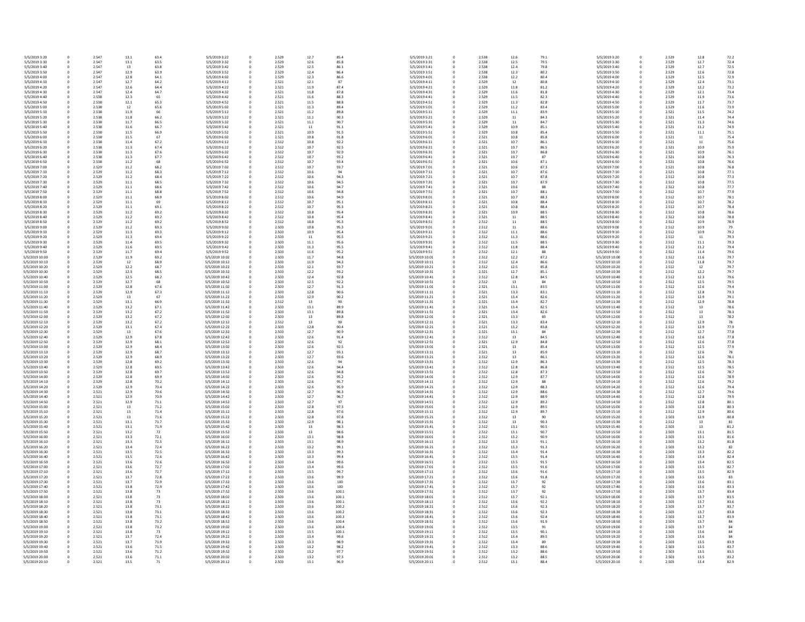| 5/5/2019 3:20                    | 0        | 2.547          | 13.1         | 63.4         | 5/5/2019 3:22                    | 0           | 2.529          | 12.7         |
|----------------------------------|----------|----------------|--------------|--------------|----------------------------------|-------------|----------------|--------------|
| 5/5/2019 3:30                    | 0        | 2.547          | 13.1         | 63.5         | 5/5/2019 3:32                    | $\mathbf 0$ | 2.529          | 12.6         |
| 5/5/2019 3:40                    | 0        | 2.547          | 13           | 63.8         | 5/5/2019 3:42                    | 0           | 2.529          | 12.5         |
| 5/5/2019 3:50<br>5/5/2019 4:00   | 0<br>0   | 2.547<br>2.547 | 12.9<br>12.8 | 63.9<br>64.1 | 5/5/2019 3:52<br>5/5/2019 4:02   | 0<br>0      | 2.529<br>2.529 | 12.4<br>12.3 |
| 5/5/2019 4:10                    | 0        | 2.547          | 12.7         | 64.2         | 5/5/2019 4:12                    | 0           | 2.521          | 12.1         |
| 5/5/2019 4:20                    | 0        | 2.547          | 12.6         | 64.4         | 5/5/2019 4:22                    | 0           | 2.521          | 11.9         |
| 5/5/2019 4:30                    | 0        | 2.547          | 12.4         | 64.7         | 5/5/2019 4:32                    | 0           | 2.521          | 11.8         |
| 5/5/2019 4:40                    | 0        | 2.538          | 12.3         | 65           | 5/5/2019 4:42                    | 0           | 2.521          | 11.6         |
| 5/5/2019 4:50                    | 0        | 2.538          | 12.1         | 65.3         | 5/5/2019 4:52                    | 0           | 2.521          | 11.5         |
| 5/5/2019 5:00<br>5/5/2019 5:10   | 0<br>0   | 2.538<br>2.538 | 12<br>11.9   | 65.6<br>66   | 5/5/2019 5:02<br>5/5/2019 5:12   | 0<br>0      | 2.521<br>2.521 | 11.3<br>11.2 |
| 5/5/2019 5:20                    | 0        | 2.538          | 11.8         | 66.2         | 5/5/2019 5:22                    | 0           | 2.521          | 11.1         |
| 5/5/2019 5:30                    | 0        | 2.538          | 11.7         | 66.5         | 5/5/2019 5:32                    | 0           | 2.521          | 11.1         |
| 5/5/2019 5:40                    | 0        | 2.538          | 11.6         | 66.7         | 5/5/2019 5:42                    | 0           | 2.521          | 11           |
| 5/5/2019 5:50                    | 0        | 2.538          | 11.5         | 66.9         | 5/5/2019 5:52                    | 0           | 2.521          | 10.9         |
| 5/5/2019 6:00                    | 0        | 2.538          | 11.5         | 67           | 5/5/2019 6:02                    | 0           | 2.521          | 10.8         |
| 5/5/2019 6:10<br>5/5/2019 6:20   | 0<br>0   | 2.538<br>2.538 | 11.4<br>11.3 | 67.2<br>67.4 | 5/5/2019 6:12<br>5/5/2019 6:22   | 0<br>0      | 2.512<br>2.512 | 10.8<br>10.7 |
| 5/5/2019 6:30                    | 0        | 2.538          | 11.3         | 67.6         | 5/5/2019 6:32                    | 0           | 2.512          | 10.7         |
| 5/5/2019 6:40                    | 0        | 2.538          | 11.3         | 67.7         | 5/5/2019 6:42                    | 0           | 2.512          | 10.7         |
| 5/5/2019 6:50                    | 0        | 2.538          | 11.2         | 68           | 5/5/2019 6:52                    | 0           | 2.512          | 10.7         |
| 5/5/2019 7:00                    | 0        | 2.529          | 11.2         | 68.2         | 5/5/2019 7:02                    | 0           | 2.512          | 10.7         |
| 5/5/2019 7:10<br>5/5/2019 7:20   | 0<br>0   | 2.529<br>2.529 | 11.2<br>11.2 | 68.3<br>68.4 | 5/5/2019 7:12<br>5/5/2019 7:22   | 0<br>0      | 2.512<br>2.512 | 10.6<br>10.6 |
| 5/5/2019 7:30                    | 0        | 2.529          | 11.1         | 68.5         | 5/5/2019 7:32                    | 0           | 2.512          | 10.6         |
| 5/5/2019 7:40                    | 0        | 2.529          | 11.1         | 68.6         | 5/5/2019 7:42                    | 0           | 2.512          | 10.6         |
| 5/5/2019 7:50                    | 0        | 2.529          | 11.1         | 68.8         | 5/5/2019 7:52                    | 0           | 2.512          | 10.6         |
| 5/5/2019 8:00                    | 0        | 2.529          | 11.1         | 68.9         | 5/5/2019 8:02                    | 0           | 2.512          | 10.6         |
| 5/5/2019 8:10<br>5/5/2019 8:20   | 0<br>0   | 2.529<br>2.529 | 11.1<br>11.1 | 69<br>69.1   | 5/5/2019 8:12<br>5/5/2019 8:22   | 0<br>0      | 2.512<br>2.512 | 10.7<br>10.7 |
| 5/5/2019 8:30                    | 0        | 2.529          | 11.2         | 69.2         | 5/5/2019 8:32                    | 0           | 2.512          | 10.8         |
| 5/5/2019 8:40                    | 0        | 2.529          | 11.2         | 69.2         | 5/5/2019 8:42                    | 0           | 2.512          | 10.8         |
| 5/5/2019 8:50                    | 0        | 2.529          | 11.2         | 69.2         | 5/5/2019 8:52                    | 0           | 2.512          | 10.8         |
| 5/5/2019 9:00                    | 0        | 2.529          | 11.2         | 69.3         | 5/5/2019 9:02                    | 0           | 2.503          | 10.8         |
| 5/5/2019 9:10                    | 0        | 2.529          | 11.3<br>11.3 | 69.3         | 5/5/2019 9:12                    | 0           | 2.503<br>2.503 | 10.9         |
| 5/5/2019 9:20<br>5/5/2019 9:30   | 0<br>0   | 2.529<br>2.529 | 11.4         | 69.4<br>69.5 | 5/5/2019 9:22<br>5/5/2019 9:32   | 0<br>0      | 2.503          | 11<br>11.1   |
| 5/5/2019 9:40                    | 0        | 2.529          | 11.6         | 69.5         | 5/5/2019 9:42                    | 0           | 2.503          | 11.3         |
| 5/5/2019 9:50                    | 0        | 2.529          | 11.7         | 69.4         | 5/5/2019 9:52                    | 0           | 2.503          | 11.6         |
| 5/5/2019 10:00                   | 0        | 2.529          | 11.9         | 69.2         | 5/5/2019 10:02                   | 0           | 2.503          | 11.7         |
| 5/5/2019 10:10                   | 0        | 2.529          | 12           | 68.9         | 5/5/2019 10:12                   | 0           | 2.503          | 11.9         |
| 5/5/2019 10:20<br>5/5/2019 10:30 | 0<br>0   | 2.529<br>2.529 | 12.2<br>12.3 | 68.7<br>68.5 | 5/5/2019 10:22<br>5/5/2019 10:32 | 0<br>0      | 2.503<br>2.503 | 12.1<br>12.2 |
| 5/5/2019 10:40                   | 0        | 2.529          | 12.5         | 68.2         | 5/5/2019 10:42                   | 0           | 2.503          | 12.4         |
| 5/5/2019 10:50                   | 0        | 2.529          | 12.7         | 68           | 5/5/2019 10:52                   | 0           | 2.503          | 12.5         |
| 5/5/2019 11:00                   | 0        | 2.529          | 12.8         | 67.6         | 5/5/2019 11:02                   | 0           | 2.503          | 12.7         |
| 5/5/2019 11:10<br>5/5/2019 11:20 | 0        | 2.529<br>2.529 | 12.9<br>13   | 67.3<br>67   | 5/5/2019 11:12<br>5/5/2019 11:22 | 0           | 2.503<br>2.503 | 12.8         |
| 5/5/2019 11:30                   | 0<br>0   | 2.529          | 13.1         | 66.9         | 5/5/2019 11:32                   | 0<br>0      | 2.512          | 12.9<br>13   |
| 5/5/2019 11:40                   | 0        | 2.529          | 13.2         | 67.1         | 5/5/2019 11:42                   | 0           | 2.503          | 13.1         |
| 5/5/2019 11:50                   | 0        | 2.529          | 13.2         | 67.2         | 5/5/2019 11:52                   | 0           | 2.503          | 13.1         |
| 5/5/2019 12:00                   | 0        | 2.529          | 13.2         | 67.2         | 5/5/2019 12:02                   | 0           | 2.503          | 13           |
| 5/5/2019 12:10<br>5/5/2019 12:20 | 0<br>0   | 2.529<br>2.529 | 13.2<br>13.1 | 67.2<br>67.4 | 5/5/2019 12:12<br>5/5/2019 12:22 | 0<br>0      | 2.512<br>2.503 | 13<br>12.8   |
| 5/5/2019 12:30                   | 0        | 2.529          | 13           | 67.6         | 5/5/2019 12:32                   | 0           | 2.503          | 12.7         |
| 5/5/2019 12:40                   | 0        | 2.529          | 12.9         | 67.8         | 5/5/2019 12:42                   | 0           | 2.503          | 12.6         |
| 5/5/2019 12:50                   | 0        | 2.529          | 12.9         | 68.1         | 5/5/2019 12:52                   | 0           | 2.503          | 12.6         |
| 5/5/2019 13:00                   | 0        | 2.529          | 12.9         | 68.4         | 5/5/2019 13:02                   | 0           | 2.503          | 12.6         |
| 5/5/2019 13:10<br>5/5/2019 13:20 | 0        | 2.529<br>2.529 | 12.9<br>12.9 | 68.7<br>68.9 | 5/5/2019 13:12<br>5/5/2019 13:22 | 0           | 2.503<br>2.503 | 12.7<br>12.7 |
| 5/5/2019 13:30                   | 0<br>0   | 2.529          | 12.8         | 69.2         | 5/5/2019 13:32                   | 0<br>0      | 2.503          | 12.6         |
| 5/5/2019 13:40                   | 0        | 2.529          | 12.8         | 69.5         | 5/5/2019 13:42                   | 0           | 2.503          | 12.6         |
| 5/5/2019 13:50                   | 0        | 2.529          | 12.8         | 69.7         | 5/5/2019 13:52                   | 0           | 2.503          | 12.6         |
| 5/5/2019 14:00                   | 0        | 2.529          | 12.8         | 69.9         | 5/5/2019 14:02                   | 0           | 2.503          | 12.6         |
| 5/5/2019 14:10<br>5/5/2019 14:20 | 0<br>0   | 2.529<br>2.529 | 12.8<br>12.9 | 70.2<br>70.4 | 5/5/2019 14:12<br>5/5/2019 14:22 | 0<br>0      | 2.503<br>2.503 | 12.6<br>12.6 |
| 5/5/2019 14:30                   | 0        | 2.521          | 12.9         | 70.6         | 5/5/2019 14:32                   | 0           | 2.503          | 12.7         |
| 5/5/2019 14:40                   | 0        | 2.521          | 12.9         | 70.9         | 5/5/2019 14:42                   | 0           | 2.503          | 12.7         |
| 5/5/2019 14:50                   | 0        | 2.521          | 12.9         | 71.1         | 5/5/2019 14:52                   | 0           | 2.503          | 12.7         |
| 5/5/2019 15:00                   | 0        | 2.521          | 13           | 71.2         | 5/5/2019 15:02                   | 0           | 2.503          | 12.8         |
| 5/5/2019 15:10<br>5/5/2019 15:20 | 0<br>0   | 2.521<br>2.521 | 13<br>13     | 71.4<br>71.6 | 5/5/2019 15:12<br>5/5/2019 15:22 | 0<br>0      | 2.503<br>2.503 | 12.8<br>12.8 |
| 5/5/2019 15:30                   | $\Omega$ | 2.521          | 13.1         | 71.7         | 5/5/2019 15:32                   | 0           | 2.503          | 12.9         |
| 5/5/2019 15:40                   | 0        | 2.521          | 13.1         | 71.9         | 5/5/2019 15:42                   | 0           | 2.503          | 13           |
| 5/5/2019 15:50                   | 0        | 2.521          | 13.2         | 72           | 5/5/2019 15:52                   | 0           | 2.503          | 13           |
| 5/5/2019 16:00                   | 0        | 2.521          | 13.3         | 72.1         | 5/5/2019 16:02                   | 0           | 2.503          | 13.1         |
| 5/5/2019 16:10<br>5/5/2019 16:20 | 0<br>0   | 2.521<br>2.521 | 13.3<br>13.4 | 72.3<br>72.4 | 5/5/2019 16:12<br>5/5/2019 16:22 | 0<br>0      | 2.503<br>2.503 | 13.1<br>13.2 |
| 5/5/2019 16:30                   | 0        | 2.521          | 13.5         | 72.5         | 5/5/2019 16:32                   | 0           | 2.503          | 13.3         |
| 5/5/2019 16:40                   | 0        | 2.521          | 13.5         | 72.6         | 5/5/2019 16:42                   | 0           | 2.503          | 13.3         |
| 5/5/2019 16:50                   | 0        | 2.521          | 13.6         | 72.6         | 5/5/2019 16:52                   | 0           | 2.503          | 13.4         |
| 5/5/2019 17:00                   | 0        | 2.521          | 13.6         | 72.7         | 5/5/2019 17:02                   | 0           | 2.503          | 13.4         |
| 5/5/2019 17:10<br>5/5/2019 17:20 | 0<br>0   | 2.521<br>2.521 | 13.6<br>13.7 | 72.7<br>72.8 | 5/5/2019 17:12<br>5/5/2019 17:22 | 0<br>0      | 2.503<br>2.503 | 13.5<br>13.6 |
| 5/5/2019 17:30                   | 0        | 2.521          | 13.7         | 72.9         | 5/5/2019 17:32                   | 0           | 2.503          | 13.6         |
| 5/5/2019 17:40                   | 0        | 2.521          | 13.8         | 72.9         | 5/5/2019 17:42                   | $\mathbf 0$ | 2.503          | 13.6         |
| 5/5/2019 17:50                   | 0        | 2.521          | 13.8         | 73           | 5/5/2019 17:52                   | 0           | 2.503          | 13.6         |
| 5/5/2019 18:00                   | 0        | 2.521          | 13.8         | 73           | 5/5/2019 18:02                   | 0           | 2.503          | 13.6         |
| 5/5/2019 18:10<br>5/5/2019 18:20 | 0<br>0   | 2.521<br>2.521 | 13.8<br>13.8 | 73<br>73.1   | 5/5/2019 18:12<br>5/5/2019 18:22 | 0<br>0      | 2.503<br>2.503 | 13.6<br>13.6 |
| 5/5/2019 18:30                   | 0        | 2.521          | 13.8         | 73.1         | 5/5/2019 18:32                   | 0           | 2.503          | 13.6         |
| 5/5/2019 18:40                   | 0        | 2.521          | 13.8         | 73.1         | 5/5/2019 18:42                   | 0           | 2.503          | 13.6         |
| 5/5/2019 18:50                   | 0        | 2.521          | 13.8         | 73.2         | 5/5/2019 18:52                   | 0           | 2.503          | 13.6         |
| 5/5/2019 19:00                   | 0        | 2.521          | 13.8         | 73.2         | 5/5/2019 19:02                   | 0           | 2.503          | 13.6         |
| 5/5/2019 19:10<br>5/5/2019 19:20 | 0<br>0   | 2.521<br>2.521 | 13.8<br>13.7 | 73<br>72.4   | 5/5/2019 19:12<br>5/5/2019 19:22 | 0<br>0      | 2.503<br>2.503 | 13.5<br>13.4 |
| 5/5/2019 19:30                   | 0        | 2.521          | 13.7         | 71.9         | 5/5/2019 19:32                   | 0           | 2.503          | 13.3         |
| 5/5/2019 19:40                   | 0        | 2.521          | 13.6         | 71.5         | 5/5/2019 19:42                   | 0           | 2.503          | 13.2         |
| 5/5/2019 19:50                   | 0        | 2.521          | 13.6         | 71.2         | 5/5/2019 19:52                   | 0           | 2.503          | 13.2         |
| 5/5/2019 20:00                   | 0        | 2.521          | 13.6         | 71.1         | 5/5/2019 20:02                   | 0           | 2.503          | 13.2         |
| 5/5/2019 20:10                   | 0        | 2.521          | 13.5         | 71           | 5/5/2019 20:12                   | $\pmb{0}$   | 2.503          | 13.1         |

| 0 | 2.529 | 12.8 | 72.2 |
|---|-------|------|------|
| 0 | 2.529 | 12.7 | 72.4 |
| 0 | 2.529 | 12.7 | 72.5 |
| 0 | 2.529 | 12.6 | 72.8 |
| 0 | 2.529 | 12.5 | 72.9 |
| 0 | 2.529 | 12.4 | 73.1 |
| 0 | 2.529 | 12.2 | 73.2 |
| 0 | 2.529 | 12.1 | 73.4 |
|   | 2.529 | 11.9 | 73.6 |
| 0 |       |      |      |
| 0 | 2.529 | 11.7 | 73.7 |
| 0 | 2.529 | 11.6 | 73.9 |
| 0 | 2.521 | 11.5 | 74.2 |
| 0 | 2.521 | 11.4 | 74.4 |
| 0 | 2.521 | 11.3 | 74.6 |
| 0 | 2.521 | 11.2 | 74.9 |
| 0 | 2.521 | 11.1 | 75.1 |
| 0 | 2.521 | 11   | 75.4 |
| 0 | 2.521 | 11   | 75.6 |
| 0 | 2.521 | 10.9 | 75.9 |
| 0 | 2.521 | 10.9 | 76.1 |
| 0 | 2.521 | 10.8 | 76.3 |
| 0 | 2.521 | 10.8 | 76.6 |
| 0 | 2.521 | 10.8 | 76.8 |
| 0 | 2.521 | 10.8 | 77.1 |
| 0 | 2.512 | 10.8 | 77.3 |
| 0 | 2.512 | 10.8 | 77.5 |
| 0 | 2.512 | 10.8 | 77.7 |
| 0 | 2.512 | 10.7 | 77.9 |
| 0 | 2.512 | 10.7 | 78.1 |
| 0 | 2.512 | 10.7 | 78.2 |
| 0 | 2.512 | 10.7 | 78.4 |
|   |       |      |      |
| 0 | 2.512 | 10.8 | 78.6 |
| 0 | 2.512 | 10.8 | 78.8 |
| 0 | 2.512 | 10.9 | 78.9 |
| 0 | 2.512 | 10.9 | 79   |
| 0 | 2.512 | 10.9 | 79.2 |
| 0 | 2.512 | 11   | 79.3 |
| 0 | 2.512 | 11.1 | 79.3 |
| 0 | 2.512 | 11.2 | 79.4 |
| 0 | 2.512 | 11.4 | 79.6 |
| 0 | 2.512 | 11.6 | 79.7 |
| 0 | 2.512 | 11.8 | 79.7 |
| 0 | 2.512 | 12   | 79.7 |
| 0 | 2.512 | 12.2 | 79.7 |
| 0 | 2.512 | 12.3 | 79.6 |
| 0 | 2.512 | 12.5 | 79.5 |
| 0 | 2.512 | 12.6 | 79.4 |
| 0 | 2.512 | 12.8 | 79.3 |
| 0 | 2.512 | 12.9 | 79.1 |
| 0 | 2.512 | 12.9 | 78.8 |
| 0 | 2.512 | 13   | 78.6 |
| 0 | 2.512 | 13   | 78.3 |
|   |       |      |      |
| 0 | 2.512 | 13   | 78.2 |
| 0 | 2.512 | 12.9 | 78   |
| 0 | 2.512 | 12.9 | 77.9 |
| 0 | 2.512 | 12.7 | 77.8 |
| 0 | 2.512 | 12.6 | 77.8 |
| 0 | 2.512 | 12.6 | 77.8 |
| 0 | 2.512 | 12.5 | 77.9 |
| 0 | 2.512 | 12.6 | 78   |
| 0 | 2.512 | 12.6 | 78.1 |
| 0 | 2.512 | 12.5 | 78.3 |
| 0 | 2.512 | 12.5 | 78.5 |
| 0 | 2.512 | 12.6 | 78.7 |
| 0 | 2.512 | 12.6 | 78.9 |
| 0 | 2.512 | 12.6 | 79.2 |
| 0 | 2.512 | 12.6 | 79.4 |
| 0 | 2.512 | 12.7 | 79.6 |
| 0 | 2.512 | 12.8 | 79.9 |
| 0 | 2.512 | 12.8 | 80.1 |
| 0 | 2.503 | 12.8 | 80.3 |
| 0 | 2.512 | 12.9 | 80.6 |
| 0 | 2.503 | 12.9 | 80.8 |
| 0 | 2.512 | 13   | 81   |
| 0 | 2.503 | 13   | 81.2 |
| 0 | 2.503 | 13.1 | 81.5 |
| 0 | 2.503 | 13.1 | 81.6 |
| 0 | 2.503 | 13.2 | 81.8 |
| 0 | 2.503 | 13.2 | 82   |
| 0 | 2.503 | 13.3 | 82.2 |
|   | 2.503 | 13.4 | 82.4 |
| 0 |       |      |      |
| 0 | 2.503 | 13.4 | 82.5 |
| 0 | 2.503 | 13.5 | 82.7 |
| 0 | 2.503 | 13.5 | 82.9 |
| 0 | 2.503 | 13.5 | 83   |
| 0 | 2.503 | 13.6 | 83.1 |
| 0 | 2.503 | 13.6 | 83.3 |
| 0 | 2.503 | 13.7 | 83.4 |
| 0 | 2.503 | 13.7 | 83.5 |
| 0 | 2.503 | 13.7 | 83.6 |
| 0 | 2.503 | 13.7 | 83.7 |
| 0 | 2.503 | 13.7 | 83.8 |
| 0 | 2.503 | 13.7 | 83.9 |
| 0 | 2.503 | 13.7 | 84   |
| 0 | 2.503 | 13.7 | 84   |
| 0 | 2.503 | 13.6 | 84   |
| 0 | 2.503 | 13.6 | 84   |
| 0 | 2.503 | 13.5 | 83.9 |
| 0 | 2.503 | 13.5 | 83.7 |
| 0 | 2.503 | 13.5 | 83.5 |
| 0 | 2.503 | 13.5 | 83.2 |
| 0 | 2.503 | 13.4 | 82.9 |
|   |       |      |      |

| l                                     |                          |  |
|---------------------------------------|--------------------------|--|
| 0                                     |                          |  |
| O                                     |                          |  |
| $\overline{0}$                        |                          |  |
| 0                                     |                          |  |
| ĺ                                     | $\mathbf{C}$             |  |
| $\overline{0}$                        |                          |  |
| $\overline{0}$                        |                          |  |
| ĺ                                     | $\overline{\phantom{a}}$ |  |
| $\overline{0}$                        |                          |  |
| $\overline{0}$                        |                          |  |
|                                       |                          |  |
| ĺ                                     | )                        |  |
| $\overline{0}$                        |                          |  |
| $\overline{0}$                        |                          |  |
| ĺ                                     | )                        |  |
| $\overline{0}$                        |                          |  |
| ĺ                                     | J                        |  |
| O                                     |                          |  |
| O                                     |                          |  |
| O                                     |                          |  |
|                                       |                          |  |
| ĺ                                     | $\mathbf{C}$             |  |
| O                                     |                          |  |
| ĺ                                     | )                        |  |
| $\overline{\phantom{a}}$              | )                        |  |
| $\overline{\phantom{a}}$              | )                        |  |
| ĺ                                     | )                        |  |
| l                                     | )                        |  |
|                                       |                          |  |
| ĺ                                     | )                        |  |
| O                                     |                          |  |
| ĺ                                     | J                        |  |
| ĺ                                     | )                        |  |
| ĺ                                     | J                        |  |
|                                       |                          |  |
| ĺ                                     | )                        |  |
| O                                     |                          |  |
| $\overline{0}$                        |                          |  |
|                                       |                          |  |
| 0                                     |                          |  |
| $\overline{0}$                        |                          |  |
| $\overline{0}$                        |                          |  |
| O                                     |                          |  |
| ĺ                                     | $\overline{)}$           |  |
| $\overline{0}$                        |                          |  |
| $\overline{0}$                        |                          |  |
| O                                     |                          |  |
|                                       |                          |  |
| O                                     |                          |  |
| $\overline{0}$                        |                          |  |
| $\overline{0}$                        |                          |  |
| O                                     |                          |  |
| ĺ                                     | J                        |  |
|                                       | )                        |  |
|                                       |                          |  |
| Ċ                                     |                          |  |
| O                                     |                          |  |
| $\overline{0}$                        |                          |  |
| O                                     |                          |  |
| D                                     |                          |  |
| ĺ                                     | )                        |  |
|                                       | J                        |  |
| $\overline{\phantom{a}}$              |                          |  |
| $\overline{\phantom{a}}$              | $\mathbf{)}$             |  |
| ĺ                                     | )                        |  |
| ١                                     | $\mathbf{)}$             |  |
| ĺ                                     | )                        |  |
| ĺ                                     | )                        |  |
| ĺ                                     | J                        |  |
| $\overline{\phantom{a}}$              | )                        |  |
| ĺ                                     | $\overline{\phantom{a}}$ |  |
|                                       |                          |  |
|                                       | )                        |  |
| ĺ                                     |                          |  |
| ĺ                                     | )                        |  |
| $\overline{0}$                        |                          |  |
| ĺ                                     | )                        |  |
| $\overline{0}$                        |                          |  |
| $\overline{0}$                        |                          |  |
| O                                     |                          |  |
| $\overline{0}$                        |                          |  |
| $\overline{0}$                        |                          |  |
|                                       |                          |  |
| D                                     |                          |  |
| O                                     |                          |  |
|                                       |                          |  |
|                                       |                          |  |
| $\overline{0}$<br>$\overline{0}$<br>ĺ | $\overline{\phantom{a}}$ |  |
| $\overline{0}$                        |                          |  |
| D                                     |                          |  |
| ĺ                                     | $\mathbf{C}$             |  |
| O                                     |                          |  |
| $\overline{0}$                        |                          |  |
| ĺ                                     |                          |  |
|                                       | $\mathfrak{c}$           |  |
| O                                     |                          |  |
| ĺ                                     | J                        |  |
|                                       |                          |  |
|                                       |                          |  |
|                                       | J                        |  |
| D<br>O<br>ĺ<br>١                      | )                        |  |
| ĺ                                     | )                        |  |
| ĺ                                     | )                        |  |
|                                       | )                        |  |
| ĺ                                     |                          |  |
| ĺ                                     | )                        |  |
| ĺ                                     | )                        |  |
| ׇ֚֓                                   | )                        |  |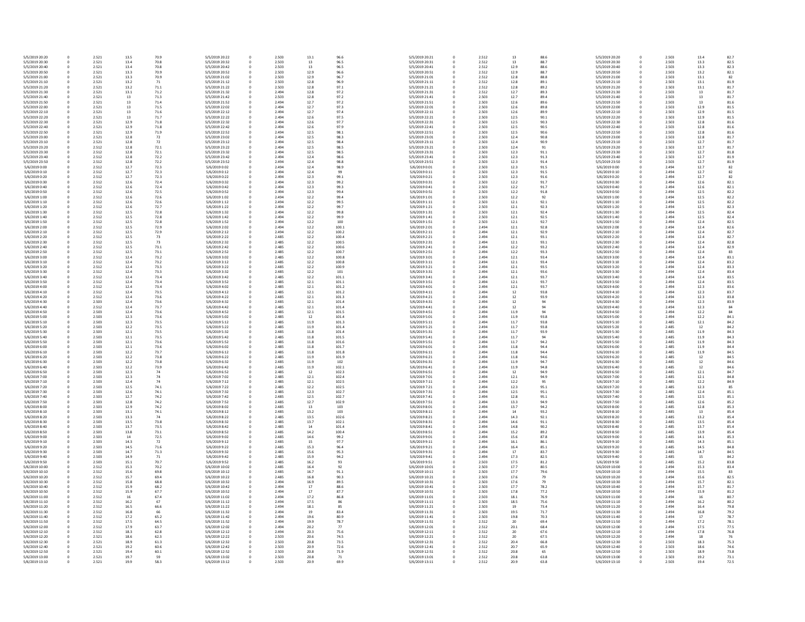| 5/5/2019 20:20 | 0 | 2.521 | 13.5 | 70.9 | 5/5/2019 20:22 | 0           | 2.503 | 13.1 |
|----------------|---|-------|------|------|----------------|-------------|-------|------|
| 5/5/2019 20:30 | 0 | 2.521 | 13.4 | 70.8 | 5/5/2019 20:32 | 0           | 2.503 | 13   |
| 5/5/2019 20:40 | 0 | 2.521 | 13.4 | 70.8 | 5/5/2019 20:42 | 0           | 2.503 | 13   |
| 5/5/2019 20:50 | 0 | 2.521 | 13.3 | 70.9 | 5/5/2019 20:52 | 0           | 2.503 | 12.9 |
| 5/5/2019 21:00 | 0 | 2.521 | 13.3 | 70.9 | 5/5/2019 21:02 | 0           | 2.503 | 12.9 |
| 5/5/2019 21:10 | 0 | 2.521 | 13.2 | 71   | 5/5/2019 21:12 | 0           | 2.503 | 12.8 |
| 5/5/2019 21:20 | 0 | 2.521 | 13.2 | 71.1 | 5/5/2019 21:22 | 0           | 2.503 | 12.8 |
|                |   |       |      |      |                |             |       |      |
| 5/5/2019 21:30 | 0 | 2.521 | 13.1 | 71.2 | 5/5/2019 21:32 | 0           | 2.494 | 12.8 |
| 5/5/2019 21:40 | 0 | 2.521 | 13   | 71.3 | 5/5/2019 21:42 | 0           | 2.503 | 12.8 |
| 5/5/2019 21:50 | 0 | 2.521 | 13   | 71.4 | 5/5/2019 21:52 | 0           | 2.494 | 12.7 |
| 5/5/2019 22:00 | 0 | 2.521 | 13   | 71.5 | 5/5/2019 22:02 | 0           | 2.494 | 12.7 |
| 5/5/2019 22:10 | 0 | 2.521 | 13   | 71.6 | 5/5/2019 22:12 | 0           | 2.494 | 12.7 |
|                |   |       |      |      |                |             |       |      |
| 5/5/2019 22:20 | 0 | 2.521 | 13   | 71.7 | 5/5/2019 22:22 | 0           | 2.494 | 12.6 |
| 5/5/2019 22:30 | 0 | 2.521 | 12.9 | 71.8 | 5/5/2019 22:32 | 0           | 2.494 | 12.6 |
| 5/5/2019 22:40 | 0 | 2.521 | 12.9 | 71.8 | 5/5/2019 22:42 | 0           | 2.494 | 12.6 |
| 5/5/2019 22:50 | 0 | 2.521 | 12.9 | 71.9 | 5/5/2019 22:52 | 0           | 2.494 | 12.5 |
| 5/5/2019 23:00 | 0 | 2.521 | 12.8 | 72   | 5/5/2019 23:02 | $\mathbf 0$ | 2.494 | 12.5 |
| 5/5/2019 23:10 | 0 | 2.521 | 12.8 | 72   | 5/5/2019 23:12 | 0           | 2.494 | 12.5 |
|                |   |       |      |      |                |             |       |      |
| 5/5/2019 23:20 | 0 | 2.512 | 12.8 | 72.1 | 5/5/2019 23:22 | 0           | 2.494 | 12.5 |
| 5/5/2019 23:30 | 0 | 2.512 | 12.8 | 72.1 | 5/5/2019 23:32 | 0           | 2.494 | 12.5 |
| 5/5/2019 23:40 | 0 | 2.512 | 12.8 | 72.2 | 5/5/2019 23:42 | 0           | 2.494 | 12.4 |
| 5/5/2019 23:50 | 0 | 2.512 | 12.8 | 72.2 | 5/5/2019 23:52 | 0           | 2.494 | 12.4 |
| 5/6/2019 0:00  | 0 | 2.512 | 12.7 | 72.3 | 5/6/2019 0:02  | $\mathbf 0$ | 2.494 | 12.4 |
| 5/6/2019 0:10  | 0 | 2.512 | 12.7 | 72.3 | 5/6/2019 0:12  | 0           | 2.494 | 12.4 |
|                |   |       |      |      |                |             |       |      |
| 5/6/2019 0:20  | 0 | 2.512 | 12.7 | 72.3 | 5/6/2019 0:22  | 0           | 2.494 | 12.3 |
| 5/6/2019 0:30  | 0 | 2.512 | 12.6 | 72.4 | 5/6/2019 0:32  | 0           | 2.494 | 12.3 |
| 5/6/2019 0:40  | 0 | 2.512 | 12.6 | 72.4 | 5/6/2019 0:42  | 0           | 2.494 | 12.3 |
| 5/6/2019 0:50  | 0 | 2.512 | 12.6 | 72.5 | 5/6/2019 0:52  | 0           | 2.494 | 12.3 |
| 5/6/2019 1:00  | 0 | 2.512 | 12.6 | 72.6 | 5/6/2019 1:02  | 0           | 2.494 | 12.2 |
| 5/6/2019 1:10  | 0 | 2.512 | 12.6 | 72.6 | 5/6/2019 1:12  | 0           | 2.494 | 12.2 |
| 5/6/2019 1:20  | 0 | 2.512 | 12.6 | 72.7 | 5/6/2019 1:22  | 0           | 2.494 | 12.2 |
|                |   |       |      |      |                |             |       |      |
| 5/6/2019 1:30  | 0 | 2.512 | 12.5 | 72.8 | 5/6/2019 1:32  | 0           | 2.494 | 12.2 |
| 5/6/2019 1:40  | 0 | 2.512 | 12.5 | 72.8 | 5/6/2019 1:42  | 0           | 2.494 | 12.2 |
| 5/6/2019 1:50  | 0 | 2.512 | 12.5 | 72.8 | 5/6/2019 1:52  | 0           | 2.494 | 12.2 |
| 5/6/2019 2:00  | 0 | 2.512 | 12.5 | 72.9 | 5/6/2019 2:02  | 0           | 2.494 | 12.2 |
| 5/6/2019 2:10  | 0 | 2.512 | 12.5 | 72.9 | 5/6/2019 2:12  | 0           | 2.494 | 12.2 |
|                |   |       |      |      |                |             |       |      |
| 5/6/2019 2:20  | 0 | 2.512 | 12.5 | 73   | 5/6/2019 2:22  | 0           | 2.485 | 12.2 |
| 5/6/2019 2:30  | 0 | 2.512 | 12.5 | 73   | 5/6/2019 2:32  | 0           | 2.485 | 12.2 |
| 5/6/2019 2:40  | 0 | 2.512 | 12.5 | 73.1 | 5/6/2019 2:42  | 0           | 2.485 | 12.2 |
| 5/6/2019 2:50  | 0 | 2.512 | 12.5 | 73.1 | 5/6/2019 2:52  | 0           | 2.485 | 12.2 |
| 5/6/2019 3:00  | 0 | 2.512 | 12.4 | 73.2 | 5/6/2019 3:02  | 0           | 2.485 | 12.2 |
|                |   |       |      |      |                |             |       |      |
| 5/6/2019 3:10  | 0 | 2.512 | 12.4 | 73.2 | 5/6/2019 3:12  | 0           | 2.485 | 12.2 |
| 5/6/2019 3:20  | 0 | 2.512 | 12.4 | 73.3 | 5/6/2019 3:22  | 0           | 2.485 | 12.2 |
| 5/6/2019 3:30  | 0 | 2.512 | 12.4 | 73.3 | 5/6/2019 3:32  | 0           | 2.485 | 12.2 |
| 5/6/2019 3:40  | 0 | 2.512 | 12.4 | 73.4 | 5/6/2019 3:42  | 0           | 2.485 | 12.2 |
| 5/6/2019 3:50  | 0 | 2.512 | 12.4 | 73.4 | 5/6/2019 3:52  | 0           | 2.485 | 12.1 |
| 5/6/2019 4:00  | 0 | 2.512 | 12.4 | 73.4 | 5/6/2019 4:02  | 0           | 2.485 | 12.1 |
|                |   |       |      |      |                |             |       |      |
| 5/6/2019 4:10  | 0 | 2.512 | 12.4 | 73.5 | 5/6/2019 4:12  | 0           | 2.485 | 12.1 |
| 5/6/2019 4:20  | 0 | 2.512 | 12.4 | 73.6 | 5/6/2019 4:22  | 0           | 2.485 | 12.1 |
| 5/6/2019 4:30  | 0 | 2.503 | 12.4 | 73.6 | 5/6/2019 4:32  | 0           | 2.485 | 12.1 |
| 5/6/2019 4:40  | 0 | 2.512 | 12.4 | 73.7 | 5/6/2019 4:42  | 0           | 2.485 | 12.1 |
| 5/6/2019 4:50  | 0 | 2.503 | 12.4 | 73.6 | 5/6/2019 4:52  | 0           | 2.485 | 12.1 |
| 5/6/2019 5:00  | 0 | 2.503 | 12.3 | 73.6 | 5/6/2019 5:02  | 0           | 2.485 | 12   |
|                |   |       |      |      |                |             |       |      |
| 5/6/2019 5:10  | 0 | 2.503 | 12.3 | 73.5 | 5/6/2019 5:12  | 0           | 2.485 | 11.9 |
| 5/6/2019 5:20  | 0 | 2.503 | 12.2 | 73.5 | 5/6/2019 5:22  | 0           | 2.485 | 11.9 |
| 5/6/2019 5:30  | 0 | 2.503 | 12.1 | 73.5 | 5/6/2019 5:32  | 0           | 2.485 | 11.8 |
| 5/6/2019 5:40  | 0 | 2.503 | 12.1 | 73.5 | 5/6/2019 5:42  | 0           | 2.485 | 11.8 |
| 5/6/2019 5:50  | 0 | 2.503 | 12.1 | 73.6 | 5/6/2019 5:52  | 0           | 2.485 | 11.8 |
| 5/6/2019 6:00  | 0 | 2.503 | 12.1 | 73.6 | 5/6/2019 6:02  | 0           | 2.485 | 11.8 |
|                |   |       |      |      |                |             |       |      |
| 5/6/2019 6:10  | 0 | 2.503 | 12.2 | 73.7 | 5/6/2019 6:12  | 0           | 2.485 | 11.8 |
| 5/6/2019 6:20  | 0 | 2.503 | 12.2 | 73.8 | 5/6/2019 6:22  | 0           | 2.485 | 11.9 |
| 5/6/2019 6:30  | 0 | 2.503 | 12.2 | 73.8 | 5/6/2019 6:32  | 0           | 2.485 | 11.9 |
| 5/6/2019 6:40  | 0 | 2.503 | 12.2 | 73.9 | 5/6/2019 6:42  | 0           | 2.485 | 11.9 |
| 5/6/2019 6:50  | 0 | 2.503 | 12.3 | 74   | 5/6/2019 6:52  | 0           | 2.485 | 12   |
| 5/6/2019 7:00  | 0 | 2.503 | 12.3 | 74   | 5/6/2019 7:02  | 0           | 2.485 | 12.1 |
|                |   |       |      |      |                |             |       |      |
| 5/6/2019 7:10  | 0 | 2.503 | 12.4 | 74   | 5/6/2019 7:12  | 0           | 2.485 | 12.1 |
| 5/6/2019 7:20  | 0 | 2.503 | 12.5 | 74.1 | 5/6/2019 7:22  | 0           | 2.485 | 12.2 |
| 5/6/2019 7:30  | 0 | 2.503 | 12.6 | 74.1 | 5/6/2019 7:32  | 0           | 2.485 | 12.3 |
| 5/6/2019 7:40  | 0 | 2.503 | 12.7 | 74.2 | 5/6/2019 7:42  | 0           | 2.485 | 12.5 |
| 5/6/2019 7:50  | 0 | 2.503 | 12.8 | 74.2 | 5/6/2019 7:52  | 0           | 2.485 | 12.7 |
| 5/6/2019 8:00  | 0 | 2.503 | 12.9 | 74.2 | 5/6/2019 8:02  | 0           | 2.485 | 13   |
| 5/6/2019 8:10  | 0 | 2.503 | 13.1 | 74.1 | 5/6/2019 8:12  | 0           | 2.485 | 13.2 |
|                |   |       |      |      | 5/6/2019 8:22  |             |       |      |
| 5/6/2019 8:20  | 0 | 2.503 | 13.3 | 74   |                | 0           | 2.485 | 13.5 |
| 5/6/2019 8:30  | 0 | 2.503 | 13.5 | 73.8 | 5/6/2019 8:32  | 0           | 2.485 | 13.7 |
| 5/6/2019 8:40  | 0 | 2.503 | 13.7 | 73.5 | 5/6/2019 8:42  | 0           | 2.485 | 14   |
| 5/6/2019 8:50  | 0 | 2.503 | 13.8 | 73.1 | 5/6/2019 8:52  | 0           | 2.485 | 14.2 |
| 5/6/2019 9:00  | 0 | 2.503 | 14   | 72.5 | 5/6/2019 9:02  | 0           | 2.485 | 14.6 |
| 5/6/2019 9:10  | 0 | 2.503 | 14.3 | 72   | 5/6/2019 9:12  | 0           | 2.485 | 15   |
|                |   |       |      |      |                |             |       |      |
| 5/6/2019 9:20  | 0 | 2.503 | 14.5 | 71.6 | 5/6/2019 9:22  | 0           | 2.485 | 15.3 |
| 5/6/2019 9:30  | 0 | 2.503 | 14.7 | 71.3 | 5/6/2019 9:32  | 0           | 2.485 | 15.6 |
| 5/6/2019 9:40  | 0 | 2.503 | 14.9 | 71   | 5/6/2019 9:42  | 0           | 2.485 | 15.9 |
| 5/6/2019 9:50  | 0 | 2.503 | 15.1 | 70.7 | 5/6/2019 9:52  | 0           | 2.485 | 16.2 |
| 5/6/2019 10:00 | 0 | 2.512 | 15.3 | 70.2 | 5/6/2019 10:02 | 0           | 2.485 | 16.4 |
| 5/6/2019 10:10 | 0 | 2.512 | 15.6 | 69.8 | 5/6/2019 10:12 | 0           | 2.485 | 16.7 |
| 5/6/2019 10:20 | 0 | 2.512 | 15.7 | 69.4 | 5/6/2019 10:22 | 0           | 2.485 | 16.8 |
|                |   |       |      |      |                |             |       |      |
| 5/6/2019 10:30 | 0 | 2.512 | 15.8 | 68.8 | 5/6/2019 10:32 | 0           | 2.494 | 16.9 |
| 5/6/2019 10:40 | 0 | 2.512 | 15.9 | 68.2 | 5/6/2019 10:42 | 0           | 2.494 | 17   |
| 5/6/2019 10:50 | 0 | 2.512 | 15.9 | 67.7 | 5/6/2019 10:52 | 0           | 2.494 | 17   |
| 5/6/2019 11:00 | 0 | 2.512 | 16   | 67.4 | 5/6/2019 11:02 | 0           | 2.494 | 17.2 |
| 5/6/2019 11:10 | 0 | 2.512 | 16.2 | 67   | 5/6/2019 11:12 | 0           | 2.494 | 17.5 |
| 5/6/2019 11:20 | 0 | 2.512 | 16.5 | 66.6 | 5/6/2019 11:22 | 0           | 2.494 | 18.1 |
|                |   |       |      |      |                |             |       |      |
| 5/6/2019 11:30 | 0 | 2.512 | 16.8 | 66   | 5/6/2019 11:32 | 0           | 2.494 | 19   |
| 5/6/2019 11:40 | 0 | 2.512 | 17.2 | 65.2 | 5/6/2019 11:42 | 0           | 2.494 | 19.6 |
| 5/6/2019 11:50 | 0 | 2.512 | 17.5 | 64.5 | 5/6/2019 11:52 | 0           | 2.494 | 19.9 |
| 5/6/2019 12:00 | 0 | 2.512 | 17.9 | 63.7 | 5/6/2019 12:02 | 0           | 2.494 | 20.2 |
| 5/6/2019 12:10 | 0 | 2.512 | 18.3 | 62.8 | 5/6/2019 12:12 | 0           | 2.494 | 20.3 |
| 5/6/2019 12:20 | 0 | 2.521 | 18.6 | 62.3 | 5/6/2019 12:22 | 0           | 2.503 | 20.6 |
|                |   |       |      |      |                |             |       |      |
| 5/6/2019 12:30 | 0 | 2.521 | 18.9 | 61.3 | 5/6/2019 12:32 | 0           | 2.503 | 20.8 |
| 5/6/2019 12:40 | 0 | 2.521 | 19.2 | 60.6 | 5/6/2019 12:42 | $\pmb{0}$   | 2.503 | 20.9 |
| 5/6/2019 12:50 | 0 | 2.521 | 19.4 | 60.1 | 5/6/2019 12:52 | 0           | 2.503 | 20.8 |
| 5/6/2019 13:00 | 0 | 2.521 | 19.7 | 59   | 5/6/2019 13:02 | 0           | 2.503 | 20.8 |
| 5/6/2019 13:10 | 0 | 2.521 | 19.9 | 58.3 | 5/6/2019 13:12 | $\pmb{0}$   | 2.503 | 20.9 |
|                |   |       |      |      |                |             |       |      |

| 2.503 | 13.1   | 96.6  | 5/5/2019 20:21 | $\mathbf 0$ | 2.512 | 13   | 88.6 | 5/5/2019 20:20 |
|-------|--------|-------|----------------|-------------|-------|------|------|----------------|
| 2.503 | 13     | 96.5  | 5/5/2019 20:31 | $\mathbf 0$ | 2.512 | 13   | 88.7 | 5/5/2019 20:30 |
| 2.503 | 13     | 96.5  | 5/5/2019 20:41 | $\mathbf 0$ | 2.512 | 12.9 | 88.6 | 5/5/2019 20:40 |
| 2.503 | 12.9   | 96.6  | 5/5/2019 20:51 | $\mathbf 0$ | 2.512 | 12.9 | 88.7 | 5/5/2019 20:50 |
| 2.503 | 12.9   | 96.7  | 5/5/2019 21:01 | 0           | 2.512 | 12.8 | 88.8 | 5/5/2019 21:00 |
| 2.503 | 12.8   | 96.9  | 5/5/2019 21:11 | $\mathbf 0$ | 2.512 | 12.8 | 89.1 | 5/5/2019 21:10 |
| 2.503 | 12.8   | 97.1  | 5/5/2019 21:21 | $\mathbf 0$ | 2.512 | 12.8 | 89.2 | 5/5/2019 21:20 |
| 2.494 | 12.8   | 97.2  | 5/5/2019 21:31 | $\mathbf 0$ | 2.512 | 12.7 | 89.3 | 5/5/2019 21:30 |
| 2.503 | 12.8   | 97.2  | 5/5/2019 21:41 | $\mathbf 0$ | 2.503 | 12.7 | 89.4 | 5/5/2019 21:40 |
| 2.494 | 12.7   | 97.2  | 5/5/2019 21:51 | $\mathbf 0$ | 2.503 | 12.6 | 89.6 | 5/5/2019 21:50 |
| 2.494 | 12.7   | 97.3  | 5/5/2019 22:01 | $\mathbf 0$ | 2.503 | 12.6 | 89.8 | 5/5/2019 22:00 |
| 2.494 | 12.7   | 97.4  | 5/5/2019 22:11 | $\mathbf 0$ | 2.503 | 12.6 | 89.9 | 5/5/2019 22:10 |
|       |        |       |                |             |       |      |      |                |
| 2.494 | 12.6   | 97.5  | 5/5/2019 22:21 | 0           | 2.503 | 12.5 | 90.1 | 5/5/2019 22:20 |
| 2.494 | 12.6   | 97.7  | 5/5/2019 22:31 | $\mathbf 0$ | 2.503 | 12.5 | 90.3 | 5/5/2019 22:30 |
| 2.494 | 12.6   | 97.9  | 5/5/2019 22:41 | $\mathbf 0$ | 2.503 | 12.5 | 90.5 | 5/5/2019 22:40 |
| 2.494 | 12.5   | 98.1  | 5/5/2019 22:51 | 0           | 2.503 | 12.5 | 90.6 | 5/5/2019 22:50 |
| 2.494 | 12.5   | 98.3  | 5/5/2019 23:01 | $\mathbf 0$ | 2.503 | 12.4 | 90.8 | 5/5/2019 23:00 |
| 2.494 | 12.5   | 98.4  | 5/5/2019 23:11 | 0           | 2.503 | 12.4 | 90.9 | 5/5/2019 23:10 |
| 2.494 | 12.5   | 98.5  | 5/5/2019 23:21 | $\mathbf 0$ | 2.503 | 12.4 | 91   | 5/5/2019 23:20 |
| 2.494 | 12.5   | 98.5  | 5/5/2019 23:31 | $\mathbf 0$ | 2.503 | 12.3 | 91.1 | 5/5/2019 23:30 |
| 2.494 | 12.4   | 98.6  | 5/5/2019 23:41 | 0           | 2.503 | 12.3 | 91.3 | 5/5/2019 23:40 |
| 2.494 | 12.4   | 98.8  | 5/5/2019 23:51 | $\mathbf 0$ | 2.503 | 12.3 | 91.4 | 5/5/2019 23:50 |
|       |        |       |                |             |       |      |      |                |
| 2.494 | 12.4   | 98.9  | 5/6/2019 0:01  | $\mathbf 0$ | 2.503 | 12.3 | 91.5 | 5/6/2019 0:00  |
| 2.494 | 12.4   | 99    | 5/6/2019 0:11  | $\mathbf 0$ | 2.503 | 12.3 | 91.5 | 5/6/2019 0:10  |
| 2.494 | 12.3   | 99.1  | 5/6/2019 0:21  | $\mathbf 0$ | 2.503 | 12.3 | 91.6 | 5/6/2019 0:20  |
| 2.494 | 12.3   | 99.2  | 5/6/2019 0:31  | $\mathbf 0$ | 2.503 | 12.2 | 91.7 | 5/6/2019 0:30  |
| 2.494 | 12.3   | 99.3  | 5/6/2019 0:41  | 0           | 2.503 | 12.2 | 91.7 | 5/6/2019 0:40  |
| 2.494 | 12.3   | 99.4  | 5/6/2019 0:51  | 0           | 2.503 | 12.2 | 91.8 | 5/6/2019 0:50  |
| 2.494 | 12.2   | 99.4  | 5/6/2019 1:01  | $\mathbf 0$ | 2.503 | 12.2 | 92   | 5/6/2019 1:00  |
| 2.494 | 12.2   | 99.5  | 5/6/2019 1:11  | 0           | 2.503 | 12.1 | 92.1 | 5/6/2019 1:10  |
| 2.494 | 12.2   | 99.7  | 5/6/2019 1:21  | 0           | 2.503 | 12.1 | 92.3 | 5/6/2019 1:20  |
|       |        |       |                |             |       |      |      |                |
| 2.494 | 12.2   | 99.8  | 5/6/2019 1:31  | 0           | 2.503 | 12.1 | 92.4 | 5/6/2019 1:30  |
| 2.494 | 12.2   | 99.9  | 5/6/2019 1:41  | 0           | 2.503 | 12.1 | 92.5 | 5/6/2019 1:40  |
| 2.494 | 12.2   | 100   | 5/6/2019 1:51  | 0           | 2.503 | 12.1 | 92.7 | 5/6/2019 1:50  |
| 2.494 | 12.2   | 100.1 | 5/6/2019 2:01  | $\mathbf 0$ | 2.494 | 12.1 | 92.8 | 5/6/2019 2:00  |
| 2.494 | 12.2   | 100.2 | 5/6/2019 2:11  | 0           | 2.494 | 12.1 | 92.9 | 5/6/2019 2:10  |
| 2.485 | 12.2   | 100.4 | 5/6/2019 2:21  | 0           | 2.494 | 12.1 | 93.1 | 5/6/2019 2:20  |
| 2.485 | 12.2   | 100.5 | 5/6/2019 2:31  | $\mathbf 0$ | 2.494 | 12.1 | 93.1 | 5/6/2019 2:30  |
| 2.485 | 12.2   | 100.6 | 5/6/2019 2:41  | 0           | 2.494 | 12.2 | 93.2 | 5/6/2019 2:40  |
| 2.485 | 12.2   | 100.7 | 5/6/2019 2:51  | 0           | 2.494 | 12.2 | 93.3 | 5/6/2019 2:50  |
|       |        |       |                |             |       |      |      |                |
| 2.485 | 12.2   | 100.8 | 5/6/2019 3:01  | $\mathbf 0$ | 2.494 | 12.1 | 93.4 | 5/6/2019 3:00  |
| 2.485 | 12.2   | 100.8 | 5/6/2019 3:11  | 0           | 2.494 | 12.1 | 93.4 | 5/6/2019 3:10  |
| 2.485 | 12.2   | 100.9 | 5/6/2019 3:21  | 0           | 2.494 | 12.1 | 93.5 | 5/6/2019 3:20  |
| 2.485 | 12.2   | 101   | 5/6/2019 3:31  | $\mathbf 0$ | 2.494 | 12.1 | 93.6 | 5/6/2019 3:30  |
| 2.485 | 12.2   | 101.1 | 5/6/2019 3:41  | 0           | 2.494 | 12.1 | 93.7 | 5/6/2019 3:40  |
| 2.485 | 12.1   | 101.1 | 5/6/2019 3:51  | 0           | 2.494 | 12.1 | 93.7 | 5/6/2019 3:50  |
| 2.485 | 12.1   | 101.2 | 5/6/2019 4:01  | $\mathbf 0$ | 2.494 | 12.1 | 93.7 | 5/6/2019 4:00  |
| 2.485 | 12.1   | 101.2 | 5/6/2019 4:11  | 0           | 2.494 | 12   | 93.8 | 5/6/2019 4:10  |
| 2.485 | 12.1   | 101.3 | 5/6/2019 4:21  | 0           | 2.494 | 12   | 93.9 | 5/6/2019 4:20  |
| 2.485 | 12.1   | 101.4 | 5/6/2019 4:31  | 0           | 2.494 | 12   | 94   | 5/6/2019 4:30  |
|       |        |       |                |             |       |      |      |                |
| 2.485 | 12.1   | 101.4 | 5/6/2019 4:41  | 0           | 2.494 | 12   | 94   | 5/6/2019 4:40  |
| 2.485 | 12.1   | 101.5 | 5/6/2019 4:51  | $\mathbf 0$ | 2.494 | 11.9 | 94   | 5/6/2019 4:50  |
| 2.485 | 12     | 101.4 | 5/6/2019 5:01  | $\mathbf 0$ | 2.494 | 11.9 | 93.8 | 5/6/2019 5:00  |
| 2.485 | 11.9   | 101.3 | 5/6/2019 5:11  | 0           | 2.494 | 11.7 | 93.8 | 5/6/2019 5:10  |
| 2.485 | 11.9   | 101.4 | 5/6/2019 5:21  | 0           | 2.494 | 11.7 | 93.8 | 5/6/2019 5:20  |
| 2.485 | 11.8   | 101.4 | 5/6/2019 5:31  | $\mathbf 0$ | 2.494 | 11.7 | 93.9 | 5/6/2019 5:30  |
| 2.485 | 11.8   | 101.5 | 5/6/2019 5:41  | 0           | 2.494 | 11.7 | 94   | 5/6/2019 5:40  |
| 2.485 | 11.8   | 101.6 | 5/6/2019 5:51  | $\mathbf 0$ | 2.494 | 11.7 | 94.2 | 5/6/2019 5:50  |
| 2.485 | 11.8   | 101.7 | 5/6/2019 6:01  | 0           | 2.494 | 11.8 | 94.4 | 5/6/2019 6:00  |
| 2.485 |        | 101.8 |                |             |       |      | 94.4 | 5/6/2019 6:10  |
|       | 11.8   |       | 5/6/2019 6:11  | 0           | 2.494 | 11.8 |      |                |
| 2.485 | 11.9   | 101.9 | 5/6/2019 6:21  | 0           | 2.494 | 11.8 | 94.6 | 5/6/2019 6:20  |
| 2.485 | 11.9   | 102   | 5/6/2019 6:31  | 0           | 2.494 | 11.9 | 94.7 | 5/6/2019 6:30  |
| 2.485 | 11.9   | 102.1 | 5/6/2019 6:41  | 0           | 2.494 | 11.9 | 94.8 | 5/6/2019 6:40  |
| 2.485 | 12     | 102.3 | 5/6/2019 6:51  | 0           | 2.494 | 12   | 94.9 | 5/6/2019 6:50  |
| 2.485 | 12.1   | 102.4 | 5/6/2019 7:01  | 0           | 2.494 | 12.1 | 94.9 | 5/6/2019 7:00  |
| 2.485 | 12.1   | 102.5 | 5/6/2019 7:11  | 0           | 2.494 | 12.2 | 95   | 5/6/2019 7:10  |
| 2.485 | 12.2   | 102.5 | 5/6/2019 7:21  | $\mathbf 0$ | 2.494 | 12.3 | 95.1 | 5/6/2019 7:20  |
| 2.485 | 12.3   | 102.7 | 5/6/2019 7:31  | 0           | 2.494 | 12.5 | 95.1 | 5/6/2019 7:30  |
| 2.485 | 12.5   | 102.7 | 5/6/2019 7:41  | 0           | 2.494 | 12.8 | 95.1 | 5/6/2019 7:40  |
| 2.485 | 12.7   | 102.9 | 5/6/2019 7:51  | $\mathbf 0$ | 2.494 | 13.3 | 94.9 | 5/6/2019 7:50  |
| 2.485 | 13     | 103   | 5/6/2019 8:01  | 0           | 2.494 | 13.7 | 94.2 | 5/6/2019 8:00  |
|       |        |       |                |             |       |      |      |                |
| 2.485 | 13.2   | 103   | 5/6/2019 8:11  | 0           | 2.494 | 14   | 93.2 | 5/6/2019 8:10  |
| 2.485 | 13.5   | 102.6 | 5/6/2019 8:21  | $\mathbf 0$ | 2.494 | 14.3 | 92.1 | 5/6/2019 8:20  |
| 2.485 | 13.7   | 102.1 | 5/6/2019 8:31  | 0           | 2.494 | 14.6 | 91.1 | 5/6/2019 8:30  |
| 2.485 | 14     | 101.4 | 5/6/2019 8:41  | 0           | 2.494 | 14.8 | 90.2 | 5/6/2019 8:40  |
| 2.485 | 14.2   | 100.4 | 5/6/2019 8:51  | $\mathbf 0$ | 2.494 | 15.2 | 89.2 | 5/6/2019 8:50  |
| 2.485 | 14.6   | 99.2  | 5/6/2019 9:01  | 0           | 2.494 | 15.6 | 87.8 | 5/6/2019 9:00  |
| 2.485 | 15     | 97.7  | 5/6/2019 9:11  | 0           | 2.494 | 16.1 | 86.1 | 5/6/2019 9:10  |
| 2.485 | 15.3   | 96.4  | 5/6/2019 9:21  | $\mathbf 0$ | 2.494 | 16.4 | 85.1 | 5/6/2019 9:20  |
| 2.485 | 15.6   | 95.3  | 5/6/2019 9:31  | 0           | 2.494 | 17   | 83.7 | 5/6/2019 9:30  |
| 2.485 | 15.9   | 94.2  | 5/6/2019 9:41  | 0           | 2.494 | 17.3 | 82.5 | 5/6/2019 9:40  |
|       |        |       |                |             |       |      |      |                |
| 2.485 | 16.2   | 93    | 5/6/2019 9:51  | $\mathbf 0$ | 2.503 | 17.5 | 81.2 | 5/6/2019 9:50  |
| 2.485 | 16.4   | 92    | 5/6/2019 10:01 | $\mathbf 0$ | 2.503 | 17.7 | 80.5 | 5/6/2019 10:00 |
| 2.485 | 16.7   | 91.1  | 5/6/2019 10:11 | $\mathbf 0$ | 2.503 | 17.7 | 79.6 | 5/6/2019 10:10 |
| 2.485 | 16.8   | 90.3  | 5/6/2019 10:21 | $\mathbf 0$ | 2.503 | 17.6 | 79   | 5/6/2019 10:20 |
| 2.494 | 16.9   | 89.5  | 5/6/2019 10:31 | 0           | 2.503 | 17.6 | 79   | 5/6/2019 10:30 |
| 2.494 | 17     | 88.6  | 5/6/2019 10:41 | $\mathbf 0$ | 2.503 | 17.7 | 78.2 | 5/6/2019 10:40 |
| 2.494 | $17\,$ | 87.7  | 5/6/2019 10:51 | 0           | 2.503 | 17.8 | 77.2 | 5/6/2019 10:50 |
| 2.494 | 17.2   | 86.8  | 5/6/2019 11:01 | 0           | 2.503 | 18.1 | 76.9 | 5/6/2019 11:00 |
| 2.494 | 17.5   | 86    | 5/6/2019 11:11 | $\mathbf 0$ | 2.503 | 18.5 | 75.6 | 5/6/2019 11:10 |
|       |        |       |                |             |       |      |      |                |
| 2.494 | 18.1   | 85    | 5/6/2019 11:21 | 0           | 2.503 | 19   | 73.4 | 5/6/2019 11:20 |
| 2.494 | 19     | 83.4  | 5/6/2019 11:31 | 0           | 2.503 | 19.5 | 71.7 | 5/6/2019 11:30 |
| 2.494 | 19.6   | 80.9  | 5/6/2019 11:41 | $\mathbf 0$ | 2.503 | 19.8 | 70.3 | 5/6/2019 11:40 |
| 2.494 | 19.9   | 78.7  | 5/6/2019 11:51 | 0           | 2.512 | 20   | 69.4 | 5/6/2019 11:50 |
| 2.494 | 20.2   | 77    | 5/6/2019 12:01 | 0           | 2.512 | 20.1 | 68.4 | 5/6/2019 12:00 |
| 2.494 | 20.3   | 75.6  | 5/6/2019 12:11 | 0           | 2.512 | 20   | 67.6 | 5/6/2019 12:10 |
| 2.503 | 20.6   | 74.5  | 5/6/2019 12:21 | $\mathbf 0$ | 2.512 | 20   | 67.5 | 5/6/2019 12:20 |
| 2.503 | 20.8   | 73.5  | 5/6/2019 12:31 | $\mathbf 0$ | 2.512 | 20.4 | 66.8 | 5/6/2019 12:30 |
| 2.503 | 20.9   | 72.6  | 5/6/2019 12:41 | $\mathbf 0$ | 2.512 | 20.7 | 65.9 | 5/6/2019 12:40 |
| 2.503 | 20.8   | 71.9  | 5/6/2019 12:51 | $\mathbf 0$ | 2.512 | 20.8 | 65   | 5/6/2019 12:50 |
|       |        |       |                |             |       |      |      |                |
| 2.503 | 20.8   | 71    | 5/6/2019 13:01 | 0           | 2.512 | 20.8 | 63.8 | 5/6/2019 13:00 |
| 2.503 | 20.9   | 69.9  | 5/6/2019 13:11 | 0           | 2.512 | 20.9 | 63.8 | 5/6/2019 13:10 |

| 0      | 2.503          | 13.4         | 82.7         |
|--------|----------------|--------------|--------------|
| 0      | 2.503          | 13.3         | 82.5         |
| 0      | 2.503          | 13.3         | 82.3         |
| 0      | 2.503          | 13.2         | 82.1         |
| 0      | 2.503          | 13.1         | 82           |
| 0      | 2.503          | 13.1         | 81.9         |
| 0      | 2.503          | 13.1         | 81.7         |
| 0      | 2.503          | 13           | 81.7         |
| 0      | 2.503          | 13           | 81.7         |
| 0      | 2.503          | 13           | 81.6         |
| 0      | 2.503          | 12.9         | 81.5         |
| 0      | 2.503          | 12.9         | 81.5         |
| 0      | 2.503          | 12.9         | 81.5         |
| 0      | 2.503          | 12.8         | 81.6         |
| 0      | 2.503          | 12.8         | 81.6         |
| 0      | 2.503          | 12.8         | 81.6         |
| 0      | 2.503          | 12.8         | 81.7         |
| 0      | 2.503          | 12.7         | 81.7         |
| 0      | 2.503          | 12.7         | 81.7         |
| 0      | 2.503          | 12.7         | 81.8         |
| 0      | 2.503          | 12.7         | 81.9         |
| 0      | 2.503          | 12.7         | 81.9         |
| 0      | 2.494          | 12.7         | 82           |
| 0<br>0 | 2.494<br>2.494 | 12.7<br>12.7 | 82<br>82     |
| 0      | 2.494          | 12.6         | 82.1         |
| 0      | 2.494          | 12.6         | 82.1         |
| 0      | 2.494          | 12.5         | 82.2         |
| 0      | 2.494          | 12.5         | 82.2         |
| 0      | 2.494          | 12.5         | 82.2         |
| 0      | 2.494          | 12.5         | 82.3         |
| 0      | 2.494          | 12.5         | 82.4         |
| 0      | 2.494          | 12.5         | 82.4         |
| 0      | 2.494          | 12.4         | 82.5         |
| 0      | 2.494          | 12.4         | 82.6         |
| 0      | 2.494          | 12.4         | 82.7         |
| 0      | 2.494          | 12.4         | 82.7         |
| 0      | 2.494          | 12.4         | 82.8         |
| 0      | 2.494          | 12.4         | 82.9         |
| 0      | 2.494          | 12.4         | 83           |
| 0      | 2.494          | 12.4         | 83.1         |
| 0      | 2.494          | 12.4         | 83.2         |
| 0      | 2.494          | 12.4         | 83.3         |
| 0      | 2.494          | 12.4         | 83.4         |
| 0      | 2.494          | 12.4         | 83.5         |
| 0      | 2.494          | 12.4         | 83.5         |
| 0      | 2.494          | 12.3         | 83.6         |
| 0      | 2.494          | 12.3         | 83.7         |
| 0      | 2.494          | 12.3         | 83.8         |
| 0      | 2.494          | 12.3         | 83.9         |
| 0      | 2.494          | 12.3         | 84           |
| 0      | 2.494          | 12.2         | 84           |
| 0      | 2.494          | 12.2         | 84.1         |
| 0      | 2.485          | 12.1         | 84.2         |
| 0      | 2.485          | 12           | 84.2         |
| 0      | 2.485          | 11.9         | 84.3         |
| 0      | 2.485          | 11.9         | 84.3         |
| 0<br>0 | 2.485<br>2.485 | 11.9<br>11.9 | 84.3<br>84.4 |
| 0      | 2.485          | 11.9         | 84.5         |
| 0      | 2.485          | 12           | 84.5         |
| 0      | 2.485          | 12           | 84.6         |
| 0      | 2.485          | 12           | 84.6         |
| 0      | 2.485          | 12.1         | 84.7         |
| 0      | 2.485          | 12.1         | 84.8         |
| 0      | 2.485          | 12.2         | 84.9         |
| 0      | 2.485          | 12.3         | 85           |
| 0      | 2.485          | 12.4         | 85.1         |
| 0      | 2.485          | 12.5         | 85.1         |
| 0      | 2.485          | 12.6         | 85.2         |
| 0      | 2.485          | 12.8         | 85.3         |
| 0      | 2.485          | 13           | 85.4         |
| 0      | 2.485          | 13.2         | 85.4         |
| 0      | 2.485          | 13.5         | 85.4         |
| 0      | 2.485          | 13.7         | 85.4         |
| 0      | 2.485          | 13.9         | 85.4         |
| 0      | 2.485          | 14.1         | 85.3         |
| 0      | 2.485          | 14.3         | 85.1         |
| 0      | 2.485          | 14.5<br>14.7 | 84.8<br>84.5 |
| 0      | 2.485<br>2.485 | 15           | 84.2         |
| 0<br>0 | 2.485          | 15.2         | 83.8         |
| 0      | 2.494          | 15.3         | 83.4         |
| 0      | 2.494          | 15.5         | 83           |
| 0      | 2.494          | 15.6         | 82.5         |
| 0      | 2.494          | 15.7         | 82.1         |
| 0      | 2.494          | 15.7         | 81.7         |
| 0      | 2.494          | 15.9         | 81.2         |
| 0      | 2.494          | 16           | 80.7         |
| 0      | 2.494          | 16.2         | 80.2         |
| 0      | 2.494          | 16.4         | 79.8         |
| 0      | 2.494          | 16.8         | 79.2         |
| 0      | 2.494          | 17           | 78.7         |
| 0      | 2.494          | 17.2         | 78.1         |
| 0      | 2.494          | 17.5         | 77.5         |
| 0      | 2.494          | 17.8         | 76.8         |
| 0      | 2.494          | 18           | 76           |
| 0      | 2.503          | 18.3         | 75.3         |
| 0      | 2.503          | 18.6         | 74.6         |
| 0      | 2.503          | 18.9         | 73.8         |
| 0      | 2.503          | 19.2         | 73.1         |
| 0      | 2.503          | 19.4         | 72.5         |

| ĺ<br>$\overline{0}$ | )                        |  |
|---------------------|--------------------------|--|
|                     |                          |  |
| ĺ                   | )                        |  |
| C                   | )                        |  |
| O                   |                          |  |
| $\overline{0}$      |                          |  |
| ĺ                   | J                        |  |
|                     |                          |  |
| D                   |                          |  |
| Ó                   |                          |  |
| ĺ                   | )                        |  |
| $\overline{0}$      |                          |  |
| $\overline{0}$      |                          |  |
| D                   |                          |  |
| $\overline{0}$      |                          |  |
|                     |                          |  |
| $\overline{0}$      |                          |  |
| O                   |                          |  |
| O                   |                          |  |
| $\overline{0}$      |                          |  |
| O                   |                          |  |
|                     |                          |  |
| ĺ                   | $\overline{\phantom{a}}$ |  |
| $\overline{0}$      |                          |  |
| $\overline{0}$      |                          |  |
| O                   |                          |  |
| O                   |                          |  |
|                     |                          |  |
| O                   |                          |  |
| l                   | J                        |  |
| ĺ                   | )                        |  |
| ĺ                   | J                        |  |
| I                   | J                        |  |
|                     | $\overline{\phantom{a}}$ |  |
| ĺ                   |                          |  |
| O                   |                          |  |
|                     |                          |  |
| D                   |                          |  |
| $\overline{0}$      |                          |  |
| l                   | )                        |  |
|                     |                          |  |
| $\overline{a}$      | $\overline{\phantom{a}}$ |  |
| ĺ                   | )                        |  |
| ĺ                   | )                        |  |
| ĺ                   | )                        |  |
|                     |                          |  |
| D                   |                          |  |
| O                   |                          |  |
| ĺ                   | J                        |  |
| O                   |                          |  |
| $\overline{0}$      |                          |  |
|                     |                          |  |
| D                   |                          |  |
| $\overline{0}$      |                          |  |
| $\overline{0}$      |                          |  |
| 0                   |                          |  |
|                     |                          |  |
|                     |                          |  |
|                     | $\overline{0}$           |  |
| $\overline{0}$      |                          |  |
| O                   |                          |  |
| ĺ                   | $\overline{)}$           |  |
| $\overline{0}$      |                          |  |
| $\overline{0}$      |                          |  |
|                     |                          |  |
| $\overline{0}$      |                          |  |
| O                   |                          |  |
| O                   |                          |  |
| ĺ                   | )                        |  |
| O                   |                          |  |
| D                   |                          |  |
|                     |                          |  |
| ĺ                   | )                        |  |
| O                   |                          |  |
| O                   |                          |  |
|                     |                          |  |
| O                   |                          |  |
| O                   |                          |  |
|                     |                          |  |
| D                   |                          |  |
| $\overline{0}$      |                          |  |
| $\overline{0}$      |                          |  |
| $\overline{0}$      |                          |  |
| $\overline{0}$      |                          |  |
| $\overline{0}$      |                          |  |
|                     |                          |  |
| ĺ                   | $\overline{\phantom{a}}$ |  |
| $\overline{0}$      |                          |  |
| $\overline{0}$      |                          |  |
| $\overline{0}$      |                          |  |
| $\overline{0}$      |                          |  |
| O                   |                          |  |
|                     |                          |  |
| $\overline{0}$      |                          |  |
| ι                   | )                        |  |
| O                   |                          |  |
| $\overline{0}$      |                          |  |
| O                   |                          |  |
|                     |                          |  |
| $\overline{0}$      |                          |  |
| $\overline{0}$      |                          |  |
| O                   |                          |  |
| O                   |                          |  |
| O                   |                          |  |
| $\overline{0}$      |                          |  |
| ĺ                   | )                        |  |
| $\overline{0}$      |                          |  |
|                     |                          |  |
| O                   |                          |  |
| $\overline{0}$      |                          |  |
| 0                   |                          |  |
| $\overline{0}$      |                          |  |
|                     |                          |  |
| l                   | )                        |  |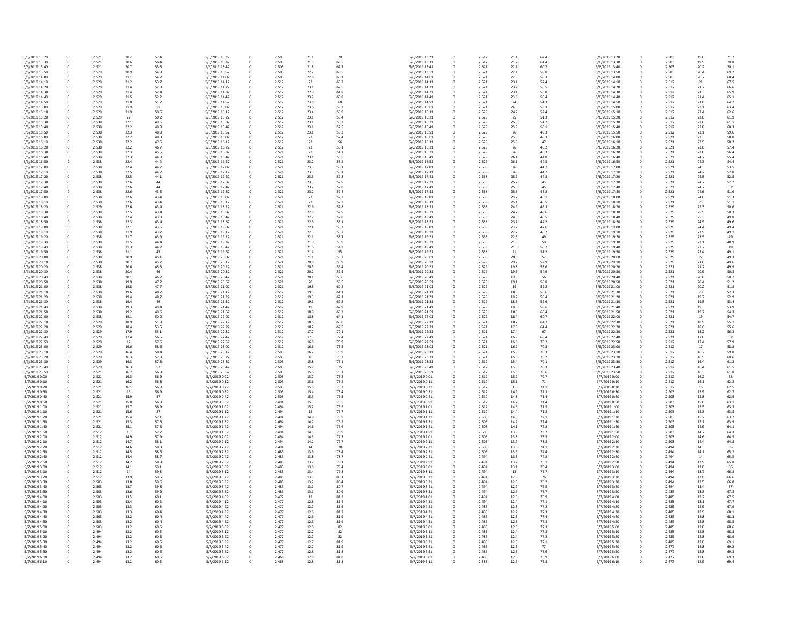| 5/6/2019 13:20                   | 0                          | 2.521          | 20.2         | 57.4         | 5/6/2019 13:22                   | 0 | 2.503          | 21.1         | 70           | 5/6/2019 13:21                   |
|----------------------------------|----------------------------|----------------|--------------|--------------|----------------------------------|---|----------------|--------------|--------------|----------------------------------|
| 5/6/2019 13:30                   | 0                          | 2.521          | 20.6         | 56.4         | 5/6/2019 13:32                   |   | 2.503          | 21.5         | 69.5         | 5/6/2019 13:31                   |
| 5/6/2019 13:40                   | 0                          | 2.521          | 20.7         | 55.6         | 5/6/2019 13:42                   |   | 2.503          | 21.8         | 67.7         | 5/6/2019 13:41                   |
| 5/6/2019 13:50<br>5/6/2019 14:00 | $\mathbf 0$<br>0           | 2.529<br>2.529 | 20.9<br>21.1 | 54.9<br>54.2 | 5/6/2019 13:52<br>5/6/2019 14:02 |   | 2.503<br>2.503 | 22.2<br>22.8 | 66.5<br>65.1 | 5/6/2019 13:51<br>5/6/2019 14:01 |
| 5/6/2019 14:10                   | 0                          | 2.529          | 21.2         | 53.7         | 5/6/2019 14:12                   |   | 2.512          | 23           | 63.7         | 5/6/2019 14:11                   |
| 5/6/2019 14:20                   | 0                          | 2.529          | 21.4         | 52.9         | 5/6/2019 14:22                   |   | 2.512          | 23.1         | 62.5         | 5/6/2019 14:21                   |
| 5/6/2019 14:30                   | 0                          | 2.529          | 21.4         | 52.4         | 5/6/2019 14:32                   |   | 2.512          | 22.9         | 61.8         | 5/6/2019 14:31                   |
| 5/6/2019 14:40                   | 0                          | 2.529          | 21.5         | 52.2         | 5/6/2019 14:42                   |   | 2.512          | 23.2         | 60.8         | 5/6/2019 14:41                   |
| 5/6/2019 14:50                   | $\mathbf 0$                | 2.529          | 21.8         | 51.7         | 5/6/2019 14:52                   |   | 2.512          | 23.8         | 60           | 5/6/2019 14:51                   |
| 5/6/2019 15:00                   | 0                          | 2.529          | 21.9         | 51           | 5/6/2019 15:02                   |   | 2.512          | 23.6         | 59.3         | 5/6/2019 15:01                   |
| 5/6/2019 15:10                   | 0                          | 2.529          | 21.9         | 50.6         | 5/6/2019 15:12                   |   | 2.512          | 23.4         | 58.9         | 5/6/2019 15:11                   |
| 5/6/2019 15:20                   | 0                          | 2.529          | 22           | 50.2         | 5/6/2019 15:22                   |   | 2.512          | 23.1         | 58.4         | 5/6/2019 15:21                   |
| 5/6/2019 15:30                   | 0                          | 2.538          | 22.1         | 49.6         | 5/6/2019 15:32                   |   | 2.512          | 23.1         | 58.3         | 5/6/2019 15:31                   |
| 5/6/2019 15:40<br>5/6/2019 15:50 | 0<br>0                     | 2.538<br>2.538 | 22.2<br>22.3 | 48.9<br>48.8 | 5/6/2019 15:42<br>5/6/2019 15:52 |   | 2.512<br>2.512 | 23.1<br>23.1 | 57.5<br>58.2 | 5/6/2019 15:41<br>5/6/2019 15:51 |
| 5/6/2019 16:00                   | 0                          | 2.538          | 22.2         | 48.3         | 5/6/2019 16:02                   |   | 2.512          | 23           | 57.4         | 5/6/2019 16:01                   |
| 5/6/2019 16:10                   | 0                          | 2.538          | 22.2         | 47.6         | 5/6/2019 16:12                   |   | 2.512          | 23           | 56           | 5/6/2019 16:11                   |
| 5/6/2019 16:20                   | 0                          | 2.538          | 22.2         | 46.7         | 5/6/2019 16:22                   |   | 2.512          | 23           | 55.1         | 5/6/2019 16:21                   |
| 5/6/2019 16:30                   | 0                          | 2.538          | 22.3         | 45.5         | 5/6/2019 16:32                   |   | 2.521          | 23           | 54.1         | 5/6/2019 16:31                   |
| 5/6/2019 16:40                   | 0                          | 2.538          | 22.3         | 44.9         | 5/6/2019 16:42                   |   | 2.521          | 23.1         | 53.5         | 5/6/2019 16:41                   |
| 5/6/2019 16:50                   | 0                          | 2.538          | 22.4         | 44.4         | 5/6/2019 16:52                   |   | 2.521          | 23.2         | 53.2         | 5/6/2019 16:51                   |
| 5/6/2019 17:00                   | 0                          | 2.538          | 22.4         | 44.2         | 5/6/2019 17:02                   |   | 2.521          | 23.3         | 53.1         | 5/6/2019 17:01                   |
| 5/6/2019 17:10<br>5/6/2019 17:20 | 0<br>0                     | 2.538<br>2.538 | 22.5<br>22.5 | 44.2<br>44.1 | 5/6/2019 17:12<br>5/6/2019 17:22 |   | 2.521<br>2.521 | 23.3<br>23.3 | 53.1<br>52.8 | 5/6/2019 17:11<br>5/6/2019 17:21 |
| 5/6/2019 17:30                   | 0                          | 2.538          | 22.6         | 44           | 5/6/2019 17:32                   |   | 2.521          | 23.3         | 52.9         | 5/6/2019 17:31                   |
| 5/6/2019 17:40                   | 0                          | 2.538          | 22.6         | 44           | 5/6/2019 17:42                   |   | 2.521          | 23.2         | 52.8         | 5/6/2019 17:41                   |
| 5/6/2019 17:50                   | 0                          | 2.538          | 22.6         | 43.5         | 5/6/2019 17:52                   |   | 2.521          | 23.2         | 52.4         | 5/6/2019 17:51                   |
| 5/6/2019 18:00                   | 0                          | 2.538          | 22.6         | 43.4         | 5/6/2019 18:02                   |   | 2.521          | 23           | 52.3         | 5/6/2019 18:01                   |
| 5/6/2019 18:10                   | 0                          | 2.538          | 22.6         | 43.4         | 5/6/2019 18:12                   |   | 2.521          | 23           | 52.7         | 5/6/2019 18:11                   |
| 5/6/2019 18:20                   | 0                          | 2.529          | 22.6         | 43.4         | 5/6/2019 18:22                   |   | 2.521          | 22.9         | 52.8         | 5/6/2019 18:21                   |
| 5/6/2019 18:30                   | 0                          | 2.538          | 22.5         | 43.4         | 5/6/2019 18:32                   | 0 | 2.521          | 22.8         | 52.9         | 5/6/2019 18:31                   |
| 5/6/2019 18:40<br>5/6/2019 18:50 | 0                          | 2.538<br>2.538 | 22.4<br>22.3 | 43.3<br>43.4 | 5/6/2019 18:42<br>5/6/2019 18:52 | 0 | 2.521<br>2.521 | 22.7<br>22.6 | 52.8<br>53.1 | 5/6/2019 18:41<br>5/6/2019 18:51 |
| 5/6/2019 19:00                   | 0<br>0                     | 2.538          | 22.1         | 43.5         | 5/6/2019 19:02                   |   | 2.521          | 22.4         | 53.3         | 5/6/2019 19:01                   |
| 5/6/2019 19:10                   | 0                          | 2.538          | 21.9         | 43.7         | 5/6/2019 19:12                   |   | 2.521          | 22.3         | 53.7         | 5/6/2019 19:11                   |
| 5/6/2019 19:20                   | 0                          | 2.538          | 21.7         | 43.9         | 5/6/2019 19:22                   |   | 2.521          | 22.1         | 53.7         | 5/6/2019 19:21                   |
| 5/6/2019 19:30                   | 0                          | 2.538          | 21.5         | 44.4         | 5/6/2019 19:32                   |   | 2.521          | 21.9         | 53.9         | 5/6/2019 19:31                   |
| 5/6/2019 19:40                   | $\mathbf 0$                | 2.538          | 21.3         | 44.7         | 5/6/2019 19:42                   |   | 2.521          | 21.6         | 54.2         | 5/6/2019 19:41                   |
| 5/6/2019 19:50                   | 0                          | 2.538          | 21.1         | 45           | 5/6/2019 19:52                   |   | 2.521          | 21.4         | 55           | 5/6/2019 19:51                   |
| 5/6/2019 20:00                   | 0                          | 2.538          | 20.9         | 45.1         | 5/6/2019 20:02                   |   | 2.521          | 21.1         | 55.3         | 5/6/2019 20:01                   |
| 5/6/2019 20:10                   | 0                          | 2.538          | 20.7         | 45.2         | 5/6/2019 20:12                   |   | 2.521          | 20.8         | 55.9         | 5/6/2019 20:11                   |
| 5/6/2019 20:20<br>5/6/2019 20:30 | 0                          | 2.538<br>2.538 | 20.6<br>20.4 | 45.5         | 5/6/2019 20:22<br>5/6/2019 20:32 |   | 2.521          | 20.5<br>20.2 | 56.4<br>57.5 | 5/6/2019 20:21<br>5/6/2019 20:31 |
| 5/6/2019 20:40                   | 0<br>0                     | 2.538          | 20.1         | 46<br>46.7   | 5/6/2019 20:42                   |   | 2.521<br>2.521 | 20.1         | 58.6         | 5/6/2019 20:41                   |
| 5/6/2019 20:50                   | 0                          | 2.538          | 19.9         | 47.2         | 5/6/2019 20:52                   |   | 2.521          | 20           | 59.5         | 5/6/2019 20:51                   |
| 5/6/2019 21:00                   | 0                          | 2.538          | 19.8         | 47.7         | 5/6/2019 21:02                   |   | 2.521          | 19.8         | 60.2         | 5/6/2019 21:01                   |
| 5/6/2019 21:10                   | 0                          | 2.538          | 19.6         | 48.2         | 5/6/2019 21:12                   |   | 2.512          | 19.5         | 61.1         | 5/6/2019 21:11                   |
| 5/6/2019 21:20                   | 0                          | 2.538          | 19.4         | 48.7         | 5/6/2019 21:22                   |   | 2.512          | 19.3         | 62.1         | 5/6/2019 21:21                   |
| 5/6/2019 21:30                   | 0                          | 2.538          | 19.4         | 49           | 5/6/2019 21:32                   |   | 2.512          | 19.1         | 62.5         | 5/6/2019 21:31                   |
| 5/6/2019 21:40                   | 0                          | 2.538          | 19.3         | 49.4         | 5/6/2019 21:42                   |   | 2.512          | 19           | 62.9         | 5/6/2019 21:41                   |
| 5/6/2019 21:50                   | 0                          | 2.538          | 19.2         | 49.6         | 5/6/2019 21:52                   |   | 2.512          | 18.9         | 63.2         | 5/6/2019 21:51                   |
| 5/6/2019 22:00<br>5/6/2019 22:10 | 0<br>0                     | 2.538<br>2.529 | 19.1<br>18.9 | 50.2<br>51.9 | 5/6/2019 22:02<br>5/6/2019 22:12 |   | 2.512<br>2.512 | 18.8<br>18.6 | 64.1<br>65.8 | 5/6/2019 22:01<br>5/6/2019 22:11 |
| 5/6/2019 22:20                   | 0                          | 2.529          | 18.4         | 53.5         | 5/6/2019 22:22                   |   | 2.512          | 18.2         | 67.5         | 5/6/2019 22:21                   |
| 5/6/2019 22:30                   | $\mathbf 0$                | 2.529          | 17.9         | 55.1         | 5/6/2019 22:32                   |   | 2.512          | 17.7         | 70.1         | 5/6/2019 22:31                   |
| 5/6/2019 22:40                   | 0                          | 2.529          | 17.4         | 56.5         | 5/6/2019 22:42                   |   | 2.512          | 17.3         | 72.4         | 5/6/2019 22:41                   |
| 5/6/2019 22:50                   | 0                          | 2.529          | 17           | 57.6         | 5/6/2019 22:52                   |   | 2.512          | 16.9         | 73.9         | 5/6/2019 22:51                   |
| 5/6/2019 23:00                   | 0                          | 2.529          | 16.6         | 58.6         | 5/6/2019 23:02                   |   | 2.512          | 16.6         | 75.5         | 5/6/2019 23:01                   |
| 5/6/2019 23:10                   | 0                          | 2.529          | 16.4         | 58.4         | 5/6/2019 23:12                   |   | 2.503          | 16.2         | 75.9         | 5/6/2019 23:11                   |
| 5/6/2019 23:20                   | 0                          | 2.529          | 16.3         | 57.9         | 5/6/2019 23:22                   |   | 2.503          | 16           | 75.3         | 5/6/2019 23:21                   |
| 5/6/2019 23:30                   | 0                          | 2.529          | 16.3         | 57.3         | 5/6/2019 23:32                   |   | 2.503          | 15.8         | 75.1         | 5/6/2019 23:31                   |
| 5/6/2019 23:40<br>5/6/2019 23:50 | 0                          | 2.529<br>2.521 | 16.3<br>16.2 | 57<br>56.9   | 5/6/2019 23:42<br>5/6/2019 23:52 | 0 | 2.503<br>2.503 | 15.7<br>15.6 | 75<br>75.1   | 5/6/2019 23:41<br>5/6/2019 23:51 |
| 5/7/2019 0:00                    | 0                          | 2.521          | 16.3         | 56.9         | 5/7/2019 0:02                    | 0 | 2.503          | 15.7         | 75.2         | 5/7/2019 0:01                    |
| 5/7/2019 0:10                    | 0                          | 2.521          | 16.2         | 56.8         | 5/7/2019 0:12                    |   | 2.503          | 15.6         | 75.2         | 5/7/2019 0:11                    |
| 5/7/2019 0:20                    | 0                          | 2.521          | 16.1         | 56.8         | 5/7/2019 0:22                    |   | 2.503          | 15.6         | 75.3         | 5/7/2019 0:21                    |
| 5/7/2019 0:30                    | 0                          | 2.521          | 16           | 56.9         | 5/7/2019 0:32                    |   | 2.503          | 15.4         | 75.4         | 5/7/2019 0:31                    |
| 5/7/2019 0:40                    | 0                          | 2.521          | 15.9         | 57           | 5/7/2019 0:42                    |   | 2.503          | 15.3         | 75.5         | 5/7/2019 0:41                    |
| 5/7/2019 0:50                    | 0                          | 2.521          | 15.8         | 56.9         | 5/7/2019 0:52                    |   | 2.494          | 15.3         | 75.5         | 5/7/2019 0:51                    |
| 5/7/2019 1:00                    | 0                          | 2.521<br>2.521 | 15.7         | 56.9<br>57   | 5/7/2019 1:02<br>5/7/2019 1:12   |   | 2.494<br>2.494 | 15.2         | 75.5<br>75.7 | 5/7/2019 1:01<br>5/7/2019 1:11   |
| 5/7/2019 1:10<br>5/7/2019 1:20   | 0<br>0                     | 2.521          | 15.6<br>15.4 | 57.1         | 5/7/2019 1:22                    |   | 2.494          | 15<br>14.9   | 75.9         | 5/7/2019 1:21                    |
| 5/7/2019 1:30                    | $\mathbf 0$                | 2.521          | 15.3         | 57.3         | 5/7/2019 1:32                    |   | 2.494          | 14.7         | 76.2         | 5/7/2019 1:31                    |
| 5/7/2019 1:40                    | 0                          | 2.521          | 15.1         | 57.5         | 5/7/2019 1:42                    |   | 2.494          | 14.6         | 76.6         | 5/7/2019 1:41                    |
| 5/7/2019 1:50                    | 0                          | 2.512          | 15           | 57.7         | 5/7/2019 1:52                    |   | 2.494          | 14.5         | 76.9         | 5/7/2019 1:51                    |
| 5/7/2019 2:00                    | 0                          | 2.512          | 14.9         | 57.9         | 5/7/2019 2:02                    |   | 2.494          | 14.3         | 77.3         | 5/7/2019 2:01                    |
| 5/7/2019 2:10                    | 0                          | 2.512          | 14.7         | 58.1         | 5/7/2019 2:12                    |   | 2.494          | 14.2         | 77.7         | 5/7/2019 2:11                    |
| 5/7/2019 2:20                    | 0                          | 2.512          | 14.6         | 58.3         | 5/7/2019 2:22                    |   | 2.494          | 14           | 78           | 5/7/2019 2:21                    |
| 5/7/2019 2:30                    | 0                          | 2.512          | 14.5         | 58.5         | 5/7/2019 2:32                    |   | 2.485          | 13.9         | 78.4         | 5/7/2019 2:31                    |
| 5/7/2019 2:40<br>5/7/2019 2:50   | 0<br>0                     | 2.512<br>2.512 | 14.4<br>14.2 | 58.7<br>58.9 | 5/7/2019 2:42<br>5/7/2019 2:52   |   | 2.485<br>2.485 | 13.8<br>13.7 | 78.7<br>79.1 | 5/7/2019 2:41<br>5/7/2019 2:51   |
| 5/7/2019 3:00                    | 0                          | 2.512          | 14.1         | 59.1         | 5/7/2019 3:02                    |   | 2.485          | 13.6         | 79.4         | 5/7/2019 3:01                    |
| 5/7/2019 3:10                    | 0                          | 2.512          | 14           | 59.3         | 5/7/2019 3:12                    |   | 2.485          | 13.4         | 79.8         | 5/7/2019 3:11                    |
| 5/7/2019 3:20                    | 0                          | 2.512          | 13.9         | 59.5         | 5/7/2019 3:22                    |   | 2.485          | 13.3         | 80.1         | 5/7/2019 3:21                    |
| 5/7/2019 3:30                    | 0                          | 2.503          | 13.8         | 59.6         | 5/7/2019 3:32                    |   | 2.485          | 13.2         | 80.4         | 5/7/2019 3:31                    |
| 5/7/2019 3:40                    | 0                          | 2.503          | 13.7         | 59.8         | 5/7/2019 3:42                    |   | 2.485          | 13.1         | 80.7         | 5/7/2019 3:41                    |
| 5/7/2019 3:50                    | 0                          | 2.503          | 13.6         | 59.9         | 5/7/2019 3:52                    |   | 2.485          | 13.1         | 80.9         | 5/7/2019 3:51                    |
| 5/7/2019 4:00                    | 0                          | 2.503          | 13.5         | 60.1         | 5/7/2019 4:02                    |   | 2.477          | 13           | 81.2         | 5/7/2019 4:01                    |
| 5/7/2019 4:10                    | 0                          | 2.503<br>2.503 | 13.4         | 60.2         | 5/7/2019 4:12<br>5/7/2019 4:22   |   | 2.477<br>2.477 | 12.8         | 81.4         | 5/7/2019 4:11<br>5/7/2019 4:21   |
| 5/7/2019 4:20<br>5/7/2019 4:30   | 0<br>0                     | 2.503          | 13.3<br>13.3 | 60.3<br>60.4 | 5/7/2019 4:32                    |   | 2.477          | 12.7<br>12.6 | 81.6<br>81.7 | 5/7/2019 4:31                    |
| 5/7/2019 4:40                    | 0                          | 2.503          | 13.2         | 60.4         | 5/7/2019 4:42                    |   | 2.477          | 12.6         | 81.9         | 5/7/2019 4:41                    |
| 5/7/2019 4:50                    | 0                          | 2.503          | 13.2         | 60.4         | 5/7/2019 4:52                    |   | 2.477          | 12.6         | 81.9         | 5/7/2019 4:51                    |
| 5/7/2019 5:00                    | 0                          | 2.503          | 13.2         | 60.5         | 5/7/2019 5:02                    |   | 2.477          | 12.6         | 82           | 5/7/2019 5:01                    |
| 5/7/2019 5:10                    | 0                          | 2.494          | 13.2         | 60.5         | 5/7/2019 5:12                    | 0 | 2.477          | 12.7         | 82           | 5/7/2019 5:11                    |
| 5/7/2019 5:20                    | 0                          | 2.494          | 13.2         | 60.5         | 5/7/2019 5:22                    | 0 | 2.477          | 12.7         | 82           | 5/7/2019 5:21                    |
| 5/7/2019 5:30                    | 0                          | 2.494          | 13.2         | 60.5         | 5/7/2019 5:32                    |   | 2.477          | 12.7         | 81.9         | 5/7/2019 5:31                    |
| 5/7/2019 5:40                    | $\boldsymbol{0}$           | 2.494          | 13.2         | 60.5         | 5/7/2019 5:42                    |   | 2.477          | 12.7         | 81.9         | 5/7/2019 5:41                    |
| 5/7/2019 5:50<br>5/7/2019 6:00   | $\mathbf 0$<br>$\mathbf 0$ | 2.494<br>2.494 | 13.2<br>13.2 | 60.5<br>60.5 | 5/7/2019 5:52<br>5/7/2019 6:02   |   | 2.477<br>2.468 | 12.8<br>12.8 | 81.8<br>81.8 | 5/7/2019 5:51<br>5/7/2019 6:01   |
| 5/7/2019 6:10                    | $\mathbf 0$                | 2.494          | 13.2         | 60.5         | 5/7/2019 6:12                    | 0 | 2.468          | 12.8         | 81.8         | 5/7/2019 6:11                    |
|                                  |                            |                |              |              |                                  |   |                |              |              |                                  |

| 5/6/2019 13:21                   | 0      | 2.512          | 21.4         | 62.4         | 5/6/2019 13:20                   |
|----------------------------------|--------|----------------|--------------|--------------|----------------------------------|
| 5/6/2019 13:31                   | 0      | 2.512          | 21.7         | 61.4         | 5/6/2019 13:30                   |
| 5/6/2019 13:41                   | 0      | 2.521          | 22.1         | 60.7         | 5/6/2019 13:40                   |
| 5/6/2019 13:51                   | 0      | 2.521          | 22.4         | 59.8         | 5/6/2019 13:50                   |
| 5/6/2019 14:01<br>5/6/2019 14:11 | 0<br>0 | 2.521<br>2.521 | 22.8<br>23.4 | 58.3<br>57.4 | 5/6/2019 14:00<br>5/6/2019 14:10 |
| 5/6/2019 14:21                   | 0      | 2.521          | 23.2         | 56.5         | 5/6/2019 14:20                   |
| 5/6/2019 14:31                   | 0      | 2.521          | 23.1         | 55.8         | 5/6/2019 14:30                   |
| 5/6/2019 14:41                   | 0      | 2.521          | 23.6         | 55.4         | 5/6/2019 14:40                   |
| 5/6/2019 14:51                   | 0      | 2.521          | 24           | 54.3         | 5/6/2019 14:50                   |
| 5/6/2019 15:01                   | 0      | 2.521          | 24.5         | 53.3         | 5/6/2019 15:00                   |
| 5/6/2019 15:11                   | 0      | 2.529          | 24.7         | 52.4         | 5/6/2019 15:10                   |
| 5/6/2019 15:21                   | 0      | 2.529          | 25           | 51.3         | 5/6/2019 15:20                   |
| 5/6/2019 15:31                   | 0      | 2.529          | 25.3         | 51.2         | 5/6/2019 15:30                   |
| 5/6/2019 15:41                   | 0      | 2.529          | 25.9         | 50.1         | 5/6/2019 15:40                   |
| 5/6/2019 15:51                   | 0      | 2.529          | 26           | 49.3         | 5/6/2019 15:50                   |
| 5/6/2019 16:01<br>5/6/2019 16:11 | 0<br>0 | 2.529<br>2.529 | 25.9<br>25.8 | 48.3<br>47   | 5/6/2019 16:00<br>5/6/2019 16:10 |
| 5/6/2019 16:21                   | 0      | 2.529          | 26           | 46.2         | 5/6/2019 16:20                   |
| 5/6/2019 16:31                   | 0      | 2.529          | 26           | 45.3         | 5/6/2019 16:30                   |
| 5/6/2019 16:41                   | 0      | 2.529          | 26.1         | 44.8         | 5/6/2019 16:40                   |
| 5/6/2019 16:51                   | 0      | 2.529          | 26.1         | 44.5         | 5/6/2019 16:50                   |
| 5/6/2019 17:01                   | 0      | 2.538          | 26           | 44.7         | 5/6/2019 17:00                   |
| 5/6/2019 17:11                   | 0      | 2.538          | 26           | 44.7         | 5/6/2019 17:10                   |
| 5/6/2019 17:21                   | 0      | 2.538          | 25.9         | 44.8         | 5/6/2019 17:20                   |
| 5/6/2019 17:31                   | 0      | 2.538          | 25.7         | 45           | 5/6/2019 17:30                   |
| 5/6/2019 17:41                   | 0      | 2.538          | 25.5         | 45           | 5/6/2019 17:40                   |
| 5/6/2019 17:51                   | 0      | 2.538          | 25.3         | 45.2         | 5/6/2019 17:50                   |
| 5/6/2019 18:01<br>5/6/2019 18:11 | 0<br>0 | 2.538<br>2.538 | 25.2<br>25.1 | 45.1<br>45.5 | 5/6/2019 18:00<br>5/6/2019 18:10 |
| 5/6/2019 18:21                   | 0      | 2.538          | 24.9         | 46.3         | 5/6/2019 18:20                   |
| 5/6/2019 18:31                   | 0      | 2.538          | 24.7         | 46.6         | 5/6/2019 18:30                   |
| 5/6/2019 18:41                   | 0      | 2.538          | 24.3         | 46.5         | 5/6/2019 18:40                   |
| 5/6/2019 18:51                   | 0      | 2.538          | 23.7         | 47.2         | 5/6/2019 18:50                   |
| 5/6/2019 19:01                   | 0      | 2.538          | 23.2         | 47.6         | 5/6/2019 19:00                   |
| 5/6/2019 19:11                   | 0      | 2.538          | 22.7         | 48.2         | 5/6/2019 19:10                   |
| 5/6/2019 19:21                   | 0      | 2.538          | 22.3         | 49           | 5/6/2019 19:20                   |
| 5/6/2019 19:31                   | 0      | 2.538          | 21.8         | 50           | 5/6/2019 19:30                   |
| 5/6/2019 19:41                   | 0      | 2.538          | 21.5         | 50.7         | 5/6/2019 19:40                   |
| 5/6/2019 19:51                   | 0      | 2.538          | 21           | 51.2         | 5/6/2019 19:50                   |
| 5/6/2019 20:01                   | 0      | 2.538          | 20.6         | 52           | 5/6/2019 20:00                   |
| 5/6/2019 20:11                   | 0      | 2.529          | 20.2         | 52.9         | 5/6/2019 20:10                   |
| 5/6/2019 20:21<br>5/6/2019 20:31 | 0<br>0 | 2.529          | 19.8<br>19.5 | 53.6<br>54.9 | 5/6/2019 20:20<br>5/6/2019 20:30 |
| 5/6/2019 20:41                   | 0      | 2.529<br>2.529 | 19.3         | 56           | 5/6/2019 20:40                   |
| 5/6/2019 20:51                   | 0      | 2.529          | 19.1         | 56.8         | 5/6/2019 20:50                   |
| 5/6/2019 21:01                   | 0      | 2.529          | 19           | 57.8         | 5/6/2019 21:00                   |
| 5/6/2019 21:11                   | 0      | 2.529          | 18.8         | 58.6         | 5/6/2019 21:10                   |
| 5/6/2019 21:21                   | 0      | 2.529          | 18.7         | 59.4         | 5/6/2019 21:20                   |
| 5/6/2019 21:31                   | 0      | 2.529          | 18.6         | 59.6         | 5/6/2019 21:30                   |
| 5/6/2019 21:41                   | 0      | 2.529          | 18.5         | 59.6         | 5/6/2019 21:40                   |
| 5/6/2019 21:51                   | 0      | 2.529          | 18.5         | 60.4         | 5/6/2019 21:50                   |
| 5/6/2019 22:01                   | 0      | 2.529          | 18.4         | 60.7         | 5/6/2019 22:00                   |
| 5/6/2019 22:11                   | 0      | 2.521          | 18.2         | 61.7         | 5/6/2019 22:10                   |
| 5/6/2019 22:21<br>5/6/2019 22:31 | 0      | 2.521          | 17.8         | 64.4         | 5/6/2019 22:20                   |
| 5/6/2019 22:41                   | 0<br>0 | 2.521<br>2.521 | 17.4<br>16.9 | 67<br>68.4   | 5/6/2019 22:30<br>5/6/2019 22:40 |
| 5/6/2019 22:51                   | 0      | 2.521          | 16.6         | 70.2         | 5/6/2019 22:50                   |
| 5/6/2019 23:01                   | 0      | 2.521          | 16.2         | 70.8         | 5/6/2019 23:00                   |
| 5/6/2019 23:11                   | 0      | 2.521          | 15.9         | 70.3         | 5/6/2019 23:10                   |
| 5/6/2019 23:21                   | 0      | 2.521          | 15.6         | 70.2         | 5/6/2019 23:20                   |
| 5/6/2019 23:31                   | 0      | 2.512          | 15.4         | 70.1         | 5/6/2019 23:30                   |
| 5/6/2019 23:41                   | 0      | 2.512          | 15.3         | 70.3         | 5/6/2019 23:40                   |
| 5/6/2019 23:51                   | 0      | 2.512          | 15.3         | 70.6         | 5/6/2019 23:50                   |
| 5/7/2019 0:01                    | 0      | 2.512          | 15.2         | 70.7         | 5/7/2019 0:00                    |
| 5/7/2019 0:11                    | 0      | 2.512          | 15.1         | 71           | 5/7/2019 0:10                    |
| 5/7/2019 0:21<br>5/7/2019 0:31   | 0<br>0 | 2.512<br>2.512 | 15<br>14.9   | 71.1<br>71.3 | 5/7/2019 0:20<br>5/7/2019 0:30   |
| 5/7/2019 0:41                    | 0      | 2.512          | 14.8         | 71.4         | 5/7/2019 0:40                    |
| 5/7/2019 0:51                    | 0      | 2.512          | 14.7         | 71.4         | 5/7/2019 0:50                    |
| 5/7/2019 1:01                    | 0      | 2.512          | 14.6         | 71.5         | 5/7/2019 1:00                    |
| 5/7/2019 1:11                    | 0      | 2.512          | 14.4         | 71.8         | 5/7/2019 1:10                    |
| 5/7/2019 1:21                    | 0      | 2.503          | 14.3         | 72.1         | 5/7/2019 1:20                    |
| 5/7/2019 1:31                    | 0      | 2.503          | 14.2         | 72.4         | 5/7/2019 1:30                    |
| 5/7/2019 1:41                    | 0      | 2.503          | 14.1         | 72.8         | 5/7/2019 1:40                    |
| 5/7/2019 1:51                    | 0      | 2.503          | 13.9         | 73.2         | 5/7/2019 1:50                    |
| 5/7/2019 2:01                    | 0      | 2.503          | 13.8         | 73.5         | 5/7/2019 2:00                    |
| 5/7/2019 2:11<br>5/7/2019 2:21   | 0<br>0 | 2.503<br>2.503 | 13.7<br>13.6 | 73.8<br>74.1 | 5/7/2019 2:10<br>5/7/2019 2:20   |
| 5/7/2019 2:31                    | 0      | 2.503          | 13.5         | 74.4         | 5/7/2019 2:30                    |
| 5/7/2019 2:41                    | 0      | 2.494          | 13.3         | 74.8         | 5/7/2019 2:40                    |
| 5/7/2019 2:51                    | 0      | 2.494          | 13.2         | 75.1         | 5/7/2019 2:50                    |
| 5/7/2019 3:01                    | 0      | 2.494          | 13.1         | 75.4         | 5/7/2019 3:00                    |
| 5/7/2019 3:11                    | 0      | 2.494          | 13           | 75.7         | 5/7/2019 3:10                    |
| 5/7/2019 3:21                    | 0      | 2.494          | 12.9         | 76           | 5/7/2019 3:20                    |
| 5/7/2019 3:31                    | 0      | 2.494          | 12.8         | 76.2         | 5/7/2019 3:30                    |
| 5/7/2019 3:41                    | 0      | 2.494          | 12.7         | 76.5         | 5/7/2019 3:40                    |
| 5/7/2019 3:51                    | 0      | 2.494          | 12.6         | 76.7         | 5/7/2019 3:50                    |
| 5/7/2019 4:01                    | 0<br>0 | 2.494<br>2.494 | 12.5<br>12.4 | 76.9<br>77.1 | 5/7/2019 4:00                    |
| 5/7/2019 4:11<br>5/7/2019 4:21   | 0      | 2.485          | 12.3         | 77.2         | 5/7/2019 4:10<br>5/7/2019 4:20   |
| 5/7/2019 4:31                    | 0      | 2.485          | 12.2         | 77.3         | 5/7/2019 4:30                    |
| 5/7/2019 4:41                    | 0      | 2.485          | 12.3         | 77.4         | 5/7/2019 4:40                    |
| 5/7/2019 4:51                    | 0      | 2.485          | 12.3         | 77.3         | 5/7/2019 4:50                    |
| 5/7/2019 5:01                    | 0      | 2.485          | 12.3         | 77.3         | 5/7/2019 5:00                    |
| 5/7/2019 5:11                    | 0      | 2.485          | 12.4         | 77.3         | 5/7/2019 5:10                    |
| 5/7/2019 5:21                    | 0      | 2.485          | 12.4         | 77.2         | 5/7/2019 5:20                    |
| 5/7/2019 5:31                    | 0      | 2.485          | 12.5         | 77.1         | 5/7/2019 5:30                    |
| 5/7/2019 5:41                    | 0      | 2.485          | 12.5         | 77           | 5/7/2019 5:40                    |
| 5/7/2019 5:51                    | 0      | 2.485          | 12.5         | 76.9         | 5/7/2019 5:50                    |
| 5/7/2019 6:01<br>5/7/2019 6:11   | 0<br>0 | 2.485<br>2.485 | 12.6<br>12.6 | 76.9<br>76.8 | 5/7/2019 6:00<br>5/7/2019 6:10   |
|                                  |        |                |              |              |                                  |

| 0 | 2.503 | 19.6 | 71.7 |
|---|-------|------|------|
|   | 2.503 |      | 70.8 |
| 0 |       | 19.9 |      |
| 0 | 2.503 | 20.2 | 70.1 |
| 0 | 2.503 | 20.4 | 69.2 |
| 0 | 2.503 | 20.7 | 68.4 |
| 0 | 2.512 | 21   | 67.5 |
| 0 | 2.512 | 21.2 | 66.6 |
| 0 | 2.512 | 21.3 | 65.9 |
| 0 | 2.512 | 21.4 | 65.1 |
|   |       | 21.6 |      |
| 0 | 2.512 |      | 64.2 |
| 0 | 2.512 | 22.1 | 63.4 |
| 0 | 2.512 | 22.4 | 62.6 |
| 0 | 2.512 | 22.6 | 61.9 |
| 0 | 2.512 | 22.6 | 61.1 |
| 0 | 2.512 | 22.8 | 60.3 |
| 0 | 2.512 | 23.1 | 59.6 |
| 0 | 2.521 | 23.3 | 58.8 |
|   |       |      |      |
| 0 | 2.521 | 23.5 | 58.2 |
| 0 | 2.521 | 23.6 | 57.4 |
| 0 | 2.521 | 23.8 | 56.4 |
| 0 | 2.521 | 24.2 | 55.4 |
| 0 | 2.521 | 24.3 | 54.4 |
| 0 | 2.521 | 24.3 | 53.5 |
| 0 | 2.521 | 24.2 | 52.8 |
| 0 | 2.521 | 24.5 | 52.5 |
| 0 | 2.521 | 24.7 | 52.2 |
|   |       |      |      |
| 0 | 2.521 | 24.7 | 52   |
| 0 | 2.521 | 24.6 | 51.6 |
| 0 | 2.521 | 24.8 | 51.3 |
| 0 | 2.521 | 25   | 51.1 |
| 0 | 2.529 | 25.3 | 50.6 |
| 0 | 2.529 | 25.5 | 50.3 |
| 0 | 2.529 | 25.3 | 49.8 |
| 0 | 2.529 | 24.9 | 49.6 |
|   |       |      |      |
| 0 | 2.529 | 24.4 | 49.4 |
| 0 | 2.529 | 23.9 | 49.1 |
| 0 | 2.529 | 23.5 | 49   |
| 0 | 2.529 | 23.1 | 48.9 |
| 0 | 2.529 | 22.7 | 49   |
| 0 | 2.529 | 22.4 | 49.1 |
| 0 | 2.529 | 22   | 49.3 |
| 0 | 2.529 | 21.6 | 49.6 |
|   |       |      |      |
| 0 | 2.521 | 21.2 | 49.9 |
| 0 | 2.521 | 20.9 | 50.3 |
| 0 | 2.521 | 20.6 | 50.7 |
| 0 | 2.521 | 20.4 | 51.2 |
| 0 | 2.521 | 20.2 | 51.8 |
| 0 | 2.521 | 20   | 52.3 |
| 0 | 2.521 | 19.7 | 52.9 |
| 0 | 2.521 | 19.5 | 53.4 |
|   |       |      |      |
| 0 | 2.521 | 19.3 | 53.9 |
| 0 | 2.521 | 19.2 | 54.3 |
| 0 | 2.521 | 19   | 54.7 |
| 0 | 2.521 | 18.9 | 55.1 |
| 0 | 2.521 | 18.6 | 55.6 |
| 0 | 2.521 | 18.2 | 56.3 |
| 0 | 2.521 | 17.8 | 57   |
| 0 | 2.512 | 17.4 | 57.9 |
| 0 | 2.512 | 17   | 58.8 |
|   |       |      |      |
| 0 | 2.512 | 16.7 | 59.8 |
| 0 | 2.512 | 16.5 | 60.6 |
| 0 | 2.512 | 16.4 | 61.2 |
| 0 | 2.512 | 16.4 | 61.5 |
| 0 | 2.512 | 16.3 | 61.8 |
| 0 | 2.512 | 16.2 | 62   |
| 0 | 2.512 | 16.1 | 62.3 |
| 0 | 2.512 | 16   | 62.5 |
| 0 | 2.503 | 15.9 | 62.7 |
|   |       |      |      |
| 0 | 2.503 | 15.8 | 62.9 |
| 0 | 2.503 | 15.6 | 63.1 |
| 0 | 2.503 | 15.5 | 63.3 |
| 0 | 2.503 | 15.3 | 63.5 |
| 0 | 2.503 | 15.2 | 63.7 |
| 0 | 2.503 | 15.1 | 63.9 |
| 0 | 2.503 | 14.9 | 64.1 |
| 0 | 2.503 | 14.7 | 64.3 |
| 0 | 2.503 | 14.6 | 64.5 |
|   |       |      |      |
| 0 | 2.503 | 14.4 | 64.8 |
| 0 | 2.494 | 14.3 | 65   |
| 0 | 2.494 | 14.1 | 65.2 |
| 0 | 2.494 | 14   | 65.5 |
| 0 | 2.494 | 13.9 | 65.8 |
| 0 | 2.494 | 13.8 | 66   |
| 0 | 2.494 | 13.7 | 66.3 |
| 0 | 2.494 | 13.6 | 66.6 |
| 0 | 2.494 | 13.5 | 66.8 |
| 0 | 2.494 | 13.4 | 67   |
| 0 | 2.485 | 13.3 | 67.3 |
|   |       |      |      |
| 0 | 2.485 | 13.2 | 67.5 |
| 0 | 2.485 | 13.1 | 67.7 |
| 0 | 2.485 | 12.9 | 67.9 |
| 0 | 2.485 | 12.9 | 68.1 |
| 0 | 2.485 | 12.8 | 68.3 |
| 0 | 2.485 | 12.8 | 68.5 |
| 0 | 2.485 | 12.8 | 68.6 |
| 0 | 2.485 | 12.8 | 68.8 |
| 0 | 2.485 | 12.8 | 68.9 |
| 0 | 2.485 | 12.8 | 69.1 |
| 0 | 2.477 | 12.8 | 69.2 |
| 0 | 2.477 | 12.8 | 69.3 |
| 0 | 2.477 | 12.8 | 69.3 |
|   |       |      |      |
| 0 | 2.477 | 12.9 | 69.4 |

| ĺ                                                                                                                                    | )              |
|--------------------------------------------------------------------------------------------------------------------------------------|----------------|
|                                                                                                                                      |                |
| O                                                                                                                                    |                |
| $\overline{0}$                                                                                                                       |                |
| $\overline{0}$                                                                                                                       |                |
|                                                                                                                                      |                |
| $\overline{0}$                                                                                                                       |                |
| $\overline{0}$                                                                                                                       |                |
| $\overline{0}$                                                                                                                       |                |
|                                                                                                                                      |                |
| ĺ                                                                                                                                    | )              |
| $\overline{0}$                                                                                                                       |                |
| $\overline{0}$                                                                                                                       |                |
|                                                                                                                                      |                |
| $\overline{0}$                                                                                                                       |                |
| $\overline{0}$                                                                                                                       |                |
|                                                                                                                                      |                |
| ĺ                                                                                                                                    | $\mathbf{)}$   |
| ĺ                                                                                                                                    | )              |
| $\overline{0}$                                                                                                                       |                |
|                                                                                                                                      |                |
| $\overline{0}$                                                                                                                       |                |
| O                                                                                                                                    |                |
| $\overline{0}$                                                                                                                       |                |
|                                                                                                                                      |                |
| O                                                                                                                                    |                |
| O                                                                                                                                    |                |
|                                                                                                                                      |                |
| O                                                                                                                                    |                |
| $\overline{0}$                                                                                                                       |                |
| ١                                                                                                                                    | )              |
|                                                                                                                                      |                |
| ĺ                                                                                                                                    | )              |
| ĺ                                                                                                                                    | )              |
| ĺ                                                                                                                                    | )              |
|                                                                                                                                      |                |
| $\overline{\phantom{a}}$                                                                                                             | )              |
| ĺ                                                                                                                                    | J              |
| I                                                                                                                                    | J              |
|                                                                                                                                      |                |
| ١                                                                                                                                    | )              |
| ĺ                                                                                                                                    | )              |
| ׇׅ֘֝֬                                                                                                                                |                |
|                                                                                                                                      | $\mathbf{)}$   |
| l                                                                                                                                    | )              |
| O                                                                                                                                    |                |
| $\overline{0}$                                                                                                                       |                |
|                                                                                                                                      |                |
| O                                                                                                                                    |                |
| $\overline{0}$                                                                                                                       |                |
|                                                                                                                                      |                |
| $\overline{0}$                                                                                                                       |                |
| O                                                                                                                                    |                |
| $\overline{0}$                                                                                                                       |                |
|                                                                                                                                      |                |
| $\overline{0}$                                                                                                                       |                |
| $\overline{0}$                                                                                                                       |                |
| ŗ                                                                                                                                    | )              |
|                                                                                                                                      |                |
| $\overline{0}$                                                                                                                       |                |
| $\overline{0}$                                                                                                                       |                |
| $\overline{0}$                                                                                                                       |                |
|                                                                                                                                      |                |
| $\overline{0}$                                                                                                                       |                |
| $\overline{0}$                                                                                                                       |                |
|                                                                                                                                      | )              |
|                                                                                                                                      |                |
| ĺ                                                                                                                                    |                |
|                                                                                                                                      |                |
| $\overline{0}$<br>O                                                                                                                  |                |
|                                                                                                                                      |                |
|                                                                                                                                      |                |
|                                                                                                                                      |                |
|                                                                                                                                      |                |
|                                                                                                                                      |                |
|                                                                                                                                      | $\overline{)}$ |
|                                                                                                                                      | )              |
|                                                                                                                                      | )              |
|                                                                                                                                      |                |
| O<br>O<br>$\overline{0}$<br>١<br>ĺ<br>ĺ<br>ĺ                                                                                         | )              |
| ĺ                                                                                                                                    | )              |
| ĺ                                                                                                                                    | )              |
|                                                                                                                                      |                |
|                                                                                                                                      | J              |
| l<br>I                                                                                                                               | )              |
| ĺ                                                                                                                                    | J              |
|                                                                                                                                      | J              |
|                                                                                                                                      |                |
|                                                                                                                                      | )              |
| l<br>l<br>O                                                                                                                          |                |
|                                                                                                                                      |                |
| $\overline{0}$                                                                                                                       |                |
|                                                                                                                                      |                |
| 0<br>$\overline{0}$                                                                                                                  |                |
|                                                                                                                                      |                |
| $\overline{0}$                                                                                                                       |                |
|                                                                                                                                      |                |
| 0<br>$\overline{0}$                                                                                                                  |                |
|                                                                                                                                      |                |
|                                                                                                                                      |                |
| $\overline{0}$<br>$\overline{0}$                                                                                                     |                |
|                                                                                                                                      |                |
|                                                                                                                                      |                |
|                                                                                                                                      |                |
|                                                                                                                                      |                |
|                                                                                                                                      |                |
|                                                                                                                                      |                |
|                                                                                                                                      |                |
|                                                                                                                                      |                |
|                                                                                                                                      |                |
|                                                                                                                                      |                |
|                                                                                                                                      | J              |
| $\overline{0}$<br>$\overline{0}$<br>$\overline{0}$<br>O<br>$\overline{0}$<br>$\overline{0}$<br>$\overline{0}$<br>$\overline{0}$<br>ĺ |                |
| ĺ                                                                                                                                    | )              |
| O                                                                                                                                    |                |
|                                                                                                                                      |                |
|                                                                                                                                      |                |
|                                                                                                                                      | )              |
|                                                                                                                                      |                |
|                                                                                                                                      | )              |
|                                                                                                                                      | )              |
|                                                                                                                                      |                |
| 0<br>١<br>O<br>ĺ<br>ĺ<br>ĺ                                                                                                           | )              |
| ĺ                                                                                                                                    | )              |
| l                                                                                                                                    | )              |
|                                                                                                                                      |                |
| ĺ                                                                                                                                    | )              |
| ĺ                                                                                                                                    | )              |
| I                                                                                                                                    | J              |
|                                                                                                                                      |                |